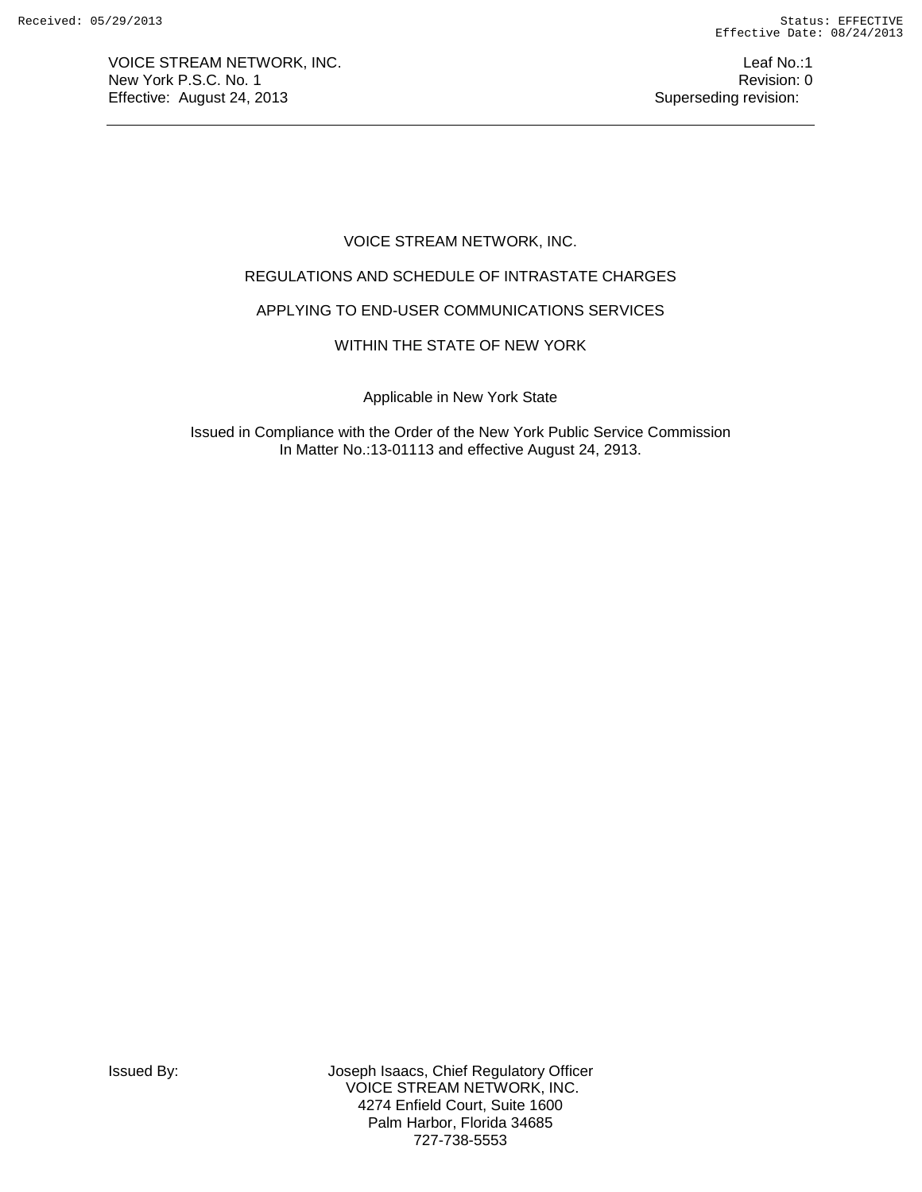VOICE STREAM NETWORK, INC. The state of the state of the state of the state of the state of the state of the state of the state of the state of the state of the state of the state of the state of the state of the state of New York P.S.C. No. 1 **Review According to the U.S. Contract Contract Contract Contract Contract Contract Contract Contract Contract Contract Contract Contract Contract Contract Contract Contract Contract Contract Contract** Effective: August 24, 2013 **Superseding revision:** Superseding revision:

# VOICE STREAM NETWORK, INC.

# REGULATIONS AND SCHEDULE OF INTRASTATE CHARGES

# APPLYING TO END-USER COMMUNICATIONS SERVICES

## WITHIN THE STATE OF NEW YORK

Applicable in New York State

Issued in Compliance with the Order of the New York Public Service Commission In Matter No.:13-01113 and effective August 24, 2913.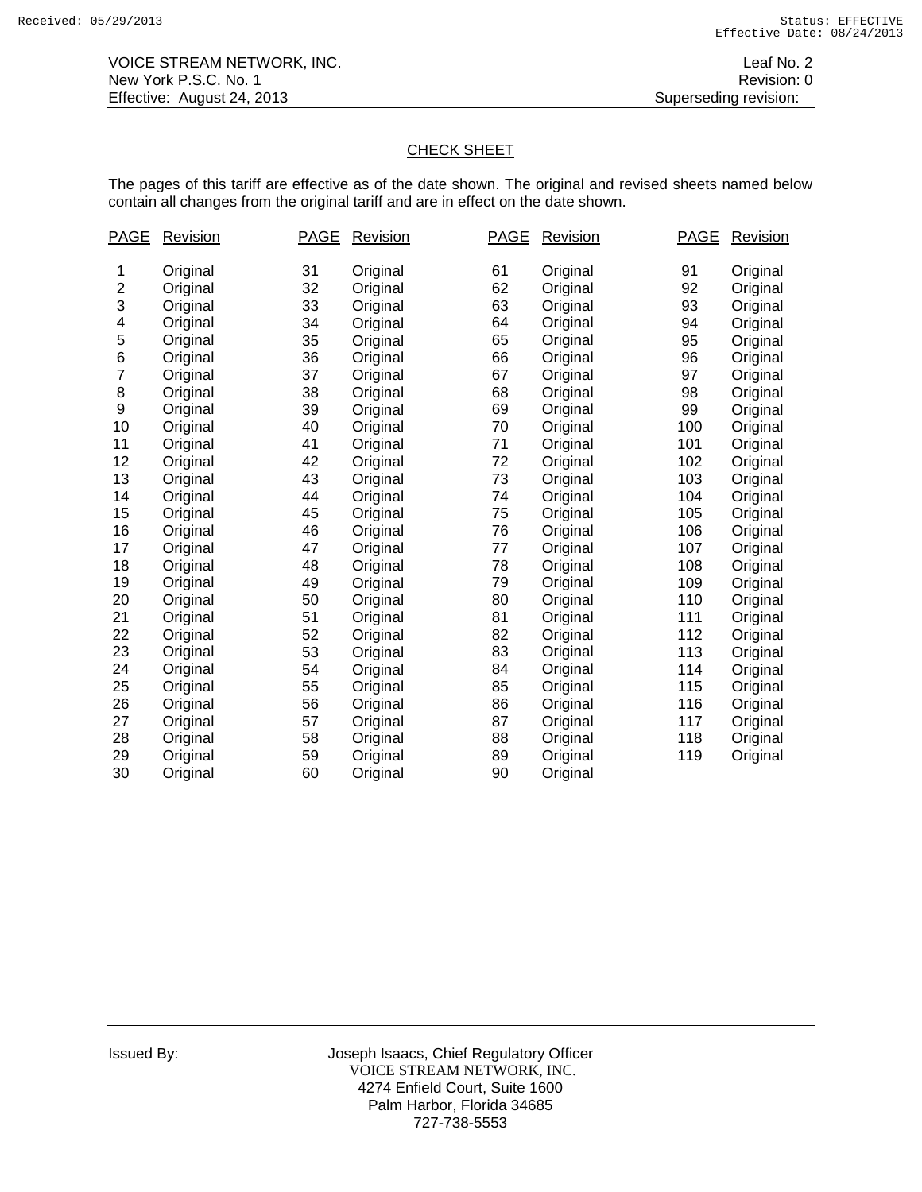# CHECK SHEET

The pages of this tariff are effective as of the date shown. The original and revised sheets named below contain all changes from the original tariff and are in effect on the date shown.

| PAGE | <b>Revision</b> | <b>PAGE</b> | <b>Revision</b> | <b>PAGE</b> | <b>Revision</b> | <b>PAGE</b> | <b>Revision</b> |
|------|-----------------|-------------|-----------------|-------------|-----------------|-------------|-----------------|
| 1    | Original        | 31          | Original        | 61          | Original        | 91          | Original        |
| 2    | Original        | 32          | Original        | 62          | Original        | 92          | Original        |
| 3    | Original        | 33          | Original        | 63          | Original        | 93          | Original        |
| 4    | Original        | 34          | Original        | 64          | Original        | 94          | Original        |
| 5    | Original        | 35          | Original        | 65          | Original        | 95          | Original        |
| 6    | Original        | 36          | Original        | 66          | Original        | 96          | Original        |
| 7    | Original        | 37          | Original        | 67          | Original        | 97          | Original        |
| 8    | Original        | 38          | Original        | 68          | Original        | 98          | Original        |
| 9    | Original        | 39          | Original        | 69          | Original        | 99          | Original        |
| 10   | Original        | 40          | Original        | 70          | Original        | 100         | Original        |
| 11   | Original        | 41          | Original        | 71          | Original        | 101         | Original        |
| 12   | Original        | 42          | Original        | 72          | Original        | 102         | Original        |
| 13   | Original        | 43          | Original        | 73          | Original        | 103         | Original        |
| 14   | Original        | 44          | Original        | 74          | Original        | 104         | Original        |
| 15   | Original        | 45          | Original        | 75          | Original        | 105         | Original        |
| 16   | Original        | 46          | Original        | 76          | Original        | 106         | Original        |
| 17   | Original        | 47          | Original        | 77          | Original        | 107         | Original        |
| 18   | Original        | 48          | Original        | 78          | Original        | 108         | Original        |
| 19   | Original        | 49          | Original        | 79          | Original        | 109         | Original        |
| 20   | Original        | 50          | Original        | 80          | Original        | 110         | Original        |
| 21   | Original        | 51          | Original        | 81          | Original        | 111         | Original        |
| 22   | Original        | 52          | Original        | 82          | Original        | 112         | Original        |
| 23   | Original        | 53          | Original        | 83          | Original        | 113         | Original        |
| 24   | Original        | 54          | Original        | 84          | Original        | 114         | Original        |
| 25   | Original        | 55          | Original        | 85          | Original        | 115         | Original        |
| 26   | Original        | 56          | Original        | 86          | Original        | 116         | Original        |
| 27   | Original        | 57          | Original        | 87          | Original        | 117         | Original        |
| 28   | Original        | 58          | Original        | 88          | Original        | 118         | Original        |
| 29   | Original        | 59          | Original        | 89          | Original        | 119         | Original        |
| 30   | Original        | 60          | Original        | 90          | Original        |             |                 |
|      |                 |             |                 |             |                 |             |                 |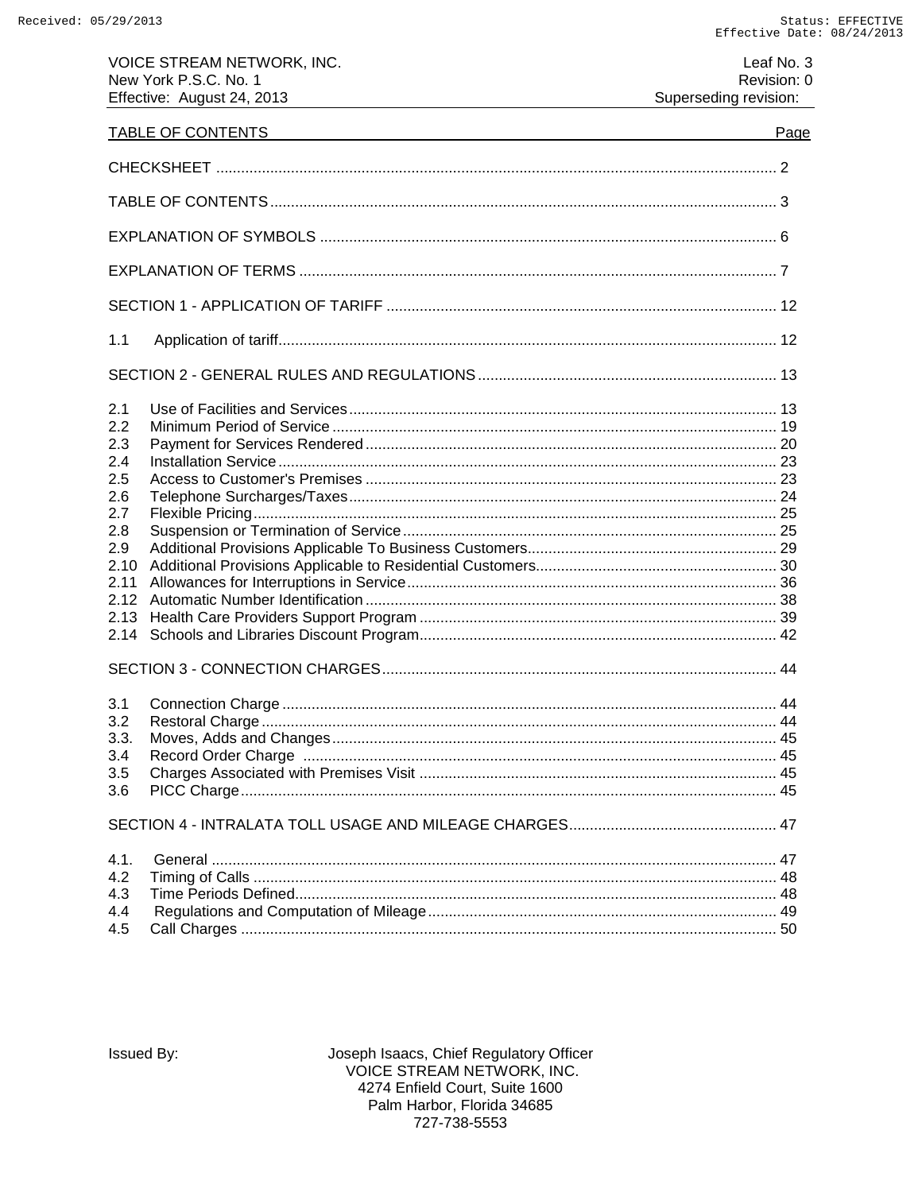VOICE STREAM NETWORK, INC.

Leaf No. 3

| New York P.S.C. No. 1<br>Effective: August 24, 2013                                                 |                                                                                                                       | Revision: 0<br>Superseding revision: |
|-----------------------------------------------------------------------------------------------------|-----------------------------------------------------------------------------------------------------------------------|--------------------------------------|
| TABLE OF CONTENTS                                                                                   | <u> 1980 - Johann Stoff, deutscher Stoffen und der Stoffen und der Stoffen und der Stoffen und der Stoffen und de</u> | Page                                 |
|                                                                                                     |                                                                                                                       |                                      |
|                                                                                                     |                                                                                                                       |                                      |
|                                                                                                     |                                                                                                                       |                                      |
|                                                                                                     |                                                                                                                       |                                      |
|                                                                                                     |                                                                                                                       |                                      |
| 1.1                                                                                                 |                                                                                                                       |                                      |
|                                                                                                     |                                                                                                                       |                                      |
| 2.1<br>2.2<br>2.3<br>2.4<br>2.5<br>2.6<br>2.7<br>2.8<br>2.9<br>2.10<br>2.11<br>2.12<br>2.13<br>2.14 |                                                                                                                       |                                      |
| 3.1<br>3.2<br>3.3.<br>3.4<br>3.5<br>3.6                                                             |                                                                                                                       |                                      |
| 4.1.<br>4.2<br>4.3<br>4.4<br>4.5                                                                    |                                                                                                                       |                                      |

Issued By: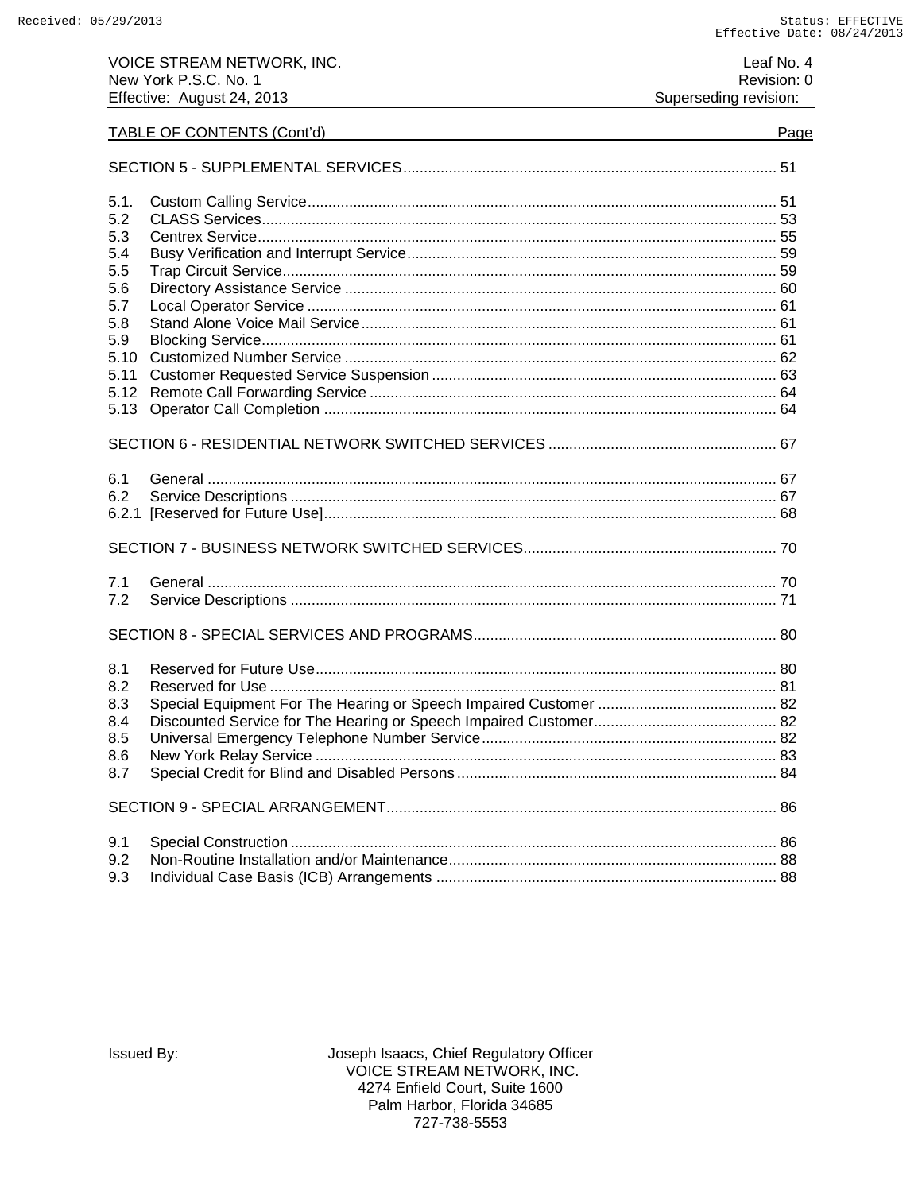| Leaf No. 4            |  |
|-----------------------|--|
| Revision: 0           |  |
| Superseding revision: |  |

# TABLE OF CONTENTS (Cont'd)

| 5.1.<br>5.2<br>5.3<br>5.4<br>5.5<br>5.6<br>5.7<br>5.8<br>5.9<br>5.10<br>5.11<br>5.12<br>5.13 |  |  |
|----------------------------------------------------------------------------------------------|--|--|
|                                                                                              |  |  |
| 6.1<br>6.2<br>6.2.1                                                                          |  |  |
|                                                                                              |  |  |
| 7.1<br>7.2                                                                                   |  |  |
|                                                                                              |  |  |
| 8.1<br>8.2<br>8.3<br>8.4<br>8.5<br>8.6<br>8.7                                                |  |  |
|                                                                                              |  |  |
| 9.1<br>9.2<br>9.3                                                                            |  |  |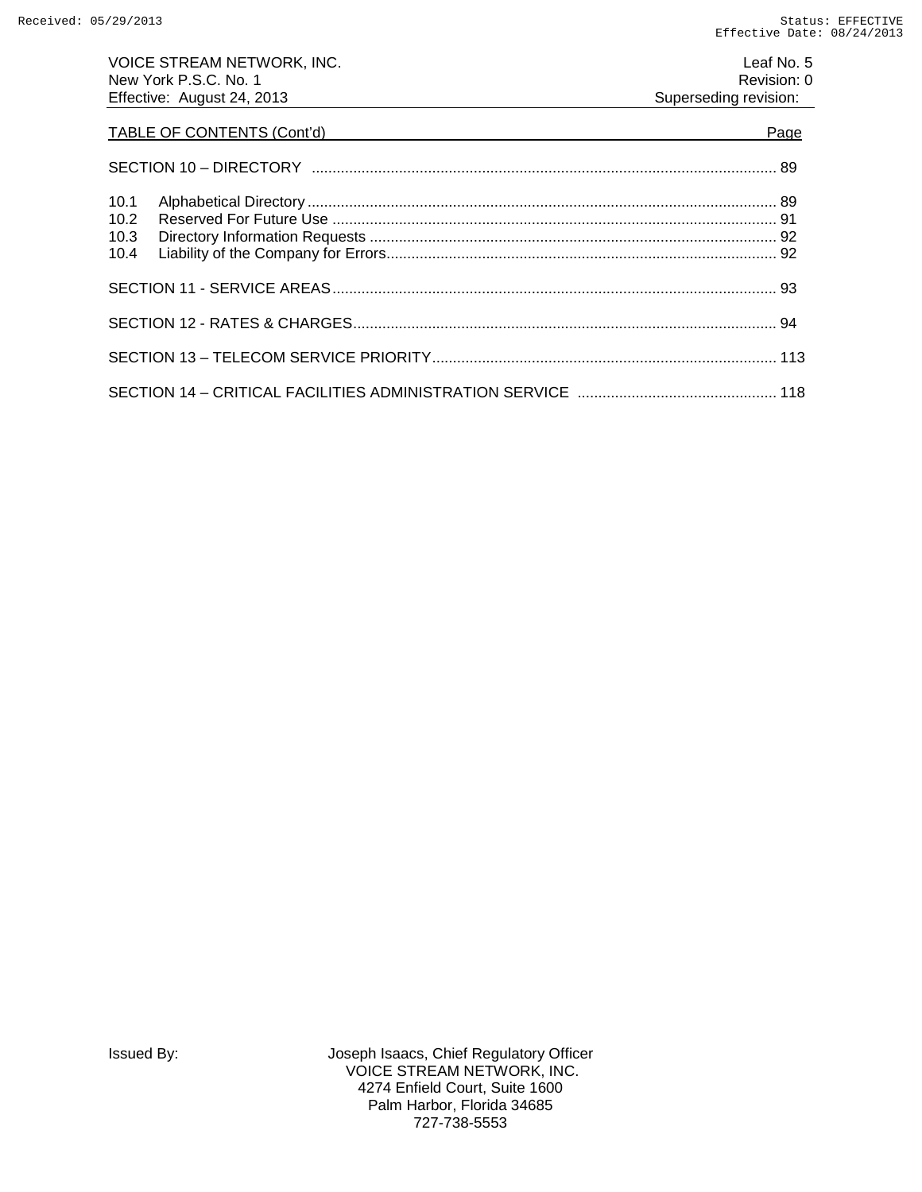| VOICE STREAM NETWORK, INC.<br>New York P.S.C. No. 1 | Leaf No. 5<br>Revision: 0 |
|-----------------------------------------------------|---------------------------|
| Effective: August 24, 2013                          | Superseding revision:     |
|                                                     | Page                      |
|                                                     |                           |
| 10.1                                                |                           |
| 10.2                                                |                           |
| 10.3                                                |                           |
| 10.4                                                |                           |
|                                                     |                           |
|                                                     |                           |
|                                                     |                           |
|                                                     |                           |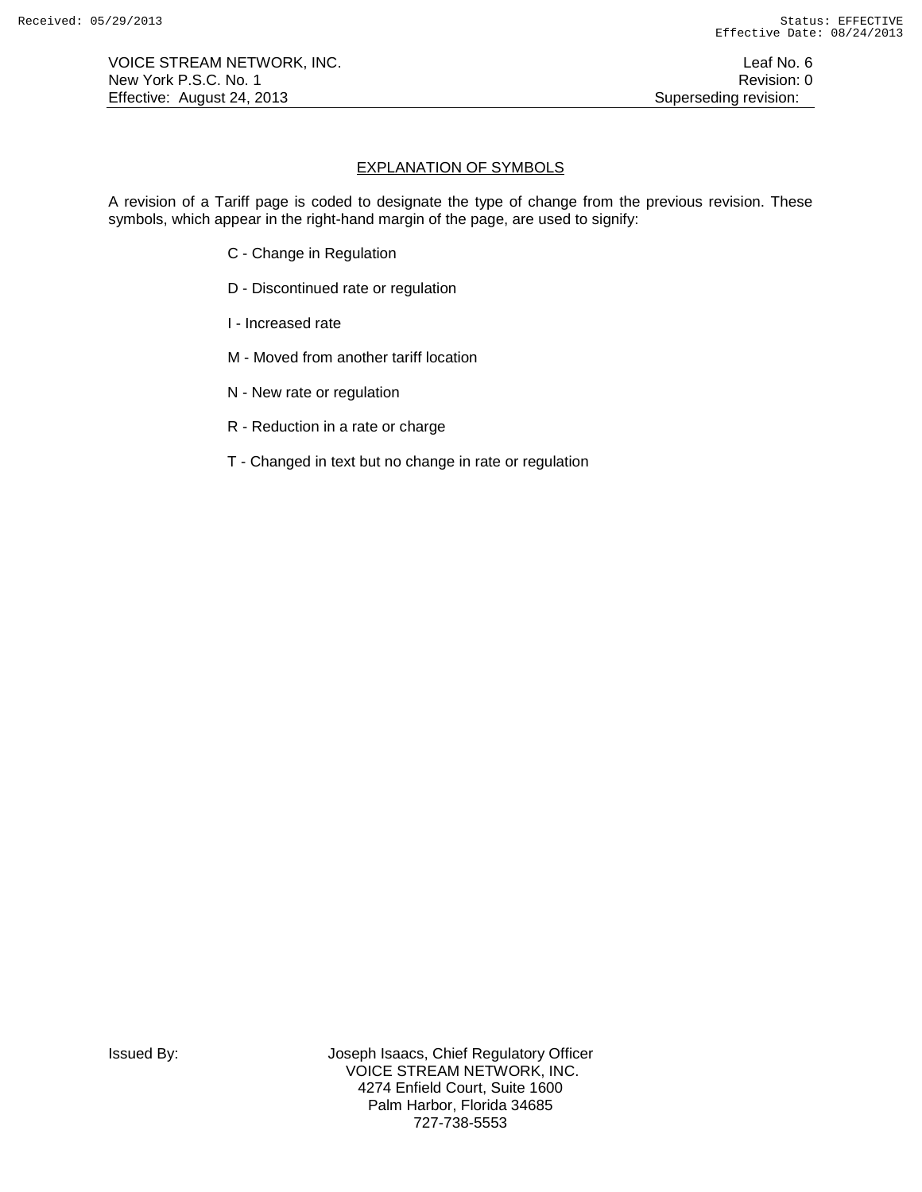VOICE STREAM NETWORK, INC. The contract of the contract of the contract of the contract of the contract of the contract of the contract of the contract of the contract of the contract of the contract of the contract of the New York P.S.C. No. 1 **Review According to the U.S. Contract Contract Contract Contract Contract Contract Contract Contract Contract Contract Contract Contract Contract Contract Contract Contract Contract Contract Contract** Effective: August 24, 2013 **Superseding revision:** Superseding revision:

# EXPLANATION OF SYMBOLS

A revision of a Tariff page is coded to designate the type of change from the previous revision. These symbols, which appear in the right-hand margin of the page, are used to signify:

- C Change in Regulation
- D Discontinued rate or regulation
- I Increased rate
- M Moved from another tariff location
- N New rate or regulation
- R Reduction in a rate or charge
- T Changed in text but no change in rate or regulation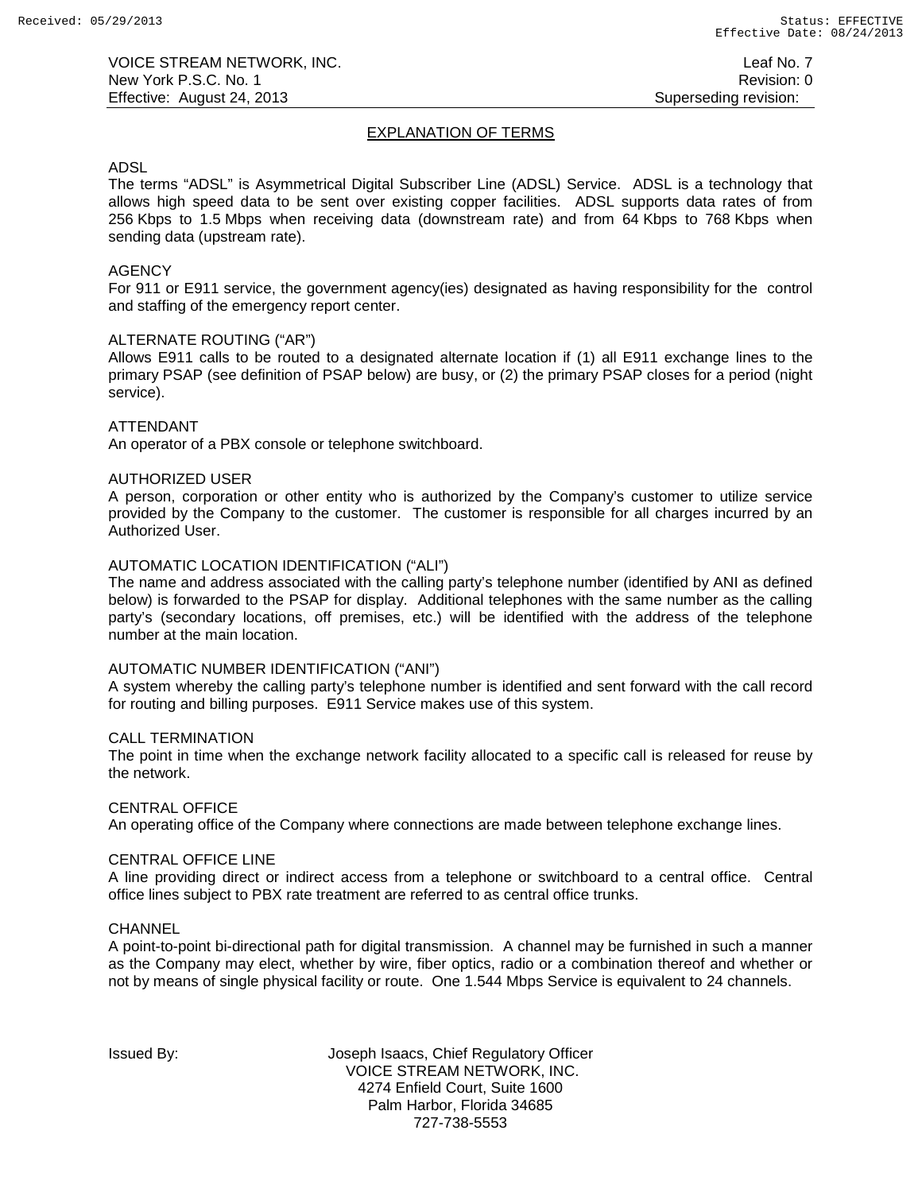# EXPLANATION OF TERMS

### ADSL

The terms "ADSL" is Asymmetrical Digital Subscriber Line (ADSL) Service. ADSL is a technology that allows high speed data to be sent over existing copper facilities. ADSL supports data rates of from 256 Kbps to 1.5 Mbps when receiving data (downstream rate) and from 64 Kbps to 768 Kbps when sending data (upstream rate).

# **AGENCY**

For 911 or E911 service, the government agency(ies) designated as having responsibility for the control and staffing of the emergency report center.

## ALTERNATE ROUTING ("AR")

Allows E911 calls to be routed to a designated alternate location if (1) all E911 exchange lines to the primary PSAP (see definition of PSAP below) are busy, or (2) the primary PSAP closes for a period (night service).

## ATTENDANT

An operator of a PBX console or telephone switchboard.

## AUTHORIZED USER

A person, corporation or other entity who is authorized by the Company's customer to utilize service provided by the Company to the customer. The customer is responsible for all charges incurred by an Authorized User.

## AUTOMATIC LOCATION IDENTIFICATION ("ALI")

The name and address associated with the calling party's telephone number (identified by ANI as defined below) is forwarded to the PSAP for display. Additional telephones with the same number as the calling party's (secondary locations, off premises, etc.) will be identified with the address of the telephone number at the main location.

### AUTOMATIC NUMBER IDENTIFICATION ("ANI")

A system whereby the calling party's telephone number is identified and sent forward with the call record for routing and billing purposes. E911 Service makes use of this system.

### CALL TERMINATION

The point in time when the exchange network facility allocated to a specific call is released for reuse by the network.

### CENTRAL OFFICE

An operating office of the Company where connections are made between telephone exchange lines.

### CENTRAL OFFICE LINE

A line providing direct or indirect access from a telephone or switchboard to a central office. Central office lines subject to PBX rate treatment are referred to as central office trunks.

### **CHANNEL**

A point-to-point bi-directional path for digital transmission. A channel may be furnished in such a manner as the Company may elect, whether by wire, fiber optics, radio or a combination thereof and whether or not by means of single physical facility or route. One 1.544 Mbps Service is equivalent to 24 channels.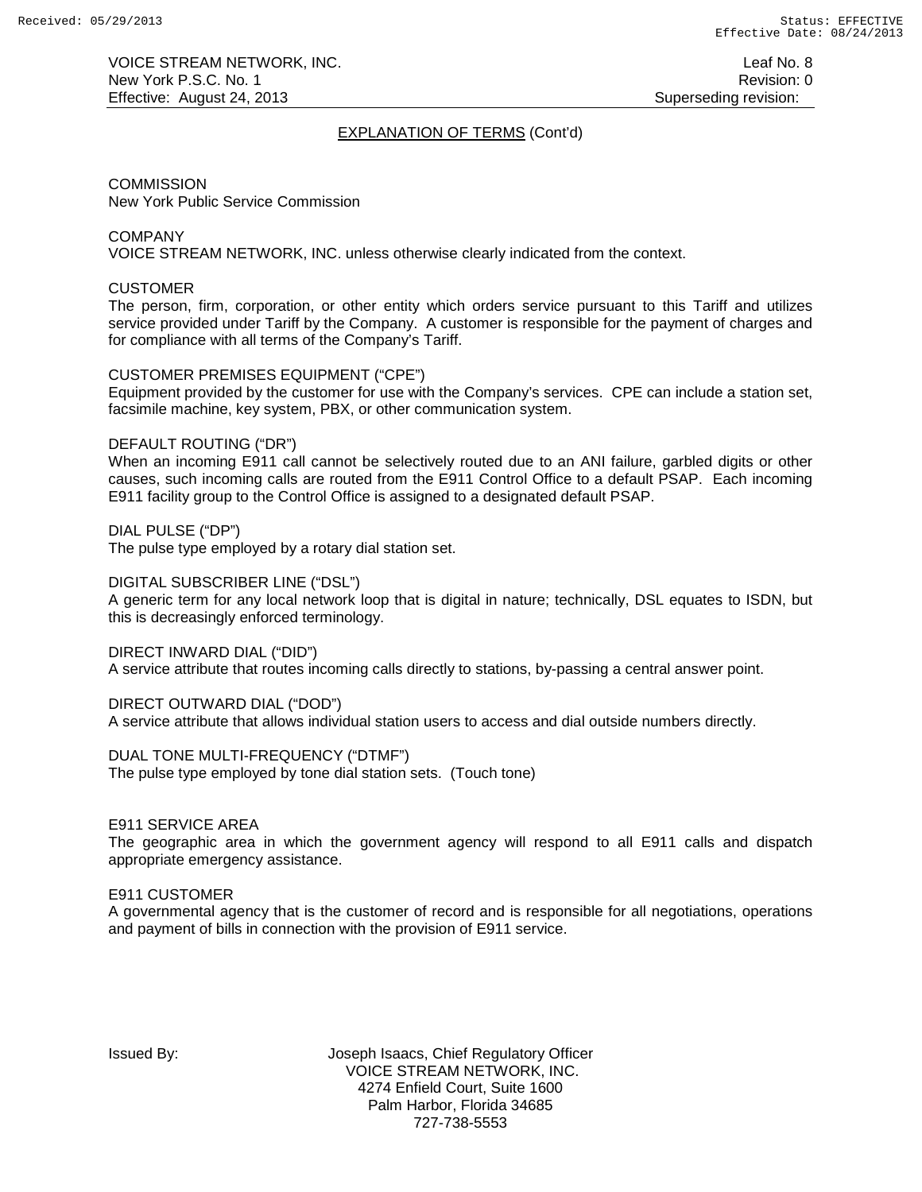VOICE STREAM NETWORK, INC. The state of the state of the state of the state of the state of the state of the state of the state of the state of the state of the state of the state of the state of the state of the state of New York P.S.C. No. 1 **New York P.S.C.** No. 1 Effective: August 24, 2013 **Superseding revision:** Superseding revision:

# EXPLANATION OF TERMS (Cont'd)

**COMMISSION** New York Public Service Commission

COMPANY

VOICE STREAM NETWORK, INC. unless otherwise clearly indicated from the context.

### **CUSTOMER**

The person, firm, corporation, or other entity which orders service pursuant to this Tariff and utilizes service provided under Tariff by the Company. A customer is responsible for the payment of charges and for compliance with all terms of the Company's Tariff.

## CUSTOMER PREMISES EQUIPMENT ("CPE")

Equipment provided by the customer for use with the Company's services. CPE can include a station set, facsimile machine, key system, PBX, or other communication system.

### DEFAULT ROUTING ("DR")

When an incoming E911 call cannot be selectively routed due to an ANI failure, garbled digits or other causes, such incoming calls are routed from the E911 Control Office to a default PSAP. Each incoming E911 facility group to the Control Office is assigned to a designated default PSAP.

DIAL PULSE ("DP")

The pulse type employed by a rotary dial station set.

### DIGITAL SUBSCRIBER LINE ("DSL")

A generic term for any local network loop that is digital in nature; technically, DSL equates to ISDN, but this is decreasingly enforced terminology.

DIRECT INWARD DIAL ("DID")

A service attribute that routes incoming calls directly to stations, by-passing a central answer point.

### DIRECT OUTWARD DIAL ("DOD")

A service attribute that allows individual station users to access and dial outside numbers directly.

DUAL TONE MULTI-FREQUENCY ("DTMF")

The pulse type employed by tone dial station sets. (Touch tone)

### E911 SERVICE AREA

The geographic area in which the government agency will respond to all E911 calls and dispatch appropriate emergency assistance.

# E911 CUSTOMER

A governmental agency that is the customer of record and is responsible for all negotiations, operations and payment of bills in connection with the provision of E911 service.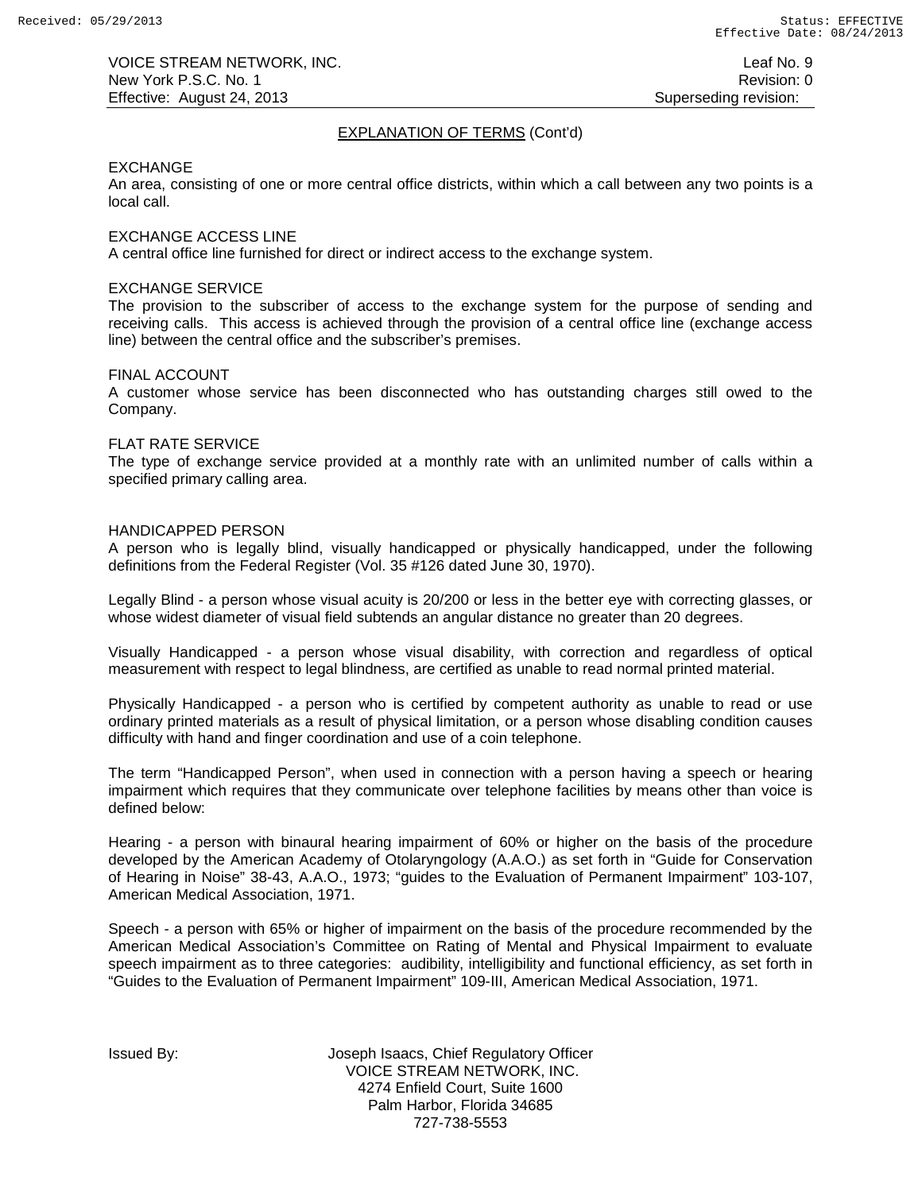# EXPLANATION OF TERMS (Cont'd)

### EXCHANGE

An area, consisting of one or more central office districts, within which a call between any two points is a local call.

### EXCHANGE ACCESS LINE

A central office line furnished for direct or indirect access to the exchange system.

#### EXCHANGE SERVICE

The provision to the subscriber of access to the exchange system for the purpose of sending and receiving calls. This access is achieved through the provision of a central office line (exchange access line) between the central office and the subscriber's premises.

#### FINAL ACCOUNT

A customer whose service has been disconnected who has outstanding charges still owed to the Company.

#### FLAT RATE SERVICE

The type of exchange service provided at a monthly rate with an unlimited number of calls within a specified primary calling area.

### HANDICAPPED PERSON

A person who is legally blind, visually handicapped or physically handicapped, under the following definitions from the Federal Register (Vol. 35 #126 dated June 30, 1970).

Legally Blind - a person whose visual acuity is 20/200 or less in the better eye with correcting glasses, or whose widest diameter of visual field subtends an angular distance no greater than 20 degrees.

Visually Handicapped - a person whose visual disability, with correction and regardless of optical measurement with respect to legal blindness, are certified as unable to read normal printed material.

Physically Handicapped - a person who is certified by competent authority as unable to read or use ordinary printed materials as a result of physical limitation, or a person whose disabling condition causes difficulty with hand and finger coordination and use of a coin telephone.

The term "Handicapped Person", when used in connection with a person having a speech or hearing impairment which requires that they communicate over telephone facilities by means other than voice is defined below:

Hearing - a person with binaural hearing impairment of 60% or higher on the basis of the procedure developed by the American Academy of Otolaryngology (A.A.O.) as set forth in "Guide for Conservation of Hearing in Noise" 38-43, A.A.O., 1973; "guides to the Evaluation of Permanent Impairment" 103-107, American Medical Association, 1971.

Speech - a person with 65% or higher of impairment on the basis of the procedure recommended by the American Medical Association's Committee on Rating of Mental and Physical Impairment to evaluate speech impairment as to three categories: audibility, intelligibility and functional efficiency, as set forth in "Guides to the Evaluation of Permanent Impairment" 109-III, American Medical Association, 1971.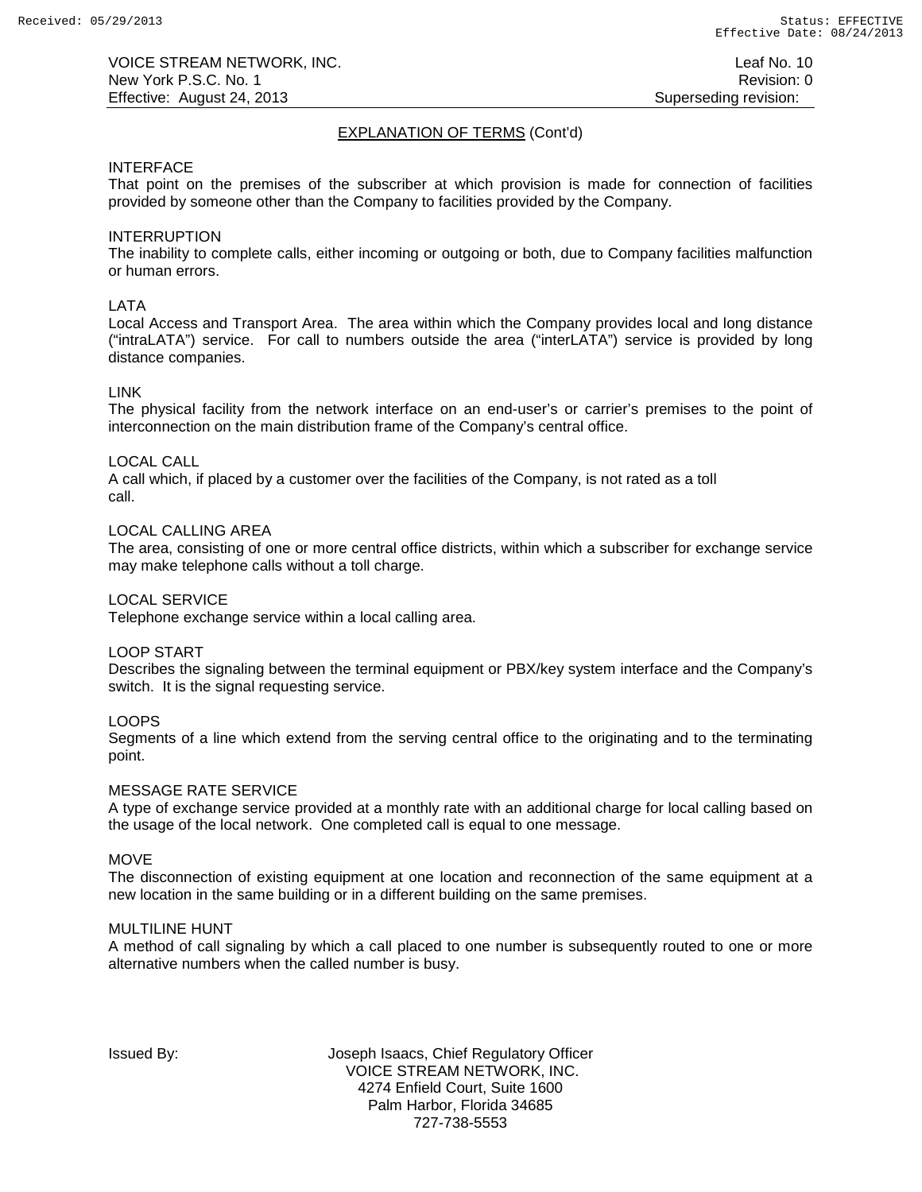# EXPLANATION OF TERMS (Cont'd)

### INTERFACE

That point on the premises of the subscriber at which provision is made for connection of facilities provided by someone other than the Company to facilities provided by the Company.

### INTERRUPTION

The inability to complete calls, either incoming or outgoing or both, due to Company facilities malfunction or human errors.

## LATA

Local Access and Transport Area. The area within which the Company provides local and long distance ("intraLATA") service. For call to numbers outside the area ("interLATA") service is provided by long distance companies.

### LINK

The physical facility from the network interface on an end-user's or carrier's premises to the point of interconnection on the main distribution frame of the Company's central office.

### LOCAL CALL

A call which, if placed by a customer over the facilities of the Company, is not rated as a toll call.

# LOCAL CALLING AREA

The area, consisting of one or more central office districts, within which a subscriber for exchange service may make telephone calls without a toll charge.

### LOCAL SERVICE

Telephone exchange service within a local calling area.

### LOOP START

Describes the signaling between the terminal equipment or PBX/key system interface and the Company's switch. It is the signal requesting service.

### LOOPS

Segments of a line which extend from the serving central office to the originating and to the terminating point.

### MESSAGE RATE SERVICE

A type of exchange service provided at a monthly rate with an additional charge for local calling based on the usage of the local network. One completed call is equal to one message.

### **MOVE**

The disconnection of existing equipment at one location and reconnection of the same equipment at a new location in the same building or in a different building on the same premises.

### MULTILINE HUNT

A method of call signaling by which a call placed to one number is subsequently routed to one or more alternative numbers when the called number is busy.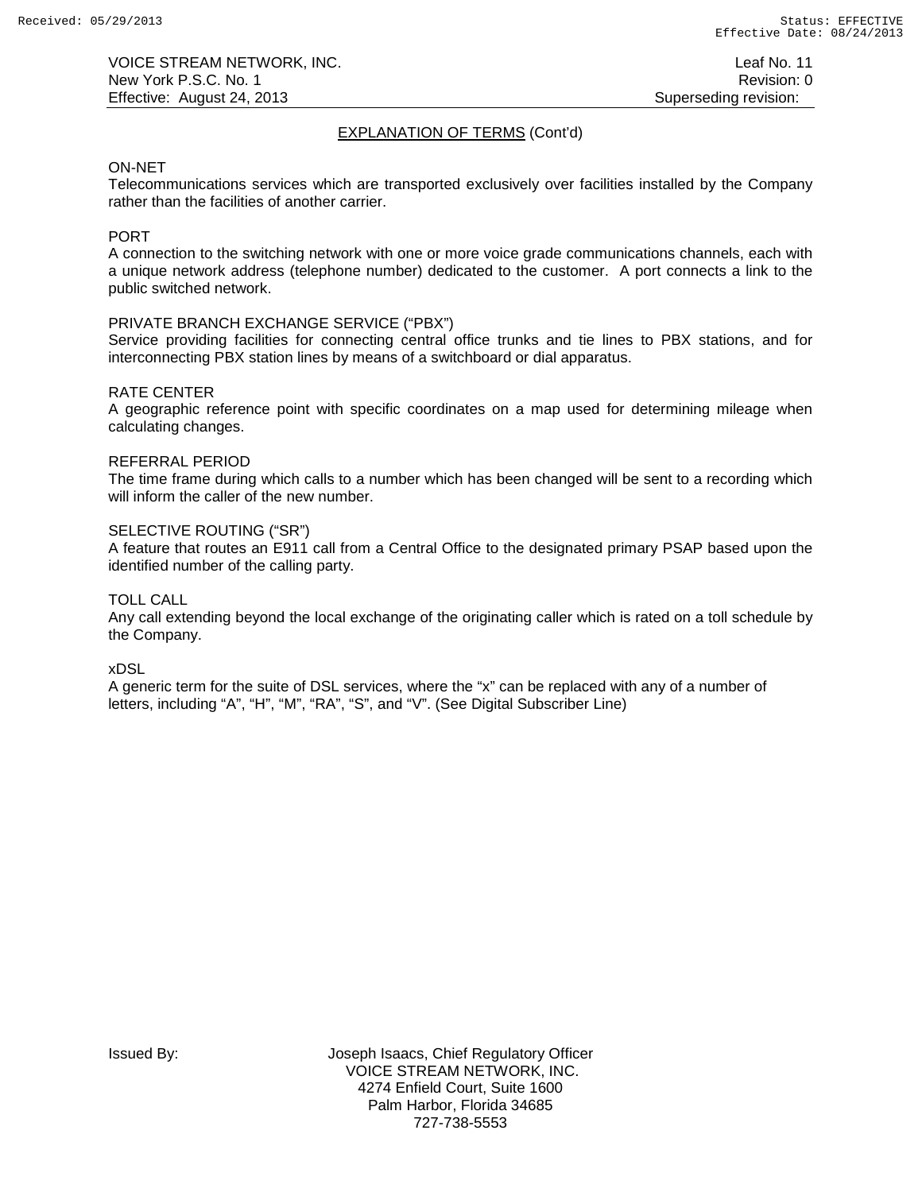# EXPLANATION OF TERMS (Cont'd)

### ON-NET

Telecommunications services which are transported exclusively over facilities installed by the Company rather than the facilities of another carrier.

# PORT

A connection to the switching network with one or more voice grade communications channels, each with a unique network address (telephone number) dedicated to the customer. A port connects a link to the public switched network.

# PRIVATE BRANCH EXCHANGE SERVICE ("PBX")

Service providing facilities for connecting central office trunks and tie lines to PBX stations, and for interconnecting PBX station lines by means of a switchboard or dial apparatus.

## RATE CENTER

A geographic reference point with specific coordinates on a map used for determining mileage when calculating changes.

### REFERRAL PERIOD

The time frame during which calls to a number which has been changed will be sent to a recording which will inform the caller of the new number.

# SELECTIVE ROUTING ("SR")

A feature that routes an E911 call from a Central Office to the designated primary PSAP based upon the identified number of the calling party.

# TOLL CALL

Any call extending beyond the local exchange of the originating caller which is rated on a toll schedule by the Company.

### xDSL

A generic term for the suite of DSL services, where the "x" can be replaced with any of a number of letters, including "A", "H", "M", "RA", "S", and "V". (See Digital Subscriber Line)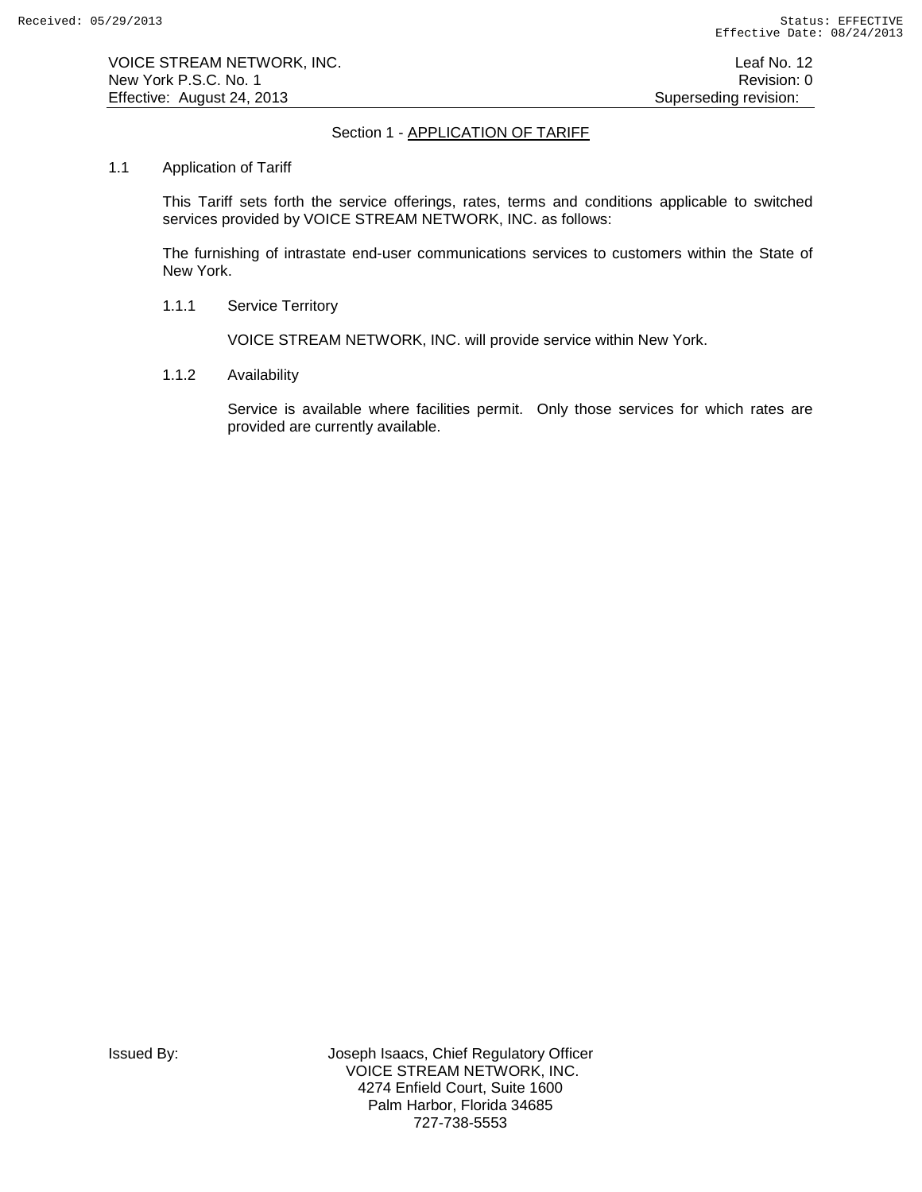# Section 1 - APPLICATION OF TARIFF

## 1.1 Application of Tariff

This Tariff sets forth the service offerings, rates, terms and conditions applicable to switched services provided by VOICE STREAM NETWORK, INC. as follows:

The furnishing of intrastate end-user communications services to customers within the State of New York.

1.1.1 Service Territory

VOICE STREAM NETWORK, INC. will provide service within New York.

1.1.2 Availability

Service is available where facilities permit. Only those services for which rates are provided are currently available.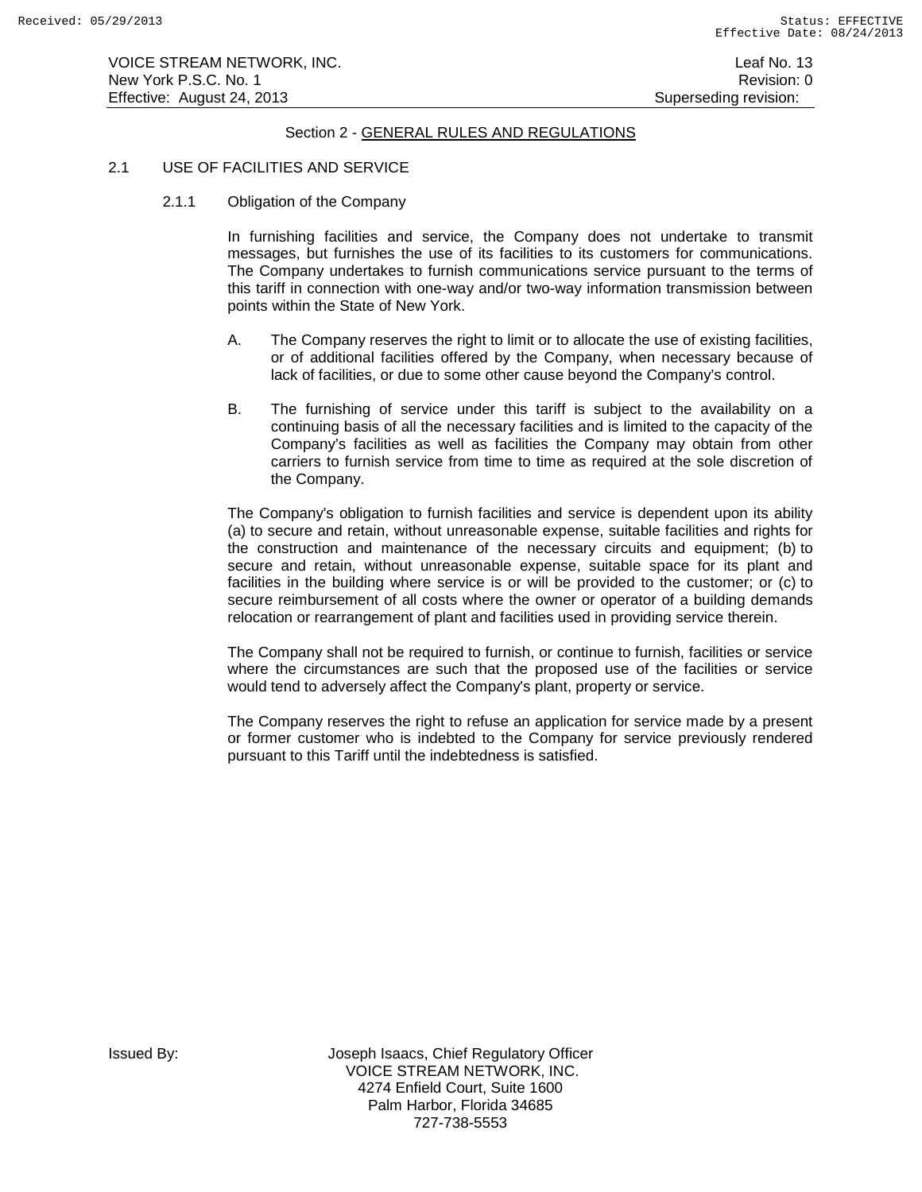### 2.1 USE OF FACILITIES AND SERVICE

2.1.1 Obligation of the Company

In furnishing facilities and service, the Company does not undertake to transmit messages, but furnishes the use of its facilities to its customers for communications. The Company undertakes to furnish communications service pursuant to the terms of this tariff in connection with one-way and/or two-way information transmission between points within the State of New York.

- A. The Company reserves the right to limit or to allocate the use of existing facilities, or of additional facilities offered by the Company, when necessary because of lack of facilities, or due to some other cause beyond the Company's control.
- B. The furnishing of service under this tariff is subject to the availability on a continuing basis of all the necessary facilities and is limited to the capacity of the Company's facilities as well as facilities the Company may obtain from other carriers to furnish service from time to time as required at the sole discretion of the Company.

The Company's obligation to furnish facilities and service is dependent upon its ability (a) to secure and retain, without unreasonable expense, suitable facilities and rights for the construction and maintenance of the necessary circuits and equipment; (b) to secure and retain, without unreasonable expense, suitable space for its plant and facilities in the building where service is or will be provided to the customer; or (c) to secure reimbursement of all costs where the owner or operator of a building demands relocation or rearrangement of plant and facilities used in providing service therein.

The Company shall not be required to furnish, or continue to furnish, facilities or service where the circumstances are such that the proposed use of the facilities or service would tend to adversely affect the Company's plant, property or service.

The Company reserves the right to refuse an application for service made by a present or former customer who is indebted to the Company for service previously rendered pursuant to this Tariff until the indebtedness is satisfied.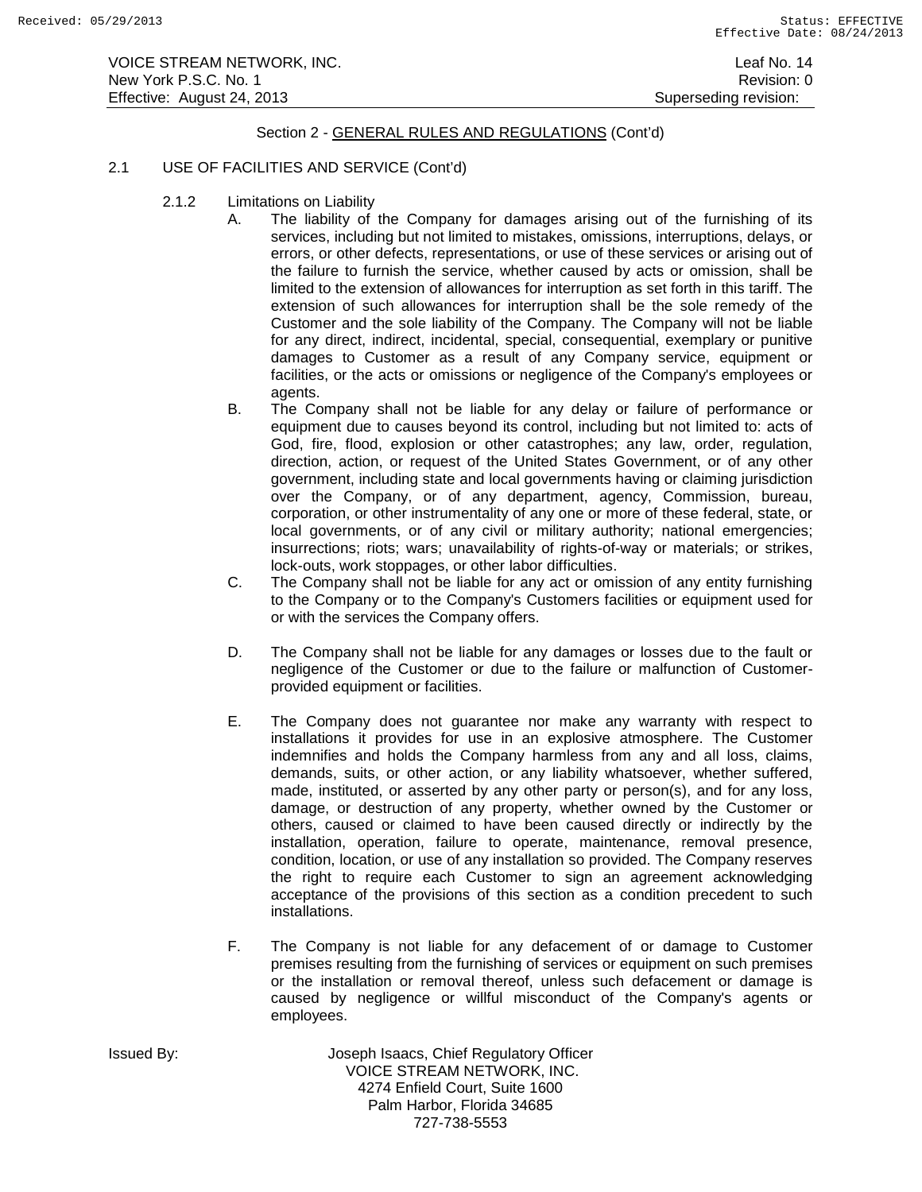## 2.1 USE OF FACILITIES AND SERVICE (Cont'd)

- 2.1.2 Limitations on Liability
	- A. The liability of the Company for damages arising out of the furnishing of its services, including but not limited to mistakes, omissions, interruptions, delays, or errors, or other defects, representations, or use of these services or arising out of the failure to furnish the service, whether caused by acts or omission, shall be limited to the extension of allowances for interruption as set forth in this tariff. The extension of such allowances for interruption shall be the sole remedy of the Customer and the sole liability of the Company. The Company will not be liable for any direct, indirect, incidental, special, consequential, exemplary or punitive damages to Customer as a result of any Company service, equipment or facilities, or the acts or omissions or negligence of the Company's employees or agents.
	- B. The Company shall not be liable for any delay or failure of performance or equipment due to causes beyond its control, including but not limited to: acts of God, fire, flood, explosion or other catastrophes; any law, order, regulation, direction, action, or request of the United States Government, or of any other government, including state and local governments having or claiming jurisdiction over the Company, or of any department, agency, Commission, bureau, corporation, or other instrumentality of any one or more of these federal, state, or local governments, or of any civil or military authority; national emergencies; insurrections; riots; wars; unavailability of rights-of-way or materials; or strikes, lock-outs, work stoppages, or other labor difficulties.
	- C. The Company shall not be liable for any act or omission of any entity furnishing to the Company or to the Company's Customers facilities or equipment used for or with the services the Company offers.
	- D. The Company shall not be liable for any damages or losses due to the fault or negligence of the Customer or due to the failure or malfunction of Customerprovided equipment or facilities.
	- E. The Company does not guarantee nor make any warranty with respect to installations it provides for use in an explosive atmosphere. The Customer indemnifies and holds the Company harmless from any and all loss, claims, demands, suits, or other action, or any liability whatsoever, whether suffered, made, instituted, or asserted by any other party or person(s), and for any loss, damage, or destruction of any property, whether owned by the Customer or others, caused or claimed to have been caused directly or indirectly by the installation, operation, failure to operate, maintenance, removal presence, condition, location, or use of any installation so provided. The Company reserves the right to require each Customer to sign an agreement acknowledging acceptance of the provisions of this section as a condition precedent to such installations.
	- F. The Company is not liable for any defacement of or damage to Customer premises resulting from the furnishing of services or equipment on such premises or the installation or removal thereof, unless such defacement or damage is caused by negligence or willful misconduct of the Company's agents or employees.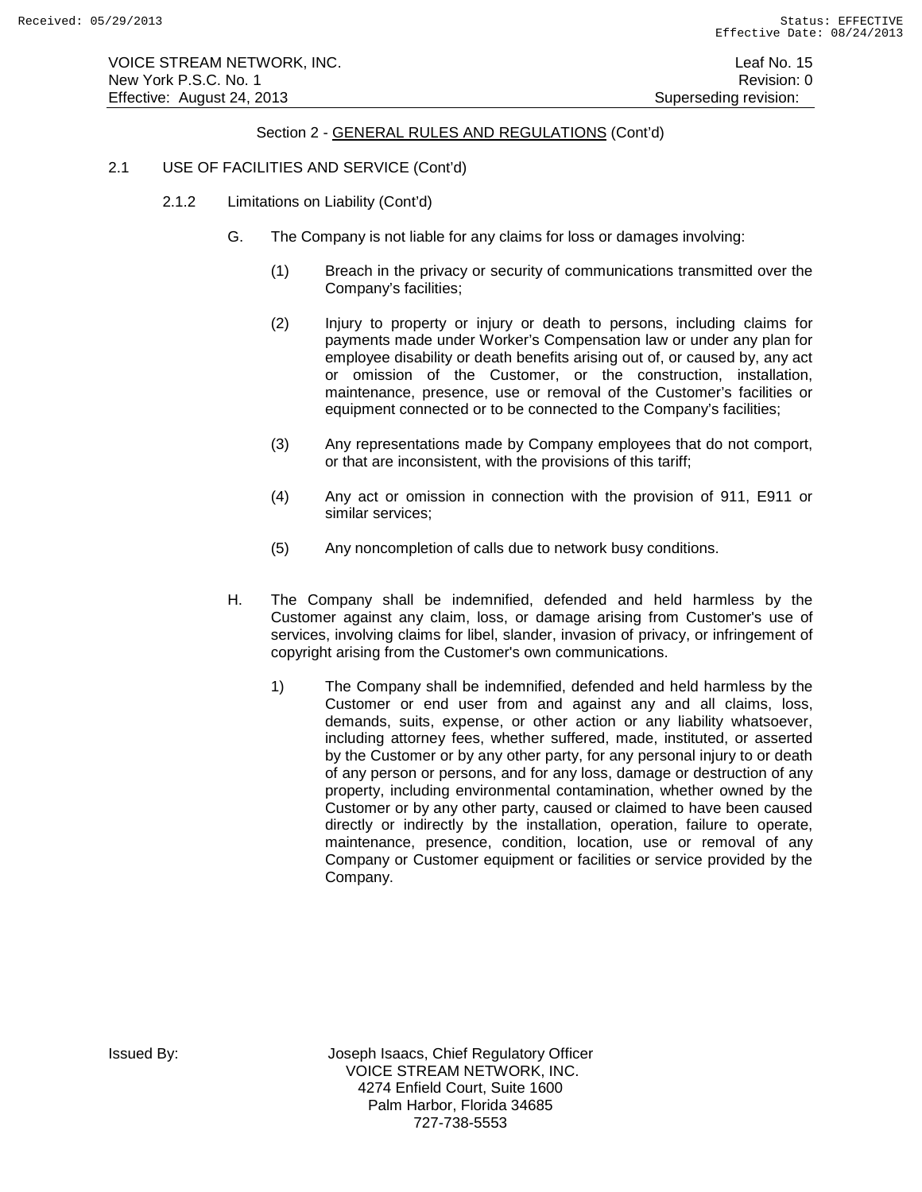VOICE STREAM NETWORK, INC. Leaf No. 15 New York P.S.C. No. 1 **Review Accounts** 2012 12:00 12:00 12:00 12:00 12:00 12:00 12:00 12:00 12:00 12:00 12:00 12:00 12:00 12:00 12:00 12:00 12:00 12:00 12:00 12:00 12:00 12:00 12:00 12:00 12:00 12:00 12:00 12:00 12:00 12: Effective: August 24, 2013 **Superseding revision:** Superseding revision:

# Section 2 - GENERAL RULES AND REGULATIONS (Cont'd)

### 2.1 USE OF FACILITIES AND SERVICE (Cont'd)

- 2.1.2 Limitations on Liability (Cont'd)
	- G. The Company is not liable for any claims for loss or damages involving:
		- (1) Breach in the privacy or security of communications transmitted over the Company's facilities;
		- (2) Injury to property or injury or death to persons, including claims for payments made under Worker's Compensation law or under any plan for employee disability or death benefits arising out of, or caused by, any act or omission of the Customer, or the construction, installation, maintenance, presence, use or removal of the Customer's facilities or equipment connected or to be connected to the Company's facilities;
		- (3) Any representations made by Company employees that do not comport, or that are inconsistent, with the provisions of this tariff;
		- (4) Any act or omission in connection with the provision of 911, E911 or similar services;
		- (5) Any noncompletion of calls due to network busy conditions.
	- H. The Company shall be indemnified, defended and held harmless by the Customer against any claim, loss, or damage arising from Customer's use of services, involving claims for libel, slander, invasion of privacy, or infringement of copyright arising from the Customer's own communications.
		- 1) The Company shall be indemnified, defended and held harmless by the Customer or end user from and against any and all claims, loss, demands, suits, expense, or other action or any liability whatsoever, including attorney fees, whether suffered, made, instituted, or asserted by the Customer or by any other party, for any personal injury to or death of any person or persons, and for any loss, damage or destruction of any property, including environmental contamination, whether owned by the Customer or by any other party, caused or claimed to have been caused directly or indirectly by the installation, operation, failure to operate, maintenance, presence, condition, location, use or removal of any Company or Customer equipment or facilities or service provided by the Company.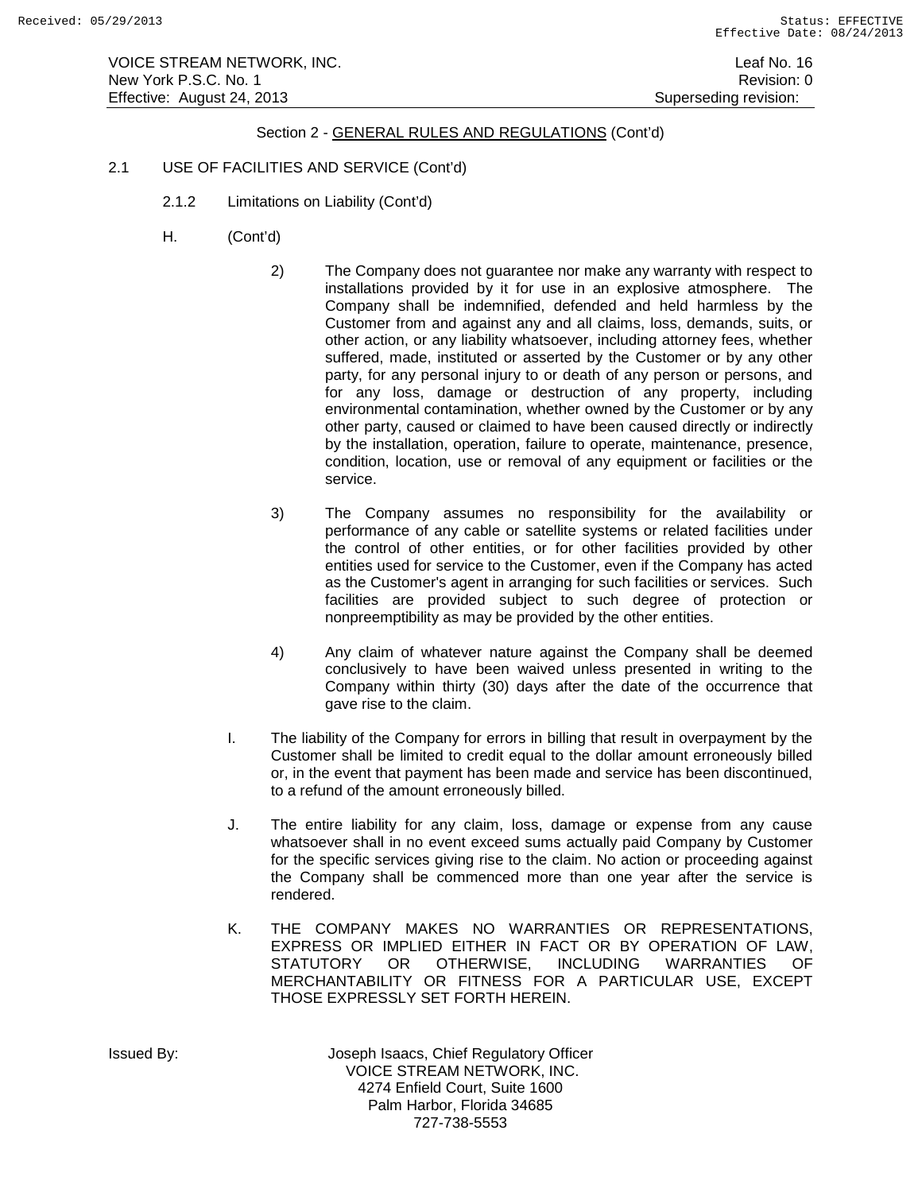VOICE STREAM NETWORK, INC. Leaf No. 16 New York P.S.C. No. 1 **New York P.S.C.** No. 1 Effective: August 24, 2013 **Superseding revision:** Superseding revision:

# Section 2 - GENERAL RULES AND REGULATIONS (Cont'd)

- 2.1 USE OF FACILITIES AND SERVICE (Cont'd)
	- 2.1.2 Limitations on Liability (Cont'd)
	- H. (Cont'd)
		- 2) The Company does not guarantee nor make any warranty with respect to installations provided by it for use in an explosive atmosphere. The Company shall be indemnified, defended and held harmless by the Customer from and against any and all claims, loss, demands, suits, or other action, or any liability whatsoever, including attorney fees, whether suffered, made, instituted or asserted by the Customer or by any other party, for any personal injury to or death of any person or persons, and for any loss, damage or destruction of any property, including environmental contamination, whether owned by the Customer or by any other party, caused or claimed to have been caused directly or indirectly by the installation, operation, failure to operate, maintenance, presence, condition, location, use or removal of any equipment or facilities or the service.
		- 3) The Company assumes no responsibility for the availability or performance of any cable or satellite systems or related facilities under the control of other entities, or for other facilities provided by other entities used for service to the Customer, even if the Company has acted as the Customer's agent in arranging for such facilities or services. Such facilities are provided subject to such degree of protection or nonpreemptibility as may be provided by the other entities.
		- 4) Any claim of whatever nature against the Company shall be deemed conclusively to have been waived unless presented in writing to the Company within thirty (30) days after the date of the occurrence that gave rise to the claim.
		- I. The liability of the Company for errors in billing that result in overpayment by the Customer shall be limited to credit equal to the dollar amount erroneously billed or, in the event that payment has been made and service has been discontinued, to a refund of the amount erroneously billed.
		- J. The entire liability for any claim, loss, damage or expense from any cause whatsoever shall in no event exceed sums actually paid Company by Customer for the specific services giving rise to the claim. No action or proceeding against the Company shall be commenced more than one year after the service is rendered.
		- K. THE COMPANY MAKES NO WARRANTIES OR REPRESENTATIONS, EXPRESS OR IMPLIED EITHER IN FACT OR BY OPERATION OF LAW,<br>STATUTORY OR OTHERWISE, INCLUDING WARRANTIES OF STATUTORY OR OTHERWISE. INCLUDING WARRANTIES MERCHANTABILITY OR FITNESS FOR A PARTICULAR USE, EXCEPT THOSE EXPRESSLY SET FORTH HEREIN.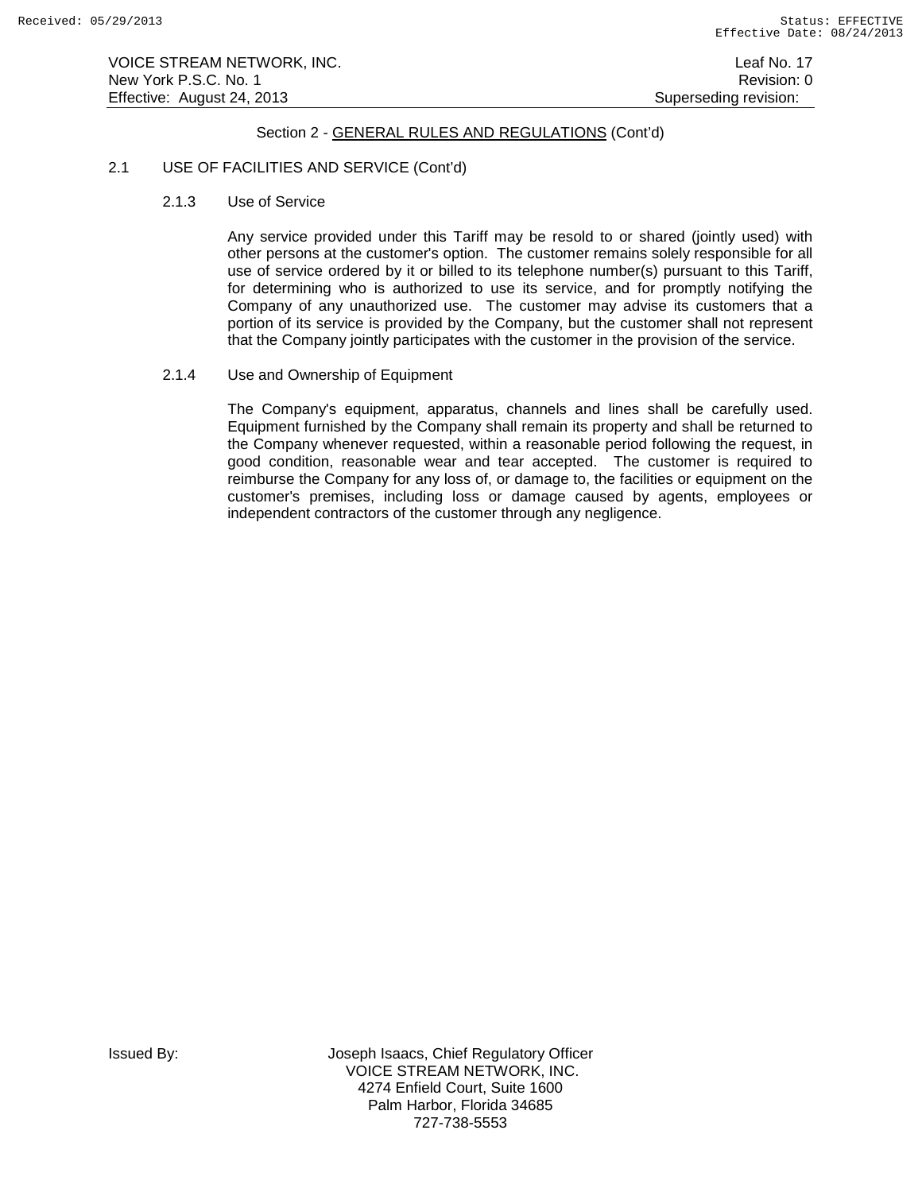# 2.1 USE OF FACILITIES AND SERVICE (Cont'd)

2.1.3 Use of Service

Any service provided under this Tariff may be resold to or shared (jointly used) with other persons at the customer's option. The customer remains solely responsible for all use of service ordered by it or billed to its telephone number(s) pursuant to this Tariff, for determining who is authorized to use its service, and for promptly notifying the Company of any unauthorized use. The customer may advise its customers that a portion of its service is provided by the Company, but the customer shall not represent that the Company jointly participates with the customer in the provision of the service.

2.1.4 Use and Ownership of Equipment

The Company's equipment, apparatus, channels and lines shall be carefully used. Equipment furnished by the Company shall remain its property and shall be returned to the Company whenever requested, within a reasonable period following the request, in good condition, reasonable wear and tear accepted. The customer is required to reimburse the Company for any loss of, or damage to, the facilities or equipment on the customer's premises, including loss or damage caused by agents, employees or independent contractors of the customer through any negligence.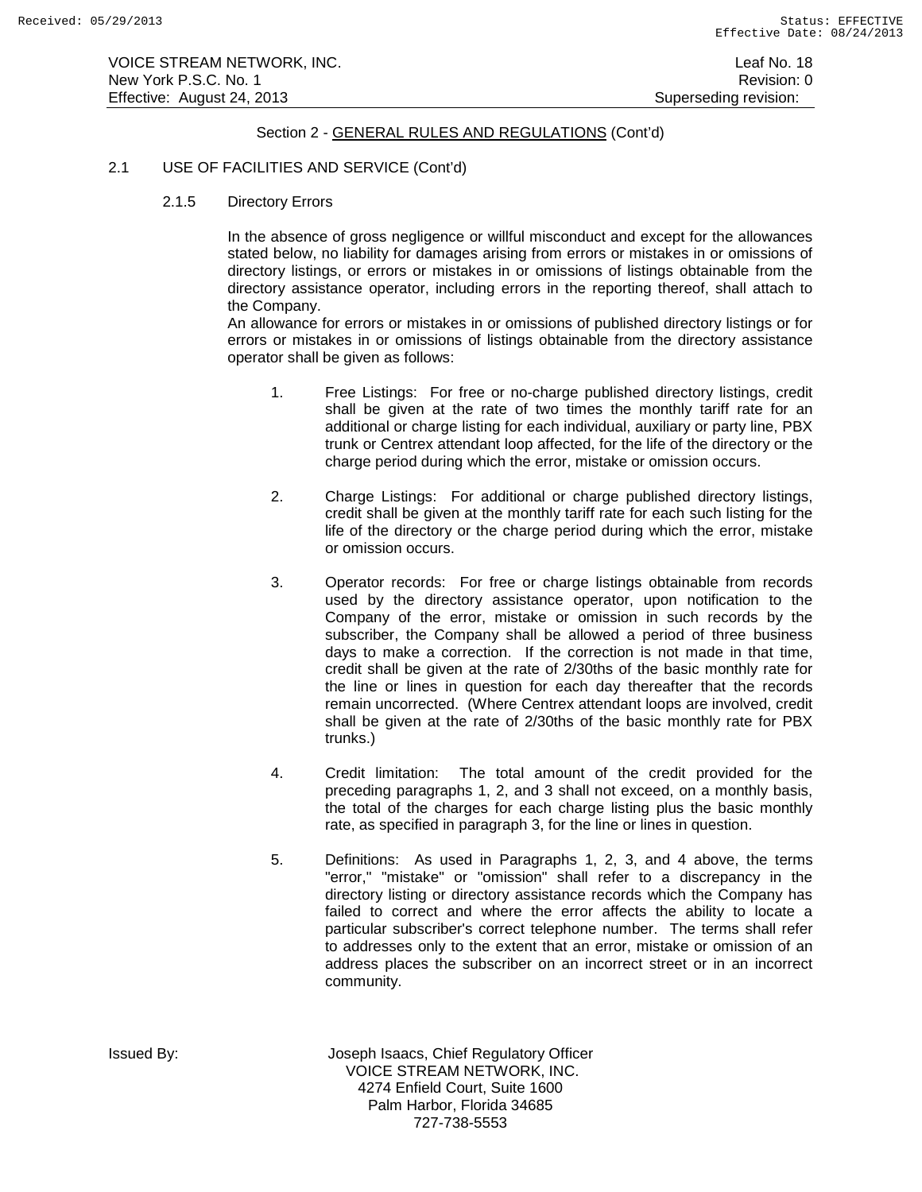## 2.1 USE OF FACILITIES AND SERVICE (Cont'd)

2.1.5 Directory Errors

In the absence of gross negligence or willful misconduct and except for the allowances stated below, no liability for damages arising from errors or mistakes in or omissions of directory listings, or errors or mistakes in or omissions of listings obtainable from the directory assistance operator, including errors in the reporting thereof, shall attach to the Company.

An allowance for errors or mistakes in or omissions of published directory listings or for errors or mistakes in or omissions of listings obtainable from the directory assistance operator shall be given as follows:

- 1. Free Listings: For free or no-charge published directory listings, credit shall be given at the rate of two times the monthly tariff rate for an additional or charge listing for each individual, auxiliary or party line, PBX trunk or Centrex attendant loop affected, for the life of the directory or the charge period during which the error, mistake or omission occurs.
- 2. Charge Listings: For additional or charge published directory listings, credit shall be given at the monthly tariff rate for each such listing for the life of the directory or the charge period during which the error, mistake or omission occurs.
- 3. Operator records: For free or charge listings obtainable from records used by the directory assistance operator, upon notification to the Company of the error, mistake or omission in such records by the subscriber, the Company shall be allowed a period of three business days to make a correction. If the correction is not made in that time, credit shall be given at the rate of 2/30ths of the basic monthly rate for the line or lines in question for each day thereafter that the records remain uncorrected. (Where Centrex attendant loops are involved, credit shall be given at the rate of 2/30ths of the basic monthly rate for PBX trunks.)
- 4. Credit limitation: The total amount of the credit provided for the preceding paragraphs 1, 2, and 3 shall not exceed, on a monthly basis, the total of the charges for each charge listing plus the basic monthly rate, as specified in paragraph 3, for the line or lines in question.
- 5. Definitions: As used in Paragraphs 1, 2, 3, and 4 above, the terms "error," "mistake" or "omission" shall refer to a discrepancy in the directory listing or directory assistance records which the Company has failed to correct and where the error affects the ability to locate a particular subscriber's correct telephone number. The terms shall refer to addresses only to the extent that an error, mistake or omission of an address places the subscriber on an incorrect street or in an incorrect community.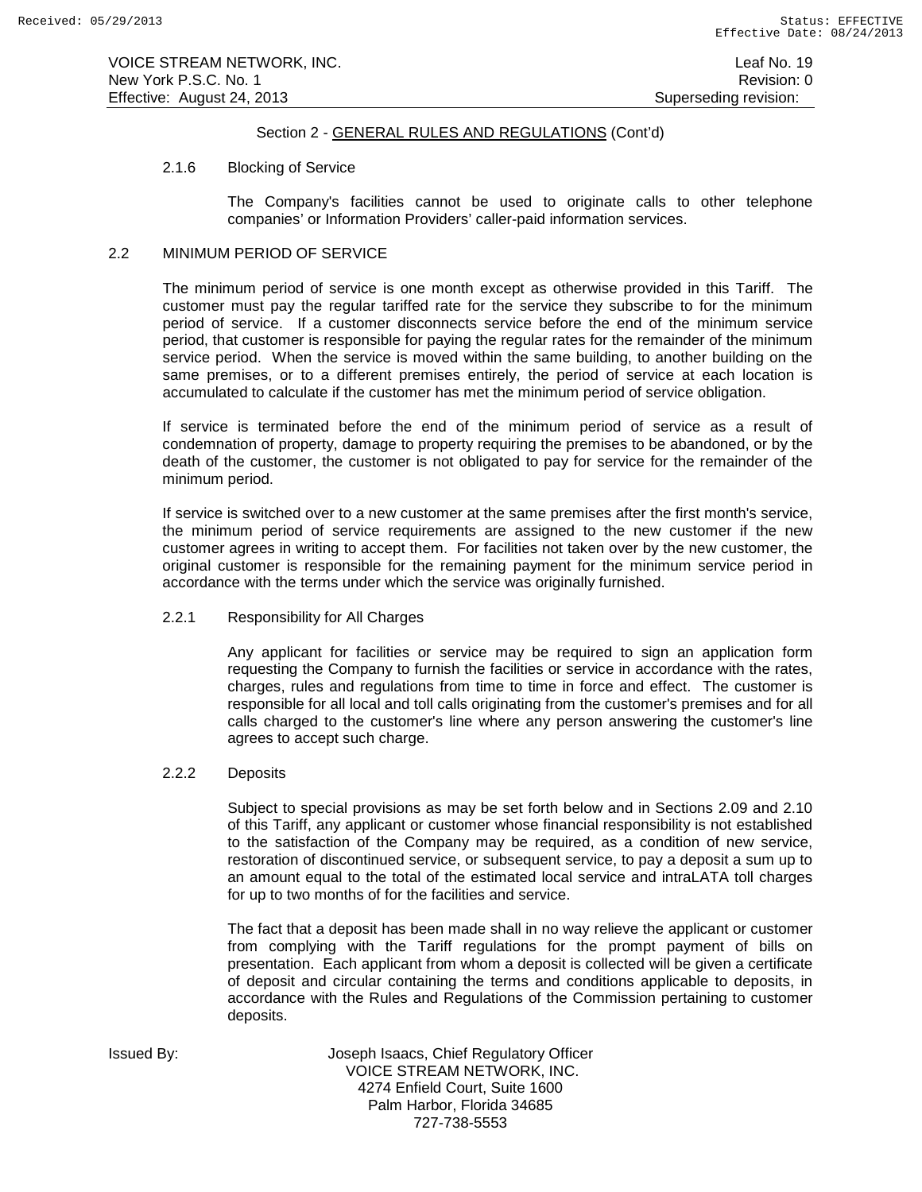VOICE STREAM NETWORK, INC. Leaf No. 19 New York P.S.C. No. 1 **New York P.S.C.** No. 1 Effective: August 24, 2013 **Superseding revision:** Superseding revision:

## Section 2 - GENERAL RULES AND REGULATIONS (Cont'd)

### 2.1.6 Blocking of Service

The Company's facilities cannot be used to originate calls to other telephone companies' or Information Providers' caller-paid information services.

# 2.2 MINIMUM PERIOD OF SERVICE

The minimum period of service is one month except as otherwise provided in this Tariff. The customer must pay the regular tariffed rate for the service they subscribe to for the minimum period of service. If a customer disconnects service before the end of the minimum service period, that customer is responsible for paying the regular rates for the remainder of the minimum service period. When the service is moved within the same building, to another building on the same premises, or to a different premises entirely, the period of service at each location is accumulated to calculate if the customer has met the minimum period of service obligation.

If service is terminated before the end of the minimum period of service as a result of condemnation of property, damage to property requiring the premises to be abandoned, or by the death of the customer, the customer is not obligated to pay for service for the remainder of the minimum period.

If service is switched over to a new customer at the same premises after the first month's service, the minimum period of service requirements are assigned to the new customer if the new customer agrees in writing to accept them. For facilities not taken over by the new customer, the original customer is responsible for the remaining payment for the minimum service period in accordance with the terms under which the service was originally furnished.

### 2.2.1 Responsibility for All Charges

Any applicant for facilities or service may be required to sign an application form requesting the Company to furnish the facilities or service in accordance with the rates, charges, rules and regulations from time to time in force and effect. The customer is responsible for all local and toll calls originating from the customer's premises and for all calls charged to the customer's line where any person answering the customer's line agrees to accept such charge.

### 2.2.2 Deposits

Subject to special provisions as may be set forth below and in Sections 2.09 and 2.10 of this Tariff, any applicant or customer whose financial responsibility is not established to the satisfaction of the Company may be required, as a condition of new service, restoration of discontinued service, or subsequent service, to pay a deposit a sum up to an amount equal to the total of the estimated local service and intraLATA toll charges for up to two months of for the facilities and service.

The fact that a deposit has been made shall in no way relieve the applicant or customer from complying with the Tariff regulations for the prompt payment of bills on presentation. Each applicant from whom a deposit is collected will be given a certificate of deposit and circular containing the terms and conditions applicable to deposits, in accordance with the Rules and Regulations of the Commission pertaining to customer deposits.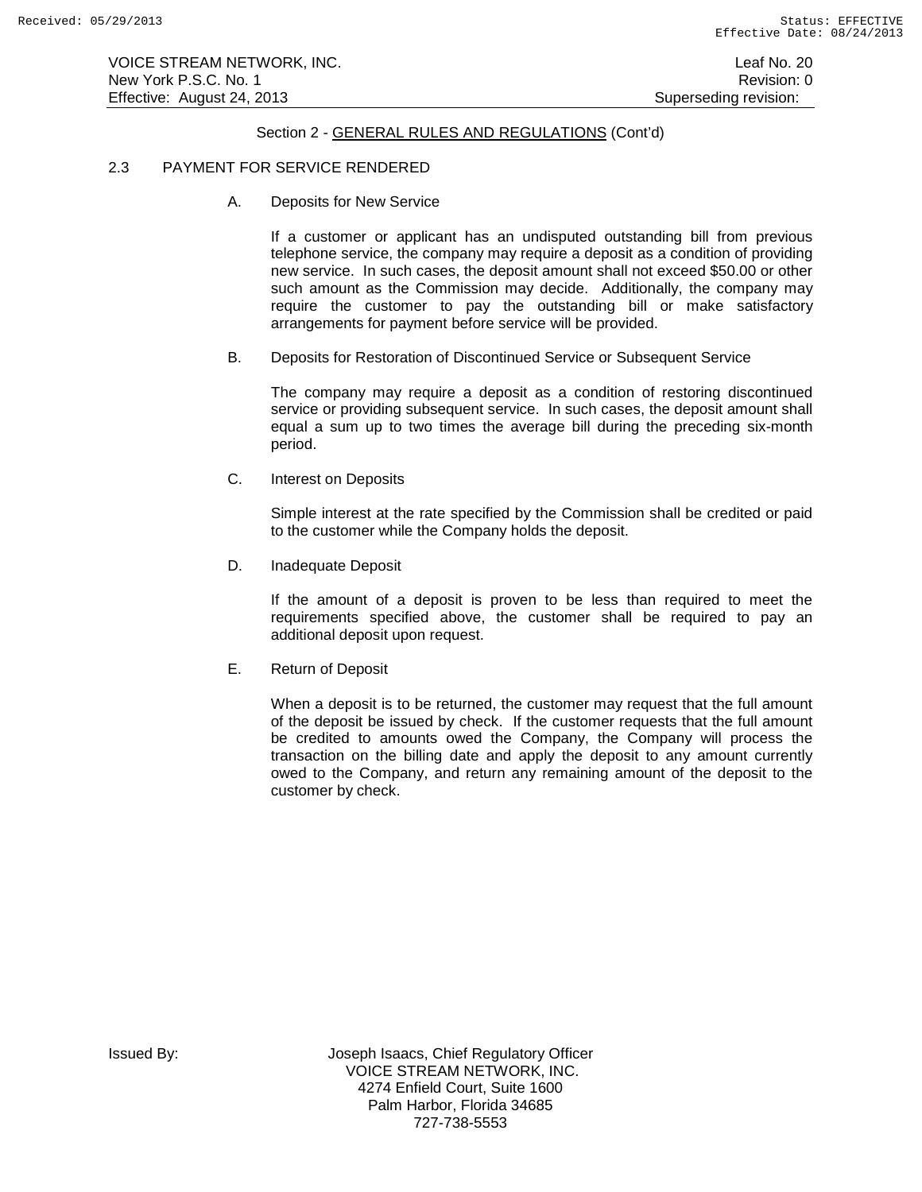VOICE STREAM NETWORK, INC. Leaf No. 20 and 20 and 20 and 20 and 20 and 20 and 20 and 20 and 20 and 20 and 20 and 20 and 20 and 20 and 20 and 20 and 20 and 20 and 20 and 20 and 20 and 20 and 20 and 20 and 20 and 20 and 20 a New York P.S.C. No. 1 **New York P.S.C.** No. 1 Effective: August 24, 2013 **Superseding revision:** Superseding revision:

# Section 2 - GENERAL RULES AND REGULATIONS (Cont'd)

# 2.3 PAYMENT FOR SERVICE RENDERED

A. Deposits for New Service

If a customer or applicant has an undisputed outstanding bill from previous telephone service, the company may require a deposit as a condition of providing new service. In such cases, the deposit amount shall not exceed \$50.00 or other such amount as the Commission may decide. Additionally, the company may require the customer to pay the outstanding bill or make satisfactory arrangements for payment before service will be provided.

B. Deposits for Restoration of Discontinued Service or Subsequent Service

The company may require a deposit as a condition of restoring discontinued service or providing subsequent service. In such cases, the deposit amount shall equal a sum up to two times the average bill during the preceding six-month period.

C. Interest on Deposits

Simple interest at the rate specified by the Commission shall be credited or paid to the customer while the Company holds the deposit.

D. Inadequate Deposit

If the amount of a deposit is proven to be less than required to meet the requirements specified above, the customer shall be required to pay an additional deposit upon request.

E. Return of Deposit

When a deposit is to be returned, the customer may request that the full amount of the deposit be issued by check. If the customer requests that the full amount be credited to amounts owed the Company, the Company will process the transaction on the billing date and apply the deposit to any amount currently owed to the Company, and return any remaining amount of the deposit to the customer by check.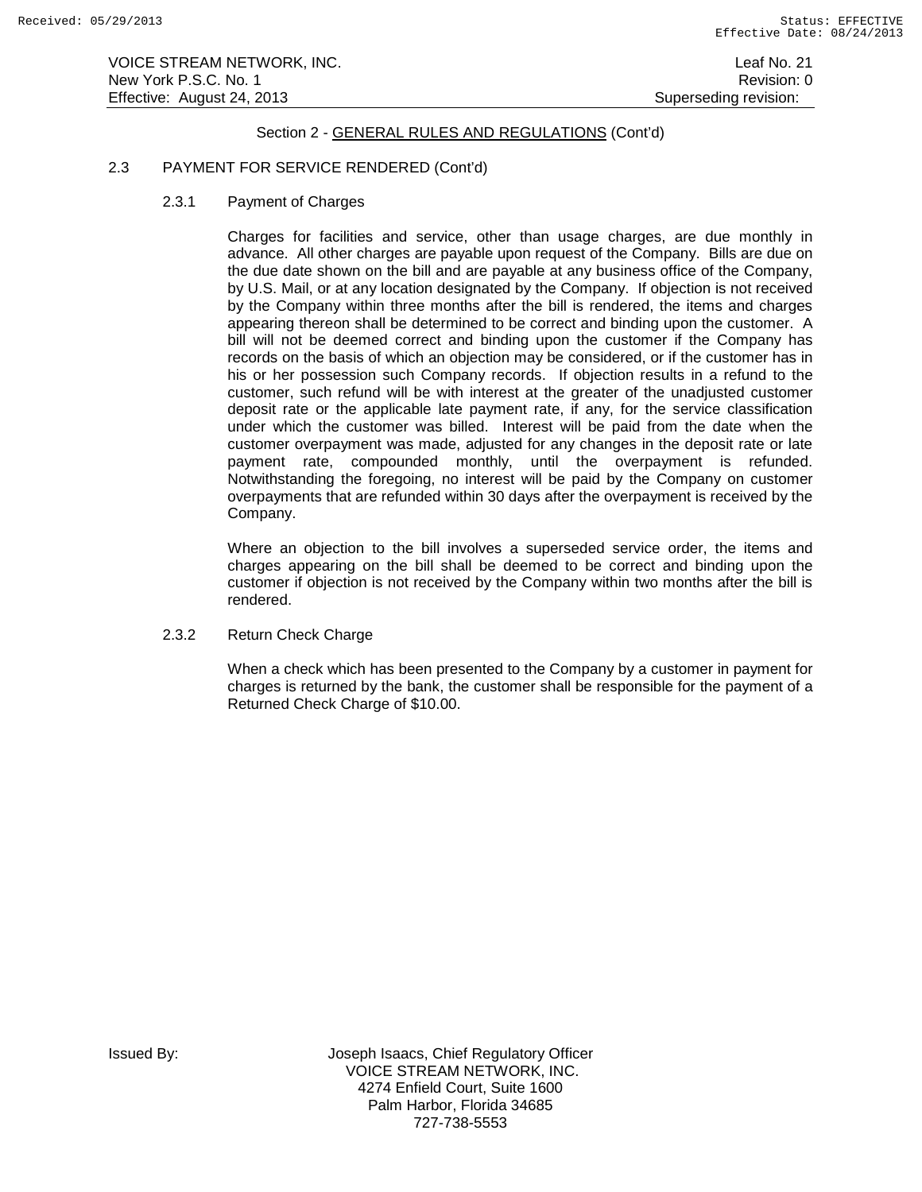# 2.3 PAYMENT FOR SERVICE RENDERED (Cont'd)

2.3.1 Payment of Charges

Charges for facilities and service, other than usage charges, are due monthly in advance. All other charges are payable upon request of the Company. Bills are due on the due date shown on the bill and are payable at any business office of the Company, by U.S. Mail, or at any location designated by the Company. If objection is not received by the Company within three months after the bill is rendered, the items and charges appearing thereon shall be determined to be correct and binding upon the customer. A bill will not be deemed correct and binding upon the customer if the Company has records on the basis of which an objection may be considered, or if the customer has in his or her possession such Company records. If objection results in a refund to the customer, such refund will be with interest at the greater of the unadjusted customer deposit rate or the applicable late payment rate, if any, for the service classification under which the customer was billed. Interest will be paid from the date when the customer overpayment was made, adjusted for any changes in the deposit rate or late payment rate, compounded monthly, until the overpayment is refunded. Notwithstanding the foregoing, no interest will be paid by the Company on customer overpayments that are refunded within 30 days after the overpayment is received by the Company.

Where an objection to the bill involves a superseded service order, the items and charges appearing on the bill shall be deemed to be correct and binding upon the customer if objection is not received by the Company within two months after the bill is rendered.

2.3.2 Return Check Charge

When a check which has been presented to the Company by a customer in payment for charges is returned by the bank, the customer shall be responsible for the payment of a Returned Check Charge of \$10.00.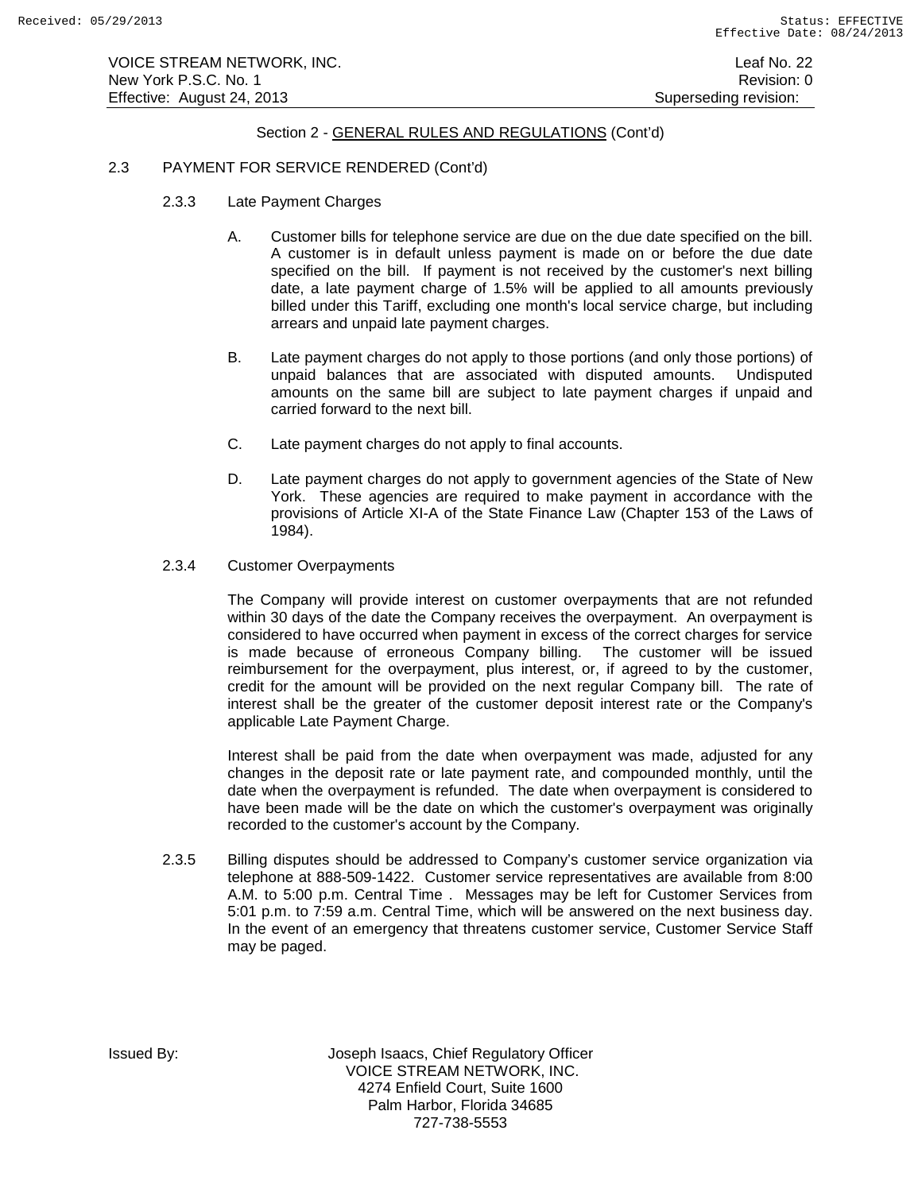# 2.3 PAYMENT FOR SERVICE RENDERED (Cont'd)

- 2.3.3 Late Payment Charges
	- A. Customer bills for telephone service are due on the due date specified on the bill. A customer is in default unless payment is made on or before the due date specified on the bill. If payment is not received by the customer's next billing date, a late payment charge of 1.5% will be applied to all amounts previously billed under this Tariff, excluding one month's local service charge, but including arrears and unpaid late payment charges.
	- B. Late payment charges do not apply to those portions (and only those portions) of unpaid balances that are associated with disputed amounts. Undisputed amounts on the same bill are subject to late payment charges if unpaid and carried forward to the next bill.
	- C. Late payment charges do not apply to final accounts.
	- D. Late payment charges do not apply to government agencies of the State of New York. These agencies are required to make payment in accordance with the provisions of Article XI-A of the State Finance Law (Chapter 153 of the Laws of 1984).
- 2.3.4 Customer Overpayments

The Company will provide interest on customer overpayments that are not refunded within 30 days of the date the Company receives the overpayment. An overpayment is considered to have occurred when payment in excess of the correct charges for service is made because of erroneous Company billing. The customer will be issued reimbursement for the overpayment, plus interest, or, if agreed to by the customer, credit for the amount will be provided on the next regular Company bill. The rate of interest shall be the greater of the customer deposit interest rate or the Company's applicable Late Payment Charge.

Interest shall be paid from the date when overpayment was made, adjusted for any changes in the deposit rate or late payment rate, and compounded monthly, until the date when the overpayment is refunded. The date when overpayment is considered to have been made will be the date on which the customer's overpayment was originally recorded to the customer's account by the Company.

2.3.5 Billing disputes should be addressed to Company's customer service organization via telephone at 888-509-1422. Customer service representatives are available from 8:00 A.M. to 5:00 p.m. Central Time . Messages may be left for Customer Services from 5:01 p.m. to 7:59 a.m. Central Time, which will be answered on the next business day. In the event of an emergency that threatens customer service, Customer Service Staff may be paged.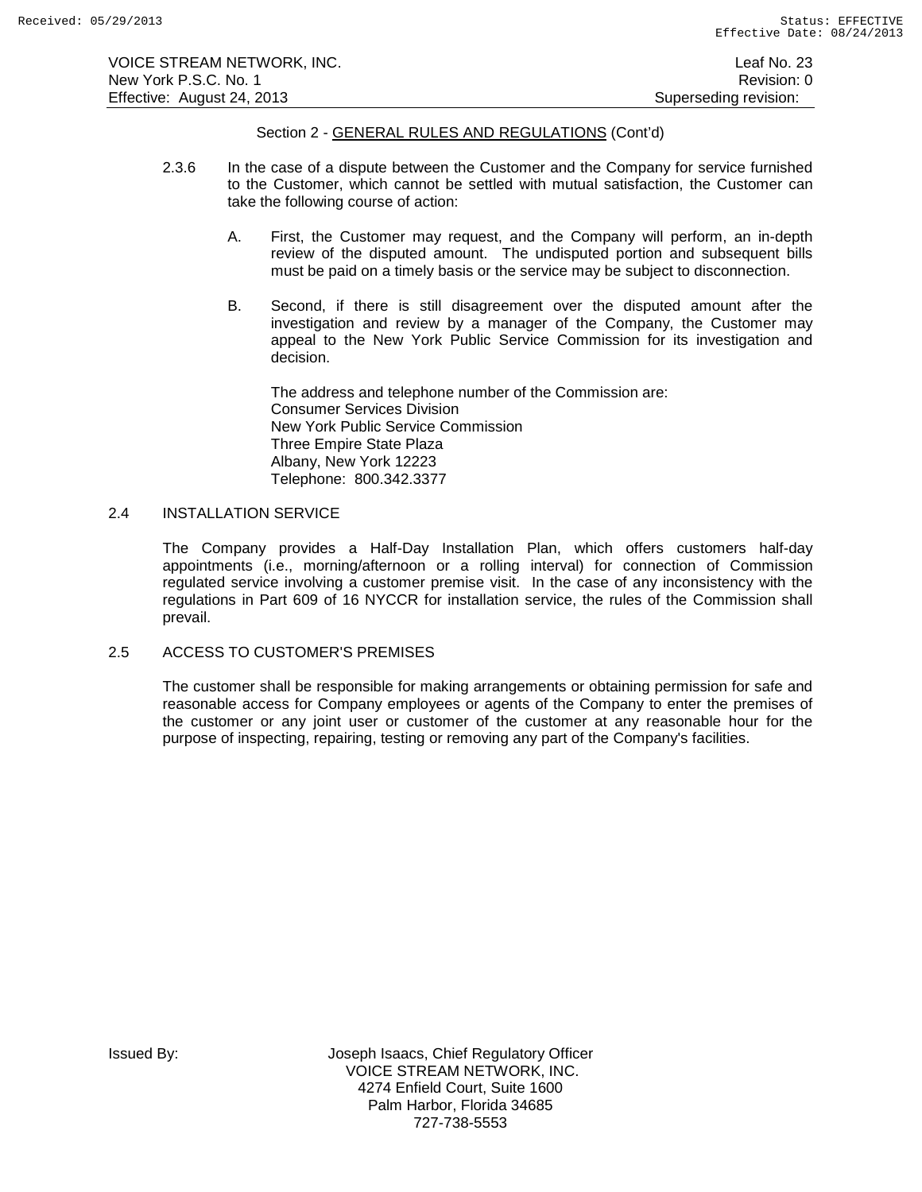VOICE STREAM NETWORK, INC. Leaf No. 23 New York P.S.C. No. 1 **Review Accounts** 2012 12:00 12:00 12:00 12:00 12:00 12:00 12:00 12:00 12:00 12:00 12:00 12:00 12:00 12:00 12:00 12:00 12:00 12:00 12:00 12:00 12:00 12:00 12:00 12:00 12:00 12:00 12:00 12:00 12:00 12: Effective: August 24, 2013 **Superseding revision:** Superseding revision:

# Section 2 - GENERAL RULES AND REGULATIONS (Cont'd)

- 2.3.6 In the case of a dispute between the Customer and the Company for service furnished to the Customer, which cannot be settled with mutual satisfaction, the Customer can take the following course of action:
	- A. First, the Customer may request, and the Company will perform, an in-depth review of the disputed amount. The undisputed portion and subsequent bills must be paid on a timely basis or the service may be subject to disconnection.
	- B. Second, if there is still disagreement over the disputed amount after the investigation and review by a manager of the Company, the Customer may appeal to the New York Public Service Commission for its investigation and decision.

The address and telephone number of the Commission are: Consumer Services Division New York Public Service Commission Three Empire State Plaza Albany, New York 12223 Telephone: 800.342.3377

# 2.4 INSTALLATION SERVICE

The Company provides a Half-Day Installation Plan, which offers customers half-day appointments (i.e., morning/afternoon or a rolling interval) for connection of Commission regulated service involving a customer premise visit. In the case of any inconsistency with the regulations in Part 609 of 16 NYCCR for installation service, the rules of the Commission shall prevail.

### 2.5 ACCESS TO CUSTOMER'S PREMISES

The customer shall be responsible for making arrangements or obtaining permission for safe and reasonable access for Company employees or agents of the Company to enter the premises of the customer or any joint user or customer of the customer at any reasonable hour for the purpose of inspecting, repairing, testing or removing any part of the Company's facilities.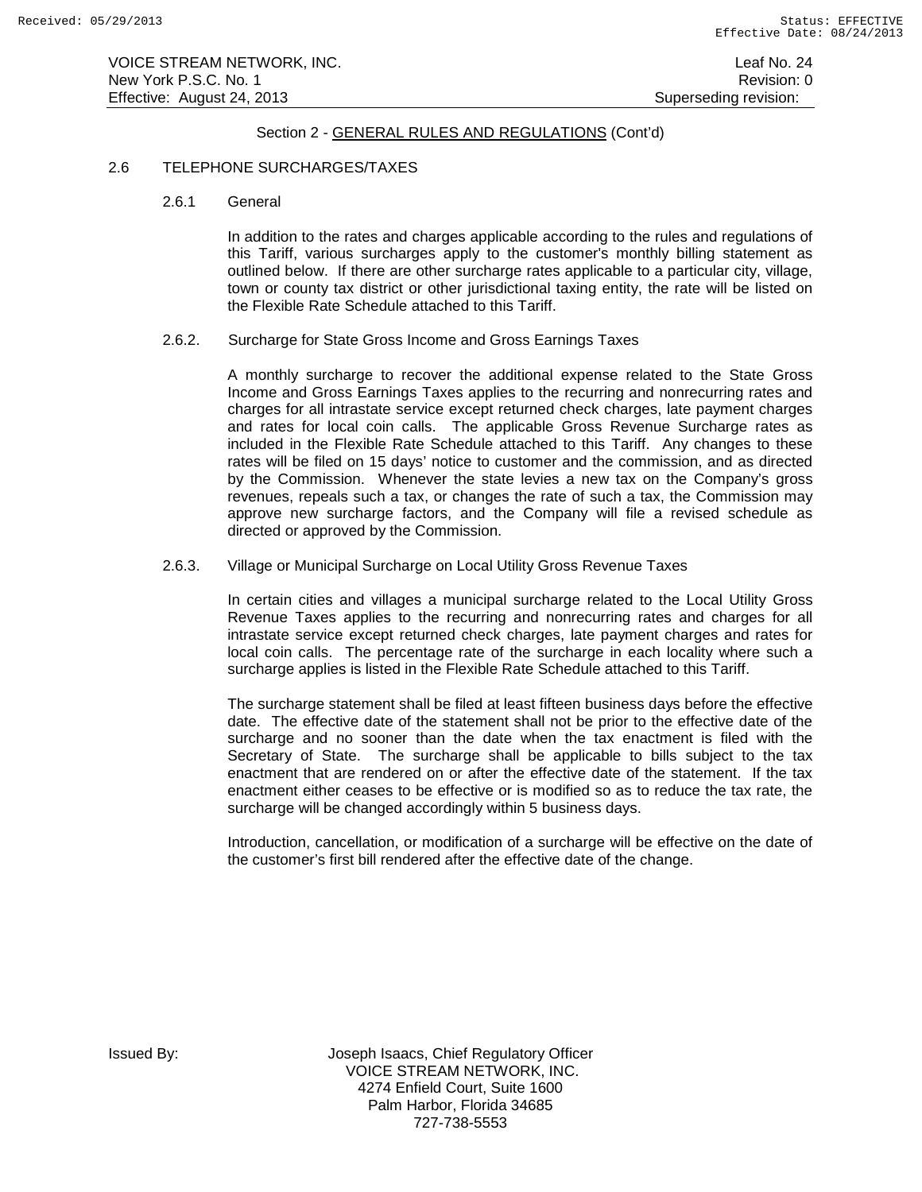VOICE STREAM NETWORK, INC. Leaf No. 24 New York P.S.C. No. 1 **New York P.S.C.** No. 1 Effective: August 24, 2013 **Superseding revision:** Superseding revision:

# Section 2 - GENERAL RULES AND REGULATIONS (Cont'd)

#### 2.6 TELEPHONE SURCHARGES/TAXES

2.6.1 General

In addition to the rates and charges applicable according to the rules and regulations of this Tariff, various surcharges apply to the customer's monthly billing statement as outlined below. If there are other surcharge rates applicable to a particular city, village, town or county tax district or other jurisdictional taxing entity, the rate will be listed on the Flexible Rate Schedule attached to this Tariff.

### 2.6.2. Surcharge for State Gross Income and Gross Earnings Taxes

A monthly surcharge to recover the additional expense related to the State Gross Income and Gross Earnings Taxes applies to the recurring and nonrecurring rates and charges for all intrastate service except returned check charges, late payment charges and rates for local coin calls. The applicable Gross Revenue Surcharge rates as included in the Flexible Rate Schedule attached to this Tariff. Any changes to these rates will be filed on 15 days' notice to customer and the commission, and as directed by the Commission. Whenever the state levies a new tax on the Company's gross revenues, repeals such a tax, or changes the rate of such a tax, the Commission may approve new surcharge factors, and the Company will file a revised schedule as directed or approved by the Commission.

#### 2.6.3. Village or Municipal Surcharge on Local Utility Gross Revenue Taxes

In certain cities and villages a municipal surcharge related to the Local Utility Gross Revenue Taxes applies to the recurring and nonrecurring rates and charges for all intrastate service except returned check charges, late payment charges and rates for local coin calls. The percentage rate of the surcharge in each locality where such a surcharge applies is listed in the Flexible Rate Schedule attached to this Tariff.

The surcharge statement shall be filed at least fifteen business days before the effective date. The effective date of the statement shall not be prior to the effective date of the surcharge and no sooner than the date when the tax enactment is filed with the Secretary of State. The surcharge shall be applicable to bills subject to the tax enactment that are rendered on or after the effective date of the statement. If the tax enactment either ceases to be effective or is modified so as to reduce the tax rate, the surcharge will be changed accordingly within 5 business days.

Introduction, cancellation, or modification of a surcharge will be effective on the date of the customer's first bill rendered after the effective date of the change.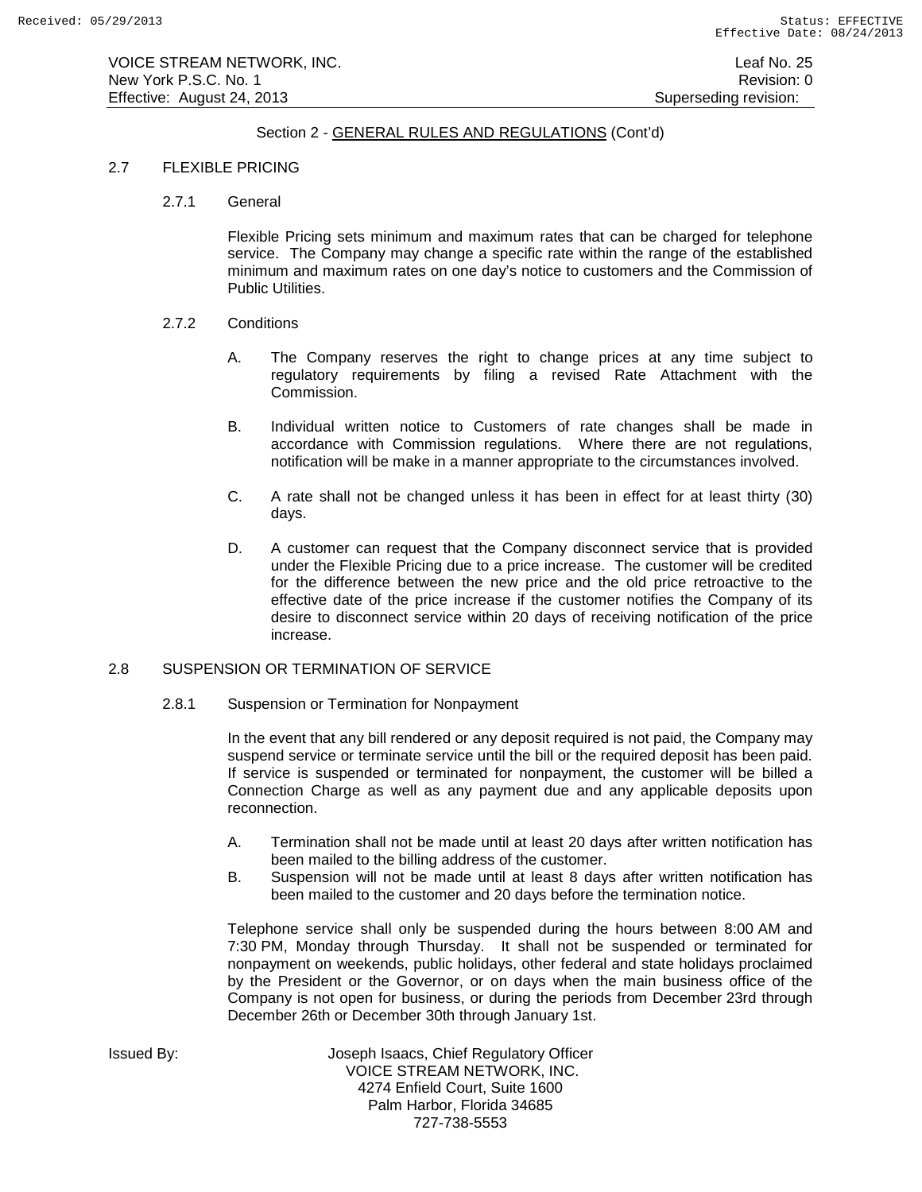VOICE STREAM NETWORK, INC. Leaf No. 25 New York P.S.C. No. 1 **Review Accounts** 2012 12:00 12:00 12:00 12:00 12:00 12:00 12:00 12:00 12:00 12:00 12:00 12:00 12:00 12:00 12:00 12:00 12:00 12:00 12:00 12:00 12:00 12:00 12:00 12:00 12:00 12:00 12:00 12:00 12:00 12: Effective: August 24, 2013 **Superseding revision:** Superseding revision:

# Section 2 - GENERAL RULES AND REGULATIONS (Cont'd)

### 2.7 FLEXIBLE PRICING

2.7.1 General

Flexible Pricing sets minimum and maximum rates that can be charged for telephone service. The Company may change a specific rate within the range of the established minimum and maximum rates on one day's notice to customers and the Commission of Public Utilities.

- 2.7.2 Conditions
	- A. The Company reserves the right to change prices at any time subject to regulatory requirements by filing a revised Rate Attachment with the Commission.
	- B. Individual written notice to Customers of rate changes shall be made in accordance with Commission regulations. Where there are not regulations, notification will be make in a manner appropriate to the circumstances involved.
	- C. A rate shall not be changed unless it has been in effect for at least thirty (30) days.
	- D. A customer can request that the Company disconnect service that is provided under the Flexible Pricing due to a price increase. The customer will be credited for the difference between the new price and the old price retroactive to the effective date of the price increase if the customer notifies the Company of its desire to disconnect service within 20 days of receiving notification of the price increase.

# 2.8 SUSPENSION OR TERMINATION OF SERVICE

2.8.1 Suspension or Termination for Nonpayment

In the event that any bill rendered or any deposit required is not paid, the Company may suspend service or terminate service until the bill or the required deposit has been paid. If service is suspended or terminated for nonpayment, the customer will be billed a Connection Charge as well as any payment due and any applicable deposits upon reconnection.

- A. Termination shall not be made until at least 20 days after written notification has been mailed to the billing address of the customer.
- B. Suspension will not be made until at least 8 days after written notification has been mailed to the customer and 20 days before the termination notice.

Telephone service shall only be suspended during the hours between 8:00 AM and 7:30 PM, Monday through Thursday. It shall not be suspended or terminated for nonpayment on weekends, public holidays, other federal and state holidays proclaimed by the President or the Governor, or on days when the main business office of the Company is not open for business, or during the periods from December 23rd through December 26th or December 30th through January 1st.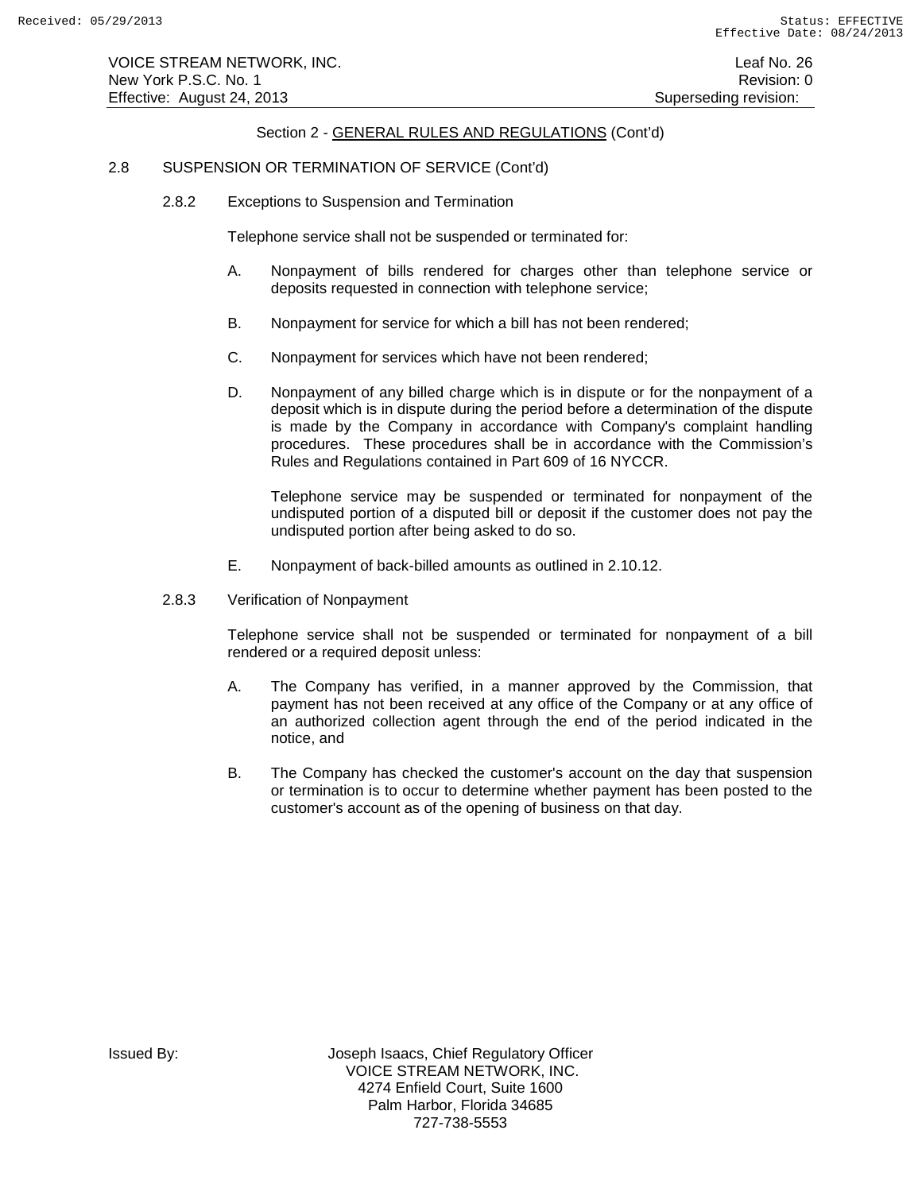### 2.8 SUSPENSION OR TERMINATION OF SERVICE (Cont'd)

2.8.2 Exceptions to Suspension and Termination

Telephone service shall not be suspended or terminated for:

- A. Nonpayment of bills rendered for charges other than telephone service or deposits requested in connection with telephone service;
- B. Nonpayment for service for which a bill has not been rendered;
- C. Nonpayment for services which have not been rendered;
- D. Nonpayment of any billed charge which is in dispute or for the nonpayment of a deposit which is in dispute during the period before a determination of the dispute is made by the Company in accordance with Company's complaint handling procedures. These procedures shall be in accordance with the Commission's Rules and Regulations contained in Part 609 of 16 NYCCR.

Telephone service may be suspended or terminated for nonpayment of the undisputed portion of a disputed bill or deposit if the customer does not pay the undisputed portion after being asked to do so.

- E. Nonpayment of back-billed amounts as outlined in 2.10.12.
- 2.8.3 Verification of Nonpayment

Telephone service shall not be suspended or terminated for nonpayment of a bill rendered or a required deposit unless:

- A. The Company has verified, in a manner approved by the Commission, that payment has not been received at any office of the Company or at any office of an authorized collection agent through the end of the period indicated in the notice, and
- B. The Company has checked the customer's account on the day that suspension or termination is to occur to determine whether payment has been posted to the customer's account as of the opening of business on that day.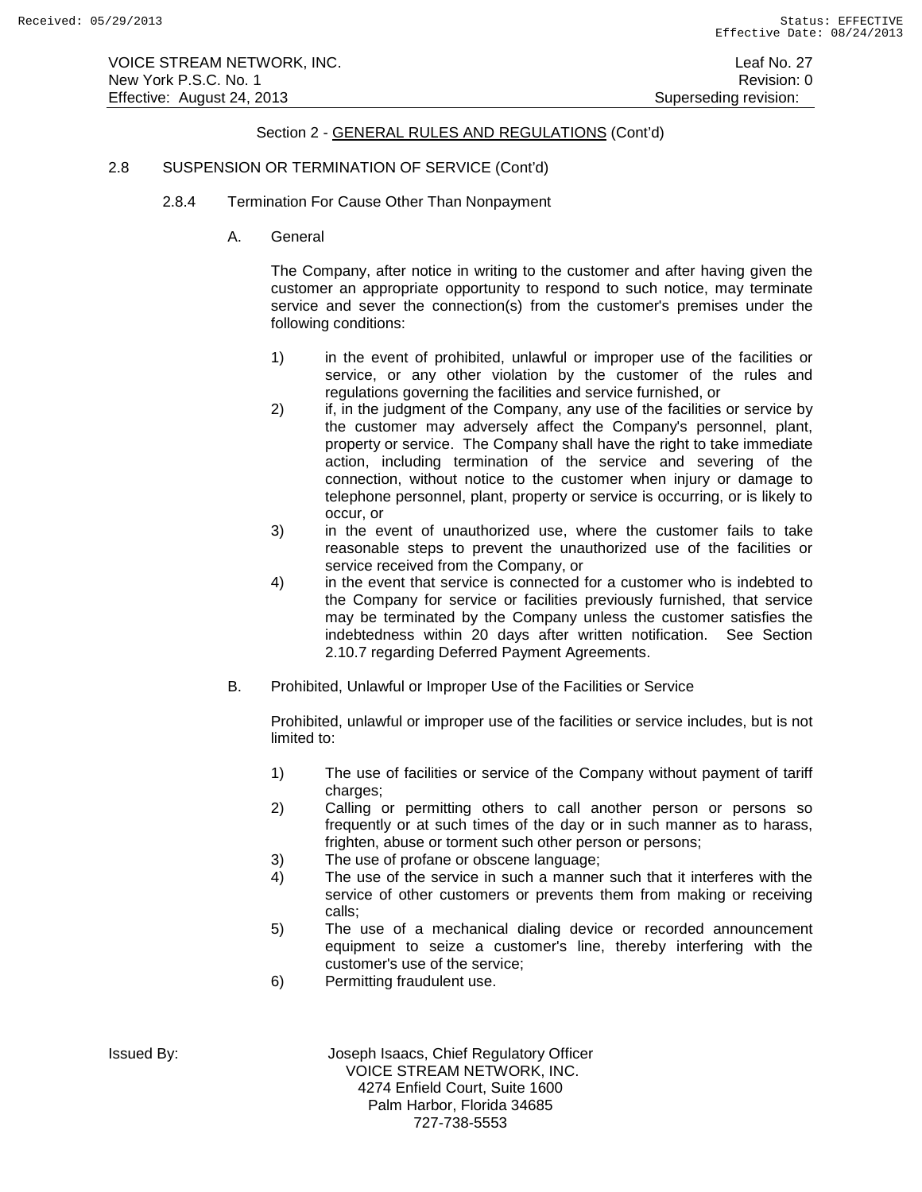VOICE STREAM NETWORK, INC. Leaf No. 27 New York P.S.C. No. 1 **Review Accounts** 2012 12:00 12:00 12:00 12:00 12:00 12:00 12:00 12:00 12:00 12:00 12:00 12:00 12:00 12:00 12:00 12:00 12:00 12:00 12:00 12:00 12:00 12:00 12:00 12:00 12:00 12:00 12:00 12:00 12:00 12: Effective: August 24, 2013 **Superseding revision:** Superseding revision:

# Section 2 - GENERAL RULES AND REGULATIONS (Cont'd)

### 2.8 SUSPENSION OR TERMINATION OF SERVICE (Cont'd)

- 2.8.4 Termination For Cause Other Than Nonpayment
	- A. General

The Company, after notice in writing to the customer and after having given the customer an appropriate opportunity to respond to such notice, may terminate service and sever the connection(s) from the customer's premises under the following conditions:

- 1) in the event of prohibited, unlawful or improper use of the facilities or service, or any other violation by the customer of the rules and regulations governing the facilities and service furnished, or
- 2) if, in the judgment of the Company, any use of the facilities or service by the customer may adversely affect the Company's personnel, plant, property or service. The Company shall have the right to take immediate action, including termination of the service and severing of the connection, without notice to the customer when injury or damage to telephone personnel, plant, property or service is occurring, or is likely to occur, or
- 3) in the event of unauthorized use, where the customer fails to take reasonable steps to prevent the unauthorized use of the facilities or service received from the Company, or
- 4) in the event that service is connected for a customer who is indebted to the Company for service or facilities previously furnished, that service may be terminated by the Company unless the customer satisfies the indebtedness within 20 days after written notification. See Section 2.10.7 regarding Deferred Payment Agreements.
- B. Prohibited, Unlawful or Improper Use of the Facilities or Service

Prohibited, unlawful or improper use of the facilities or service includes, but is not limited to:

- 1) The use of facilities or service of the Company without payment of tariff charges:
- 2) Calling or permitting others to call another person or persons so frequently or at such times of the day or in such manner as to harass, frighten, abuse or torment such other person or persons;
- 3) The use of profane or obscene language;
- 4) The use of the service in such a manner such that it interferes with the service of other customers or prevents them from making or receiving calls;
- 5) The use of a mechanical dialing device or recorded announcement equipment to seize a customer's line, thereby interfering with the customer's use of the service;
- 6) Permitting fraudulent use.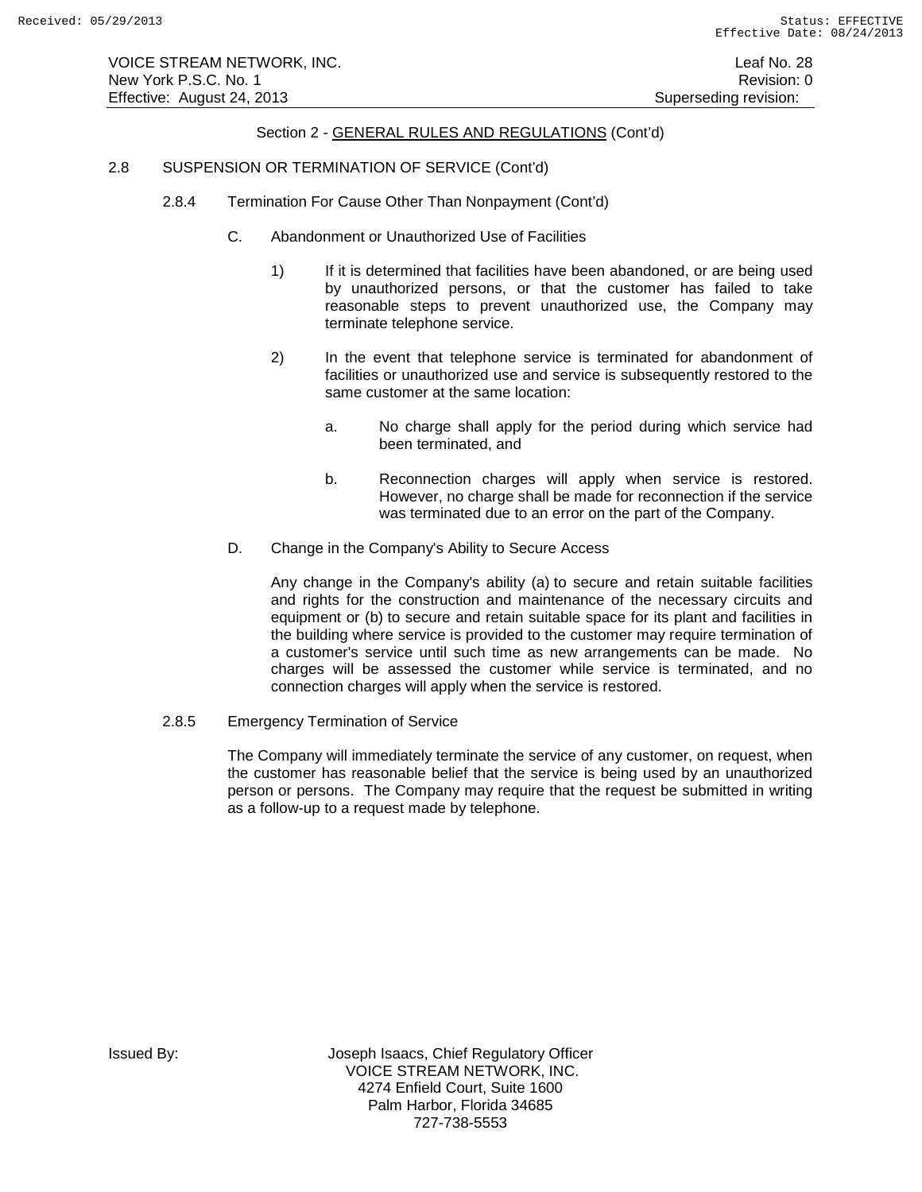# 2.8 SUSPENSION OR TERMINATION OF SERVICE (Cont'd)

- 2.8.4 Termination For Cause Other Than Nonpayment (Cont'd)
	- C. Abandonment or Unauthorized Use of Facilities
		- 1) If it is determined that facilities have been abandoned, or are being used by unauthorized persons, or that the customer has failed to take reasonable steps to prevent unauthorized use, the Company may terminate telephone service.
		- 2) In the event that telephone service is terminated for abandonment of facilities or unauthorized use and service is subsequently restored to the same customer at the same location:
			- a. No charge shall apply for the period during which service had been terminated, and
			- b. Reconnection charges will apply when service is restored. However, no charge shall be made for reconnection if the service was terminated due to an error on the part of the Company.
	- D. Change in the Company's Ability to Secure Access

Any change in the Company's ability (a) to secure and retain suitable facilities and rights for the construction and maintenance of the necessary circuits and equipment or (b) to secure and retain suitable space for its plant and facilities in the building where service is provided to the customer may require termination of a customer's service until such time as new arrangements can be made. No charges will be assessed the customer while service is terminated, and no connection charges will apply when the service is restored.

2.8.5 Emergency Termination of Service

The Company will immediately terminate the service of any customer, on request, when the customer has reasonable belief that the service is being used by an unauthorized person or persons. The Company may require that the request be submitted in writing as a follow-up to a request made by telephone.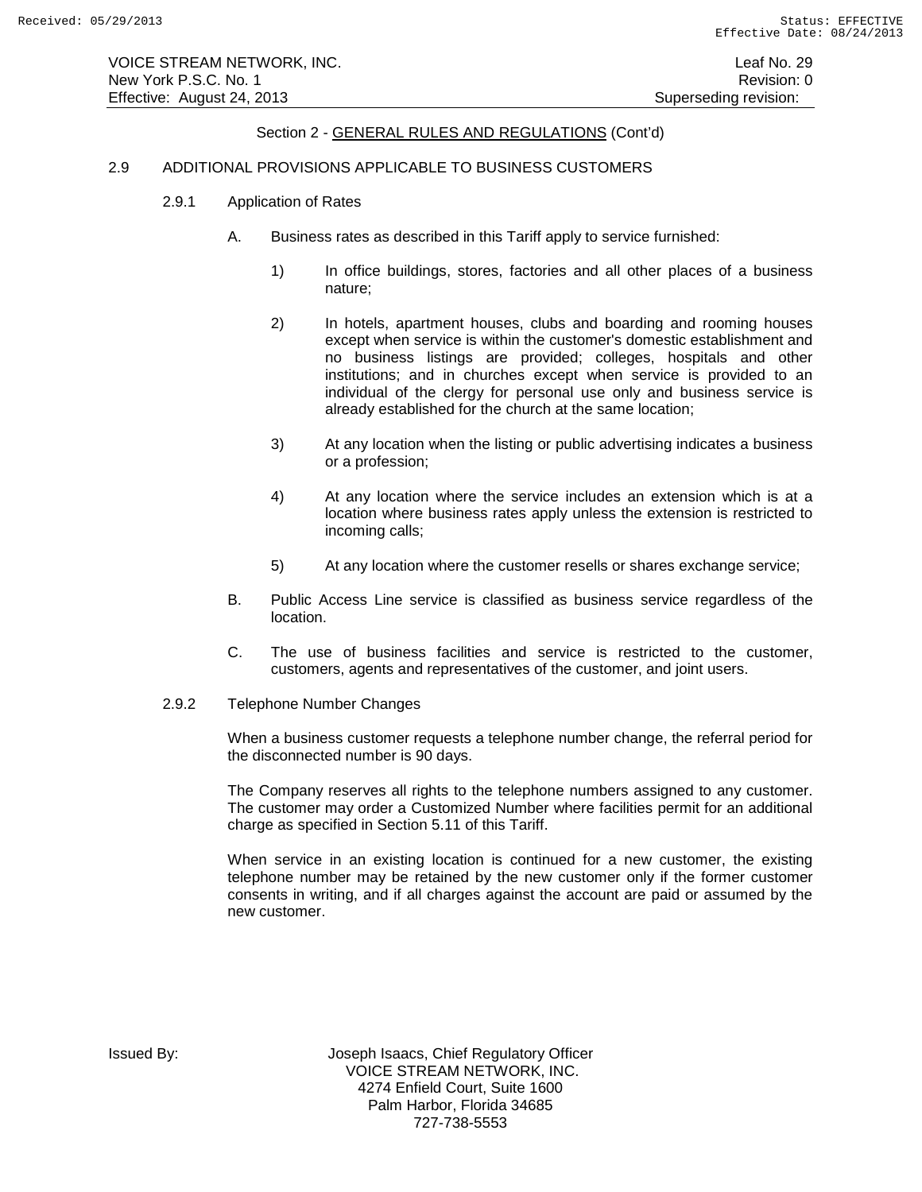## 2.9 ADDITIONAL PROVISIONS APPLICABLE TO BUSINESS CUSTOMERS

- 2.9.1 Application of Rates
	- A. Business rates as described in this Tariff apply to service furnished:
		- 1) In office buildings, stores, factories and all other places of a business nature;
		- 2) In hotels, apartment houses, clubs and boarding and rooming houses except when service is within the customer's domestic establishment and no business listings are provided; colleges, hospitals and other institutions; and in churches except when service is provided to an individual of the clergy for personal use only and business service is already established for the church at the same location;
		- 3) At any location when the listing or public advertising indicates a business or a profession;
		- 4) At any location where the service includes an extension which is at a location where business rates apply unless the extension is restricted to incoming calls;
		- 5) At any location where the customer resells or shares exchange service;
	- B. Public Access Line service is classified as business service regardless of the location.
	- C. The use of business facilities and service is restricted to the customer, customers, agents and representatives of the customer, and joint users.
- 2.9.2 Telephone Number Changes

When a business customer requests a telephone number change, the referral period for the disconnected number is 90 days.

The Company reserves all rights to the telephone numbers assigned to any customer. The customer may order a Customized Number where facilities permit for an additional charge as specified in Section 5.11 of this Tariff.

When service in an existing location is continued for a new customer, the existing telephone number may be retained by the new customer only if the former customer consents in writing, and if all charges against the account are paid or assumed by the new customer.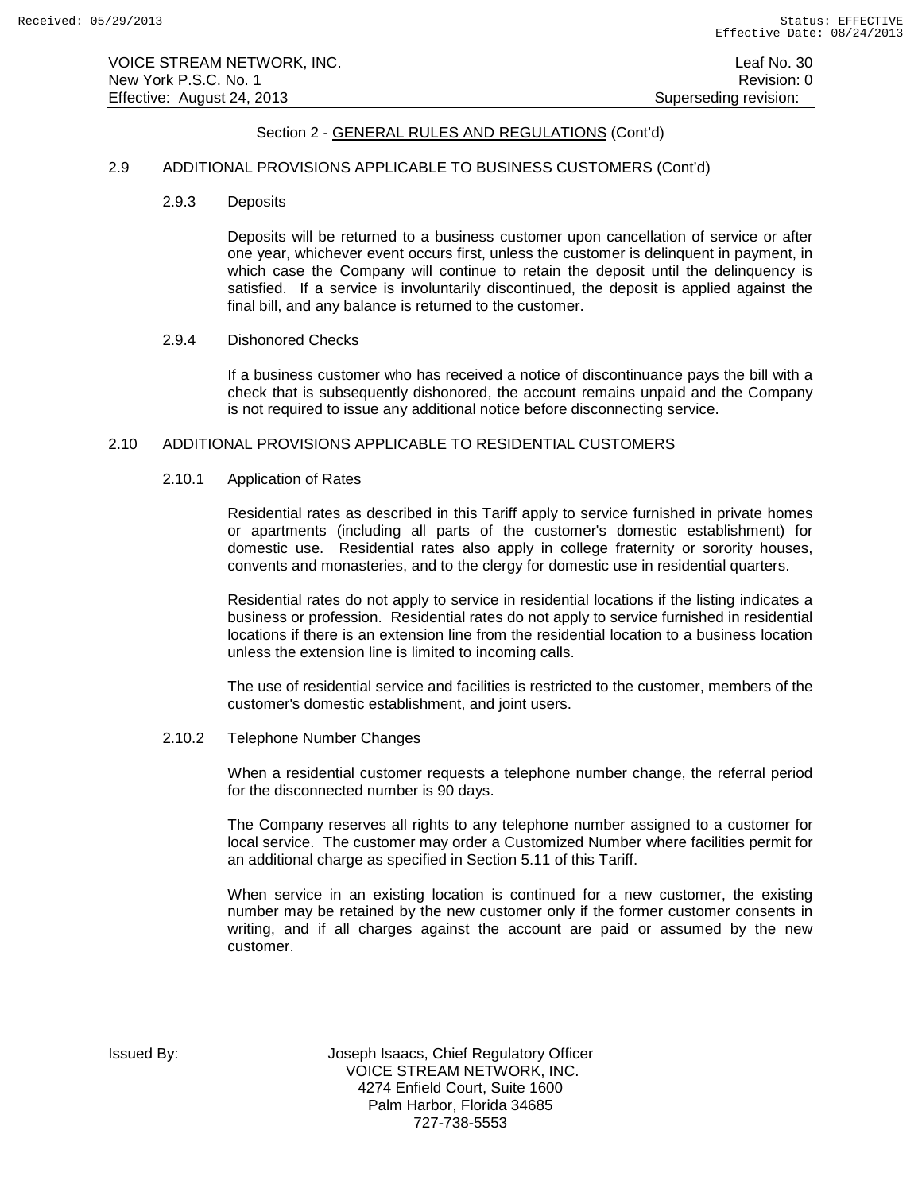### 2.9 ADDITIONAL PROVISIONS APPLICABLE TO BUSINESS CUSTOMERS (Cont'd)

2.9.3 Deposits

Deposits will be returned to a business customer upon cancellation of service or after one year, whichever event occurs first, unless the customer is delinquent in payment, in which case the Company will continue to retain the deposit until the delinquency is satisfied. If a service is involuntarily discontinued, the deposit is applied against the final bill, and any balance is returned to the customer.

## 2.9.4 Dishonored Checks

If a business customer who has received a notice of discontinuance pays the bill with a check that is subsequently dishonored, the account remains unpaid and the Company is not required to issue any additional notice before disconnecting service.

### 2.10 ADDITIONAL PROVISIONS APPLICABLE TO RESIDENTIAL CUSTOMERS

### 2.10.1 Application of Rates

Residential rates as described in this Tariff apply to service furnished in private homes or apartments (including all parts of the customer's domestic establishment) for domestic use. Residential rates also apply in college fraternity or sorority houses, convents and monasteries, and to the clergy for domestic use in residential quarters.

Residential rates do not apply to service in residential locations if the listing indicates a business or profession. Residential rates do not apply to service furnished in residential locations if there is an extension line from the residential location to a business location unless the extension line is limited to incoming calls.

The use of residential service and facilities is restricted to the customer, members of the customer's domestic establishment, and joint users.

#### 2.10.2 Telephone Number Changes

When a residential customer requests a telephone number change, the referral period for the disconnected number is 90 days.

The Company reserves all rights to any telephone number assigned to a customer for local service. The customer may order a Customized Number where facilities permit for an additional charge as specified in Section 5.11 of this Tariff.

When service in an existing location is continued for a new customer, the existing number may be retained by the new customer only if the former customer consents in writing, and if all charges against the account are paid or assumed by the new customer.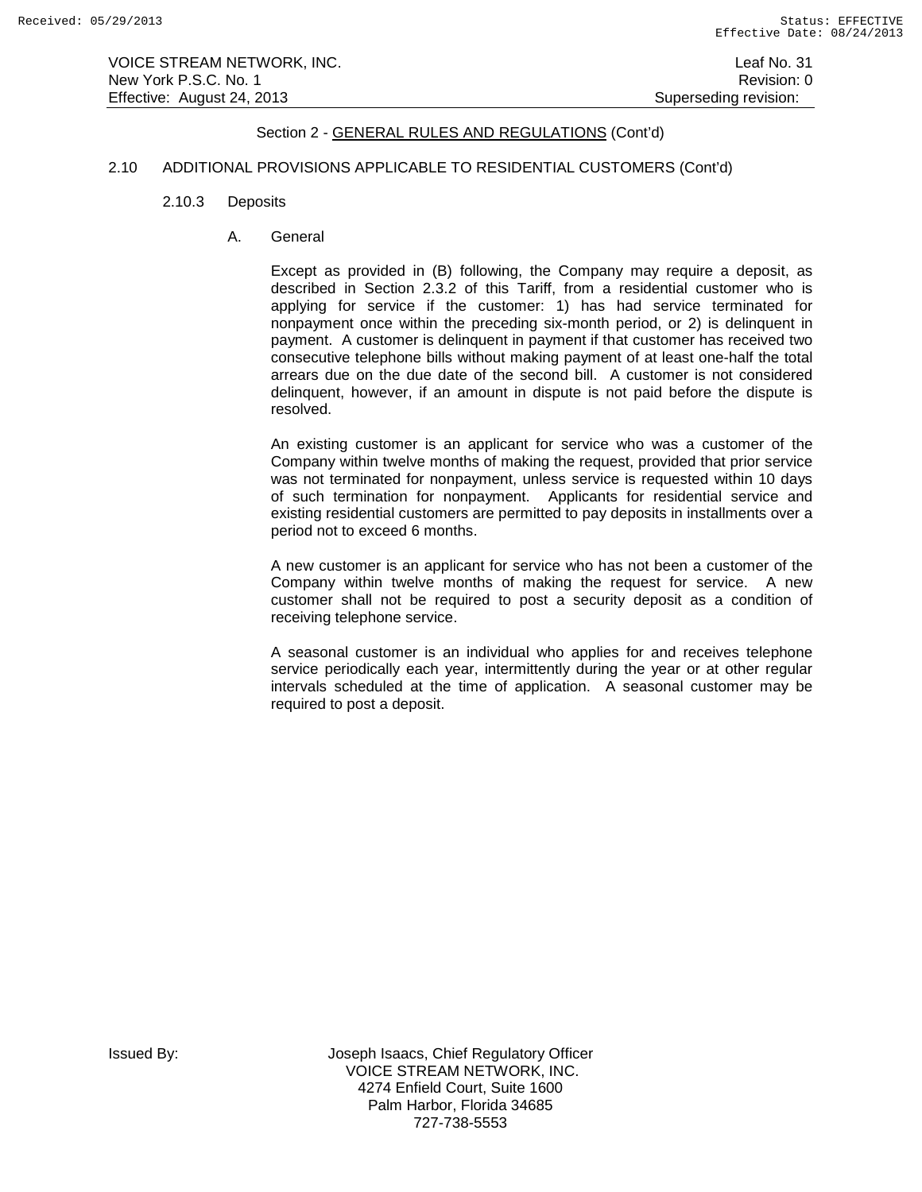## 2.10 ADDITIONAL PROVISIONS APPLICABLE TO RESIDENTIAL CUSTOMERS (Cont'd)

- 2.10.3 Deposits
	- A. General

Except as provided in (B) following, the Company may require a deposit, as described in Section 2.3.2 of this Tariff, from a residential customer who is applying for service if the customer: 1) has had service terminated for nonpayment once within the preceding six-month period, or 2) is delinquent in payment. A customer is delinquent in payment if that customer has received two consecutive telephone bills without making payment of at least one-half the total arrears due on the due date of the second bill. A customer is not considered delinquent, however, if an amount in dispute is not paid before the dispute is resolved.

An existing customer is an applicant for service who was a customer of the Company within twelve months of making the request, provided that prior service was not terminated for nonpayment, unless service is requested within 10 days of such termination for nonpayment. Applicants for residential service and existing residential customers are permitted to pay deposits in installments over a period not to exceed 6 months.

A new customer is an applicant for service who has not been a customer of the Company within twelve months of making the request for service. A new customer shall not be required to post a security deposit as a condition of receiving telephone service.

A seasonal customer is an individual who applies for and receives telephone service periodically each year, intermittently during the year or at other regular intervals scheduled at the time of application. A seasonal customer may be required to post a deposit.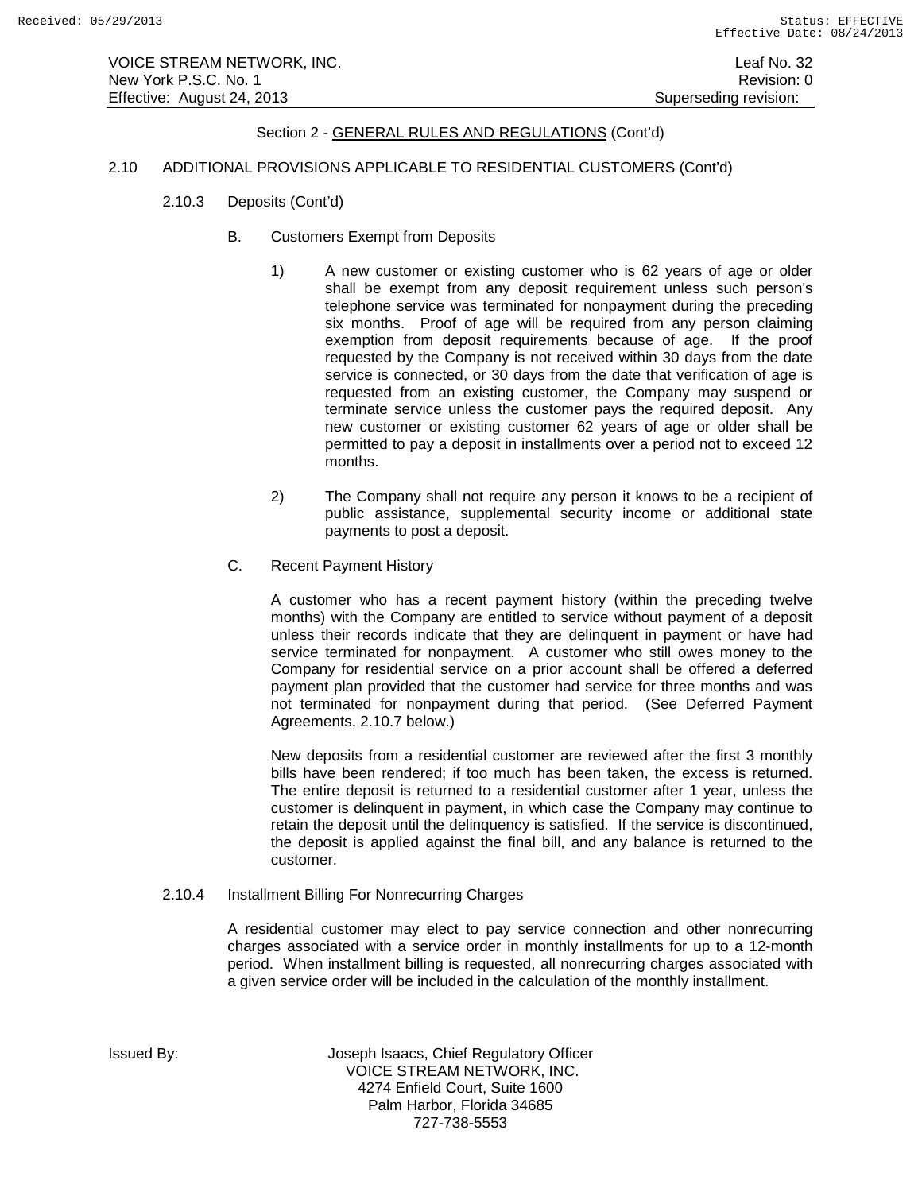### 2.10 ADDITIONAL PROVISIONS APPLICABLE TO RESIDENTIAL CUSTOMERS (Cont'd)

- 2.10.3 Deposits (Cont'd)
	- B. Customers Exempt from Deposits
		- 1) A new customer or existing customer who is 62 years of age or older shall be exempt from any deposit requirement unless such person's telephone service was terminated for nonpayment during the preceding six months. Proof of age will be required from any person claiming exemption from deposit requirements because of age. If the proof requested by the Company is not received within 30 days from the date service is connected, or 30 days from the date that verification of age is requested from an existing customer, the Company may suspend or terminate service unless the customer pays the required deposit. Any new customer or existing customer 62 years of age or older shall be permitted to pay a deposit in installments over a period not to exceed 12 months.
		- 2) The Company shall not require any person it knows to be a recipient of public assistance, supplemental security income or additional state payments to post a deposit.
	- C. Recent Payment History

A customer who has a recent payment history (within the preceding twelve months) with the Company are entitled to service without payment of a deposit unless their records indicate that they are delinquent in payment or have had service terminated for nonpayment. A customer who still owes money to the Company for residential service on a prior account shall be offered a deferred payment plan provided that the customer had service for three months and was not terminated for nonpayment during that period. (See Deferred Payment Agreements, 2.10.7 below.)

New deposits from a residential customer are reviewed after the first 3 monthly bills have been rendered; if too much has been taken, the excess is returned. The entire deposit is returned to a residential customer after 1 year, unless the customer is delinquent in payment, in which case the Company may continue to retain the deposit until the delinquency is satisfied. If the service is discontinued, the deposit is applied against the final bill, and any balance is returned to the customer.

2.10.4 Installment Billing For Nonrecurring Charges

A residential customer may elect to pay service connection and other nonrecurring charges associated with a service order in monthly installments for up to a 12-month period. When installment billing is requested, all nonrecurring charges associated with a given service order will be included in the calculation of the monthly installment.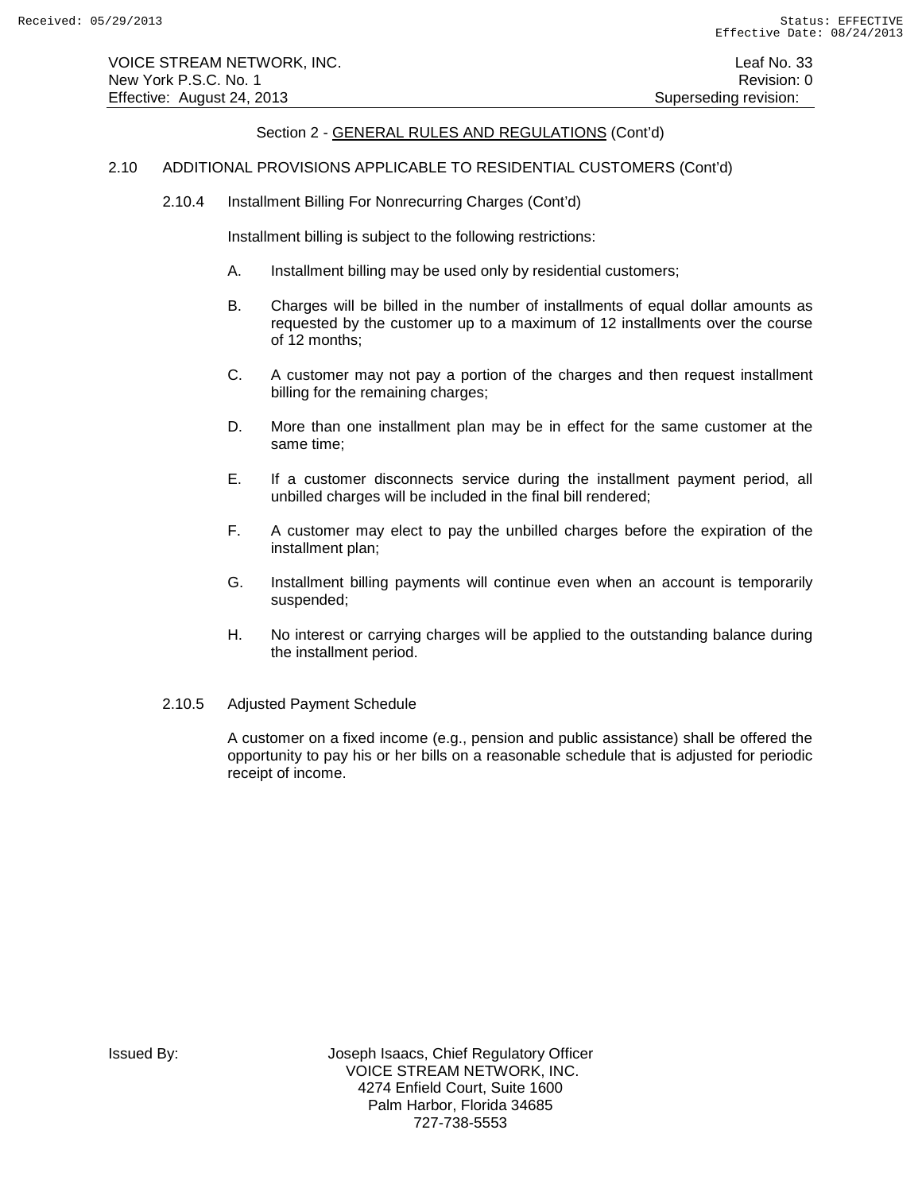VOICE STREAM NETWORK, INC. Leaf No. 33 New York P.S.C. No. 1 **Review Accounts** 2012 12:00 12:00 12:00 12:00 12:00 12:00 12:00 12:00 12:00 12:00 12:00 12:00 12:00 12:00 12:00 12:00 12:00 12:00 12:00 12:00 12:00 12:00 12:00 12:00 12:00 12:00 12:00 12:00 12:00 12: Effective: August 24, 2013 **Superseding revision:** Superseding revision:

## Section 2 - GENERAL RULES AND REGULATIONS (Cont'd)

### 2.10 ADDITIONAL PROVISIONS APPLICABLE TO RESIDENTIAL CUSTOMERS (Cont'd)

2.10.4 Installment Billing For Nonrecurring Charges (Cont'd)

Installment billing is subject to the following restrictions:

- A. Installment billing may be used only by residential customers;
- B. Charges will be billed in the number of installments of equal dollar amounts as requested by the customer up to a maximum of 12 installments over the course of 12 months;
- C. A customer may not pay a portion of the charges and then request installment billing for the remaining charges;
- D. More than one installment plan may be in effect for the same customer at the same time;
- E. If a customer disconnects service during the installment payment period, all unbilled charges will be included in the final bill rendered;
- F. A customer may elect to pay the unbilled charges before the expiration of the installment plan;
- G. Installment billing payments will continue even when an account is temporarily suspended;
- H. No interest or carrying charges will be applied to the outstanding balance during the installment period.
- 2.10.5 Adjusted Payment Schedule

A customer on a fixed income (e.g., pension and public assistance) shall be offered the opportunity to pay his or her bills on a reasonable schedule that is adjusted for periodic receipt of income.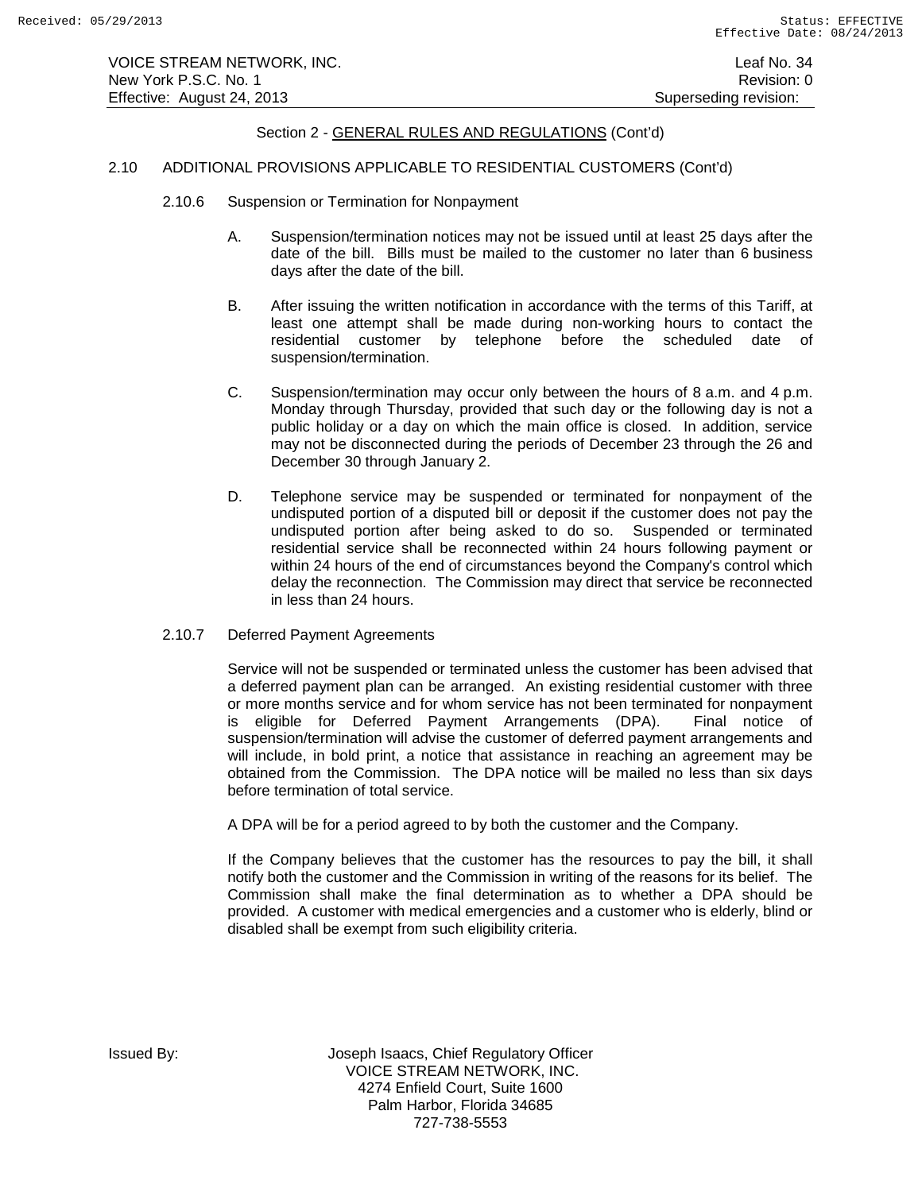### 2.10 ADDITIONAL PROVISIONS APPLICABLE TO RESIDENTIAL CUSTOMERS (Cont'd)

- 2.10.6 Suspension or Termination for Nonpayment
	- A. Suspension/termination notices may not be issued until at least 25 days after the date of the bill. Bills must be mailed to the customer no later than 6 business days after the date of the bill.
	- B. After issuing the written notification in accordance with the terms of this Tariff, at least one attempt shall be made during non-working hours to contact the residential customer by telephone before the scheduled date of suspension/termination.
	- C. Suspension/termination may occur only between the hours of 8 a.m. and 4 p.m. Monday through Thursday, provided that such day or the following day is not a public holiday or a day on which the main office is closed. In addition, service may not be disconnected during the periods of December 23 through the 26 and December 30 through January 2.
	- D. Telephone service may be suspended or terminated for nonpayment of the undisputed portion of a disputed bill or deposit if the customer does not pay the undisputed portion after being asked to do so. Suspended or terminated residential service shall be reconnected within 24 hours following payment or within 24 hours of the end of circumstances beyond the Company's control which delay the reconnection. The Commission may direct that service be reconnected in less than 24 hours.
- 2.10.7 Deferred Payment Agreements

Service will not be suspended or terminated unless the customer has been advised that a deferred payment plan can be arranged. An existing residential customer with three or more months service and for whom service has not been terminated for nonpayment is eligible for Deferred Payment Arrangements (DPA). Final notice of suspension/termination will advise the customer of deferred payment arrangements and will include, in bold print, a notice that assistance in reaching an agreement may be obtained from the Commission. The DPA notice will be mailed no less than six days before termination of total service.

A DPA will be for a period agreed to by both the customer and the Company.

If the Company believes that the customer has the resources to pay the bill, it shall notify both the customer and the Commission in writing of the reasons for its belief. The Commission shall make the final determination as to whether a DPA should be provided. A customer with medical emergencies and a customer who is elderly, blind or disabled shall be exempt from such eligibility criteria.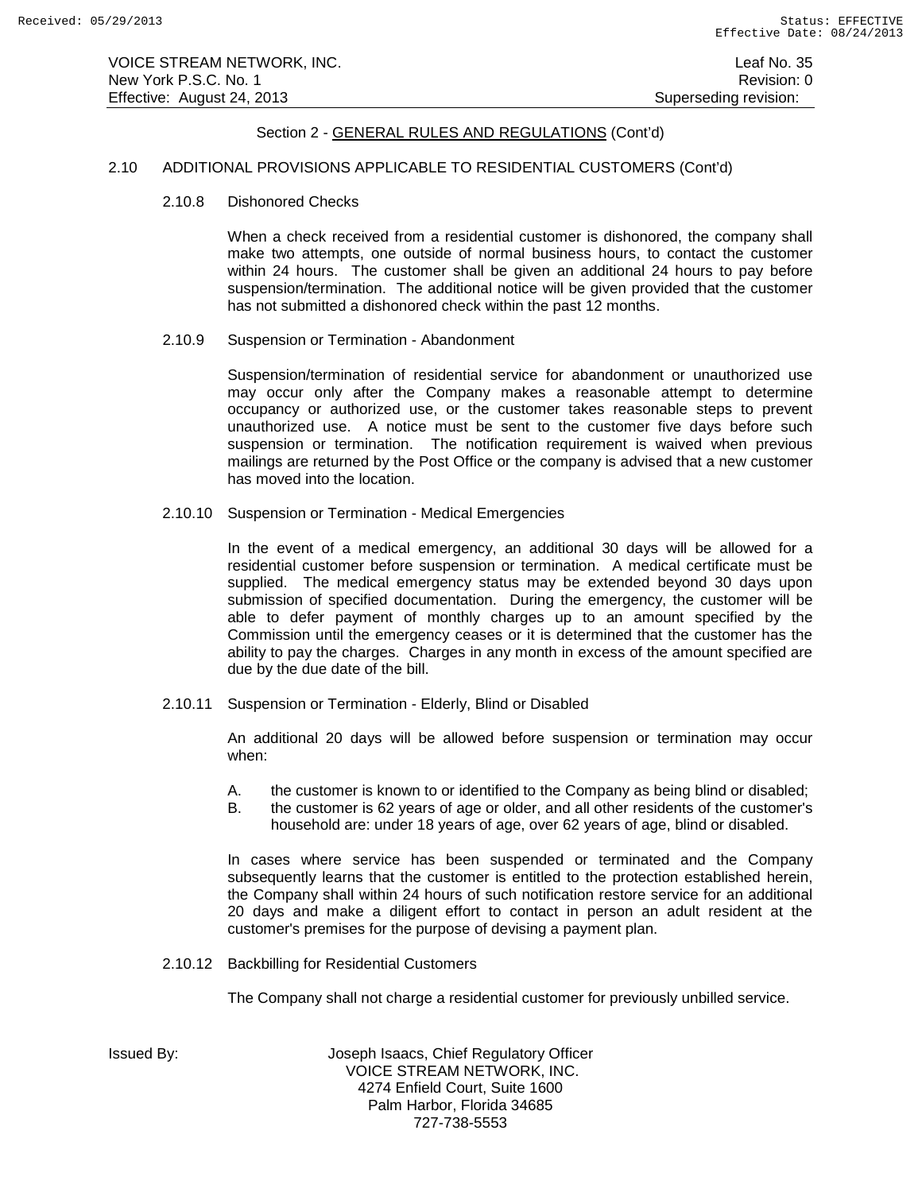### 2.10 ADDITIONAL PROVISIONS APPLICABLE TO RESIDENTIAL CUSTOMERS (Cont'd)

2.10.8 Dishonored Checks

When a check received from a residential customer is dishonored, the company shall make two attempts, one outside of normal business hours, to contact the customer within 24 hours. The customer shall be given an additional 24 hours to pay before suspension/termination. The additional notice will be given provided that the customer has not submitted a dishonored check within the past 12 months.

2.10.9 Suspension or Termination - Abandonment

Suspension/termination of residential service for abandonment or unauthorized use may occur only after the Company makes a reasonable attempt to determine occupancy or authorized use, or the customer takes reasonable steps to prevent unauthorized use. A notice must be sent to the customer five days before such suspension or termination. The notification requirement is waived when previous mailings are returned by the Post Office or the company is advised that a new customer has moved into the location.

2.10.10 Suspension or Termination - Medical Emergencies

In the event of a medical emergency, an additional 30 days will be allowed for a residential customer before suspension or termination. A medical certificate must be supplied. The medical emergency status may be extended beyond 30 days upon submission of specified documentation. During the emergency, the customer will be able to defer payment of monthly charges up to an amount specified by the Commission until the emergency ceases or it is determined that the customer has the ability to pay the charges. Charges in any month in excess of the amount specified are due by the due date of the bill.

2.10.11 Suspension or Termination - Elderly, Blind or Disabled

An additional 20 days will be allowed before suspension or termination may occur when:

- A. the customer is known to or identified to the Company as being blind or disabled;
- B. the customer is 62 years of age or older, and all other residents of the customer's household are: under 18 years of age, over 62 years of age, blind or disabled.

In cases where service has been suspended or terminated and the Company subsequently learns that the customer is entitled to the protection established herein, the Company shall within 24 hours of such notification restore service for an additional 20 days and make a diligent effort to contact in person an adult resident at the customer's premises for the purpose of devising a payment plan.

2.10.12 Backbilling for Residential Customers

The Company shall not charge a residential customer for previously unbilled service.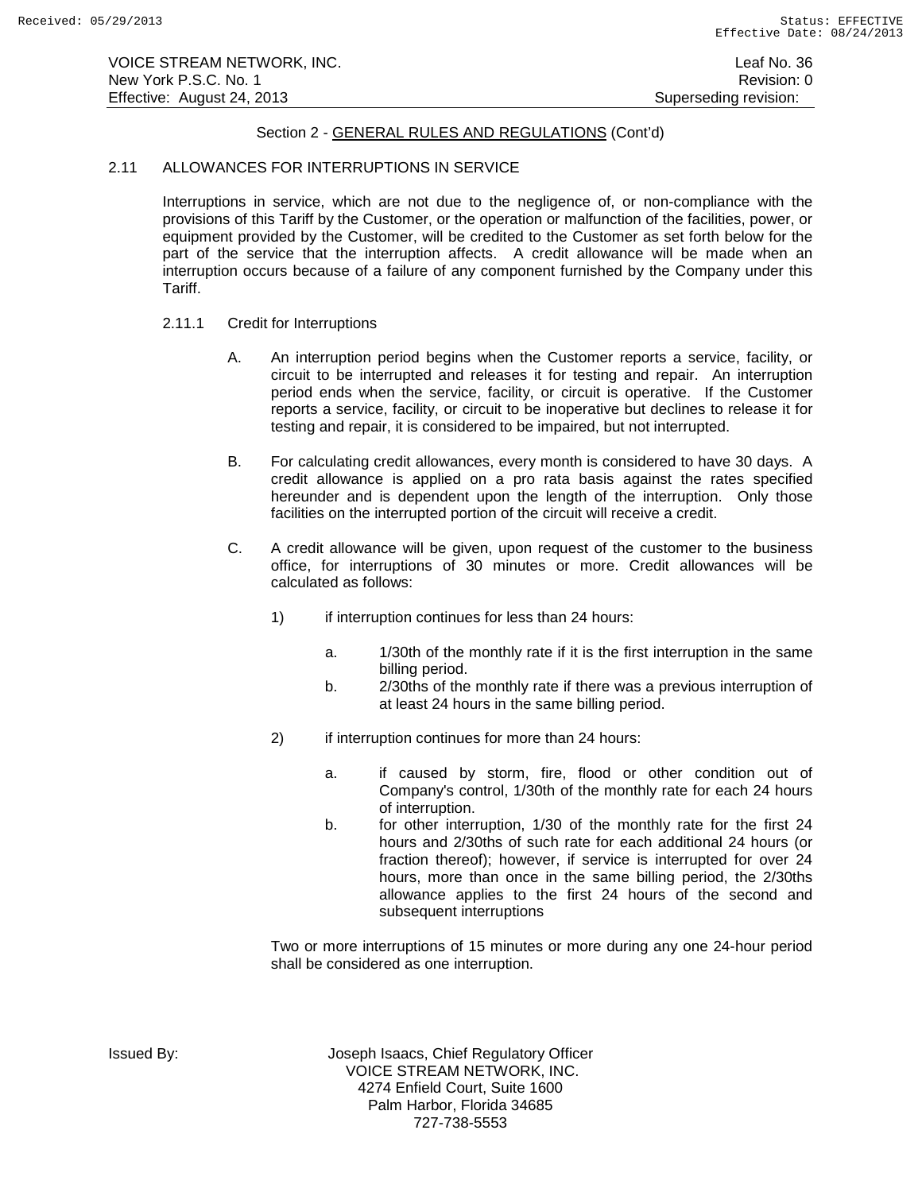## 2.11 ALLOWANCES FOR INTERRUPTIONS IN SERVICE

Interruptions in service, which are not due to the negligence of, or non-compliance with the provisions of this Tariff by the Customer, or the operation or malfunction of the facilities, power, or equipment provided by the Customer, will be credited to the Customer as set forth below for the part of the service that the interruption affects. A credit allowance will be made when an interruption occurs because of a failure of any component furnished by the Company under this Tariff.

## 2.11.1 Credit for Interruptions

- A. An interruption period begins when the Customer reports a service, facility, or circuit to be interrupted and releases it for testing and repair. An interruption period ends when the service, facility, or circuit is operative. If the Customer reports a service, facility, or circuit to be inoperative but declines to release it for testing and repair, it is considered to be impaired, but not interrupted.
- B. For calculating credit allowances, every month is considered to have 30 days. A credit allowance is applied on a pro rata basis against the rates specified hereunder and is dependent upon the length of the interruption. Only those facilities on the interrupted portion of the circuit will receive a credit.
- C. A credit allowance will be given, upon request of the customer to the business office, for interruptions of 30 minutes or more. Credit allowances will be calculated as follows:
	- 1) if interruption continues for less than 24 hours:
		- a. 1/30th of the monthly rate if it is the first interruption in the same billing period.
		- b. 2/30ths of the monthly rate if there was a previous interruption of at least 24 hours in the same billing period.
	- 2) if interruption continues for more than 24 hours:
		- a. if caused by storm, fire, flood or other condition out of Company's control, 1/30th of the monthly rate for each 24 hours of interruption.
		- b. for other interruption, 1/30 of the monthly rate for the first 24 hours and 2/30ths of such rate for each additional 24 hours (or fraction thereof); however, if service is interrupted for over 24 hours, more than once in the same billing period, the 2/30ths allowance applies to the first 24 hours of the second and subsequent interruptions

Two or more interruptions of 15 minutes or more during any one 24-hour period shall be considered as one interruption.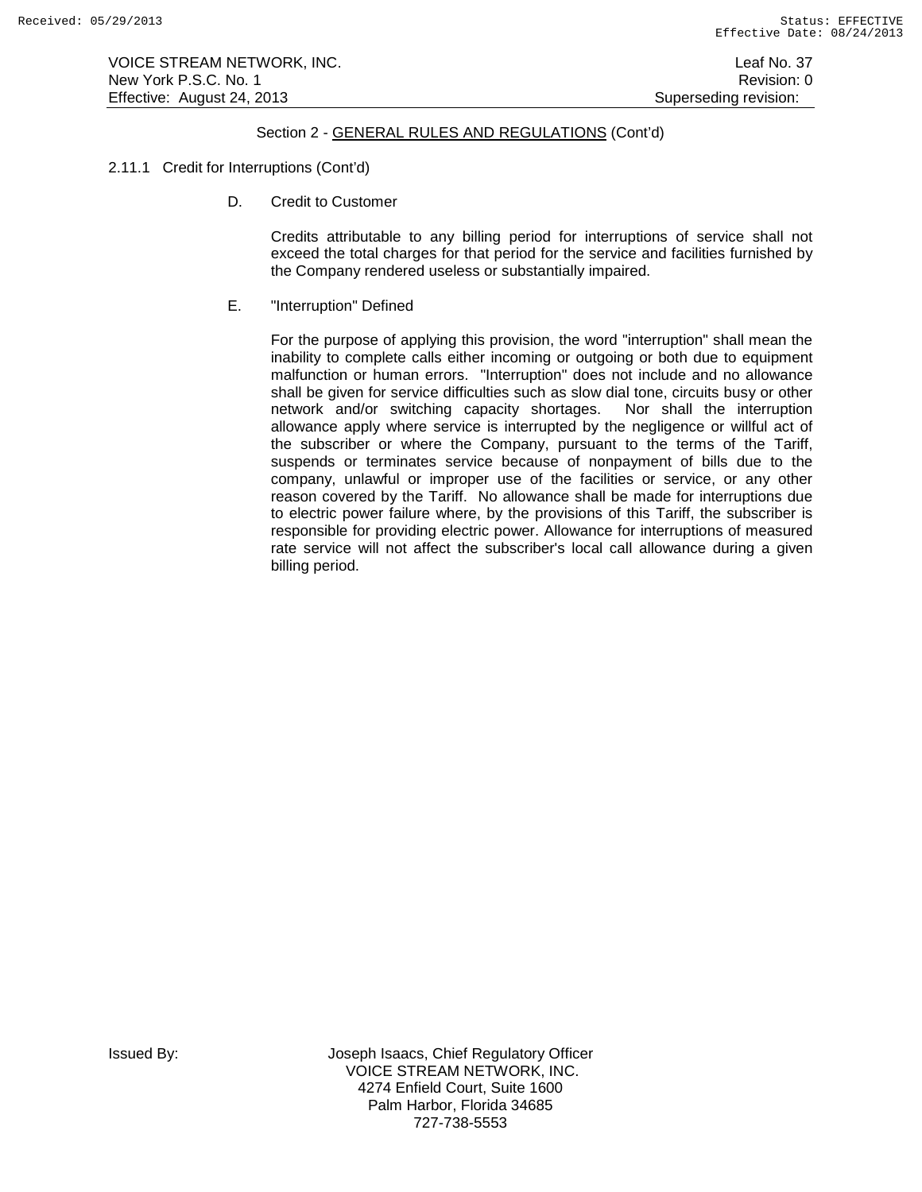VOICE STREAM NETWORK, INC. Leaf No. 37 New York P.S.C. No. 1 **New York P.S.C.** No. 1 Effective: August 24, 2013 **Superseding revision:** Superseding revision:

# Section 2 - GENERAL RULES AND REGULATIONS (Cont'd)

## 2.11.1 Credit for Interruptions (Cont'd)

D. Credit to Customer

Credits attributable to any billing period for interruptions of service shall not exceed the total charges for that period for the service and facilities furnished by the Company rendered useless or substantially impaired.

## E. "Interruption" Defined

For the purpose of applying this provision, the word "interruption" shall mean the inability to complete calls either incoming or outgoing or both due to equipment malfunction or human errors. "Interruption" does not include and no allowance shall be given for service difficulties such as slow dial tone, circuits busy or other network and/or switching capacity shortages. Nor shall the interruption allowance apply where service is interrupted by the negligence or willful act of the subscriber or where the Company, pursuant to the terms of the Tariff, suspends or terminates service because of nonpayment of bills due to the company, unlawful or improper use of the facilities or service, or any other reason covered by the Tariff. No allowance shall be made for interruptions due to electric power failure where, by the provisions of this Tariff, the subscriber is responsible for providing electric power. Allowance for interruptions of measured rate service will not affect the subscriber's local call allowance during a given billing period.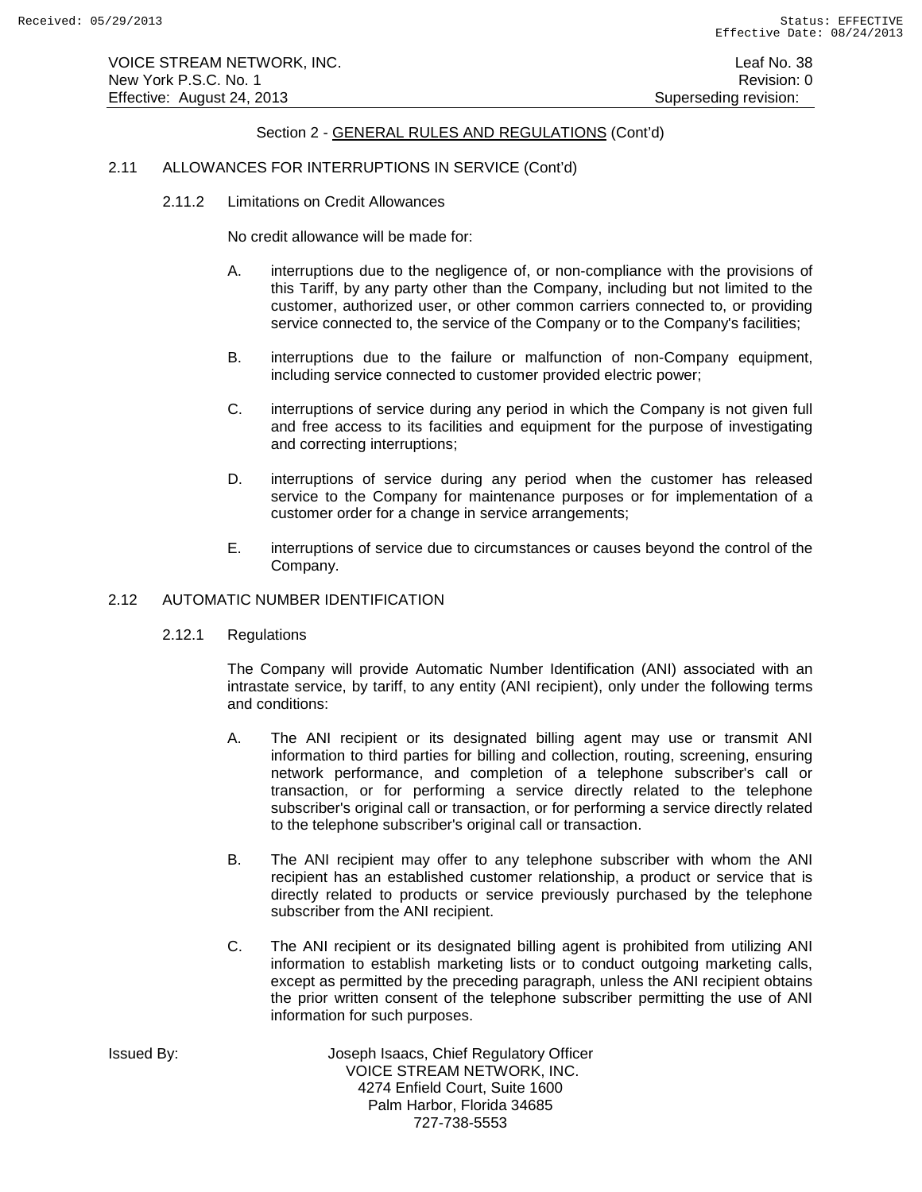# 2.11 ALLOWANCES FOR INTERRUPTIONS IN SERVICE (Cont'd)

2.11.2 Limitations on Credit Allowances

No credit allowance will be made for:

- A. interruptions due to the negligence of, or non-compliance with the provisions of this Tariff, by any party other than the Company, including but not limited to the customer, authorized user, or other common carriers connected to, or providing service connected to, the service of the Company or to the Company's facilities;
- B. interruptions due to the failure or malfunction of non-Company equipment, including service connected to customer provided electric power;
- C. interruptions of service during any period in which the Company is not given full and free access to its facilities and equipment for the purpose of investigating and correcting interruptions;
- D. interruptions of service during any period when the customer has released service to the Company for maintenance purposes or for implementation of a customer order for a change in service arrangements;
- E. interruptions of service due to circumstances or causes beyond the control of the Company.

# 2.12 AUTOMATIC NUMBER IDENTIFICATION

2.12.1 Regulations

The Company will provide Automatic Number Identification (ANI) associated with an intrastate service, by tariff, to any entity (ANI recipient), only under the following terms and conditions:

- A. The ANI recipient or its designated billing agent may use or transmit ANI information to third parties for billing and collection, routing, screening, ensuring network performance, and completion of a telephone subscriber's call or transaction, or for performing a service directly related to the telephone subscriber's original call or transaction, or for performing a service directly related to the telephone subscriber's original call or transaction.
- B. The ANI recipient may offer to any telephone subscriber with whom the ANI recipient has an established customer relationship, a product or service that is directly related to products or service previously purchased by the telephone subscriber from the ANI recipient.
- C. The ANI recipient or its designated billing agent is prohibited from utilizing ANI information to establish marketing lists or to conduct outgoing marketing calls, except as permitted by the preceding paragraph, unless the ANI recipient obtains the prior written consent of the telephone subscriber permitting the use of ANI information for such purposes.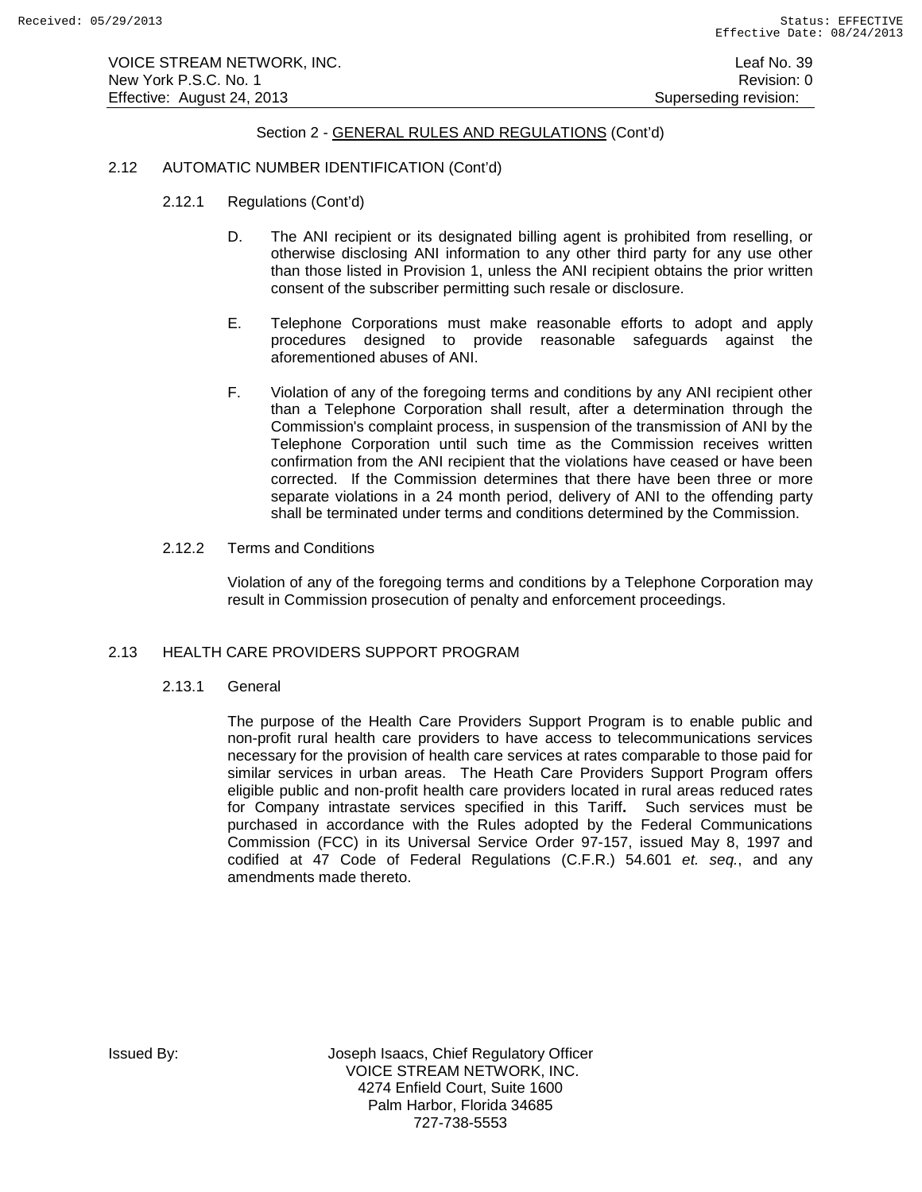VOICE STREAM NETWORK, INC. **Leaf No. 39** New York P.S.C. No. 1 **New York P.S.C.** No. 1 Effective: August 24, 2013 **Superseding revision:** Superseding revision:

# Section 2 - GENERAL RULES AND REGULATIONS (Cont'd)

# 2.12 AUTOMATIC NUMBER IDENTIFICATION (Cont'd)

- 2.12.1 Regulations (Cont'd)
	- D. The ANI recipient or its designated billing agent is prohibited from reselling, or otherwise disclosing ANI information to any other third party for any use other than those listed in Provision 1, unless the ANI recipient obtains the prior written consent of the subscriber permitting such resale or disclosure.
	- E. Telephone Corporations must make reasonable efforts to adopt and apply procedures designed to provide reasonable safeguards against the aforementioned abuses of ANI.
	- F. Violation of any of the foregoing terms and conditions by any ANI recipient other than a Telephone Corporation shall result, after a determination through the Commission's complaint process, in suspension of the transmission of ANI by the Telephone Corporation until such time as the Commission receives written confirmation from the ANI recipient that the violations have ceased or have been corrected. If the Commission determines that there have been three or more separate violations in a 24 month period, delivery of ANI to the offending party shall be terminated under terms and conditions determined by the Commission.
- 2.12.2 Terms and Conditions

Violation of any of the foregoing terms and conditions by a Telephone Corporation may result in Commission prosecution of penalty and enforcement proceedings.

## 2.13 HEALTH CARE PROVIDERS SUPPORT PROGRAM

2.13.1 General

The purpose of the Health Care Providers Support Program is to enable public and non-profit rural health care providers to have access to telecommunications services necessary for the provision of health care services at rates comparable to those paid for similar services in urban areas. The Heath Care Providers Support Program offers eligible public and non-profit health care providers located in rural areas reduced rates for Company intrastate services specified in this Tariff**.** Such services must be purchased in accordance with the Rules adopted by the Federal Communications Commission (FCC) in its Universal Service Order 97-157, issued May 8, 1997 and codified at 47 Code of Federal Regulations (C.F.R.) 54.601 *et. seq.*, and any amendments made thereto.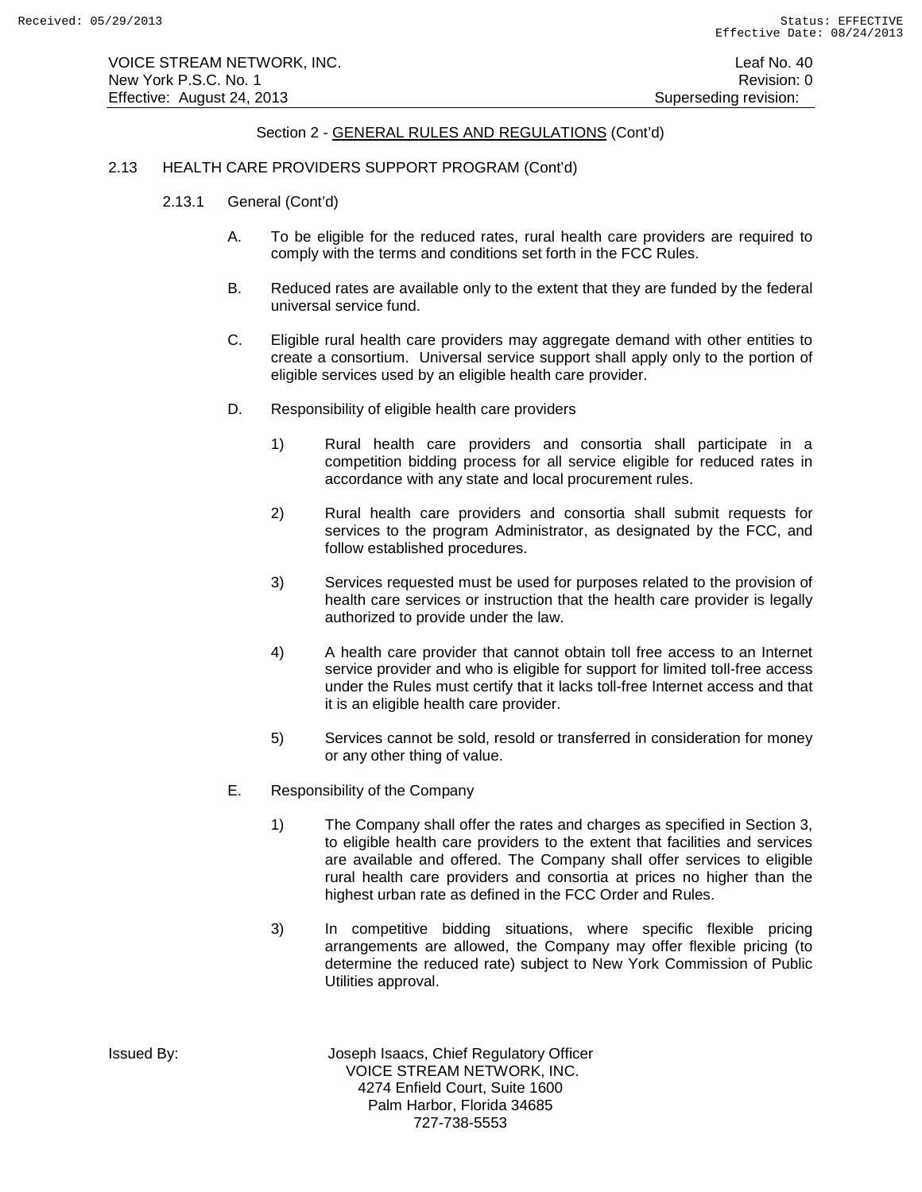# 2.13 HEALTH CARE PROVIDERS SUPPORT PROGRAM (Cont'd)

- 2.13.1 General (Cont'd)
	- A. To be eligible for the reduced rates, rural health care providers are required to comply with the terms and conditions set forth in the FCC Rules.
	- B. Reduced rates are available only to the extent that they are funded by the federal universal service fund.
	- C. Eligible rural health care providers may aggregate demand with other entities to create a consortium. Universal service support shall apply only to the portion of eligible services used by an eligible health care provider.
	- D. Responsibility of eligible health care providers
		- 1) Rural health care providers and consortia shall participate in a competition bidding process for all service eligible for reduced rates in accordance with any state and local procurement rules.
		- 2) Rural health care providers and consortia shall submit requests for services to the program Administrator, as designated by the FCC, and follow established procedures.
		- 3) Services requested must be used for purposes related to the provision of health care services or instruction that the health care provider is legally authorized to provide under the law.
		- 4) A health care provider that cannot obtain toll free access to an Internet service provider and who is eligible for support for limited toll-free access under the Rules must certify that it lacks toll-free Internet access and that it is an eligible health care provider.
		- 5) Services cannot be sold, resold or transferred in consideration for money or any other thing of value.
	- E. Responsibility of the Company
		- 1) The Company shall offer the rates and charges as specified in Section 3, to eligible health care providers to the extent that facilities and services are available and offered. The Company shall offer services to eligible rural health care providers and consortia at prices no higher than the highest urban rate as defined in the FCC Order and Rules.
		- 3) In competitive bidding situations, where specific flexible pricing arrangements are allowed, the Company may offer flexible pricing (to determine the reduced rate) subject to New York Commission of Public Utilities approval.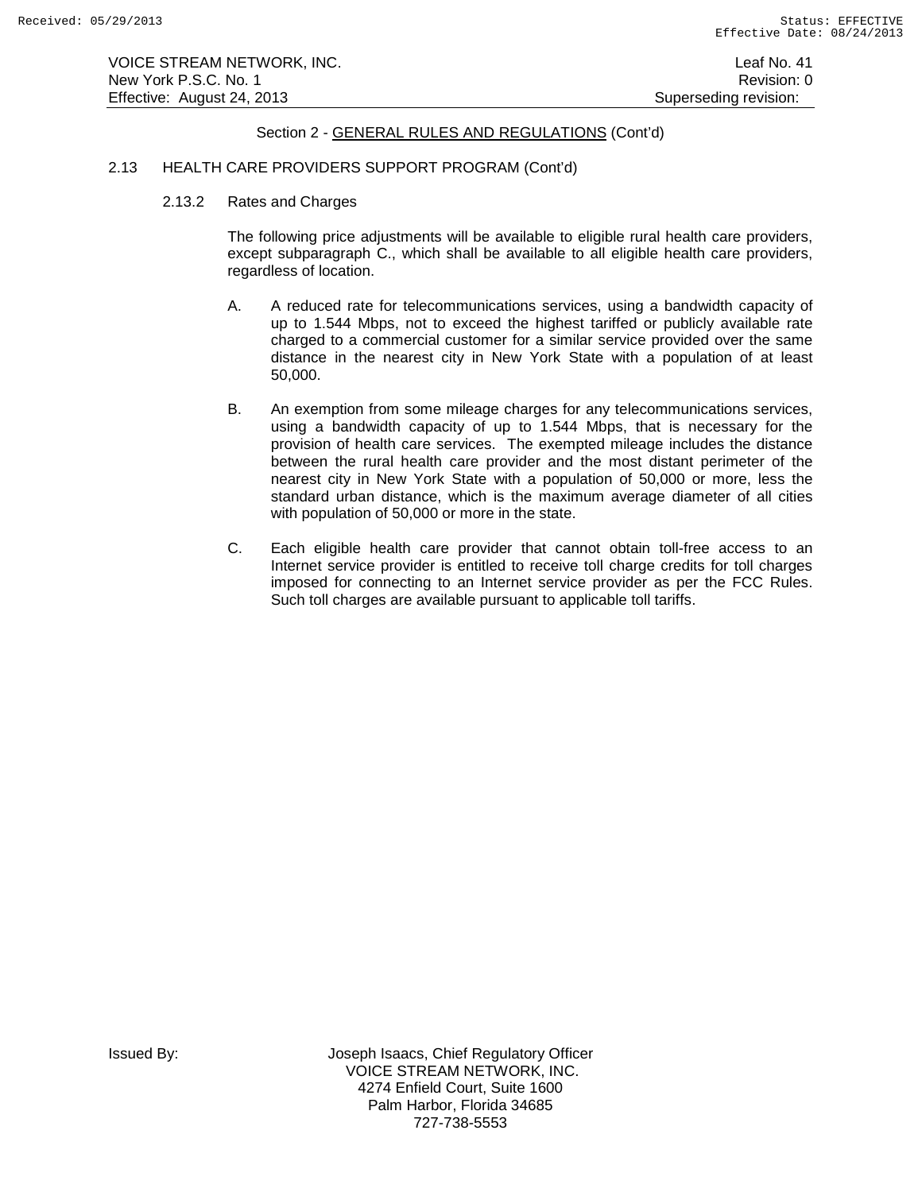# 2.13 HEALTH CARE PROVIDERS SUPPORT PROGRAM (Cont'd)

2.13.2 Rates and Charges

The following price adjustments will be available to eligible rural health care providers, except subparagraph C., which shall be available to all eligible health care providers, regardless of location.

- A. A reduced rate for telecommunications services, using a bandwidth capacity of up to 1.544 Mbps, not to exceed the highest tariffed or publicly available rate charged to a commercial customer for a similar service provided over the same distance in the nearest city in New York State with a population of at least 50,000.
- B. An exemption from some mileage charges for any telecommunications services, using a bandwidth capacity of up to 1.544 Mbps, that is necessary for the provision of health care services. The exempted mileage includes the distance between the rural health care provider and the most distant perimeter of the nearest city in New York State with a population of 50,000 or more, less the standard urban distance, which is the maximum average diameter of all cities with population of 50,000 or more in the state.
- C. Each eligible health care provider that cannot obtain toll-free access to an Internet service provider is entitled to receive toll charge credits for toll charges imposed for connecting to an Internet service provider as per the FCC Rules. Such toll charges are available pursuant to applicable toll tariffs.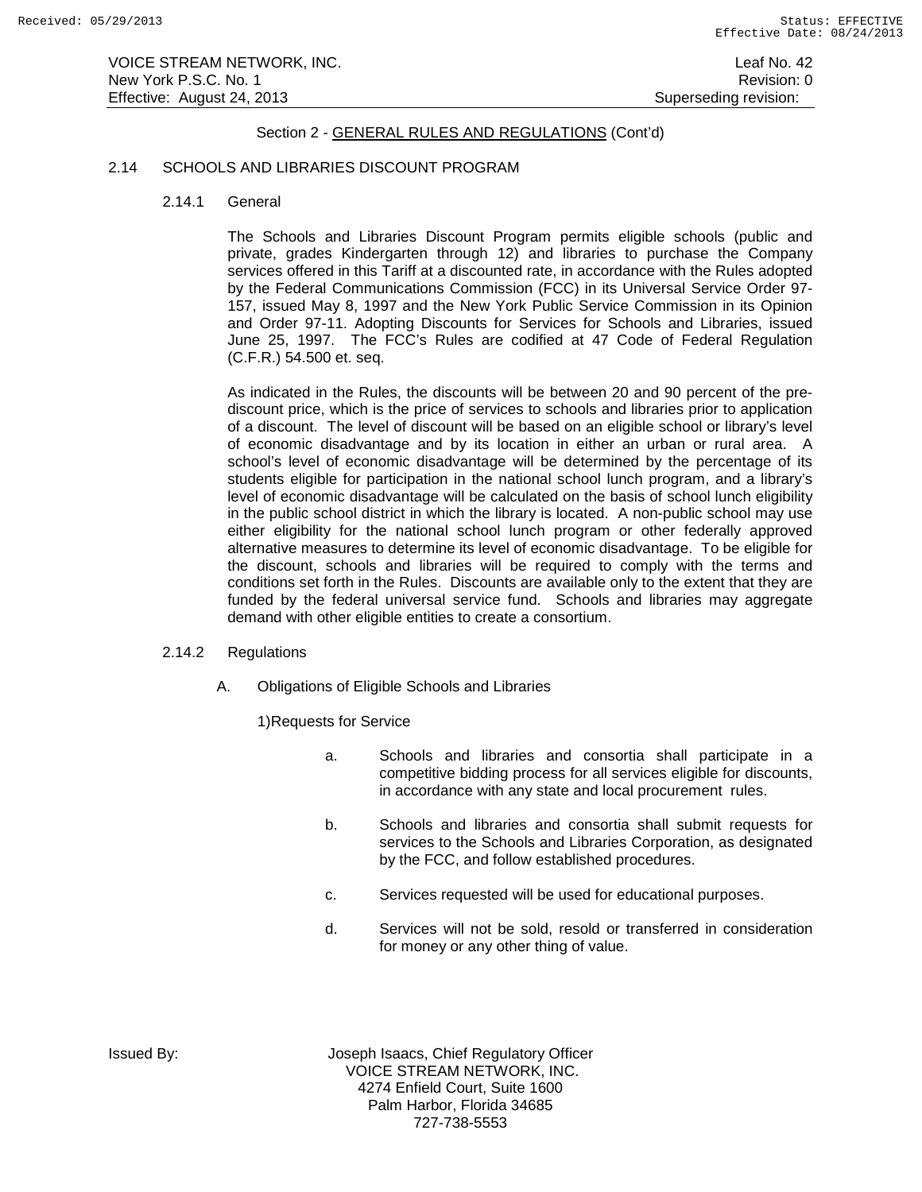## 2.14 SCHOOLS AND LIBRARIES DISCOUNT PROGRAM

2.14.1 General

The Schools and Libraries Discount Program permits eligible schools (public and private, grades Kindergarten through 12) and libraries to purchase the Company services offered in this Tariff at a discounted rate, in accordance with the Rules adopted by the Federal Communications Commission (FCC) in its Universal Service Order 97- 157, issued May 8, 1997 and the New York Public Service Commission in its Opinion and Order 97-11. Adopting Discounts for Services for Schools and Libraries, issued June 25, 1997. The FCC's Rules are codified at 47 Code of Federal Regulation (C.F.R.) 54.500 et. seq.

As indicated in the Rules, the discounts will be between 20 and 90 percent of the prediscount price, which is the price of services to schools and libraries prior to application of a discount. The level of discount will be based on an eligible school or library's level of economic disadvantage and by its location in either an urban or rural area. A school's level of economic disadvantage will be determined by the percentage of its students eligible for participation in the national school lunch program, and a library's level of economic disadvantage will be calculated on the basis of school lunch eligibility in the public school district in which the library is located. A non-public school may use either eligibility for the national school lunch program or other federally approved alternative measures to determine its level of economic disadvantage. To be eligible for the discount, schools and libraries will be required to comply with the terms and conditions set forth in the Rules. Discounts are available only to the extent that they are funded by the federal universal service fund. Schools and libraries may aggregate demand with other eligible entities to create a consortium.

# 2.14.2 Regulations

A. Obligations of Eligible Schools and Libraries

1)Requests for Service

- a. Schools and libraries and consortia shall participate in a competitive bidding process for all services eligible for discounts, in accordance with any state and local procurement rules.
- b. Schools and libraries and consortia shall submit requests for services to the Schools and Libraries Corporation, as designated by the FCC, and follow established procedures.
- c. Services requested will be used for educational purposes.
- d. Services will not be sold, resold or transferred in consideration for money or any other thing of value.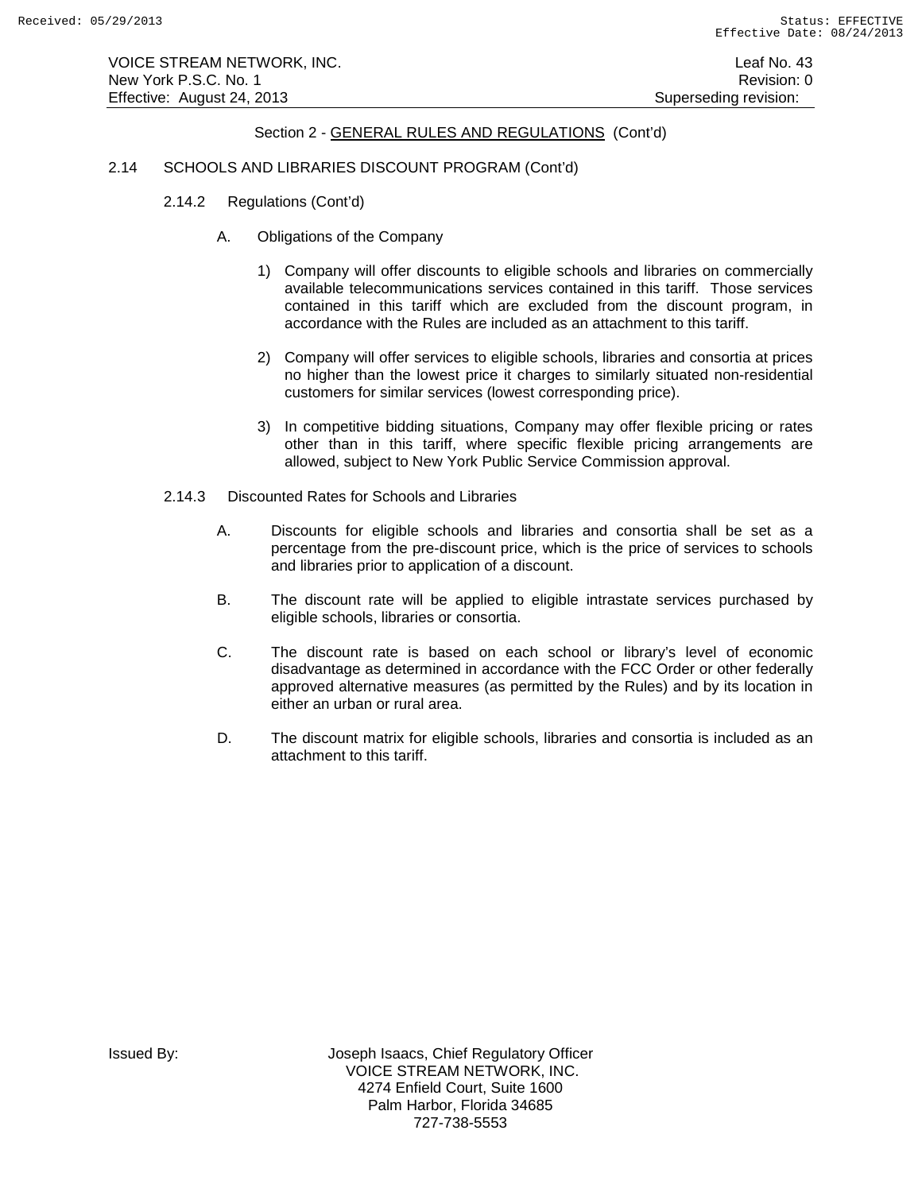# 2.14 SCHOOLS AND LIBRARIES DISCOUNT PROGRAM (Cont'd)

- 2.14.2 Regulations (Cont'd)
	- A. Obligations of the Company
		- 1) Company will offer discounts to eligible schools and libraries on commercially available telecommunications services contained in this tariff. Those services contained in this tariff which are excluded from the discount program, in accordance with the Rules are included as an attachment to this tariff.
		- 2) Company will offer services to eligible schools, libraries and consortia at prices no higher than the lowest price it charges to similarly situated non-residential customers for similar services (lowest corresponding price).
		- 3) In competitive bidding situations, Company may offer flexible pricing or rates other than in this tariff, where specific flexible pricing arrangements are allowed, subject to New York Public Service Commission approval.
- 2.14.3 Discounted Rates for Schools and Libraries
	- A. Discounts for eligible schools and libraries and consortia shall be set as a percentage from the pre-discount price, which is the price of services to schools and libraries prior to application of a discount.
	- B. The discount rate will be applied to eligible intrastate services purchased by eligible schools, libraries or consortia.
	- C. The discount rate is based on each school or library's level of economic disadvantage as determined in accordance with the FCC Order or other federally approved alternative measures (as permitted by the Rules) and by its location in either an urban or rural area.
	- D. The discount matrix for eligible schools, libraries and consortia is included as an attachment to this tariff.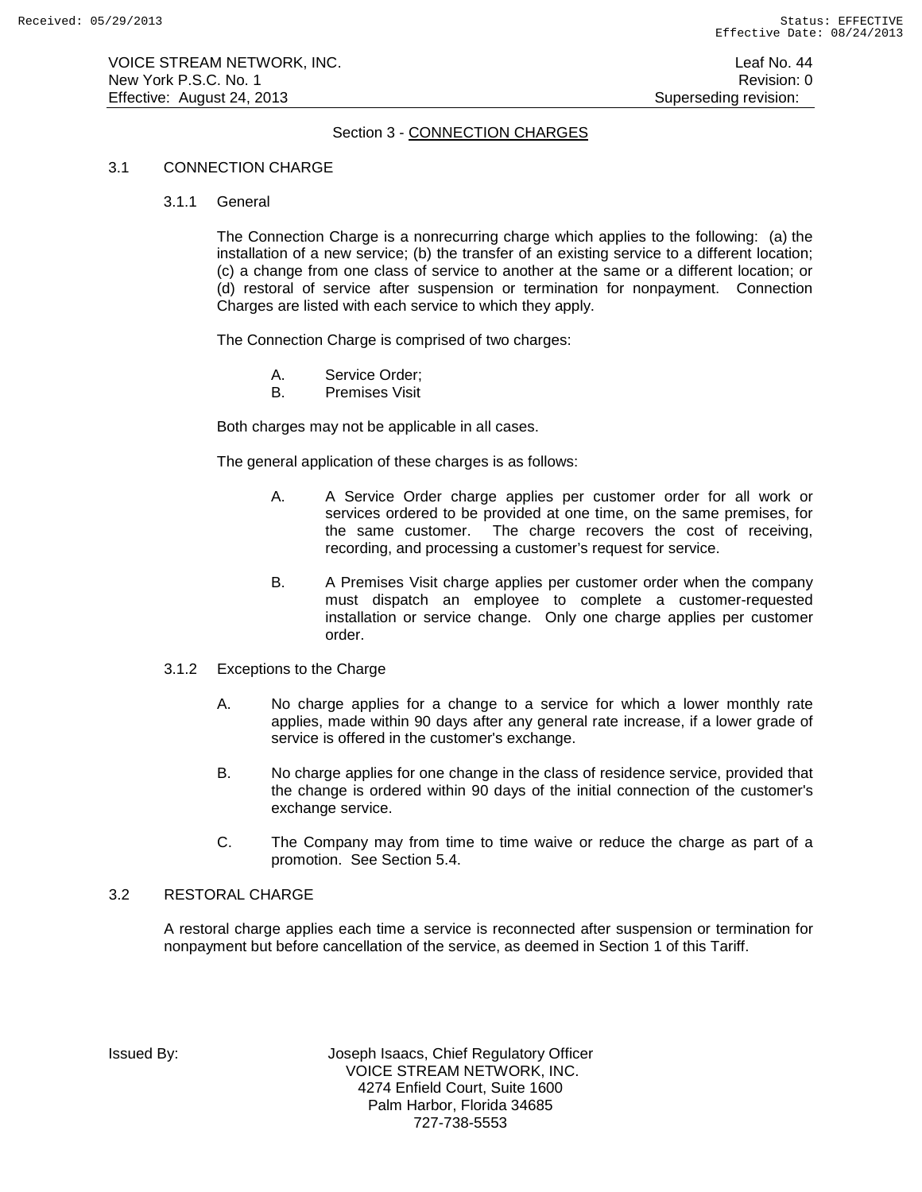# Section 3 - CONNECTION CHARGES

## 3.1 CONNECTION CHARGE

3.1.1 General

The Connection Charge is a nonrecurring charge which applies to the following: (a) the installation of a new service; (b) the transfer of an existing service to a different location; (c) a change from one class of service to another at the same or a different location; or (d) restoral of service after suspension or termination for nonpayment. Connection Charges are listed with each service to which they apply.

The Connection Charge is comprised of two charges:

- A. Service Order;<br>B. Premises Visit
- Premises Visit

Both charges may not be applicable in all cases.

The general application of these charges is as follows:

- A. A Service Order charge applies per customer order for all work or services ordered to be provided at one time, on the same premises, for the same customer. The charge recovers the cost of receiving, recording, and processing a customer's request for service.
- B. A Premises Visit charge applies per customer order when the company must dispatch an employee to complete a customer-requested installation or service change. Only one charge applies per customer order.
- 3.1.2 Exceptions to the Charge
	- A. No charge applies for a change to a service for which a lower monthly rate applies, made within 90 days after any general rate increase, if a lower grade of service is offered in the customer's exchange.
	- B. No charge applies for one change in the class of residence service, provided that the change is ordered within 90 days of the initial connection of the customer's exchange service.
	- C. The Company may from time to time waive or reduce the charge as part of a promotion. See Section 5.4.

## 3.2 RESTORAL CHARGE

A restoral charge applies each time a service is reconnected after suspension or termination for nonpayment but before cancellation of the service, as deemed in Section 1 of this Tariff.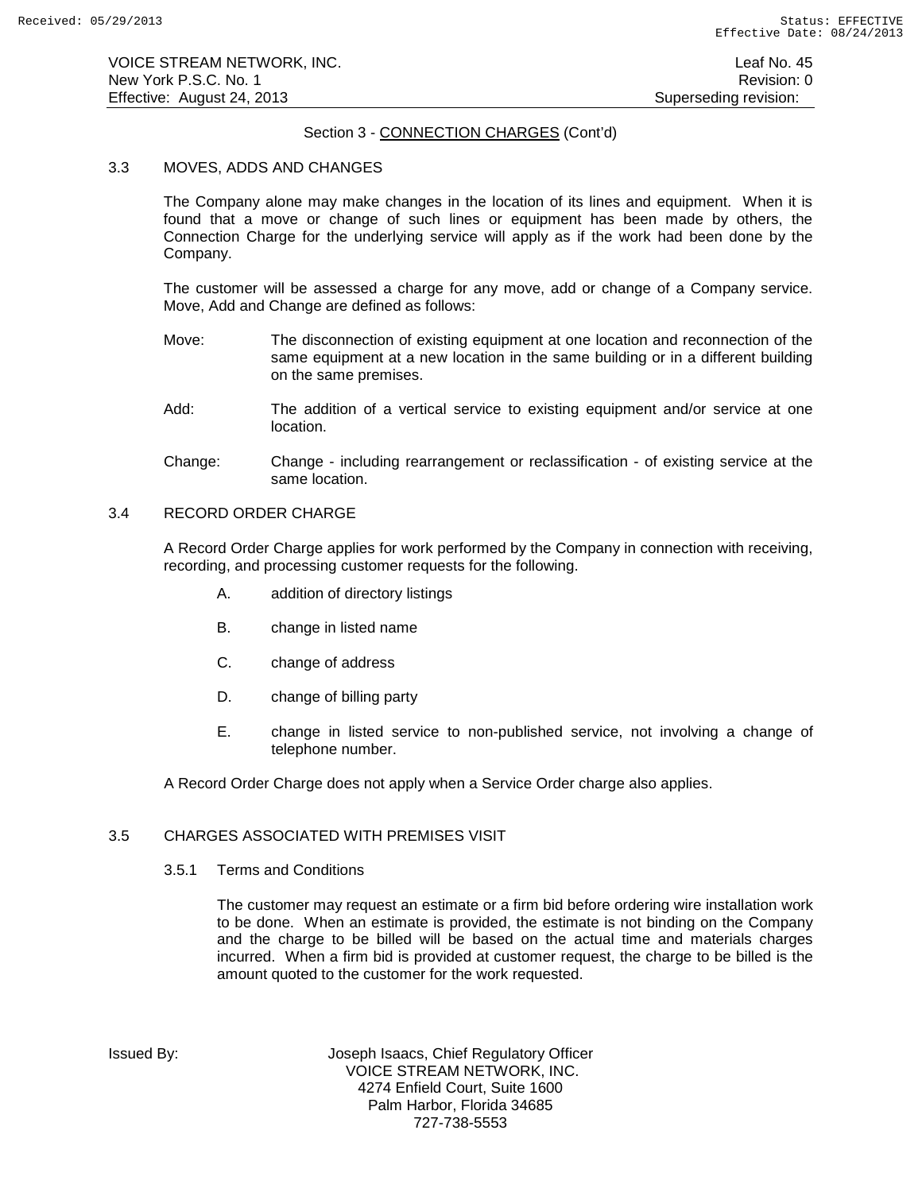# Section 3 - CONNECTION CHARGES (Cont'd)

## 3.3 MOVES, ADDS AND CHANGES

The Company alone may make changes in the location of its lines and equipment. When it is found that a move or change of such lines or equipment has been made by others, the Connection Charge for the underlying service will apply as if the work had been done by the Company.

The customer will be assessed a charge for any move, add or change of a Company service. Move, Add and Change are defined as follows:

- Move: The disconnection of existing equipment at one location and reconnection of the same equipment at a new location in the same building or in a different building on the same premises.
- Add: The addition of a vertical service to existing equipment and/or service at one location.
- Change: Change including rearrangement or reclassification of existing service at the same location.

## 3.4 RECORD ORDER CHARGE

A Record Order Charge applies for work performed by the Company in connection with receiving, recording, and processing customer requests for the following.

- A. addition of directory listings
- B. change in listed name
- C. change of address
- D. change of billing party
- E. change in listed service to non-published service, not involving a change of telephone number.

A Record Order Charge does not apply when a Service Order charge also applies.

# 3.5 CHARGES ASSOCIATED WITH PREMISES VISIT

3.5.1 Terms and Conditions

The customer may request an estimate or a firm bid before ordering wire installation work to be done. When an estimate is provided, the estimate is not binding on the Company and the charge to be billed will be based on the actual time and materials charges incurred. When a firm bid is provided at customer request, the charge to be billed is the amount quoted to the customer for the work requested.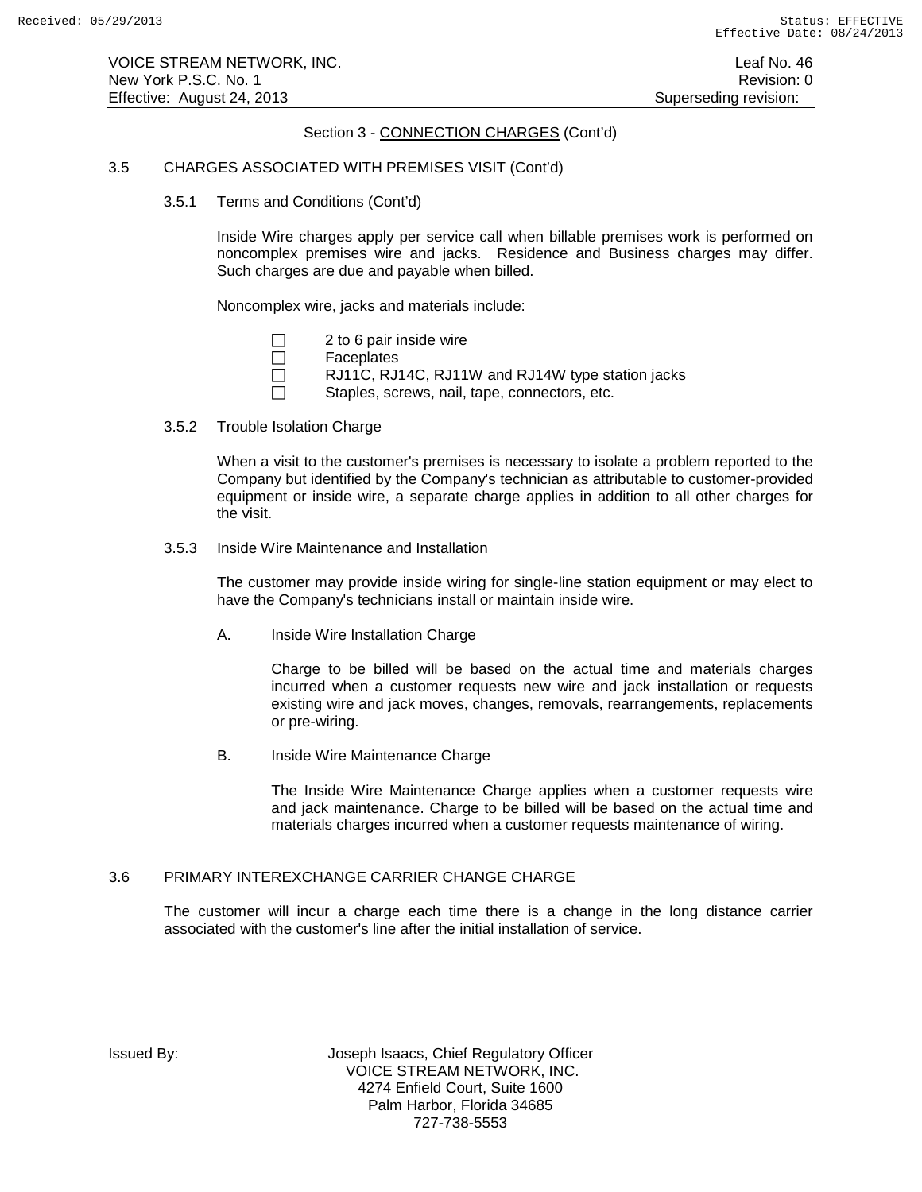# Section 3 - CONNECTION CHARGES (Cont'd)

# 3.5 CHARGES ASSOCIATED WITH PREMISES VISIT (Cont'd)

3.5.1 Terms and Conditions (Cont'd)

Inside Wire charges apply per service call when billable premises work is performed on noncomplex premises wire and jacks. Residence and Business charges may differ. Such charges are due and payable when billed.

Noncomplex wire, jacks and materials include:

| $\Box$ |  |  |  | 2 to 6 pair inside wire |  |
|--------|--|--|--|-------------------------|--|
|--------|--|--|--|-------------------------|--|

- □ Faceplates
- $\Box$  RJ11C, RJ14C, RJ11W and RJ14W type station jacks

 $\Box$  Staples, screws, nail, tape, connectors, etc.

3.5.2 Trouble Isolation Charge

When a visit to the customer's premises is necessary to isolate a problem reported to the Company but identified by the Company's technician as attributable to customer-provided equipment or inside wire, a separate charge applies in addition to all other charges for the visit.

3.5.3 Inside Wire Maintenance and Installation

The customer may provide inside wiring for single-line station equipment or may elect to have the Company's technicians install or maintain inside wire.

A. Inside Wire Installation Charge

Charge to be billed will be based on the actual time and materials charges incurred when a customer requests new wire and jack installation or requests existing wire and jack moves, changes, removals, rearrangements, replacements or pre-wiring.

B. Inside Wire Maintenance Charge

The Inside Wire Maintenance Charge applies when a customer requests wire and jack maintenance. Charge to be billed will be based on the actual time and materials charges incurred when a customer requests maintenance of wiring.

## 3.6 PRIMARY INTEREXCHANGE CARRIER CHANGE CHARGE

The customer will incur a charge each time there is a change in the long distance carrier associated with the customer's line after the initial installation of service.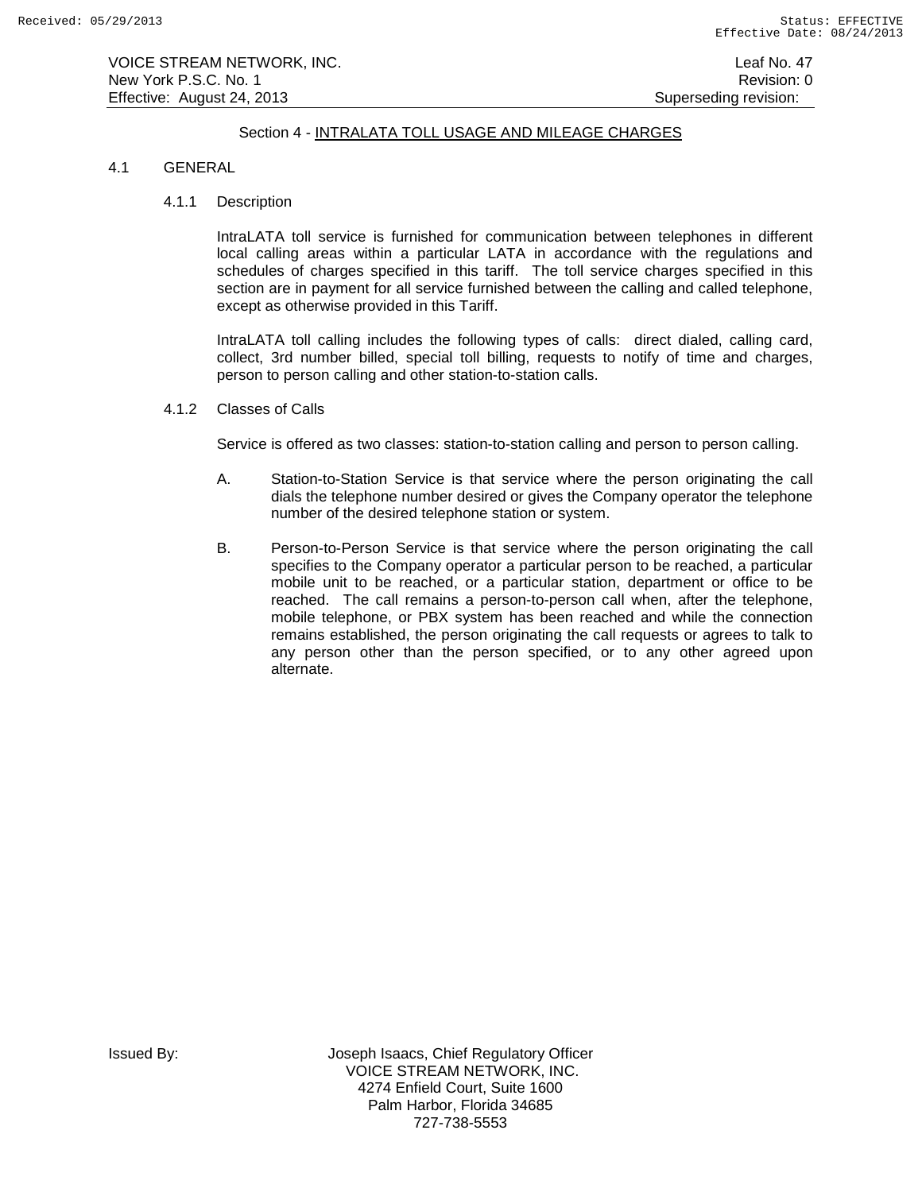VOICE STREAM NETWORK, INC. Leaf No. 47 New York P.S.C. No. 1 **New York P.S.C.** No. 1 Effective: August 24, 2013 **Superseding revision:** Superseding revision:

# Section 4 - INTRALATA TOLL USAGE AND MILEAGE CHARGES

## 4.1 GENERAL

## 4.1.1 Description

IntraLATA toll service is furnished for communication between telephones in different local calling areas within a particular LATA in accordance with the regulations and schedules of charges specified in this tariff. The toll service charges specified in this section are in payment for all service furnished between the calling and called telephone, except as otherwise provided in this Tariff.

IntraLATA toll calling includes the following types of calls: direct dialed, calling card, collect, 3rd number billed, special toll billing, requests to notify of time and charges, person to person calling and other station-to-station calls.

4.1.2 Classes of Calls

Service is offered as two classes: station-to-station calling and person to person calling.

- A. Station-to-Station Service is that service where the person originating the call dials the telephone number desired or gives the Company operator the telephone number of the desired telephone station or system.
- B. Person-to-Person Service is that service where the person originating the call specifies to the Company operator a particular person to be reached, a particular mobile unit to be reached, or a particular station, department or office to be reached. The call remains a person-to-person call when, after the telephone, mobile telephone, or PBX system has been reached and while the connection remains established, the person originating the call requests or agrees to talk to any person other than the person specified, or to any other agreed upon alternate.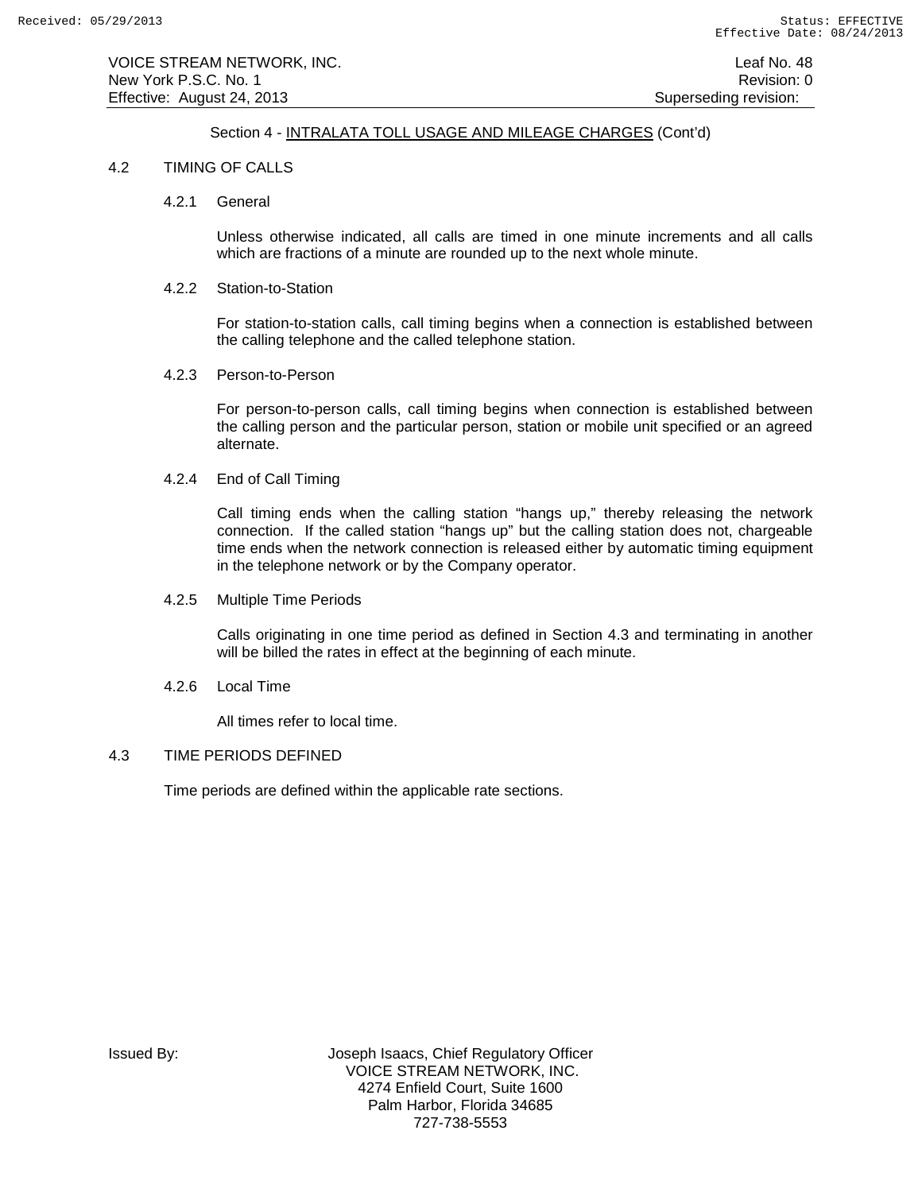# Section 4 - INTRALATA TOLL USAGE AND MILEAGE CHARGES (Cont'd)

## 4.2 TIMING OF CALLS

4.2.1 General

Unless otherwise indicated, all calls are timed in one minute increments and all calls which are fractions of a minute are rounded up to the next whole minute.

#### 4.2.2 Station-to-Station

For station-to-station calls, call timing begins when a connection is established between the calling telephone and the called telephone station.

#### 4.2.3 Person-to-Person

For person-to-person calls, call timing begins when connection is established between the calling person and the particular person, station or mobile unit specified or an agreed alternate.

## 4.2.4 End of Call Timing

Call timing ends when the calling station "hangs up," thereby releasing the network connection. If the called station "hangs up" but the calling station does not, chargeable time ends when the network connection is released either by automatic timing equipment in the telephone network or by the Company operator.

4.2.5 Multiple Time Periods

Calls originating in one time period as defined in Section 4.3 and terminating in another will be billed the rates in effect at the beginning of each minute.

4.2.6 Local Time

All times refer to local time.

## 4.3 TIME PERIODS DEFINED

Time periods are defined within the applicable rate sections.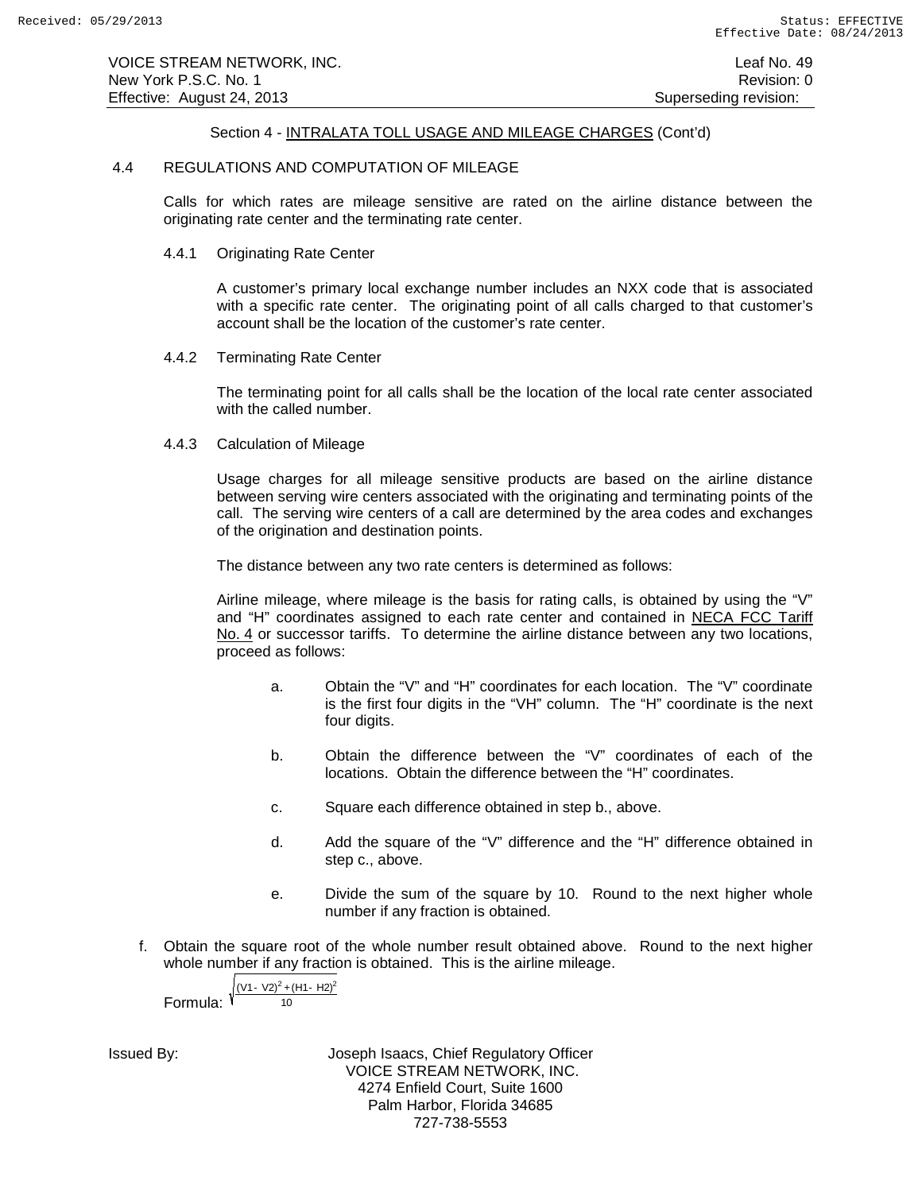# Section 4 - INTRALATA TOLL USAGE AND MILEAGE CHARGES (Cont'd)

### 4.4 REGULATIONS AND COMPUTATION OF MILEAGE

Calls for which rates are mileage sensitive are rated on the airline distance between the originating rate center and the terminating rate center.

## 4.4.1 Originating Rate Center

A customer's primary local exchange number includes an NXX code that is associated with a specific rate center. The originating point of all calls charged to that customer's account shall be the location of the customer's rate center.

## 4.4.2 Terminating Rate Center

The terminating point for all calls shall be the location of the local rate center associated with the called number.

4.4.3 Calculation of Mileage

Usage charges for all mileage sensitive products are based on the airline distance between serving wire centers associated with the originating and terminating points of the call. The serving wire centers of a call are determined by the area codes and exchanges of the origination and destination points.

The distance between any two rate centers is determined as follows:

Airline mileage, where mileage is the basis for rating calls, is obtained by using the "V" and "H" coordinates assigned to each rate center and contained in NECA FCC Tariff No. 4 or successor tariffs. To determine the airline distance between any two locations, proceed as follows:

- a. Obtain the "V" and "H" coordinates for each location. The "V" coordinate is the first four digits in the "VH" column. The "H" coordinate is the next four digits.
- b. Obtain the difference between the "V" coordinates of each of the locations. Obtain the difference between the "H" coordinates.
- c. Square each difference obtained in step b., above.
- d. Add the square of the "V" difference and the "H" difference obtained in step c., above.
- e. Divide the sum of the square by 10. Round to the next higher whole number if any fraction is obtained.
- f. Obtain the square root of the whole number result obtained above. Round to the next higher whole number if any fraction is obtained. This is the airline mileage.

Formula: 
$$
\sqrt{\frac{(V1 - V2)^2 + (H1 - H2)^2}{10}}
$$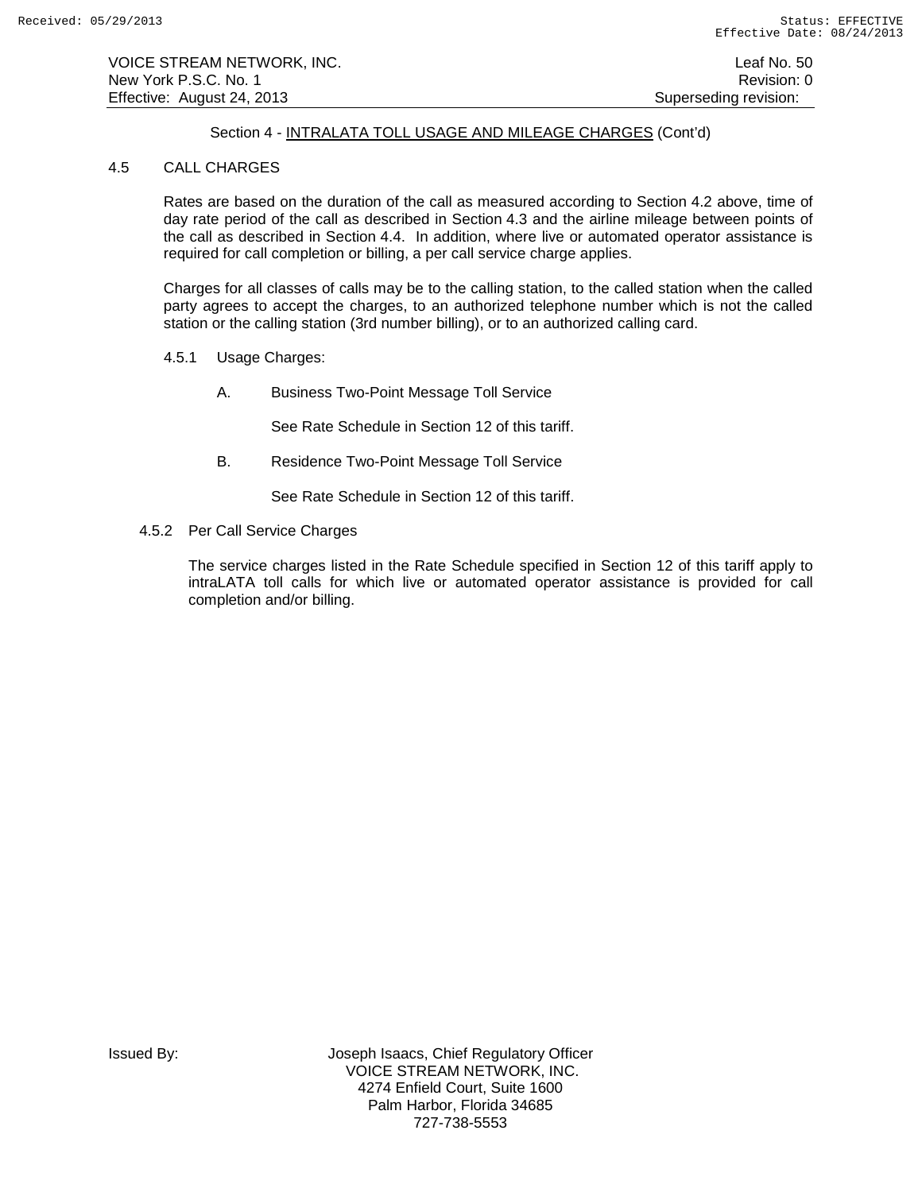VOICE STREAM NETWORK, INC. Leaf No. 50 New York P.S.C. No. 1 **New York P.S.C.** No. 1 Effective: August 24, 2013 **Superseding revision:** Superseding revision:

# Section 4 - INTRALATA TOLL USAGE AND MILEAGE CHARGES (Cont'd)

## 4.5 CALL CHARGES

Rates are based on the duration of the call as measured according to Section 4.2 above, time of day rate period of the call as described in Section 4.3 and the airline mileage between points of the call as described in Section 4.4. In addition, where live or automated operator assistance is required for call completion or billing, a per call service charge applies.

Charges for all classes of calls may be to the calling station, to the called station when the called party agrees to accept the charges, to an authorized telephone number which is not the called station or the calling station (3rd number billing), or to an authorized calling card.

- 4.5.1 Usage Charges:
	- A. Business Two-Point Message Toll Service

See Rate Schedule in Section 12 of this tariff.

B. Residence Two-Point Message Toll Service

See Rate Schedule in Section 12 of this tariff.

4.5.2 Per Call Service Charges

The service charges listed in the Rate Schedule specified in Section 12 of this tariff apply to intraLATA toll calls for which live or automated operator assistance is provided for call completion and/or billing.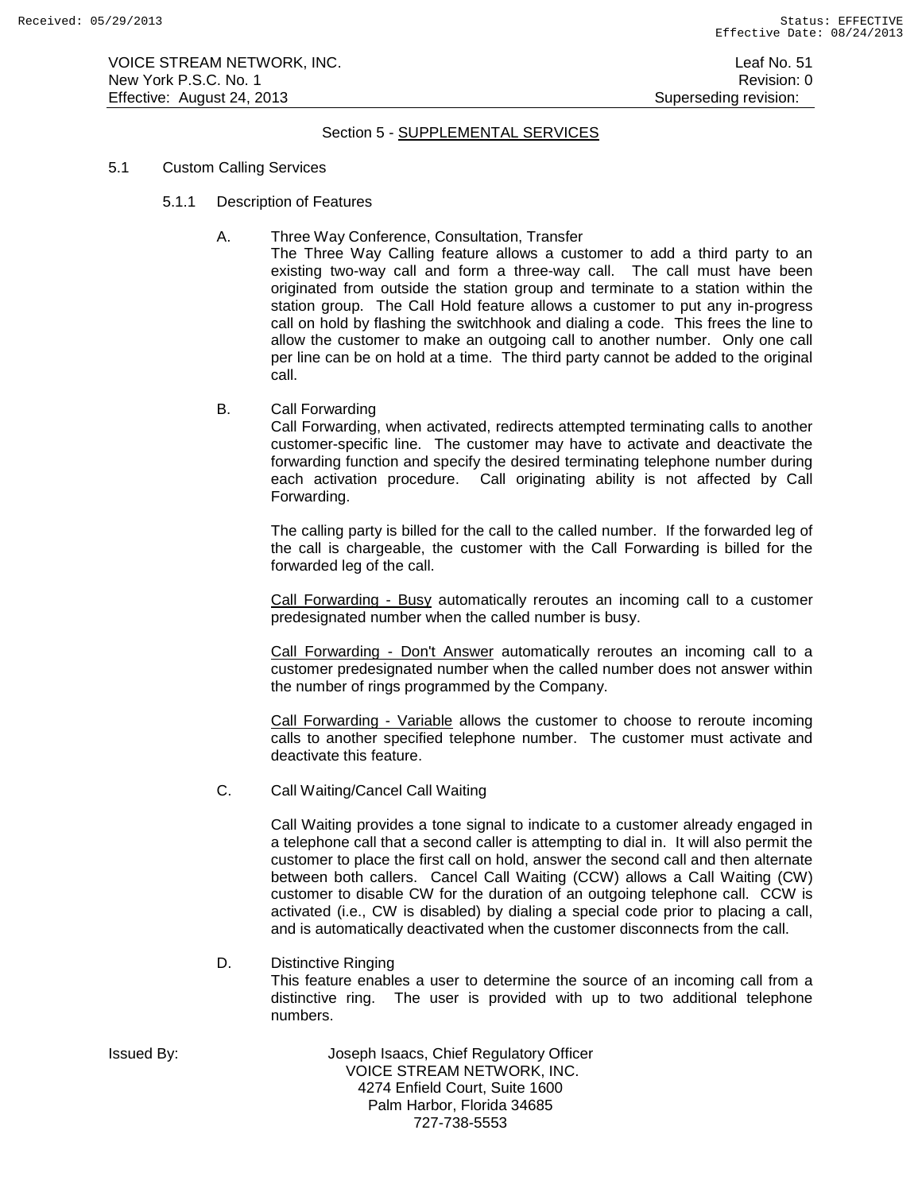# Section 5 - SUPPLEMENTAL SERVICES

## 5.1 Custom Calling Services

- 5.1.1 Description of Features
	- A. Three Way Conference, Consultation, Transfer

The Three Way Calling feature allows a customer to add a third party to an existing two-way call and form a three-way call. The call must have been originated from outside the station group and terminate to a station within the station group. The Call Hold feature allows a customer to put any in-progress call on hold by flashing the switchhook and dialing a code. This frees the line to allow the customer to make an outgoing call to another number. Only one call per line can be on hold at a time. The third party cannot be added to the original call.

B. Call Forwarding

Call Forwarding, when activated, redirects attempted terminating calls to another customer-specific line. The customer may have to activate and deactivate the forwarding function and specify the desired terminating telephone number during each activation procedure. Call originating ability is not affected by Call Forwarding.

The calling party is billed for the call to the called number. If the forwarded leg of the call is chargeable, the customer with the Call Forwarding is billed for the forwarded leg of the call.

Call Forwarding - Busy automatically reroutes an incoming call to a customer predesignated number when the called number is busy.

Call Forwarding - Don't Answer automatically reroutes an incoming call to a customer predesignated number when the called number does not answer within the number of rings programmed by the Company.

Call Forwarding - Variable allows the customer to choose to reroute incoming calls to another specified telephone number. The customer must activate and deactivate this feature.

C. Call Waiting/Cancel Call Waiting

Call Waiting provides a tone signal to indicate to a customer already engaged in a telephone call that a second caller is attempting to dial in. It will also permit the customer to place the first call on hold, answer the second call and then alternate between both callers. Cancel Call Waiting (CCW) allows a Call Waiting (CW) customer to disable CW for the duration of an outgoing telephone call. CCW is activated (i.e., CW is disabled) by dialing a special code prior to placing a call, and is automatically deactivated when the customer disconnects from the call.

## D. Distinctive Ringing

This feature enables a user to determine the source of an incoming call from a distinctive ring. The user is provided with up to two additional telephone numbers.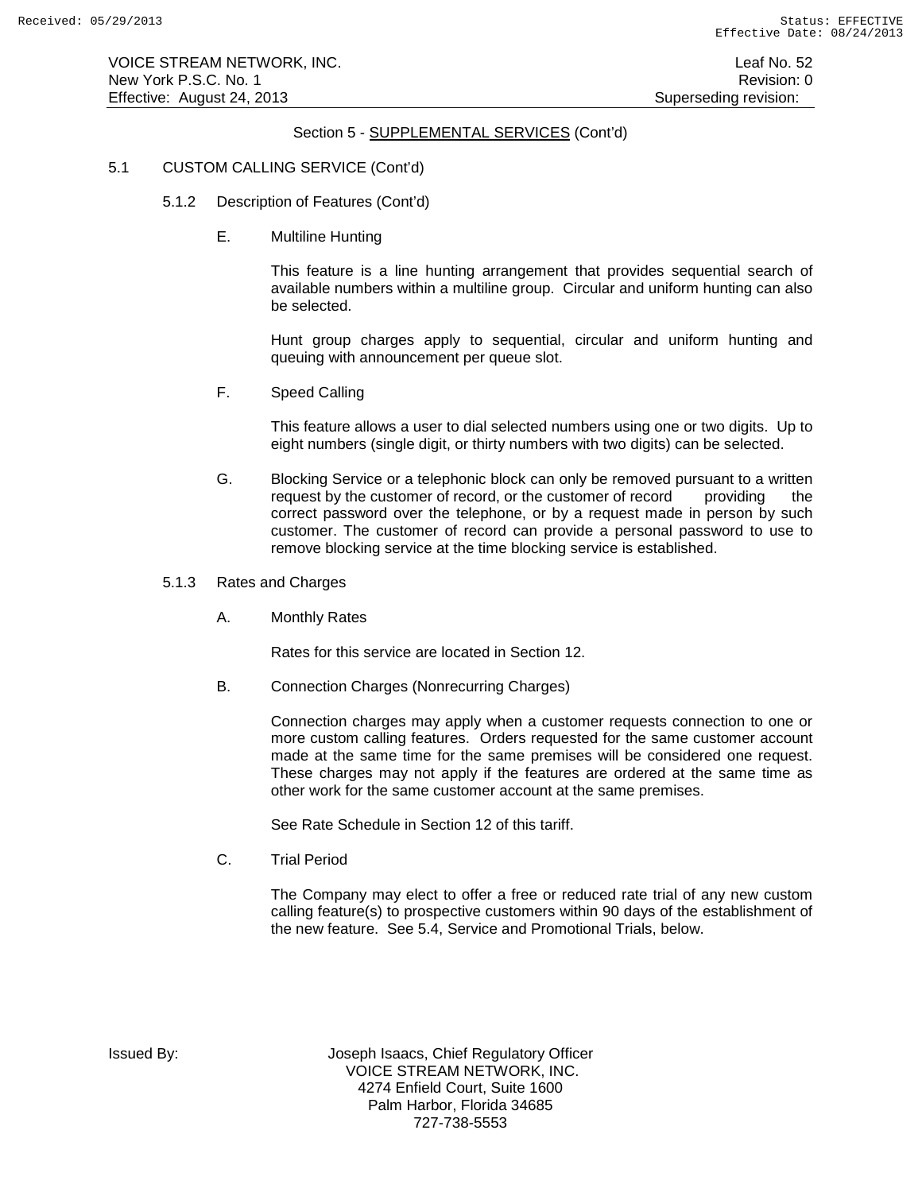# 5.1 CUSTOM CALLING SERVICE (Cont'd)

- 5.1.2 Description of Features (Cont'd)
	- E. Multiline Hunting

This feature is a line hunting arrangement that provides sequential search of available numbers within a multiline group. Circular and uniform hunting can also be selected.

Hunt group charges apply to sequential, circular and uniform hunting and queuing with announcement per queue slot.

F. Speed Calling

This feature allows a user to dial selected numbers using one or two digits. Up to eight numbers (single digit, or thirty numbers with two digits) can be selected.

- G. Blocking Service or a telephonic block can only be removed pursuant to a written request by the customer of record, or the customer of record providing the correct password over the telephone, or by a request made in person by such customer. The customer of record can provide a personal password to use to remove blocking service at the time blocking service is established.
- 5.1.3 Rates and Charges
	- A. Monthly Rates

Rates for this service are located in Section 12.

B. Connection Charges (Nonrecurring Charges)

Connection charges may apply when a customer requests connection to one or more custom calling features. Orders requested for the same customer account made at the same time for the same premises will be considered one request. These charges may not apply if the features are ordered at the same time as other work for the same customer account at the same premises.

See Rate Schedule in Section 12 of this tariff.

C. Trial Period

The Company may elect to offer a free or reduced rate trial of any new custom calling feature(s) to prospective customers within 90 days of the establishment of the new feature. See 5.4, Service and Promotional Trials, below.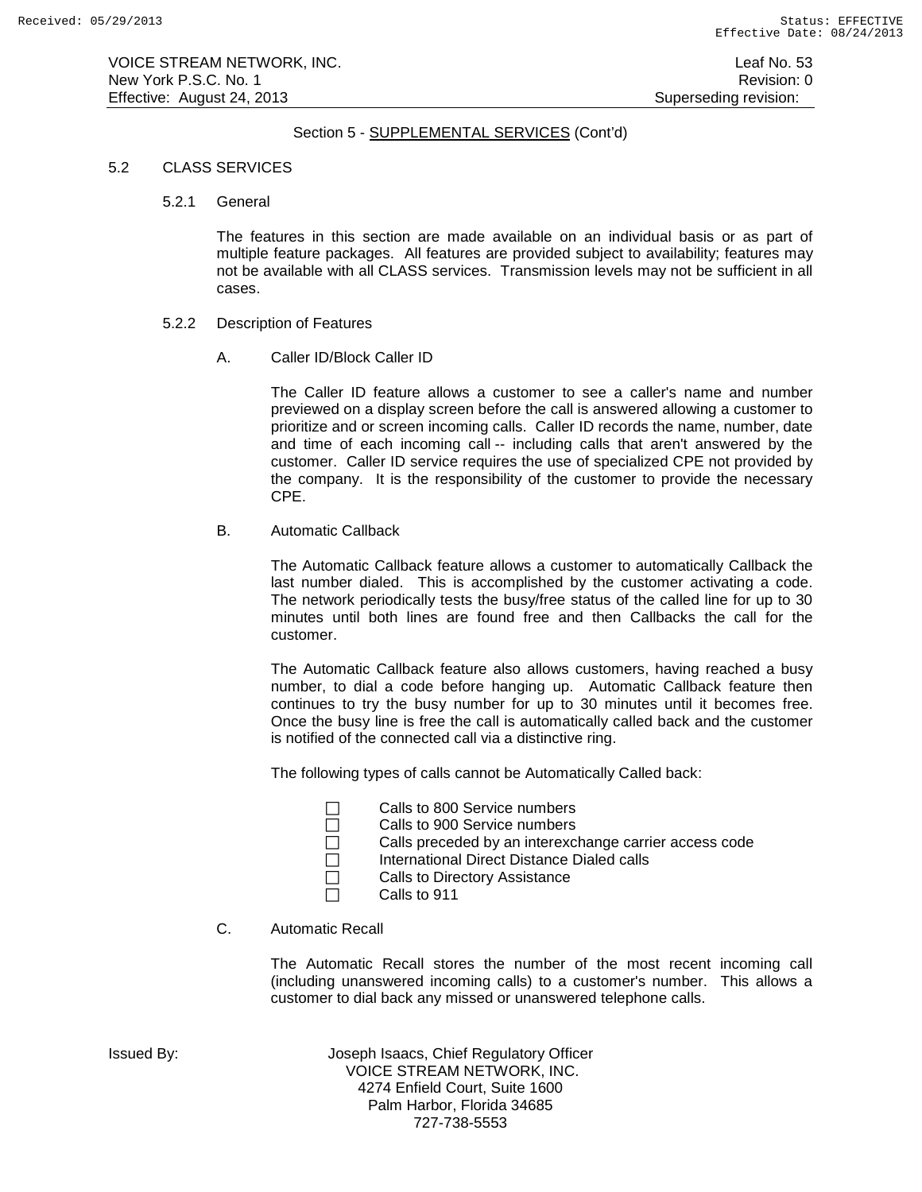## 5.2 CLASS SERVICES

5.2.1 General

The features in this section are made available on an individual basis or as part of multiple feature packages. All features are provided subject to availability; features may not be available with all CLASS services. Transmission levels may not be sufficient in all cases.

- 5.2.2 Description of Features
	- A. Caller ID/Block Caller ID

The Caller ID feature allows a customer to see a caller's name and number previewed on a display screen before the call is answered allowing a customer to prioritize and or screen incoming calls. Caller ID records the name, number, date and time of each incoming call -- including calls that aren't answered by the customer. Caller ID service requires the use of specialized CPE not provided by the company. It is the responsibility of the customer to provide the necessary CPE.

B. Automatic Callback

The Automatic Callback feature allows a customer to automatically Callback the last number dialed. This is accomplished by the customer activating a code. The network periodically tests the busy/free status of the called line for up to 30 minutes until both lines are found free and then Callbacks the call for the customer.

The Automatic Callback feature also allows customers, having reached a busy number, to dial a code before hanging up. Automatic Callback feature then continues to try the busy number for up to 30 minutes until it becomes free. Once the busy line is free the call is automatically called back and the customer is notified of the connected call via a distinctive ring.

The following types of calls cannot be Automatically Called back:

- □ Calls to 800 Service numbers
- □ Calls to 900 Service numbers
- □ Calls preceded by an interexchange carrier access code<br>□ International Direct Distance Dialed calls
	- International Direct Distance Dialed calls
- □ Calls to Directory Assistance
- $\Box$  Calls to 911

# C. Automatic Recall

The Automatic Recall stores the number of the most recent incoming call (including unanswered incoming calls) to a customer's number. This allows a customer to dial back any missed or unanswered telephone calls.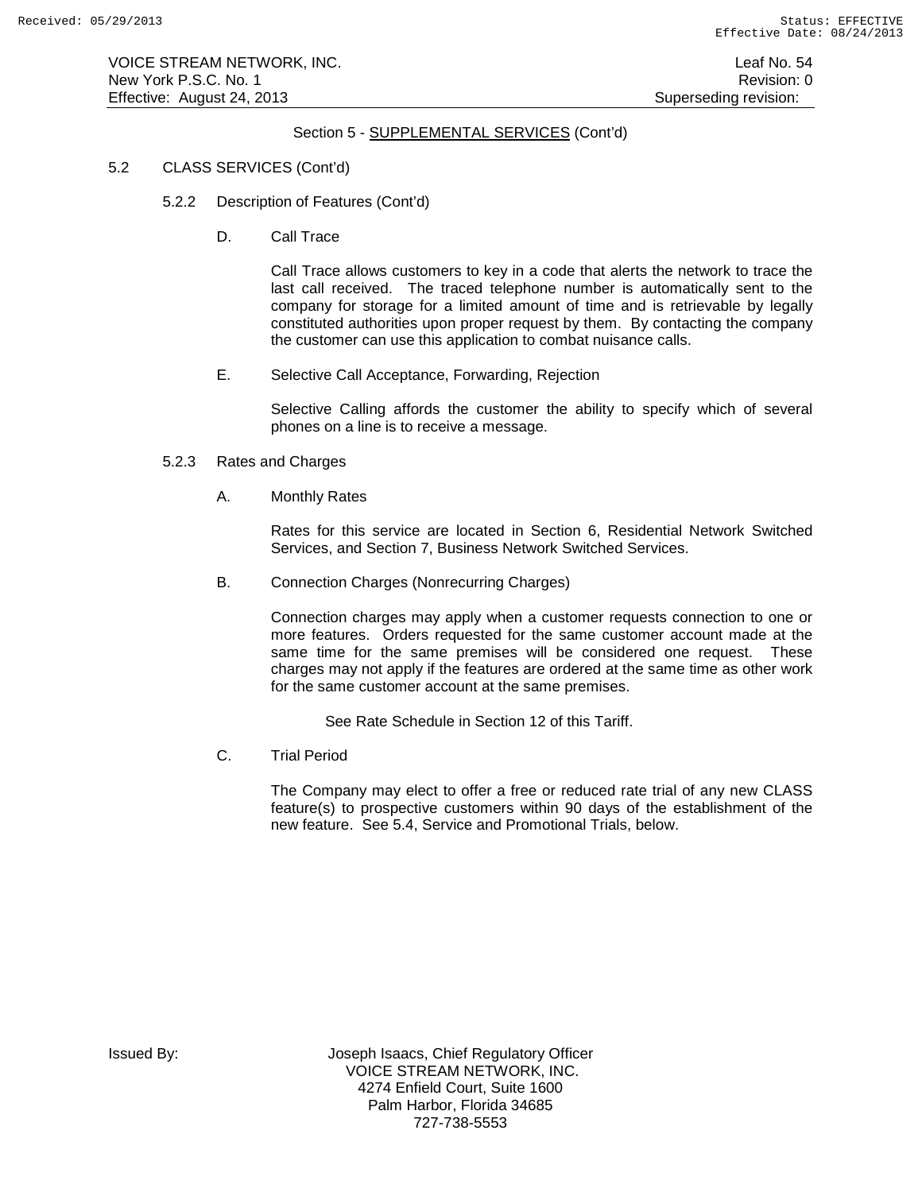VOICE STREAM NETWORK, INC. Leaf No. 54 New York P.S.C. No. 1 **New York P.S.C.** No. 1 Effective: August 24, 2013 **Superseding revision:** Superseding revision:

# Section 5 - SUPPLEMENTAL SERVICES (Cont'd)

## 5.2 CLASS SERVICES (Cont'd)

- 5.2.2 Description of Features (Cont'd)
	- D. Call Trace

Call Trace allows customers to key in a code that alerts the network to trace the last call received. The traced telephone number is automatically sent to the company for storage for a limited amount of time and is retrievable by legally constituted authorities upon proper request by them. By contacting the company the customer can use this application to combat nuisance calls.

E. Selective Call Acceptance, Forwarding, Rejection

Selective Calling affords the customer the ability to specify which of several phones on a line is to receive a message.

## 5.2.3 Rates and Charges

A. Monthly Rates

Rates for this service are located in Section 6, Residential Network Switched Services, and Section 7, Business Network Switched Services.

B. Connection Charges (Nonrecurring Charges)

Connection charges may apply when a customer requests connection to one or more features. Orders requested for the same customer account made at the same time for the same premises will be considered one request. These charges may not apply if the features are ordered at the same time as other work for the same customer account at the same premises.

See Rate Schedule in Section 12 of this Tariff.

C. Trial Period

The Company may elect to offer a free or reduced rate trial of any new CLASS feature(s) to prospective customers within 90 days of the establishment of the new feature. See 5.4, Service and Promotional Trials, below.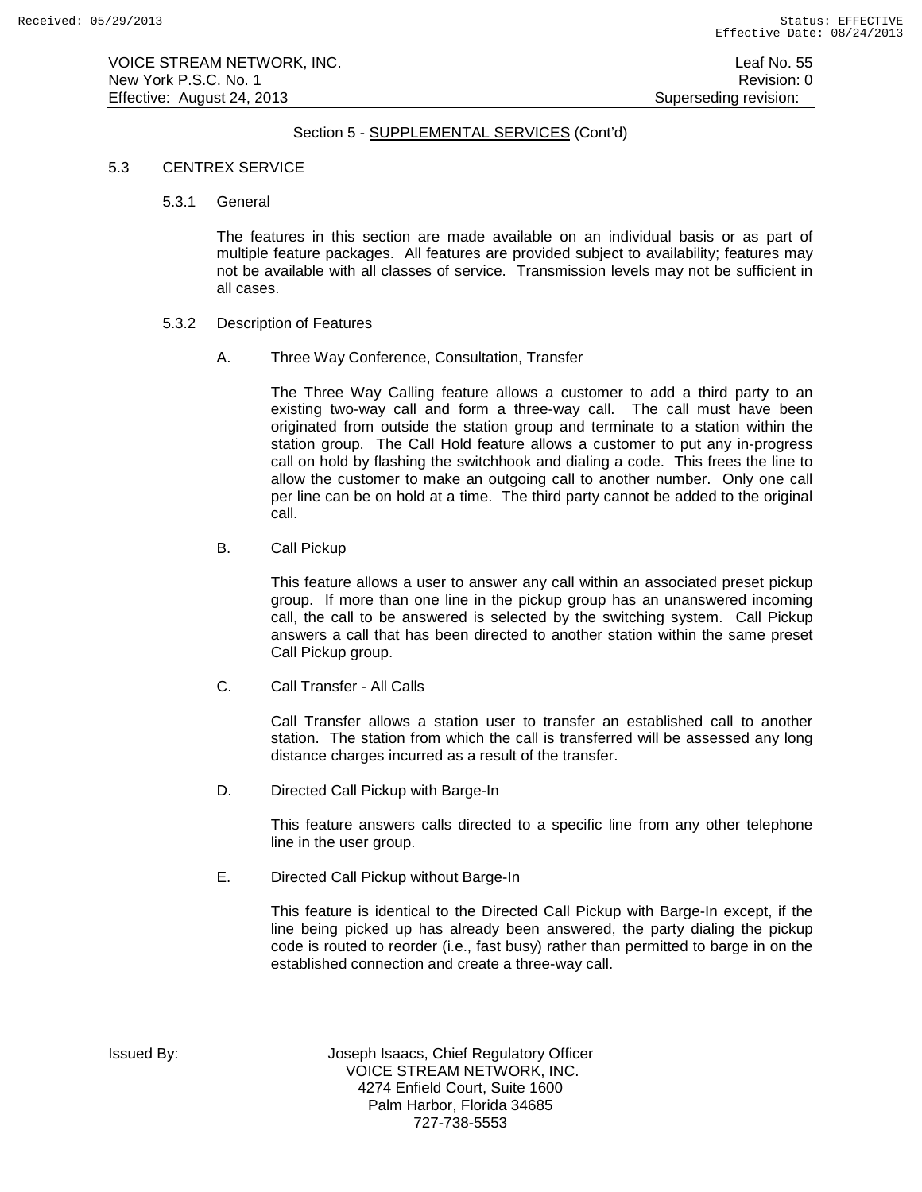## 5.3 CENTREX SERVICE

5.3.1 General

The features in this section are made available on an individual basis or as part of multiple feature packages. All features are provided subject to availability; features may not be available with all classes of service. Transmission levels may not be sufficient in all cases.

- 5.3.2 Description of Features
	- A. Three Way Conference, Consultation, Transfer

The Three Way Calling feature allows a customer to add a third party to an existing two-way call and form a three-way call. The call must have been originated from outside the station group and terminate to a station within the station group. The Call Hold feature allows a customer to put any in-progress call on hold by flashing the switchhook and dialing a code. This frees the line to allow the customer to make an outgoing call to another number. Only one call per line can be on hold at a time. The third party cannot be added to the original call.

B. Call Pickup

This feature allows a user to answer any call within an associated preset pickup group. If more than one line in the pickup group has an unanswered incoming call, the call to be answered is selected by the switching system. Call Pickup answers a call that has been directed to another station within the same preset Call Pickup group.

C. Call Transfer - All Calls

Call Transfer allows a station user to transfer an established call to another station. The station from which the call is transferred will be assessed any long distance charges incurred as a result of the transfer.

D. Directed Call Pickup with Barge-In

This feature answers calls directed to a specific line from any other telephone line in the user group.

E. Directed Call Pickup without Barge-In

This feature is identical to the Directed Call Pickup with Barge-In except, if the line being picked up has already been answered, the party dialing the pickup code is routed to reorder (i.e., fast busy) rather than permitted to barge in on the established connection and create a three-way call.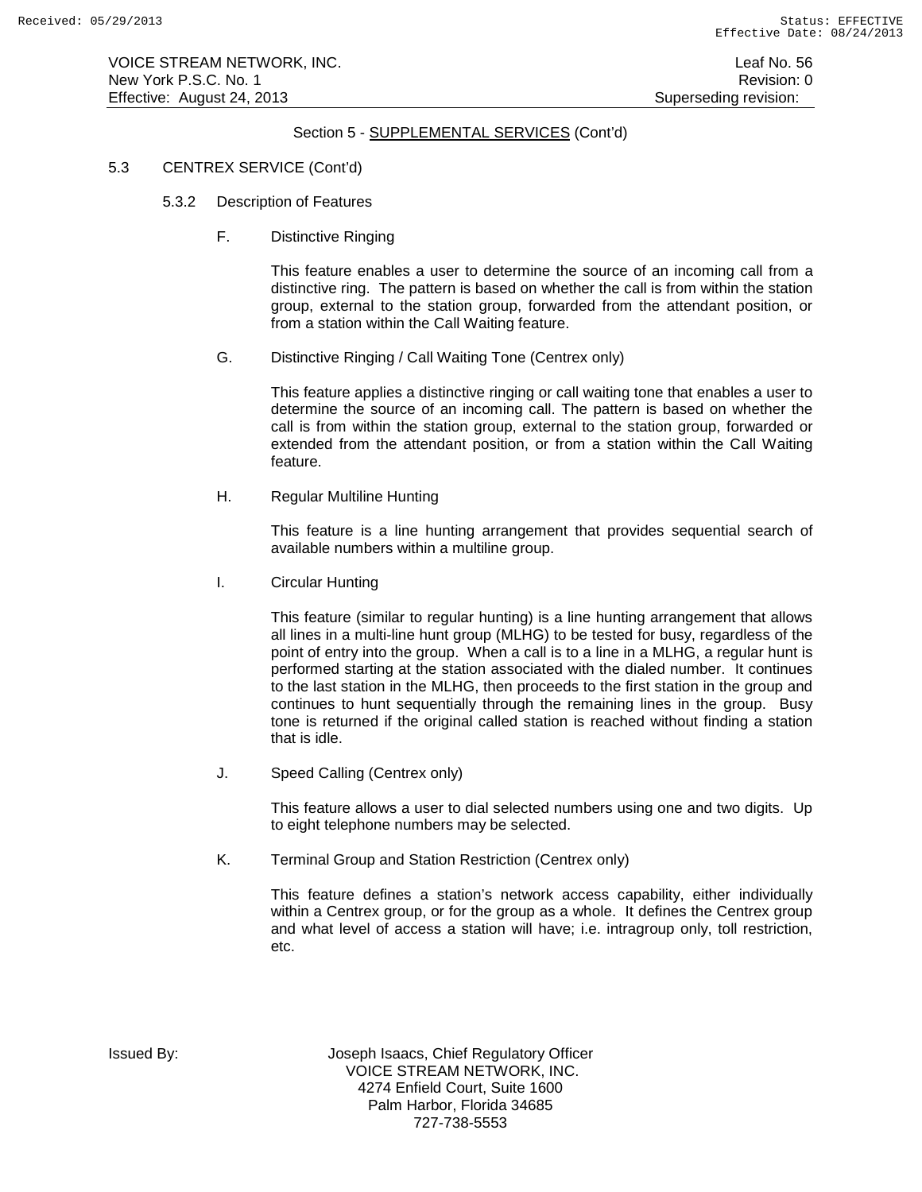# 5.3 CENTREX SERVICE (Cont'd)

- 5.3.2 Description of Features
	- F. Distinctive Ringing

This feature enables a user to determine the source of an incoming call from a distinctive ring. The pattern is based on whether the call is from within the station group, external to the station group, forwarded from the attendant position, or from a station within the Call Waiting feature.

G. Distinctive Ringing / Call Waiting Tone (Centrex only)

This feature applies a distinctive ringing or call waiting tone that enables a user to determine the source of an incoming call. The pattern is based on whether the call is from within the station group, external to the station group, forwarded or extended from the attendant position, or from a station within the Call Waiting feature.

H. Regular Multiline Hunting

This feature is a line hunting arrangement that provides sequential search of available numbers within a multiline group.

I. Circular Hunting

This feature (similar to regular hunting) is a line hunting arrangement that allows all lines in a multi-line hunt group (MLHG) to be tested for busy, regardless of the point of entry into the group. When a call is to a line in a MLHG, a regular hunt is performed starting at the station associated with the dialed number. It continues to the last station in the MLHG, then proceeds to the first station in the group and continues to hunt sequentially through the remaining lines in the group. Busy tone is returned if the original called station is reached without finding a station that is idle.

J. Speed Calling (Centrex only)

This feature allows a user to dial selected numbers using one and two digits. Up to eight telephone numbers may be selected.

K. Terminal Group and Station Restriction (Centrex only)

This feature defines a station's network access capability, either individually within a Centrex group, or for the group as a whole. It defines the Centrex group and what level of access a station will have; i.e. intragroup only, toll restriction, etc.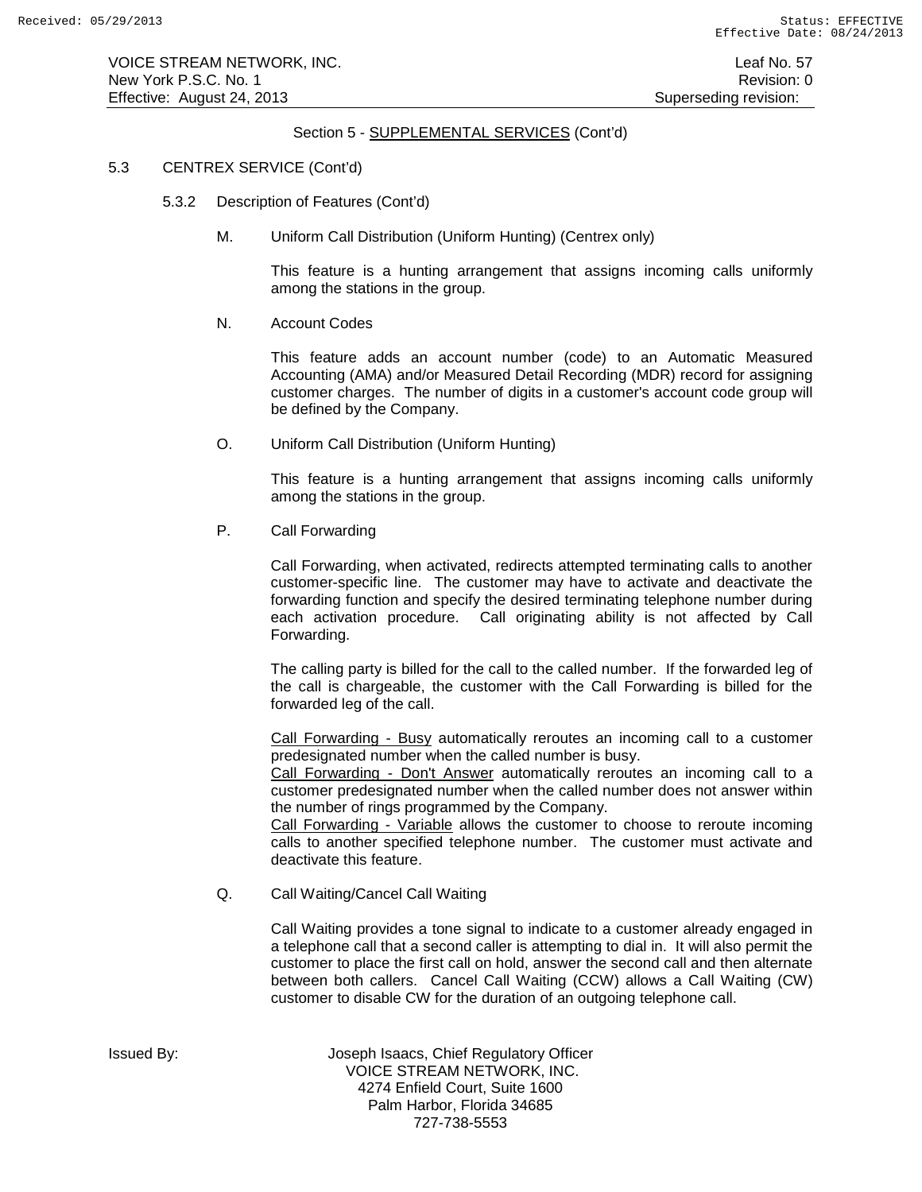### 5.3 CENTREX SERVICE (Cont'd)

- 5.3.2 Description of Features (Cont'd)
	- M. Uniform Call Distribution (Uniform Hunting) (Centrex only)

This feature is a hunting arrangement that assigns incoming calls uniformly among the stations in the group.

#### N. Account Codes

This feature adds an account number (code) to an Automatic Measured Accounting (AMA) and/or Measured Detail Recording (MDR) record for assigning customer charges. The number of digits in a customer's account code group will be defined by the Company.

O. Uniform Call Distribution (Uniform Hunting)

This feature is a hunting arrangement that assigns incoming calls uniformly among the stations in the group.

P. Call Forwarding

Call Forwarding, when activated, redirects attempted terminating calls to another customer-specific line. The customer may have to activate and deactivate the forwarding function and specify the desired terminating telephone number during each activation procedure. Call originating ability is not affected by Call Forwarding.

The calling party is billed for the call to the called number. If the forwarded leg of the call is chargeable, the customer with the Call Forwarding is billed for the forwarded leg of the call.

Call Forwarding - Busy automatically reroutes an incoming call to a customer predesignated number when the called number is busy.

Call Forwarding - Don't Answer automatically reroutes an incoming call to a customer predesignated number when the called number does not answer within the number of rings programmed by the Company.

Call Forwarding - Variable allows the customer to choose to reroute incoming calls to another specified telephone number. The customer must activate and deactivate this feature.

Q. Call Waiting/Cancel Call Waiting

Call Waiting provides a tone signal to indicate to a customer already engaged in a telephone call that a second caller is attempting to dial in. It will also permit the customer to place the first call on hold, answer the second call and then alternate between both callers. Cancel Call Waiting (CCW) allows a Call Waiting (CW) customer to disable CW for the duration of an outgoing telephone call.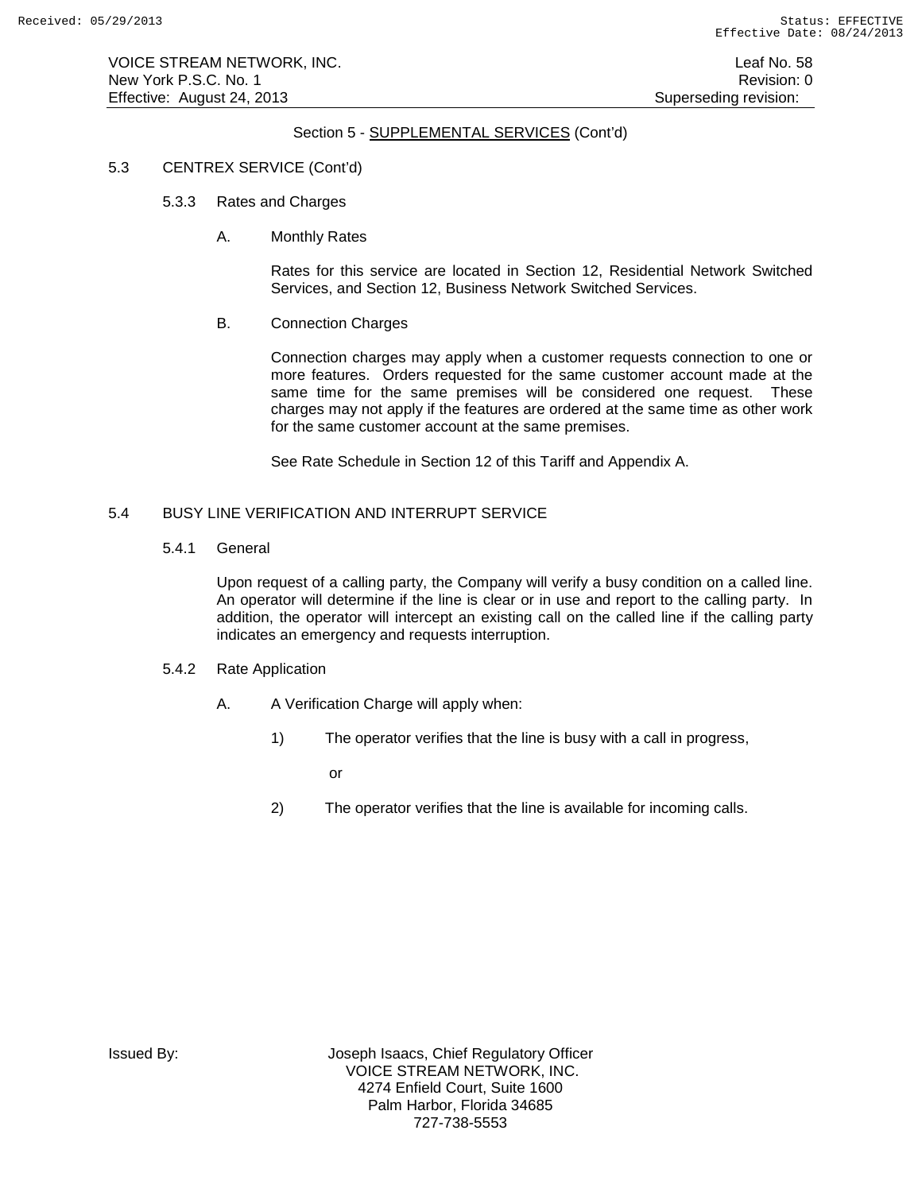VOICE STREAM NETWORK, INC. Leaf No. 58 New York P.S.C. No. 1 **New York P.S.C.** No. 1 Effective: August 24, 2013 **Superseding revision:** Superseding revision:

# Section 5 - SUPPLEMENTAL SERVICES (Cont'd)

### 5.3 CENTREX SERVICE (Cont'd)

- 5.3.3 Rates and Charges
	- A. Monthly Rates

Rates for this service are located in Section 12, Residential Network Switched Services, and Section 12, Business Network Switched Services.

B. Connection Charges

Connection charges may apply when a customer requests connection to one or more features. Orders requested for the same customer account made at the same time for the same premises will be considered one request. These charges may not apply if the features are ordered at the same time as other work for the same customer account at the same premises.

See Rate Schedule in Section 12 of this Tariff and Appendix A.

# 5.4 BUSY LINE VERIFICATION AND INTERRUPT SERVICE

5.4.1 General

Upon request of a calling party, the Company will verify a busy condition on a called line. An operator will determine if the line is clear or in use and report to the calling party. In addition, the operator will intercept an existing call on the called line if the calling party indicates an emergency and requests interruption.

- 5.4.2 Rate Application
	- A. A Verification Charge will apply when:
		- 1) The operator verifies that the line is busy with a call in progress,
			- or
		- 2) The operator verifies that the line is available for incoming calls.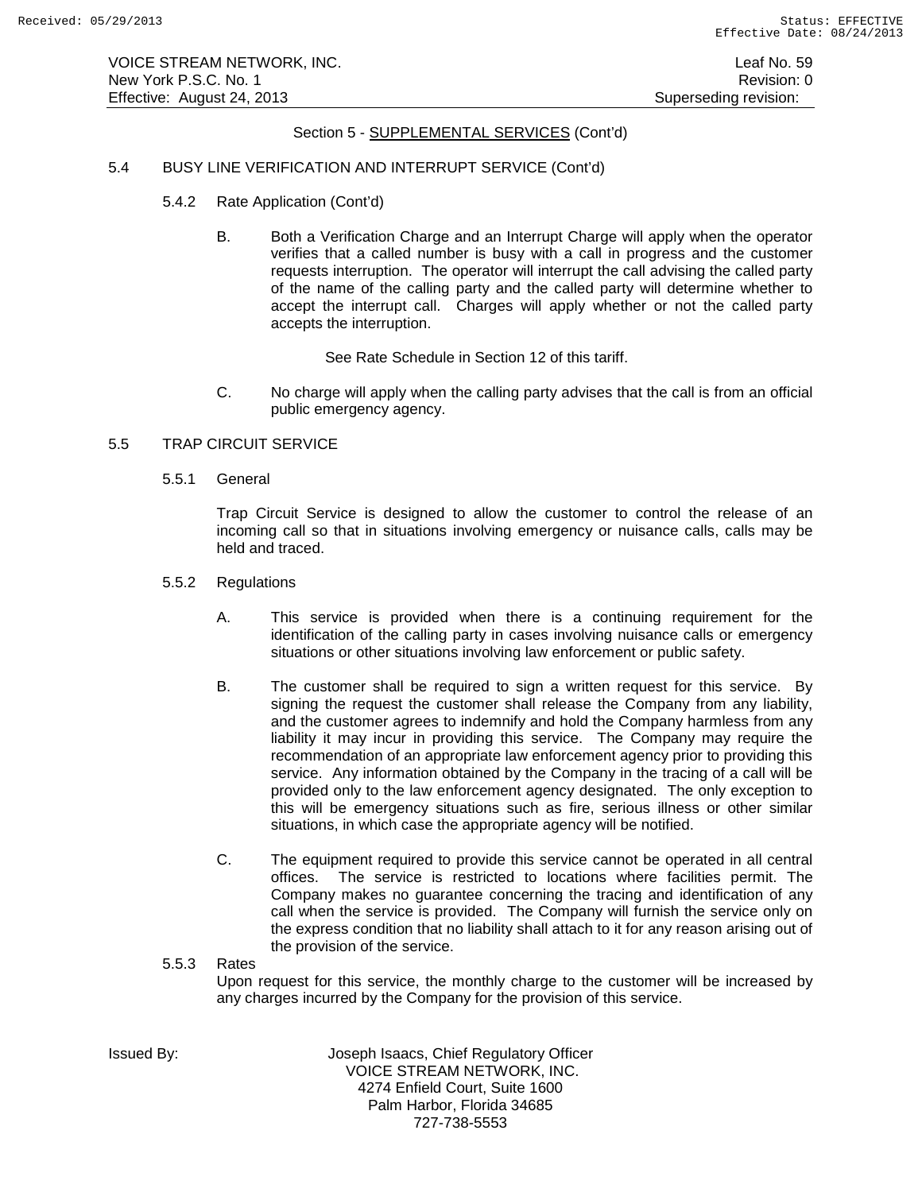## 5.4 BUSY LINE VERIFICATION AND INTERRUPT SERVICE (Cont'd)

- 5.4.2 Rate Application (Cont'd)
	- B. Both a Verification Charge and an Interrupt Charge will apply when the operator verifies that a called number is busy with a call in progress and the customer requests interruption. The operator will interrupt the call advising the called party of the name of the calling party and the called party will determine whether to accept the interrupt call. Charges will apply whether or not the called party accepts the interruption.

See Rate Schedule in Section 12 of this tariff.

C. No charge will apply when the calling party advises that the call is from an official public emergency agency.

# 5.5 TRAP CIRCUIT SERVICE

5.5.1 General

Trap Circuit Service is designed to allow the customer to control the release of an incoming call so that in situations involving emergency or nuisance calls, calls may be held and traced.

- 5.5.2 Regulations
	- A. This service is provided when there is a continuing requirement for the identification of the calling party in cases involving nuisance calls or emergency situations or other situations involving law enforcement or public safety.
	- B. The customer shall be required to sign a written request for this service. By signing the request the customer shall release the Company from any liability, and the customer agrees to indemnify and hold the Company harmless from any liability it may incur in providing this service. The Company may require the recommendation of an appropriate law enforcement agency prior to providing this service. Any information obtained by the Company in the tracing of a call will be provided only to the law enforcement agency designated. The only exception to this will be emergency situations such as fire, serious illness or other similar situations, in which case the appropriate agency will be notified.
	- C. The equipment required to provide this service cannot be operated in all central offices. The service is restricted to locations where facilities permit. The Company makes no guarantee concerning the tracing and identification of any call when the service is provided. The Company will furnish the service only on the express condition that no liability shall attach to it for any reason arising out of the provision of the service.

# 5.5.3 Rates Upon request for this service, the monthly charge to the customer will be increased by any charges incurred by the Company for the provision of this service.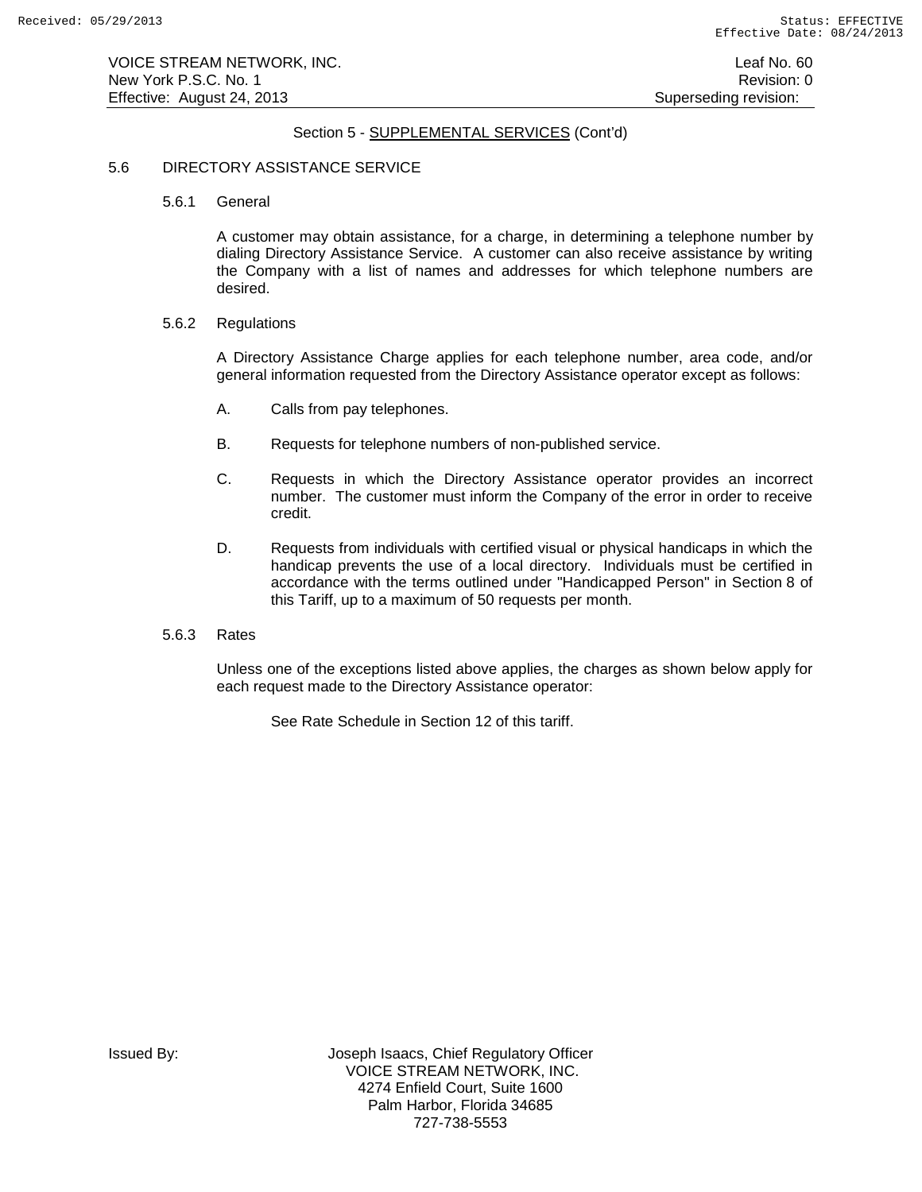## 5.6 DIRECTORY ASSISTANCE SERVICE

5.6.1 General

A customer may obtain assistance, for a charge, in determining a telephone number by dialing Directory Assistance Service. A customer can also receive assistance by writing the Company with a list of names and addresses for which telephone numbers are desired.

## 5.6.2 Regulations

A Directory Assistance Charge applies for each telephone number, area code, and/or general information requested from the Directory Assistance operator except as follows:

- A. Calls from pay telephones.
- B. Requests for telephone numbers of non-published service.
- C. Requests in which the Directory Assistance operator provides an incorrect number. The customer must inform the Company of the error in order to receive credit.
- D. Requests from individuals with certified visual or physical handicaps in which the handicap prevents the use of a local directory. Individuals must be certified in accordance with the terms outlined under "Handicapped Person" in Section 8 of this Tariff, up to a maximum of 50 requests per month.

## 5.6.3 Rates

Unless one of the exceptions listed above applies, the charges as shown below apply for each request made to the Directory Assistance operator:

See Rate Schedule in Section 12 of this tariff.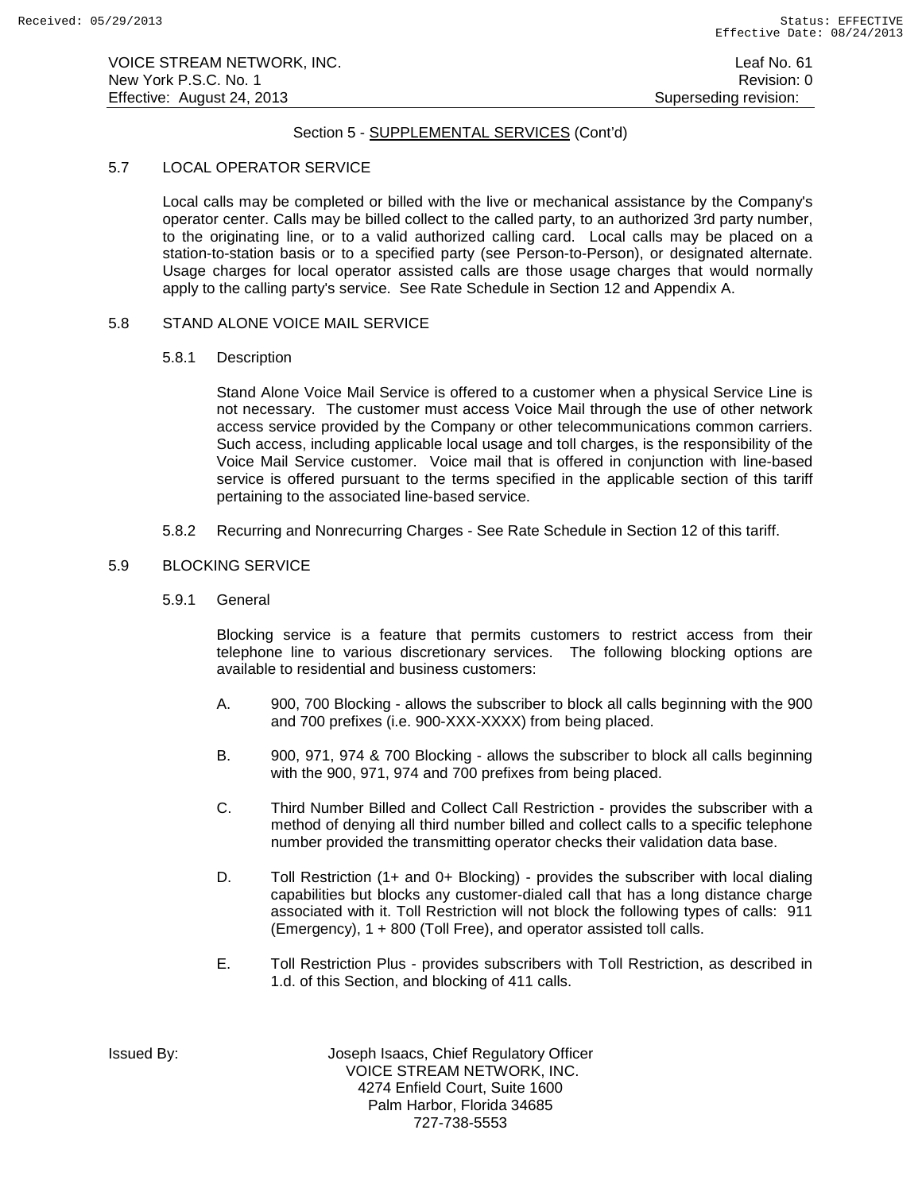## 5.7 LOCAL OPERATOR SERVICE

Local calls may be completed or billed with the live or mechanical assistance by the Company's operator center. Calls may be billed collect to the called party, to an authorized 3rd party number, to the originating line, or to a valid authorized calling card. Local calls may be placed on a station-to-station basis or to a specified party (see Person-to-Person), or designated alternate. Usage charges for local operator assisted calls are those usage charges that would normally apply to the calling party's service. See Rate Schedule in Section 12 and Appendix A.

# 5.8 STAND ALONE VOICE MAIL SERVICE

# 5.8.1 Description

Stand Alone Voice Mail Service is offered to a customer when a physical Service Line is not necessary. The customer must access Voice Mail through the use of other network access service provided by the Company or other telecommunications common carriers. Such access, including applicable local usage and toll charges, is the responsibility of the Voice Mail Service customer. Voice mail that is offered in conjunction with line-based service is offered pursuant to the terms specified in the applicable section of this tariff pertaining to the associated line-based service.

5.8.2 Recurring and Nonrecurring Charges - See Rate Schedule in Section 12 of this tariff.

# 5.9 BLOCKING SERVICE

5.9.1 General

Blocking service is a feature that permits customers to restrict access from their telephone line to various discretionary services. The following blocking options are available to residential and business customers:

- A. 900, 700 Blocking allows the subscriber to block all calls beginning with the 900 and 700 prefixes (i.e. 900-XXX-XXXX) from being placed.
- B. 900, 971, 974 & 700 Blocking allows the subscriber to block all calls beginning with the 900, 971, 974 and 700 prefixes from being placed.
- C. Third Number Billed and Collect Call Restriction provides the subscriber with a method of denying all third number billed and collect calls to a specific telephone number provided the transmitting operator checks their validation data base.
- D. Toll Restriction (1+ and 0+ Blocking) provides the subscriber with local dialing capabilities but blocks any customer-dialed call that has a long distance charge associated with it. Toll Restriction will not block the following types of calls: 911 (Emergency), 1 + 800 (Toll Free), and operator assisted toll calls.
- E. Toll Restriction Plus provides subscribers with Toll Restriction, as described in 1.d. of this Section, and blocking of 411 calls.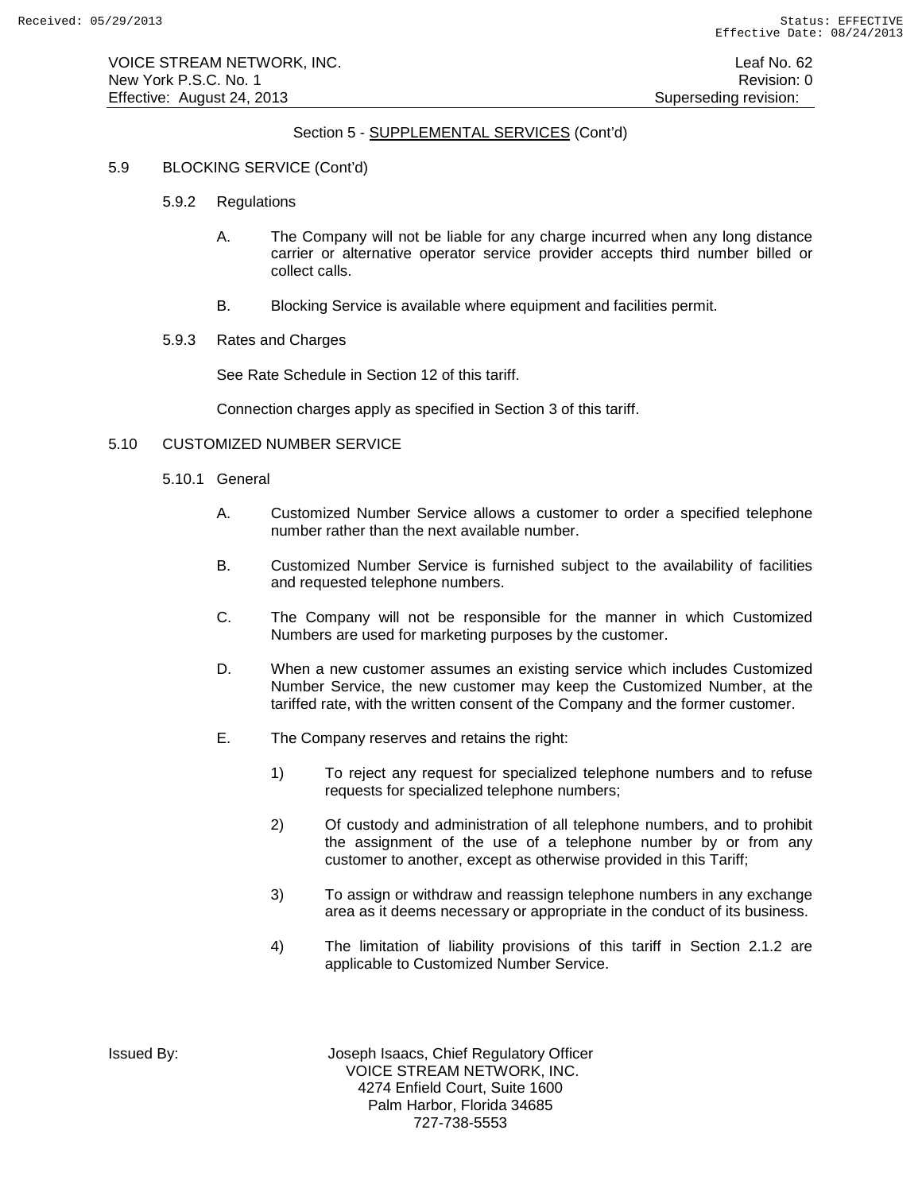# 5.9 BLOCKING SERVICE (Cont'd)

- 5.9.2 Regulations
	- A. The Company will not be liable for any charge incurred when any long distance carrier or alternative operator service provider accepts third number billed or collect calls.
	- B. Blocking Service is available where equipment and facilities permit.
- 5.9.3 Rates and Charges

See Rate Schedule in Section 12 of this tariff.

Connection charges apply as specified in Section 3 of this tariff.

# 5.10 CUSTOMIZED NUMBER SERVICE

- 5.10.1 General
	- A. Customized Number Service allows a customer to order a specified telephone number rather than the next available number.
	- B. Customized Number Service is furnished subject to the availability of facilities and requested telephone numbers.
	- C. The Company will not be responsible for the manner in which Customized Numbers are used for marketing purposes by the customer.
	- D. When a new customer assumes an existing service which includes Customized Number Service, the new customer may keep the Customized Number, at the tariffed rate, with the written consent of the Company and the former customer.
	- E. The Company reserves and retains the right:
		- 1) To reject any request for specialized telephone numbers and to refuse requests for specialized telephone numbers;
		- 2) Of custody and administration of all telephone numbers, and to prohibit the assignment of the use of a telephone number by or from any customer to another, except as otherwise provided in this Tariff;
		- 3) To assign or withdraw and reassign telephone numbers in any exchange area as it deems necessary or appropriate in the conduct of its business.
		- 4) The limitation of liability provisions of this tariff in Section 2.1.2 are applicable to Customized Number Service.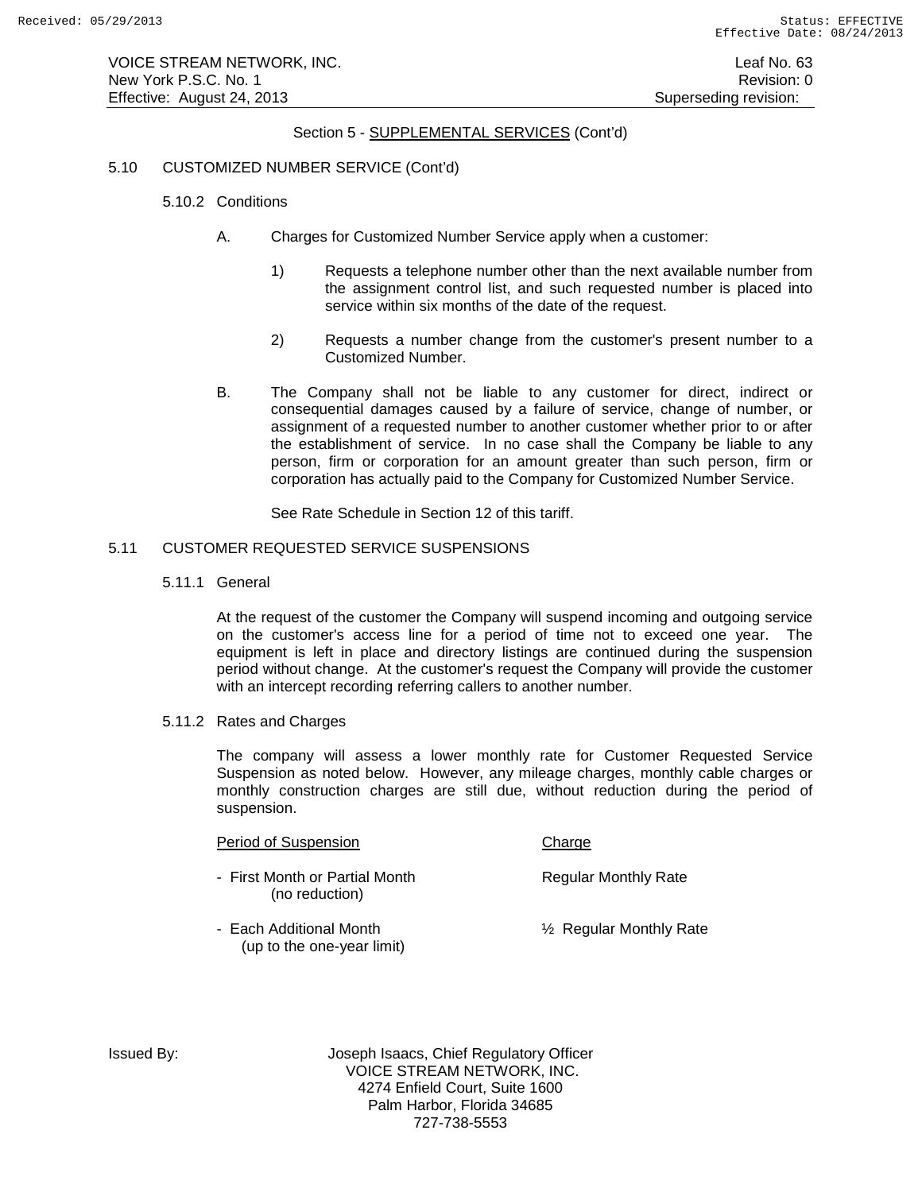# 5.10 CUSTOMIZED NUMBER SERVICE (Cont'd)

- 5.10.2 Conditions
	- A. Charges for Customized Number Service apply when a customer:
		- 1) Requests a telephone number other than the next available number from the assignment control list, and such requested number is placed into service within six months of the date of the request.
		- 2) Requests a number change from the customer's present number to a Customized Number.
	- B. The Company shall not be liable to any customer for direct, indirect or consequential damages caused by a failure of service, change of number, or assignment of a requested number to another customer whether prior to or after the establishment of service. In no case shall the Company be liable to any person, firm or corporation for an amount greater than such person, firm or corporation has actually paid to the Company for Customized Number Service.

See Rate Schedule in Section 12 of this tariff.

# 5.11 CUSTOMER REQUESTED SERVICE SUSPENSIONS

5.11.1 General

At the request of the customer the Company will suspend incoming and outgoing service on the customer's access line for a period of time not to exceed one year. The equipment is left in place and directory listings are continued during the suspension period without change. At the customer's request the Company will provide the customer with an intercept recording referring callers to another number.

5.11.2 Rates and Charges

The company will assess a lower monthly rate for Customer Requested Service Suspension as noted below. However, any mileage charges, monthly cable charges or monthly construction charges are still due, without reduction during the period of suspension.

#### Period of Suspension Charge

- First Month or Partial Month Regular Monthly Rate (no reduction)
- 

- Each Additional Month **1998** 12 Negular Monthly Rate (up to the one-year limit)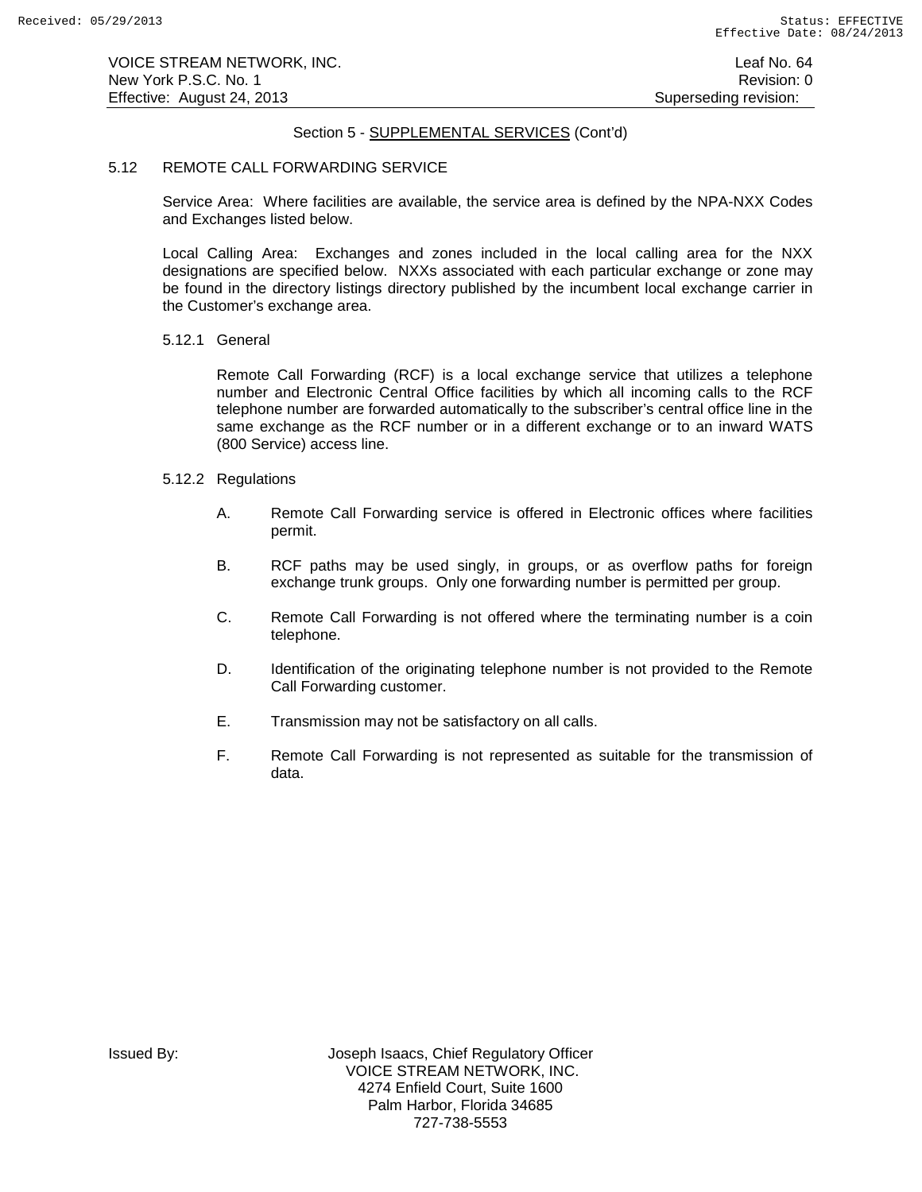### 5.12 REMOTE CALL FORWARDING SERVICE

Service Area: Where facilities are available, the service area is defined by the NPA-NXX Codes and Exchanges listed below.

Local Calling Area: Exchanges and zones included in the local calling area for the NXX designations are specified below. NXXs associated with each particular exchange or zone may be found in the directory listings directory published by the incumbent local exchange carrier in the Customer's exchange area.

# 5.12.1 General

Remote Call Forwarding (RCF) is a local exchange service that utilizes a telephone number and Electronic Central Office facilities by which all incoming calls to the RCF telephone number are forwarded automatically to the subscriber's central office line in the same exchange as the RCF number or in a different exchange or to an inward WATS (800 Service) access line.

# 5.12.2 Regulations

- A. Remote Call Forwarding service is offered in Electronic offices where facilities permit.
- B. RCF paths may be used singly, in groups, or as overflow paths for foreign exchange trunk groups. Only one forwarding number is permitted per group.
- C. Remote Call Forwarding is not offered where the terminating number is a coin telephone.
- D. Identification of the originating telephone number is not provided to the Remote Call Forwarding customer.
- E. Transmission may not be satisfactory on all calls.
- F. Remote Call Forwarding is not represented as suitable for the transmission of data.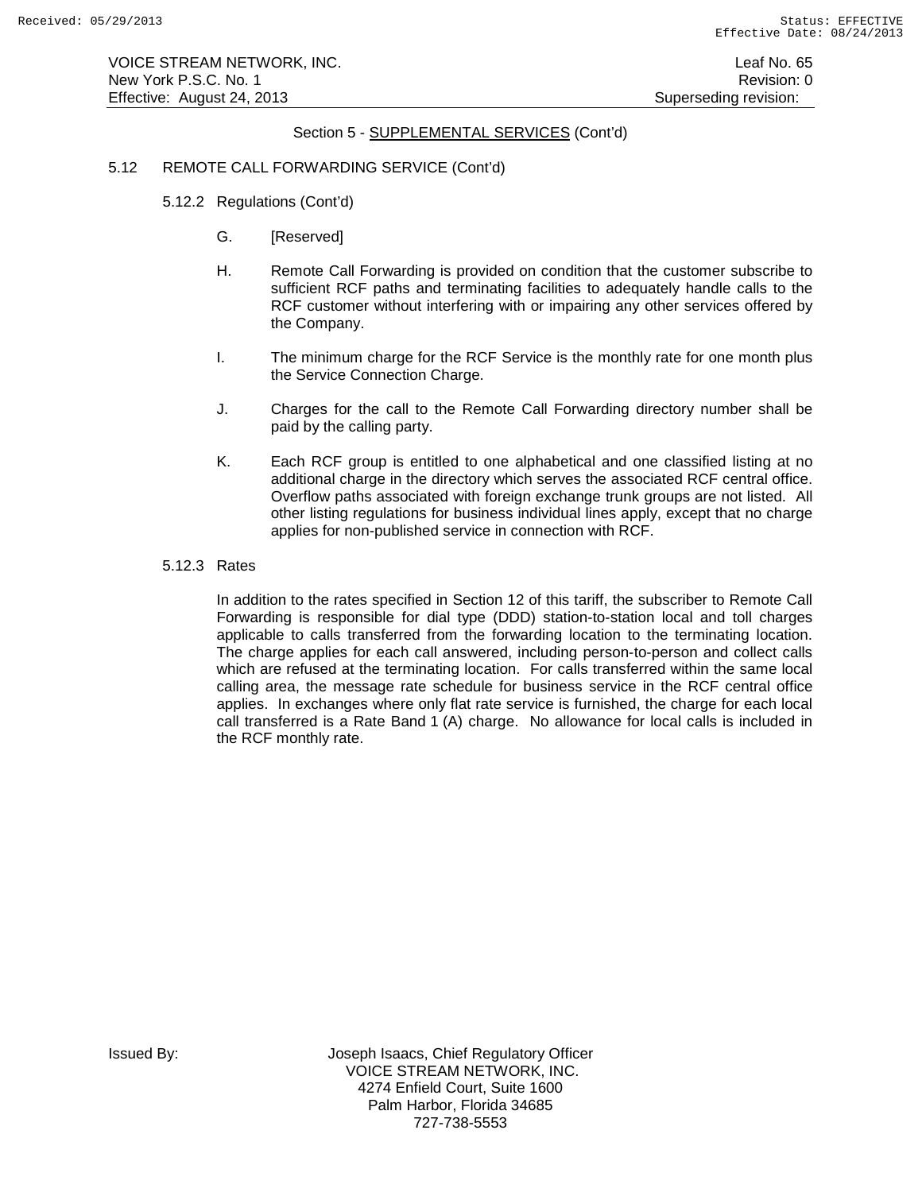# 5.12 REMOTE CALL FORWARDING SERVICE (Cont'd)

- 5.12.2 Regulations (Cont'd)
	- G. [Reserved]
	- H. Remote Call Forwarding is provided on condition that the customer subscribe to sufficient RCF paths and terminating facilities to adequately handle calls to the RCF customer without interfering with or impairing any other services offered by the Company.
	- I. The minimum charge for the RCF Service is the monthly rate for one month plus the Service Connection Charge.
	- J. Charges for the call to the Remote Call Forwarding directory number shall be paid by the calling party.
	- K. Each RCF group is entitled to one alphabetical and one classified listing at no additional charge in the directory which serves the associated RCF central office. Overflow paths associated with foreign exchange trunk groups are not listed. All other listing regulations for business individual lines apply, except that no charge applies for non-published service in connection with RCF.

## 5.12.3 Rates

In addition to the rates specified in Section 12 of this tariff, the subscriber to Remote Call Forwarding is responsible for dial type (DDD) station-to-station local and toll charges applicable to calls transferred from the forwarding location to the terminating location. The charge applies for each call answered, including person-to-person and collect calls which are refused at the terminating location. For calls transferred within the same local calling area, the message rate schedule for business service in the RCF central office applies. In exchanges where only flat rate service is furnished, the charge for each local call transferred is a Rate Band 1 (A) charge. No allowance for local calls is included in the RCF monthly rate.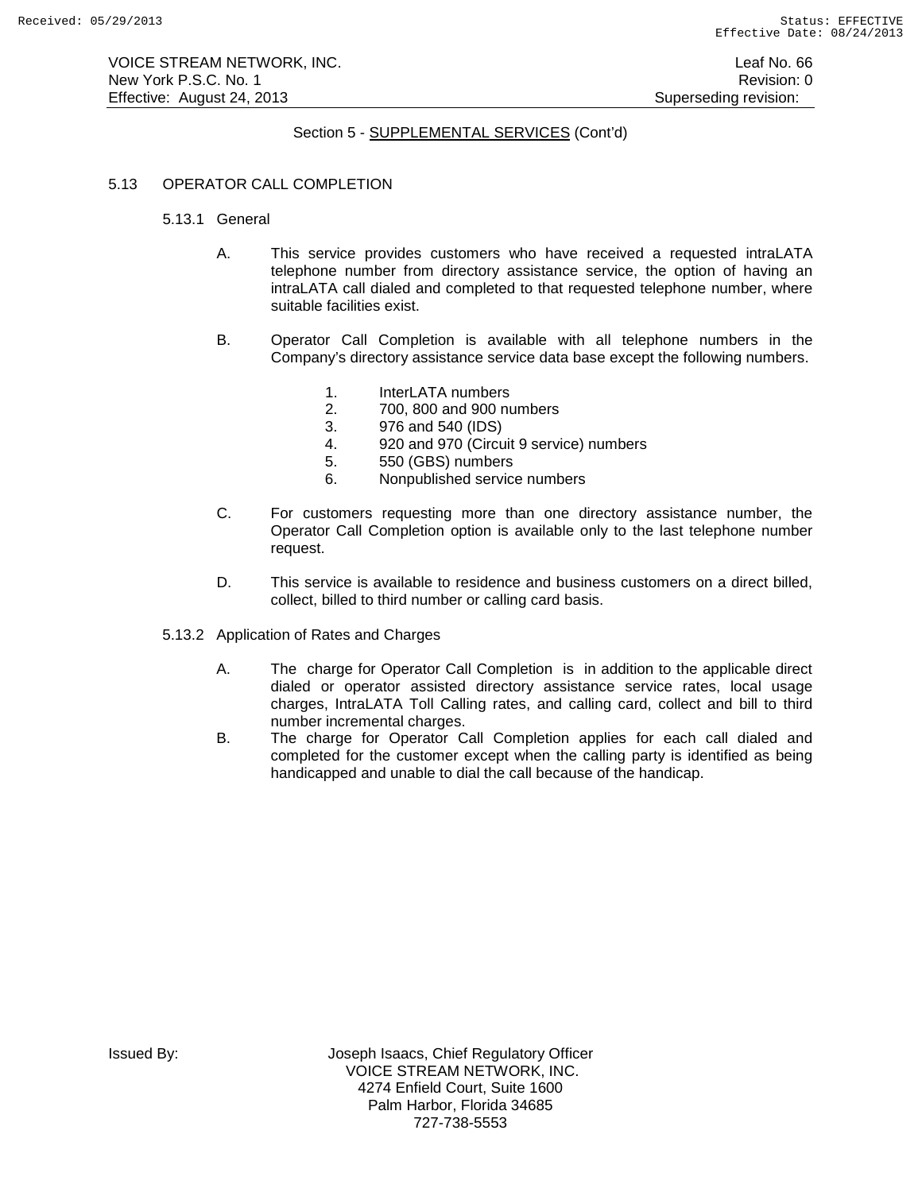VOICE STREAM NETWORK, INC. Leaf No. 66 New York P.S.C. No. 1 **New York P.S.C.** No. 1 Effective: August 24, 2013 **Superseding revision:** Superseding revision:

# Section 5 - SUPPLEMENTAL SERVICES (Cont'd)

# 5.13 OPERATOR CALL COMPLETION

- 5.13.1 General
	- A. This service provides customers who have received a requested intraLATA telephone number from directory assistance service, the option of having an intraLATA call dialed and completed to that requested telephone number, where suitable facilities exist.
	- B. Operator Call Completion is available with all telephone numbers in the Company's directory assistance service data base except the following numbers.
		- 1. InterLATA numbers
		- 2. 700, 800 and 900 numbers
		- 3. 976 and 540 (IDS)
		- 4. 920 and 970 (Circuit 9 service) numbers
		- 5. 550 (GBS) numbers
		- 6. Nonpublished service numbers
	- C. For customers requesting more than one directory assistance number, the Operator Call Completion option is available only to the last telephone number request.
	- D. This service is available to residence and business customers on a direct billed, collect, billed to third number or calling card basis.
- 5.13.2 Application of Rates and Charges
	- A. The charge for Operator Call Completion is in addition to the applicable direct dialed or operator assisted directory assistance service rates, local usage charges, IntraLATA Toll Calling rates, and calling card, collect and bill to third number incremental charges.
	- B. The charge for Operator Call Completion applies for each call dialed and completed for the customer except when the calling party is identified as being handicapped and unable to dial the call because of the handicap.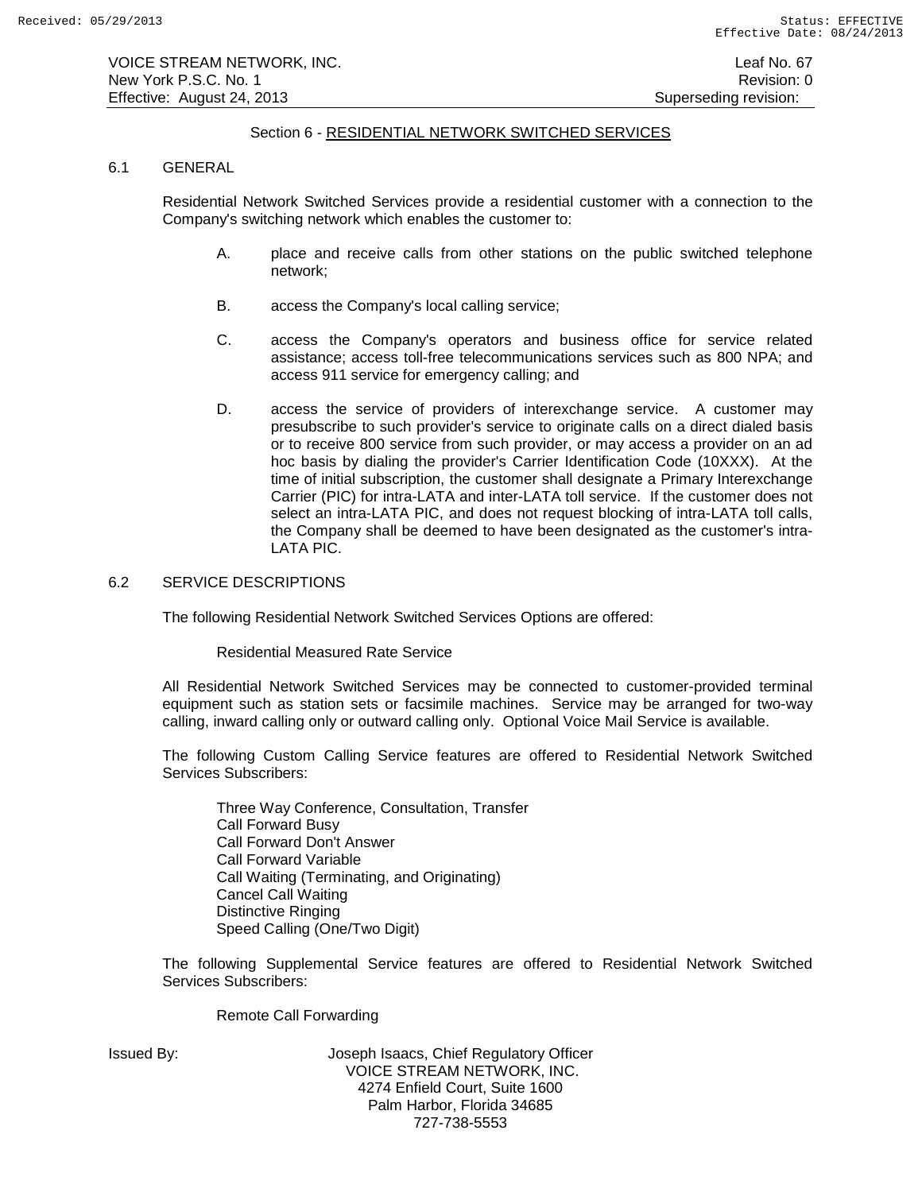# Section 6 - RESIDENTIAL NETWORK SWITCHED SERVICES

### 6.1 GENERAL

Residential Network Switched Services provide a residential customer with a connection to the Company's switching network which enables the customer to:

- A. place and receive calls from other stations on the public switched telephone network;
- B. access the Company's local calling service;
- C. access the Company's operators and business office for service related assistance; access toll-free telecommunications services such as 800 NPA; and access 911 service for emergency calling; and
- D. access the service of providers of interexchange service. A customer may presubscribe to such provider's service to originate calls on a direct dialed basis or to receive 800 service from such provider, or may access a provider on an ad hoc basis by dialing the provider's Carrier Identification Code (10XXX). At the time of initial subscription, the customer shall designate a Primary Interexchange Carrier (PIC) for intra-LATA and inter-LATA toll service. If the customer does not select an intra-LATA PIC, and does not request blocking of intra-LATA toll calls, the Company shall be deemed to have been designated as the customer's intra-LATA PIC.

# 6.2 SERVICE DESCRIPTIONS

The following Residential Network Switched Services Options are offered:

Residential Measured Rate Service

All Residential Network Switched Services may be connected to customer-provided terminal equipment such as station sets or facsimile machines. Service may be arranged for two-way calling, inward calling only or outward calling only. Optional Voice Mail Service is available.

The following Custom Calling Service features are offered to Residential Network Switched Services Subscribers:

Three Way Conference, Consultation, Transfer Call Forward Busy Call Forward Don't Answer Call Forward Variable Call Waiting (Terminating, and Originating) Cancel Call Waiting Distinctive Ringing Speed Calling (One/Two Digit)

The following Supplemental Service features are offered to Residential Network Switched Services Subscribers:

Remote Call Forwarding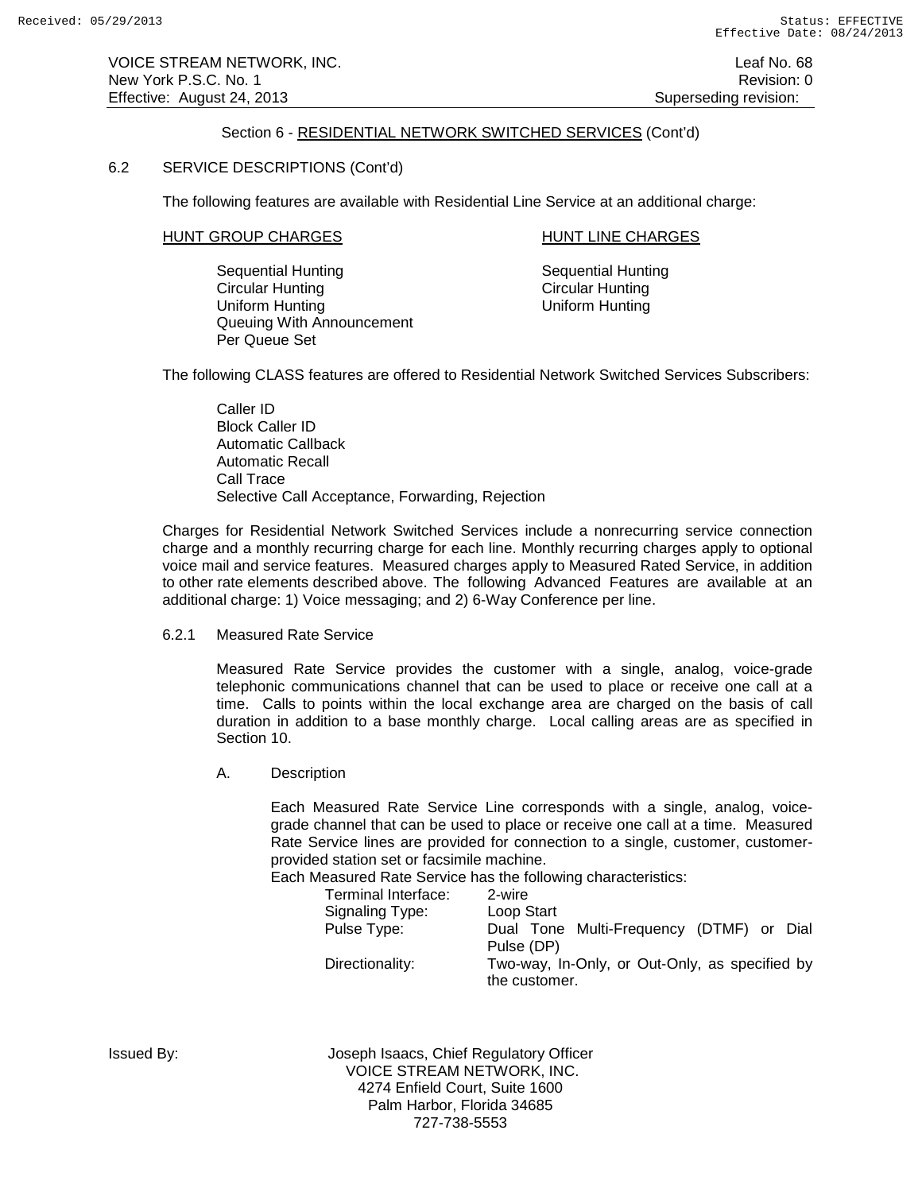# Section 6 - RESIDENTIAL NETWORK SWITCHED SERVICES (Cont'd)

## 6.2 SERVICE DESCRIPTIONS (Cont'd)

The following features are available with Residential Line Service at an additional charge:

## HUNT GROUP CHARGES HUNT LINE CHARGES

Sequential Hunting<br>
Circular Hunting<br>
Circular Hunting<br>
Circular Hunting Uniform Hunting Queuing With Announcement Per Queue Set

Circular Hunting<br>Uniform Hunting

The following CLASS features are offered to Residential Network Switched Services Subscribers:

Caller ID Block Caller ID Automatic Callback Automatic Recall Call Trace Selective Call Acceptance, Forwarding, Rejection

Charges for Residential Network Switched Services include a nonrecurring service connection charge and a monthly recurring charge for each line. Monthly recurring charges apply to optional voice mail and service features. Measured charges apply to Measured Rated Service, in addition to other rate elements described above. The following Advanced Features are available at an additional charge: 1) Voice messaging; and 2) 6-Way Conference per line.

6.2.1 Measured Rate Service

Measured Rate Service provides the customer with a single, analog, voice-grade telephonic communications channel that can be used to place or receive one call at a time. Calls to points within the local exchange area are charged on the basis of call duration in addition to a base monthly charge. Local calling areas are as specified in Section 10.

A. Description

Each Measured Rate Service Line corresponds with a single, analog, voicegrade channel that can be used to place or receive one call at a time. Measured Rate Service lines are provided for connection to a single, customer, customerprovided station set or facsimile machine.

Each Measured Rate Service has the following characteristics:

| Terminal Interface: | 2-wire                                                          |  |
|---------------------|-----------------------------------------------------------------|--|
| Signaling Type:     | Loop Start                                                      |  |
| Pulse Type:         | Dual Tone Multi-Frequency (DTMF) or Dial<br>Pulse (DP)          |  |
| Directionality:     | Two-way, In-Only, or Out-Only, as specified by<br>the customer. |  |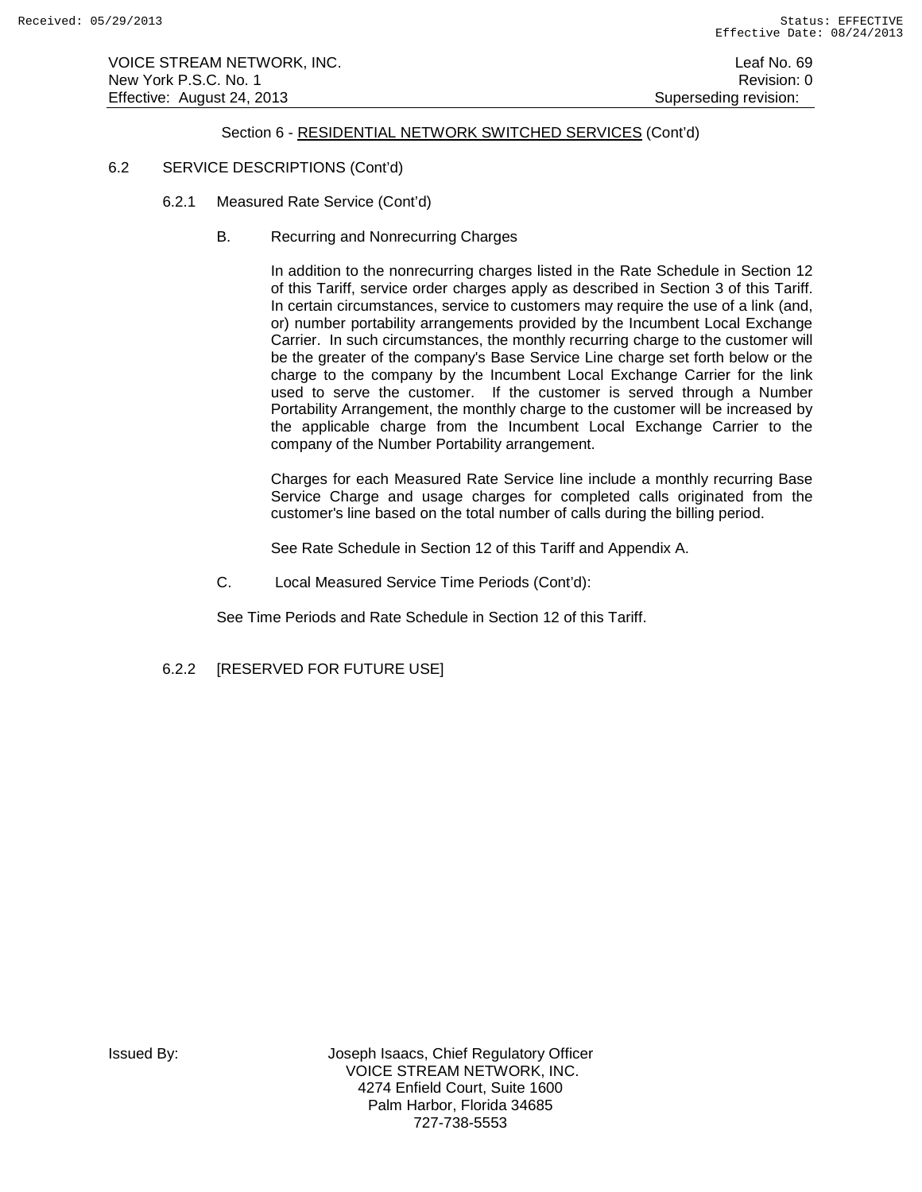VOICE STREAM NETWORK, INC. Leaf No. 69 New York P.S.C. No. 1 **New York P.S.C.** No. 1 Effective: August 24, 2013 **Superseding revision:** Superseding revision:

# Section 6 - RESIDENTIAL NETWORK SWITCHED SERVICES (Cont'd)

## 6.2 SERVICE DESCRIPTIONS (Cont'd)

- 6.2.1 Measured Rate Service (Cont'd)
	- B. Recurring and Nonrecurring Charges

In addition to the nonrecurring charges listed in the Rate Schedule in Section 12 of this Tariff, service order charges apply as described in Section 3 of this Tariff. In certain circumstances, service to customers may require the use of a link (and, or) number portability arrangements provided by the Incumbent Local Exchange Carrier. In such circumstances, the monthly recurring charge to the customer will be the greater of the company's Base Service Line charge set forth below or the charge to the company by the Incumbent Local Exchange Carrier for the link used to serve the customer. If the customer is served through a Number Portability Arrangement, the monthly charge to the customer will be increased by the applicable charge from the Incumbent Local Exchange Carrier to the company of the Number Portability arrangement.

Charges for each Measured Rate Service line include a monthly recurring Base Service Charge and usage charges for completed calls originated from the customer's line based on the total number of calls during the billing period.

See Rate Schedule in Section 12 of this Tariff and Appendix A.

C. Local Measured Service Time Periods (Cont'd):

See Time Periods and Rate Schedule in Section 12 of this Tariff.

6.2.2 [RESERVED FOR FUTURE USE]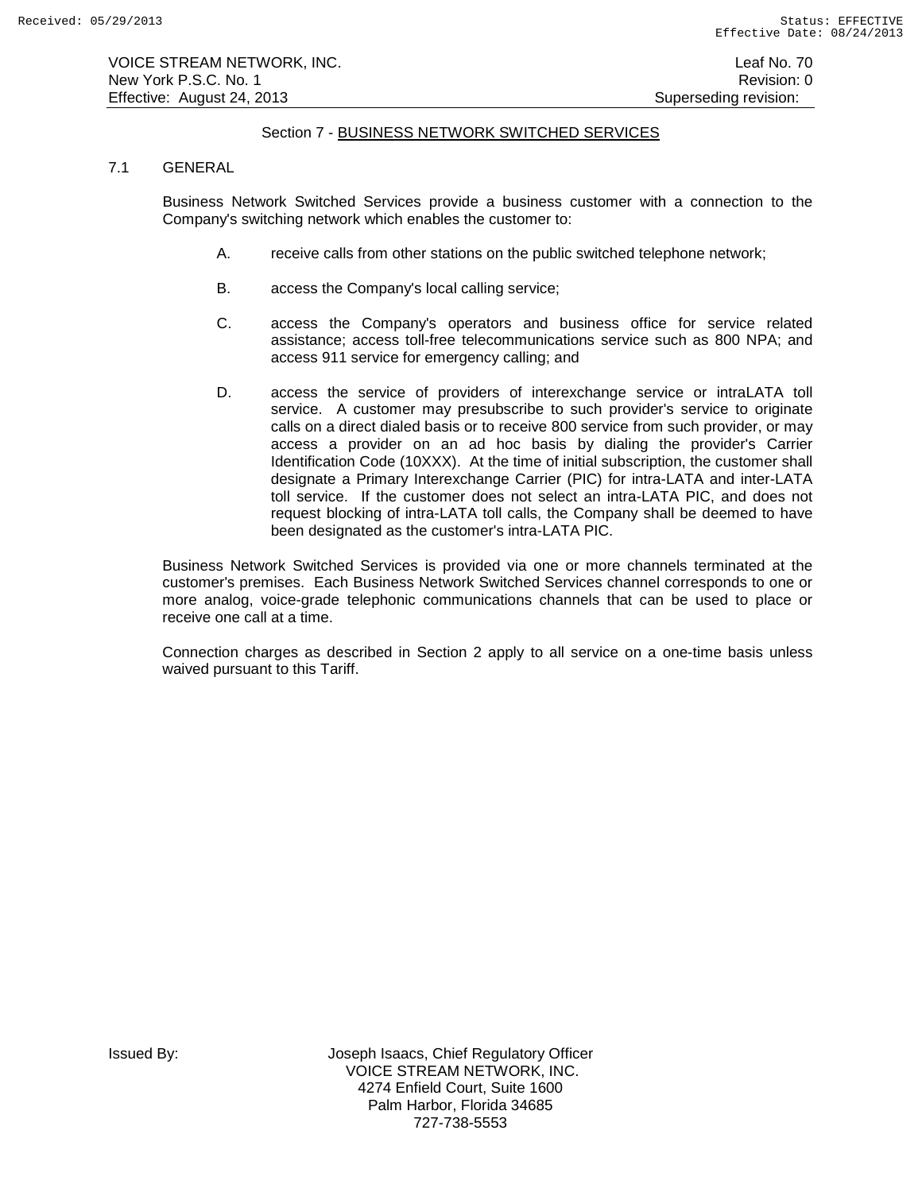VOICE STREAM NETWORK, INC. Leaf No. 70 New York P.S.C. No. 1 **New York P.S.C.** No. 1 Effective: August 24, 2013 **Superseding revision:** Superseding revision:

# Section 7 - BUSINESS NETWORK SWITCHED SERVICES

## 7.1 GENERAL

Business Network Switched Services provide a business customer with a connection to the Company's switching network which enables the customer to:

- A. receive calls from other stations on the public switched telephone network;
- B. access the Company's local calling service;
- C. access the Company's operators and business office for service related assistance; access toll-free telecommunications service such as 800 NPA; and access 911 service for emergency calling; and
- D. access the service of providers of interexchange service or intraLATA toll service. A customer may presubscribe to such provider's service to originate calls on a direct dialed basis or to receive 800 service from such provider, or may access a provider on an ad hoc basis by dialing the provider's Carrier Identification Code (10XXX). At the time of initial subscription, the customer shall designate a Primary Interexchange Carrier (PIC) for intra-LATA and inter-LATA toll service. If the customer does not select an intra-LATA PIC, and does not request blocking of intra-LATA toll calls, the Company shall be deemed to have been designated as the customer's intra-LATA PIC.

Business Network Switched Services is provided via one or more channels terminated at the customer's premises. Each Business Network Switched Services channel corresponds to one or more analog, voice-grade telephonic communications channels that can be used to place or receive one call at a time.

Connection charges as described in Section 2 apply to all service on a one-time basis unless waived pursuant to this Tariff.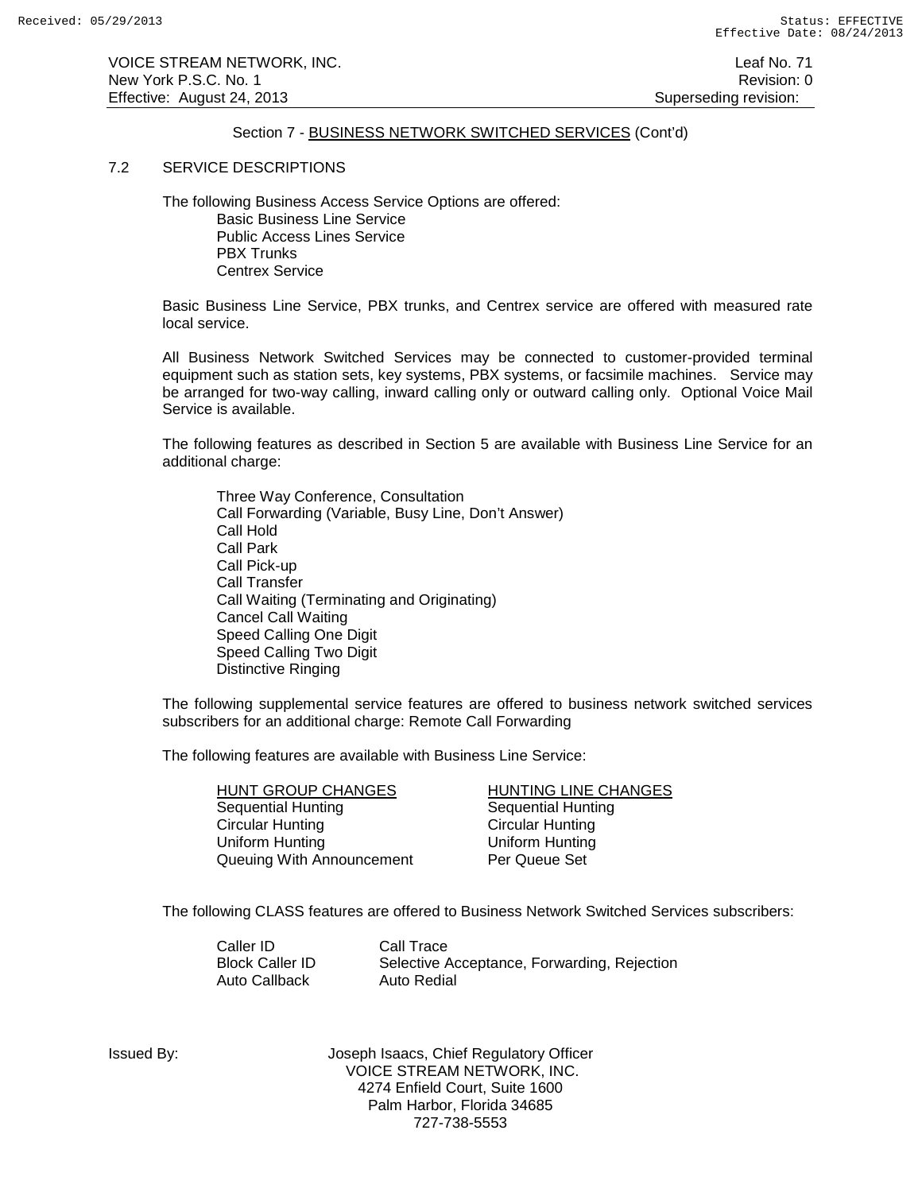VOICE STREAM NETWORK, INC. Leaf No. 71 New York P.S.C. No. 1 **New York P.S.C.** No. 1 Effective: August 24, 2013 **Superseding revision:** Superseding revision:

# Section 7 - BUSINESS NETWORK SWITCHED SERVICES (Cont'd)

#### 7.2 SERVICE DESCRIPTIONS

The following Business Access Service Options are offered: Basic Business Line Service Public Access Lines Service PBX Trunks Centrex Service

Basic Business Line Service, PBX trunks, and Centrex service are offered with measured rate local service.

All Business Network Switched Services may be connected to customer-provided terminal equipment such as station sets, key systems, PBX systems, or facsimile machines. Service may be arranged for two-way calling, inward calling only or outward calling only. Optional Voice Mail Service is available.

The following features as described in Section 5 are available with Business Line Service for an additional charge:

Three Way Conference, Consultation Call Forwarding (Variable, Busy Line, Don't Answer) Call Hold Call Park Call Pick-up Call Transfer Call Waiting (Terminating and Originating) Cancel Call Waiting Speed Calling One Digit Speed Calling Two Digit Distinctive Ringing

The following supplemental service features are offered to business network switched services subscribers for an additional charge: Remote Call Forwarding

The following features are available with Business Line Service:

HUNT GROUP CHANGES<br>
Sequential Hunting<br>
Sequential Hunting<br>
Sequential Hunting Sequential Hunting<br>
Circular Hunting<br>
Circular Hunting<br>
Circular Hunting **Circular Hunting** Uniform Hunting Uniform Hunting Queuing With Announcement Per Queue Set

The following CLASS features are offered to Business Network Switched Services subscribers:

Caller ID Call Trace<br>Block Caller ID Selective A Auto Callback

Selective Acceptance, Forwarding, Rejection<br>Auto Redial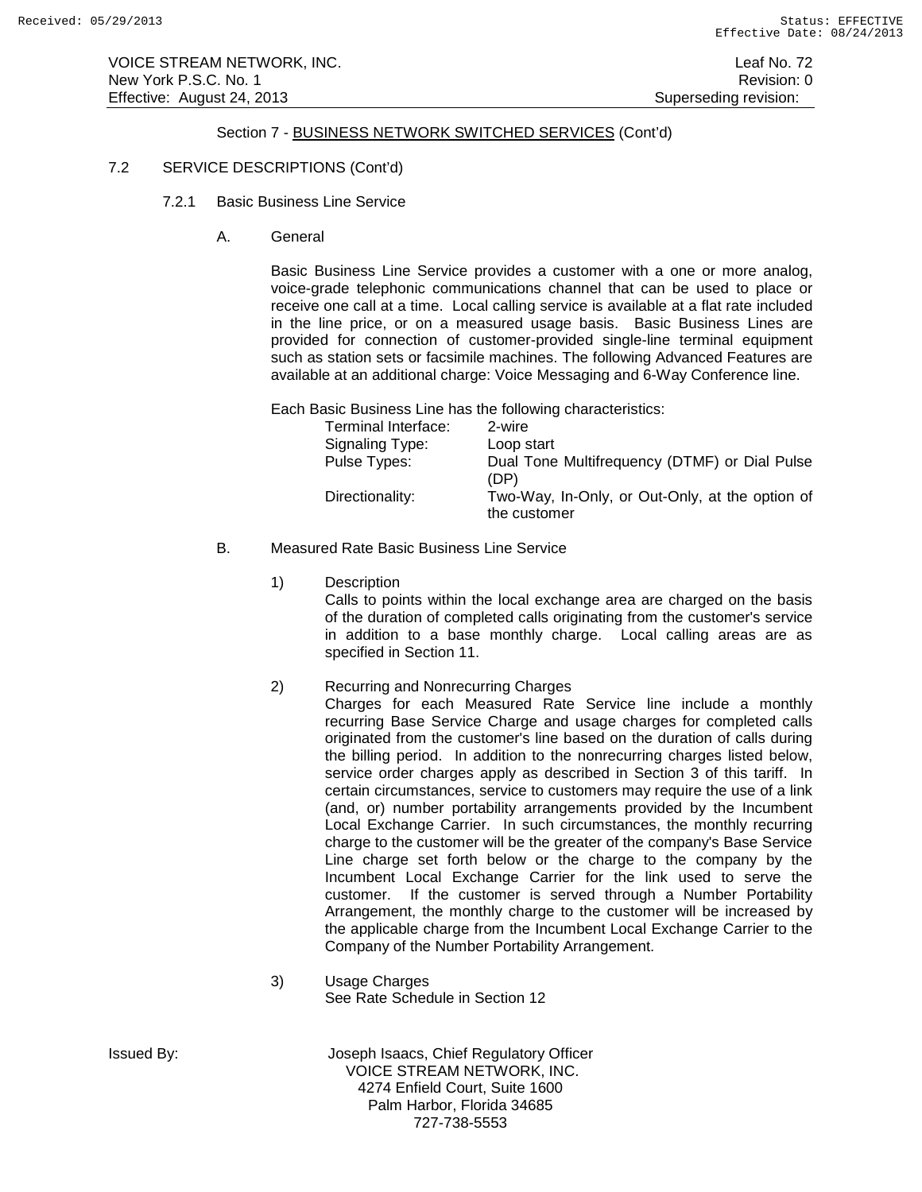VOICE STREAM NETWORK, INC. Leaf No. 72 New York P.S.C. No. 1 **Review Accounts** 2012 12:00 12:00 12:00 12:00 12:00 12:00 12:00 12:00 12:00 12:00 12:00 12:00 12:00 12:00 12:00 12:00 12:00 12:00 12:00 12:00 12:00 12:00 12:00 12:00 12:00 12:00 12:00 12:00 12:00 12: Effective: August 24, 2013 **Superseding revision:** Superseding revision:

## Section 7 - BUSINESS NETWORK SWITCHED SERVICES (Cont'd)

### 7.2 SERVICE DESCRIPTIONS (Cont'd)

- 7.2.1 Basic Business Line Service
	- A. General

Basic Business Line Service provides a customer with a one or more analog, voice-grade telephonic communications channel that can be used to place or receive one call at a time. Local calling service is available at a flat rate included in the line price, or on a measured usage basis. Basic Business Lines are provided for connection of customer-provided single-line terminal equipment such as station sets or facsimile machines. The following Advanced Features are available at an additional charge: Voice Messaging and 6-Way Conference line.

Each Basic Business Line has the following characteristics:

| Terminal Interface: | 2-wire                                                          |
|---------------------|-----------------------------------------------------------------|
| Signaling Type:     | Loop start                                                      |
| Pulse Types:        | Dual Tone Multifrequency (DTMF) or Dial Pulse<br>(DP)           |
| Directionality:     | Two-Way, In-Only, or Out-Only, at the option of<br>the customer |

- B. Measured Rate Basic Business Line Service
	- 1) Description

Calls to points within the local exchange area are charged on the basis of the duration of completed calls originating from the customer's service in addition to a base monthly charge. Local calling areas are as specified in Section 11.

2) Recurring and Nonrecurring Charges

Charges for each Measured Rate Service line include a monthly recurring Base Service Charge and usage charges for completed calls originated from the customer's line based on the duration of calls during the billing period. In addition to the nonrecurring charges listed below, service order charges apply as described in Section 3 of this tariff. In certain circumstances, service to customers may require the use of a link (and, or) number portability arrangements provided by the Incumbent Local Exchange Carrier. In such circumstances, the monthly recurring charge to the customer will be the greater of the company's Base Service Line charge set forth below or the charge to the company by the Incumbent Local Exchange Carrier for the link used to serve the customer. If the customer is served through a Number Portability Arrangement, the monthly charge to the customer will be increased by the applicable charge from the Incumbent Local Exchange Carrier to the Company of the Number Portability Arrangement.

3) Usage Charges See Rate Schedule in Section 12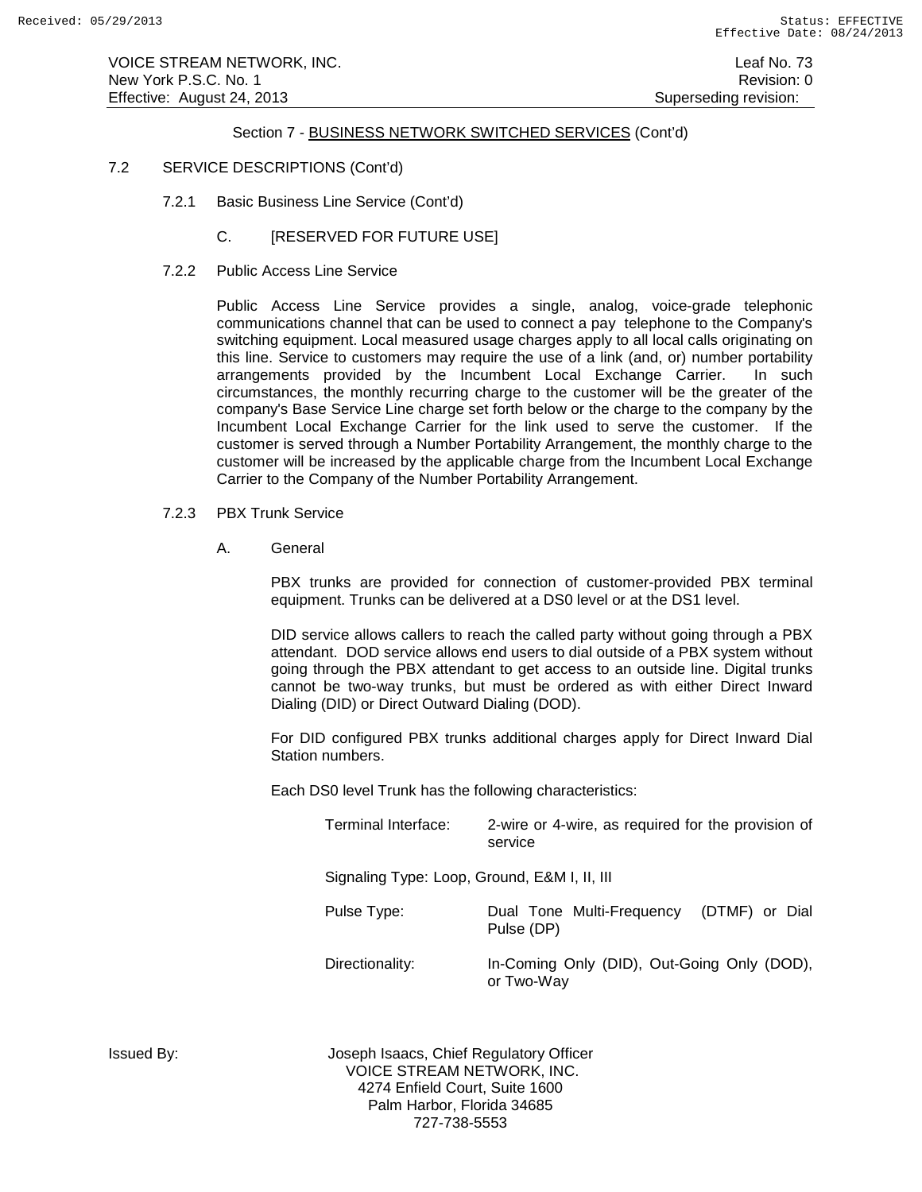VOICE STREAM NETWORK, INC. Leaf No. 73 New York P.S.C. No. 1 **New York P.S.C.** No. 1 Effective: August 24, 2013 **Superseding revision:** Superseding revision:

### Section 7 - BUSINESS NETWORK SWITCHED SERVICES (Cont'd)

- 7.2 SERVICE DESCRIPTIONS (Cont'd)
	- 7.2.1 Basic Business Line Service (Cont'd)
		- C. **[RESERVED FOR FUTURE USE]**
	- 7.2.2 Public Access Line Service

Public Access Line Service provides a single, analog, voice-grade telephonic communications channel that can be used to connect a pay telephone to the Company's switching equipment. Local measured usage charges apply to all local calls originating on this line. Service to customers may require the use of a link (and, or) number portability arrangements provided by the Incumbent Local Exchange Carrier. In such circumstances, the monthly recurring charge to the customer will be the greater of the company's Base Service Line charge set forth below or the charge to the company by the Incumbent Local Exchange Carrier for the link used to serve the customer. If the customer is served through a Number Portability Arrangement, the monthly charge to the customer will be increased by the applicable charge from the Incumbent Local Exchange Carrier to the Company of the Number Portability Arrangement.

- 7.2.3 PBX Trunk Service
	- A. General

PBX trunks are provided for connection of customer-provided PBX terminal equipment. Trunks can be delivered at a DS0 level or at the DS1 level.

DID service allows callers to reach the called party without going through a PBX attendant. DOD service allows end users to dial outside of a PBX system without going through the PBX attendant to get access to an outside line. Digital trunks cannot be two-way trunks, but must be ordered as with either Direct Inward Dialing (DID) or Direct Outward Dialing (DOD).

For DID configured PBX trunks additional charges apply for Direct Inward Dial Station numbers.

Each DS0 level Trunk has the following characteristics:

| Terminal Interface:                          | 2-wire or 4-wire, as required for the provision of<br>service |
|----------------------------------------------|---------------------------------------------------------------|
| Signaling Type: Loop, Ground, E&M I, II, III |                                                               |

| Pulse Type:     | Pulse (DP) | Dual Tone Multi-Frequency                     | (DTMF) or Dial |  |
|-----------------|------------|-----------------------------------------------|----------------|--|
| Diroctionality: |            | $\ln$ -Coming Only (DID) Out-Coing Only (DOD) |                |  |

Directionality: In-Coming Only (DID), Out-Going Only (DOD), or Two-Way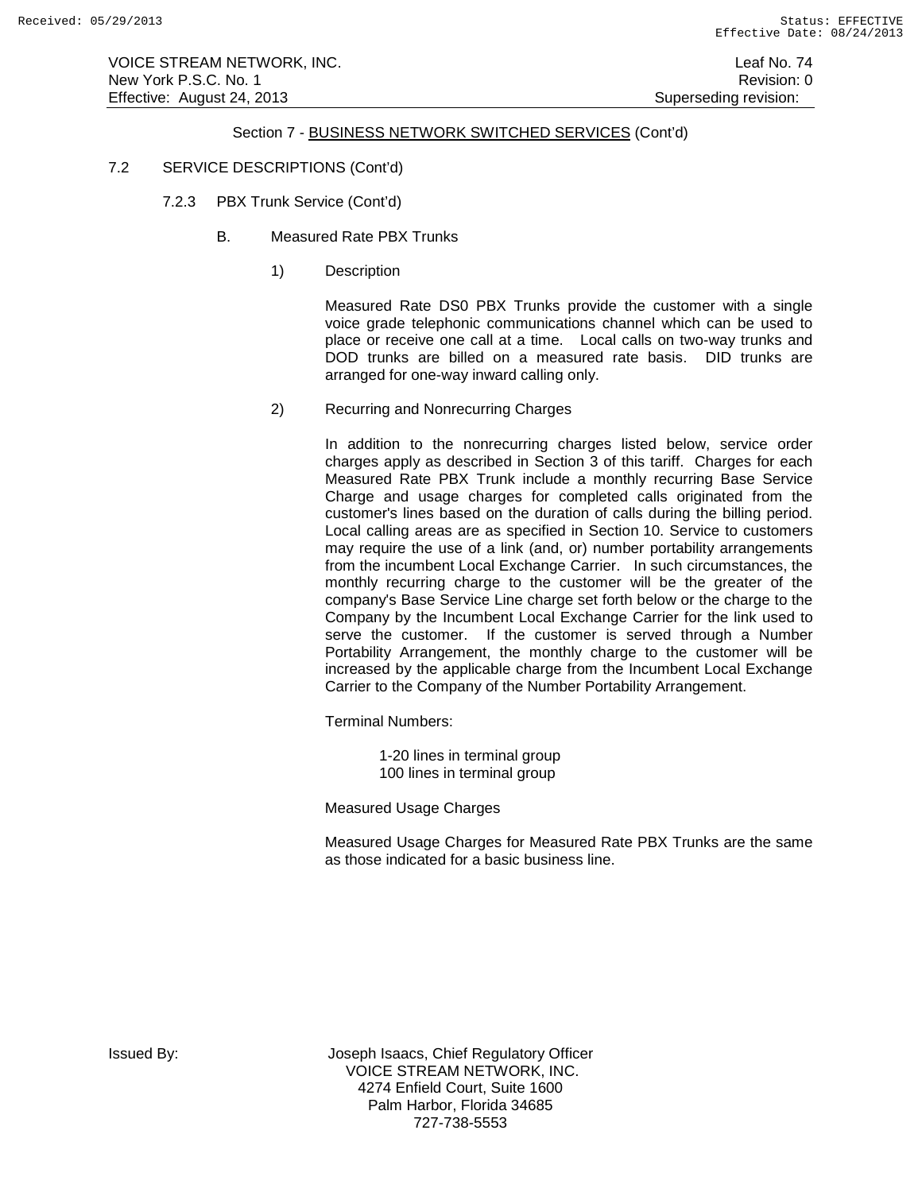VOICE STREAM NETWORK, INC. Leaf No. 74 New York P.S.C. No. 1 **New York P.S.C.** No. 1 Effective: August 24, 2013 **Superseding revision:** Superseding revision:

# Section 7 - BUSINESS NETWORK SWITCHED SERVICES (Cont'd)

- 7.2 SERVICE DESCRIPTIONS (Cont'd)
	- 7.2.3 PBX Trunk Service (Cont'd)
		- B. Measured Rate PBX Trunks
			- 1) Description

Measured Rate DS0 PBX Trunks provide the customer with a single voice grade telephonic communications channel which can be used to place or receive one call at a time. Local calls on two-way trunks and DOD trunks are billed on a measured rate basis. DID trunks are arranged for one-way inward calling only.

2) Recurring and Nonrecurring Charges

In addition to the nonrecurring charges listed below, service order charges apply as described in Section 3 of this tariff. Charges for each Measured Rate PBX Trunk include a monthly recurring Base Service Charge and usage charges for completed calls originated from the customer's lines based on the duration of calls during the billing period. Local calling areas are as specified in Section 10. Service to customers may require the use of a link (and, or) number portability arrangements from the incumbent Local Exchange Carrier. In such circumstances, the monthly recurring charge to the customer will be the greater of the company's Base Service Line charge set forth below or the charge to the Company by the Incumbent Local Exchange Carrier for the link used to serve the customer. If the customer is served through a Number Portability Arrangement, the monthly charge to the customer will be increased by the applicable charge from the Incumbent Local Exchange Carrier to the Company of the Number Portability Arrangement.

Terminal Numbers:

1-20 lines in terminal group 100 lines in terminal group

Measured Usage Charges

Measured Usage Charges for Measured Rate PBX Trunks are the same as those indicated for a basic business line.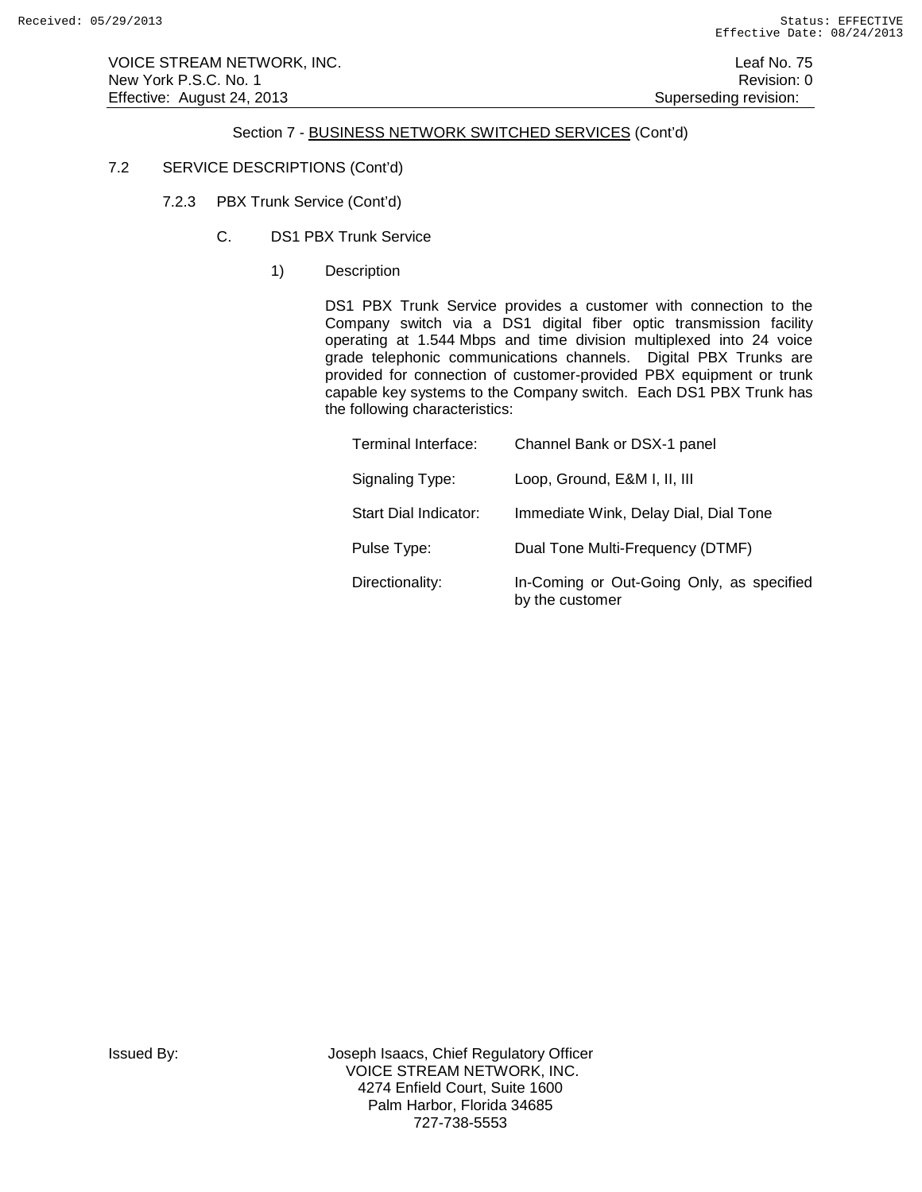VOICE STREAM NETWORK, INC. Leaf No. 75 New York P.S.C. No. 1 **Review Accounts** 2012 12:00 12:00 12:00 12:00 12:00 12:00 12:00 12:00 12:00 12:00 12:00 12:00 12:00 12:00 12:00 12:00 12:00 12:00 12:00 12:00 12:00 12:00 12:00 12:00 12:00 12:00 12:00 12:00 12:00 12: Effective: August 24, 2013 **Superseding revision:** Superseding revision:

# Section 7 - BUSINESS NETWORK SWITCHED SERVICES (Cont'd)

### 7.2 SERVICE DESCRIPTIONS (Cont'd)

- 7.2.3 PBX Trunk Service (Cont'd)
	- C. DS1 PBX Trunk Service
		- 1) Description

DS1 PBX Trunk Service provides a customer with connection to the Company switch via a DS1 digital fiber optic transmission facility operating at 1.544 Mbps and time division multiplexed into 24 voice grade telephonic communications channels. Digital PBX Trunks are provided for connection of customer-provided PBX equipment or trunk capable key systems to the Company switch. Each DS1 PBX Trunk has the following characteristics:

| Terminal Interface:   | Channel Bank or DSX-1 panel                                  |
|-----------------------|--------------------------------------------------------------|
| Signaling Type:       | Loop, Ground, E&M I, II, III                                 |
| Start Dial Indicator: | Immediate Wink, Delay Dial, Dial Tone                        |
| Pulse Type:           | Dual Tone Multi-Frequency (DTMF)                             |
| Directionality:       | In-Coming or Out-Going Only, as specified<br>by the customer |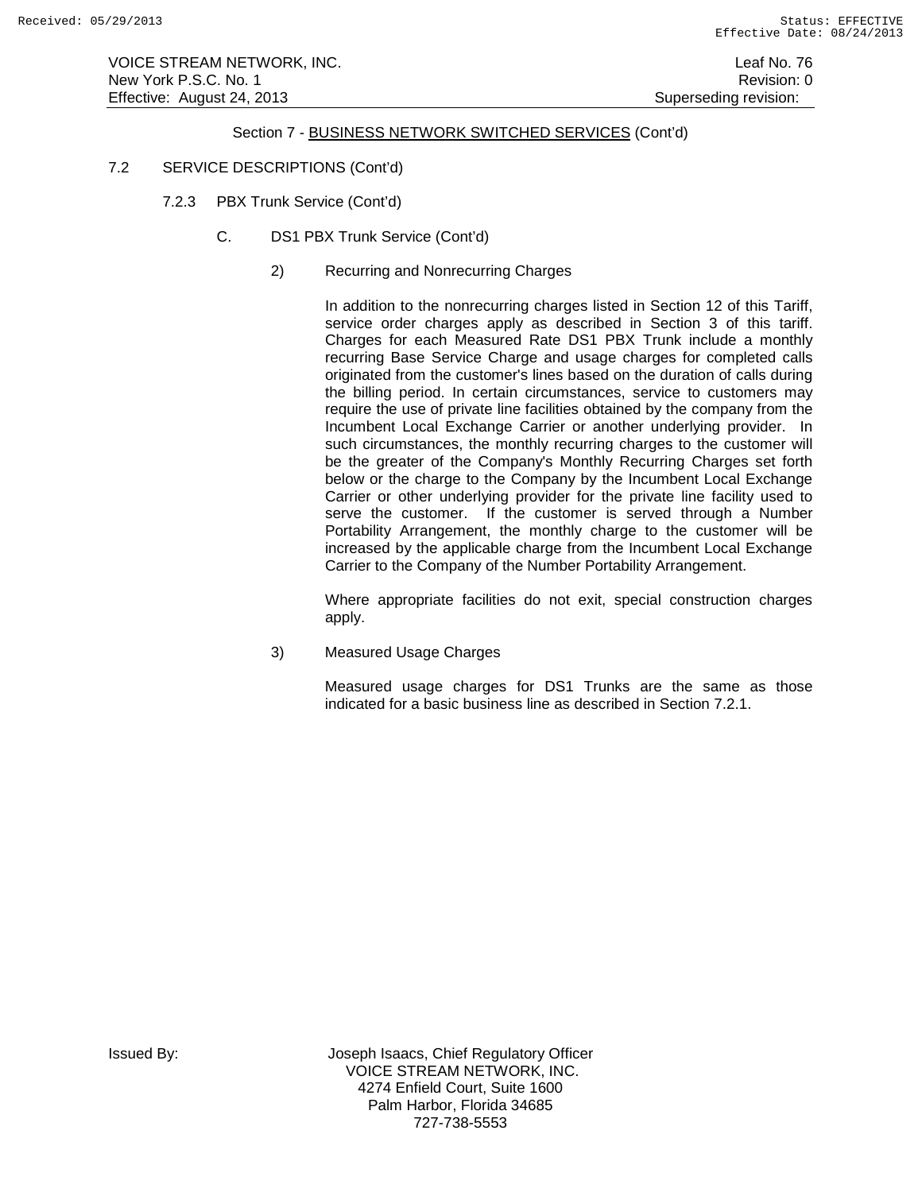VOICE STREAM NETWORK, INC. Leaf No. 76 New York P.S.C. No. 1 **New York P.S.C.** No. 1 Effective: August 24, 2013 **Superseding revision:** Superseding revision:

### Section 7 - BUSINESS NETWORK SWITCHED SERVICES (Cont'd)

- 7.2 SERVICE DESCRIPTIONS (Cont'd)
	- 7.2.3 PBX Trunk Service (Cont'd)
		- C. DS1 PBX Trunk Service (Cont'd)
			- 2) Recurring and Nonrecurring Charges

In addition to the nonrecurring charges listed in Section 12 of this Tariff, service order charges apply as described in Section 3 of this tariff. Charges for each Measured Rate DS1 PBX Trunk include a monthly recurring Base Service Charge and usage charges for completed calls originated from the customer's lines based on the duration of calls during the billing period. In certain circumstances, service to customers may require the use of private line facilities obtained by the company from the Incumbent Local Exchange Carrier or another underlying provider. In such circumstances, the monthly recurring charges to the customer will be the greater of the Company's Monthly Recurring Charges set forth below or the charge to the Company by the Incumbent Local Exchange Carrier or other underlying provider for the private line facility used to serve the customer. If the customer is served through a Number Portability Arrangement, the monthly charge to the customer will be increased by the applicable charge from the Incumbent Local Exchange Carrier to the Company of the Number Portability Arrangement.

Where appropriate facilities do not exit, special construction charges apply.

3) Measured Usage Charges

Measured usage charges for DS1 Trunks are the same as those indicated for a basic business line as described in Section 7.2.1.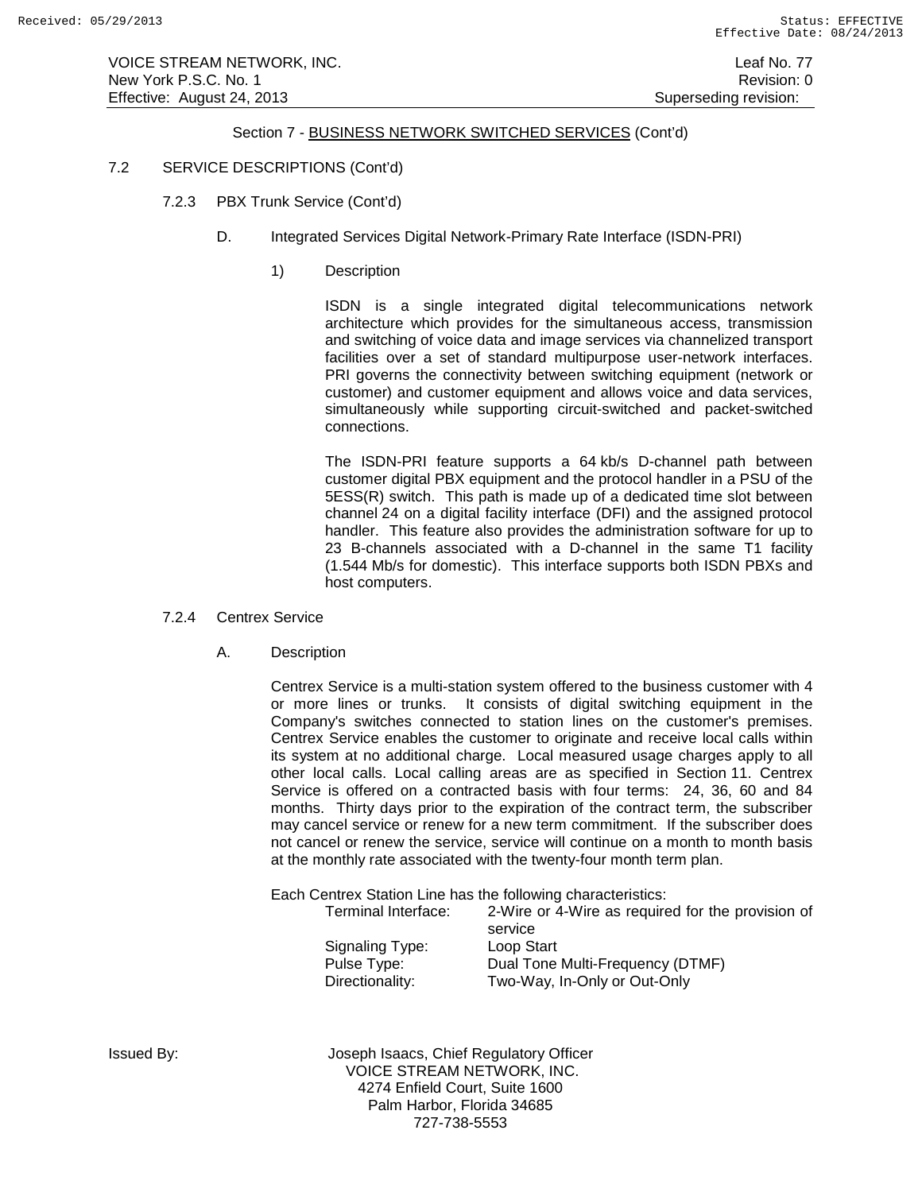VOICE STREAM NETWORK, INC. Leaf No. 77 New York P.S.C. No. 1 **New York P.S.C.** No. 1 Effective: August 24, 2013 **Superseding revision:** Superseding revision:

### Section 7 - BUSINESS NETWORK SWITCHED SERVICES (Cont'd)

### 7.2 SERVICE DESCRIPTIONS (Cont'd)

- 7.2.3 PBX Trunk Service (Cont'd)
	- D. Integrated Services Digital Network-Primary Rate Interface (ISDN-PRI)
		- 1) Description

ISDN is a single integrated digital telecommunications network architecture which provides for the simultaneous access, transmission and switching of voice data and image services via channelized transport facilities over a set of standard multipurpose user-network interfaces. PRI governs the connectivity between switching equipment (network or customer) and customer equipment and allows voice and data services, simultaneously while supporting circuit-switched and packet-switched connections.

The ISDN-PRI feature supports a 64 kb/s D-channel path between customer digital PBX equipment and the protocol handler in a PSU of the 5ESS(R) switch. This path is made up of a dedicated time slot between channel 24 on a digital facility interface (DFI) and the assigned protocol handler. This feature also provides the administration software for up to 23 B-channels associated with a D-channel in the same T1 facility (1.544 Mb/s for domestic). This interface supports both ISDN PBXs and host computers.

### 7.2.4 Centrex Service

A. Description

Centrex Service is a multi-station system offered to the business customer with 4 or more lines or trunks. It consists of digital switching equipment in the Company's switches connected to station lines on the customer's premises. Centrex Service enables the customer to originate and receive local calls within its system at no additional charge. Local measured usage charges apply to all other local calls. Local calling areas are as specified in Section 11. Centrex Service is offered on a contracted basis with four terms: 24, 36, 60 and 84 months. Thirty days prior to the expiration of the contract term, the subscriber may cancel service or renew for a new term commitment. If the subscriber does not cancel or renew the service, service will continue on a month to month basis at the monthly rate associated with the twenty-four month term plan.

Each Centrex Station Line has the following characteristics:<br>Terminal Interface: 2-Wire or 4-Wire as require

2-Wire or 4-Wire as required for the provision of service Signaling Type: Loop Start<br>
Pulse Type: Dual Tone

Dual Tone Multi-Frequency (DTMF) Directionality: Two-Way, In-Only or Out-Only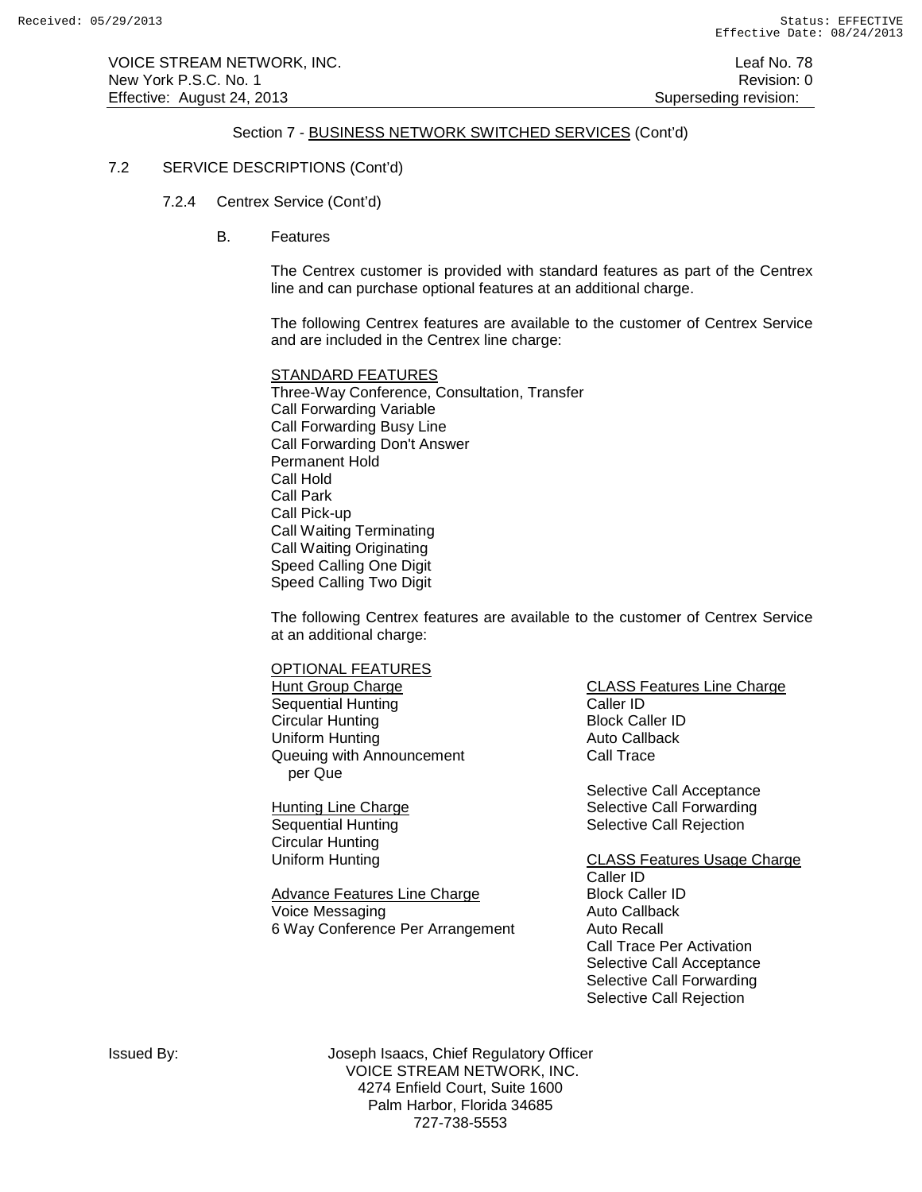VOICE STREAM NETWORK, INC. Leaf No. 78 New York P.S.C. No. 1 **New York P.S.C.** No. 1 Effective: August 24, 2013 **Superseding revision:** Superseding revision:

### Section 7 - BUSINESS NETWORK SWITCHED SERVICES (Cont'd)

### 7.2 SERVICE DESCRIPTIONS (Cont'd)

- 7.2.4 Centrex Service (Cont'd)
	- B. Features

The Centrex customer is provided with standard features as part of the Centrex line and can purchase optional features at an additional charge.

The following Centrex features are available to the customer of Centrex Service and are included in the Centrex line charge:

STANDARD FEATURES Three-Way Conference, Consultation, Transfer Call Forwarding Variable Call Forwarding Busy Line Call Forwarding Don't Answer Permanent Hold Call Hold Call Park Call Pick-up Call Waiting Terminating Call Waiting Originating Speed Calling One Digit Speed Calling Two Digit

The following Centrex features are available to the customer of Centrex Service at an additional charge:

**OPTIONAL FEATURES**<br>Hunt Group Charge Sequential Hunting The Caller ID<br>Circular Hunting Circular Block Caller ID Circular Hunting Uniform Hunting **Auto Callback** Queuing with Announcement per Que

Circular Hunting

Advance Features Line Charge<br>
Voice Messaging<br>
Voice Messaging<br>
Published Auto Callback Voice Messaging and Callback Callback Callback<br>6 Way Conference Per Arrangement Auto Recall 6 Way Conference Per Arrangement

CLASS Features Line Charge<br>Caller ID Call Trace

Selective Call Acceptance Hunting Line Charge<br>
Selective Call Forwarding<br>
Selective Call Rejection Selective Call Rejection

Uniform Hunting **CLASS Features Usage Charge** Caller ID Call Trace Per Activation Selective Call Acceptance Selective Call Forwarding Selective Call Rejection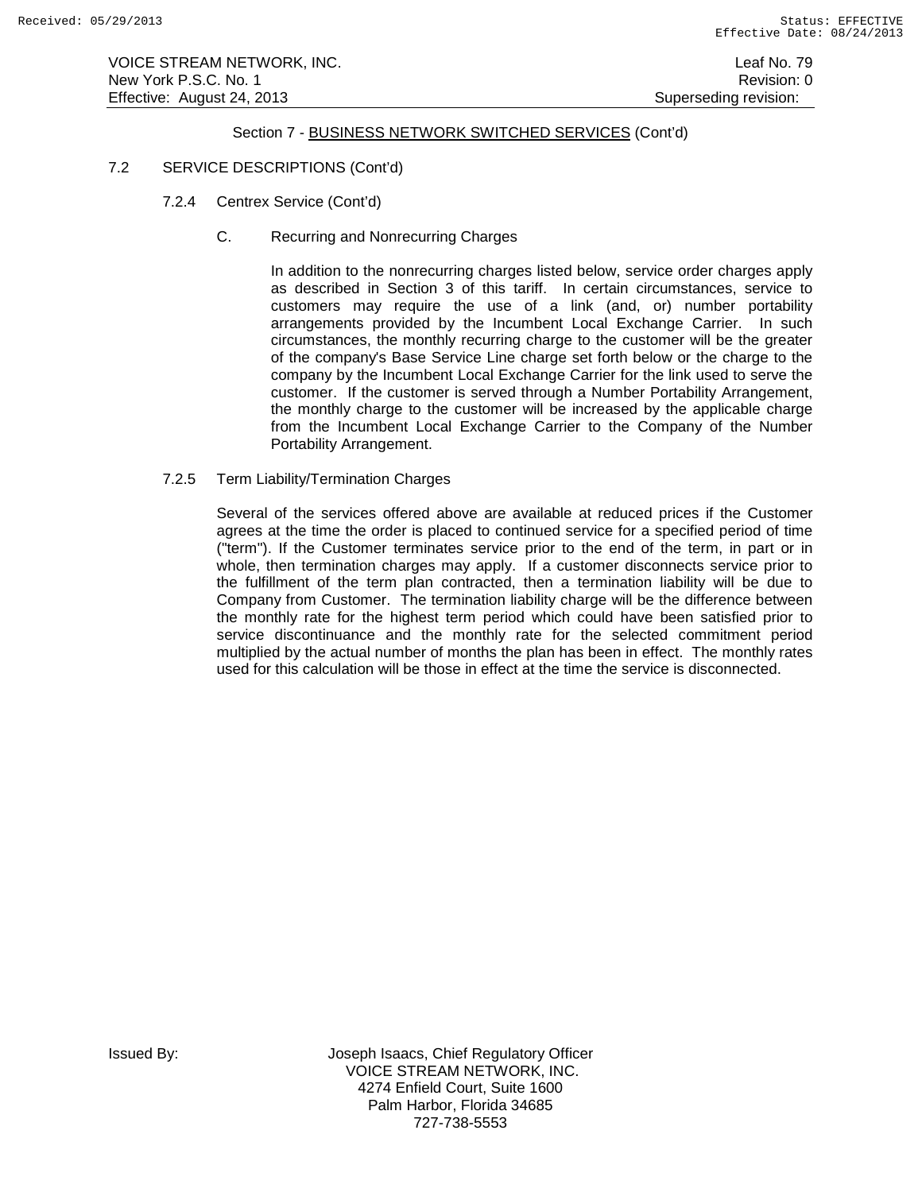VOICE STREAM NETWORK, INC. Leaf No. 79 New York P.S.C. No. 1 **New York P.S.C.** No. 1 Effective: August 24, 2013 **Superseding revision:** Superseding revision:

### Section 7 - BUSINESS NETWORK SWITCHED SERVICES (Cont'd)

### 7.2 SERVICE DESCRIPTIONS (Cont'd)

- 7.2.4 Centrex Service (Cont'd)
	- C. Recurring and Nonrecurring Charges

In addition to the nonrecurring charges listed below, service order charges apply as described in Section 3 of this tariff. In certain circumstances, service to customers may require the use of a link (and, or) number portability arrangements provided by the Incumbent Local Exchange Carrier. In such circumstances, the monthly recurring charge to the customer will be the greater of the company's Base Service Line charge set forth below or the charge to the company by the Incumbent Local Exchange Carrier for the link used to serve the customer. If the customer is served through a Number Portability Arrangement, the monthly charge to the customer will be increased by the applicable charge from the Incumbent Local Exchange Carrier to the Company of the Number Portability Arrangement.

7.2.5 Term Liability/Termination Charges

Several of the services offered above are available at reduced prices if the Customer agrees at the time the order is placed to continued service for a specified period of time ("term"). If the Customer terminates service prior to the end of the term, in part or in whole, then termination charges may apply. If a customer disconnects service prior to the fulfillment of the term plan contracted, then a termination liability will be due to Company from Customer. The termination liability charge will be the difference between the monthly rate for the highest term period which could have been satisfied prior to service discontinuance and the monthly rate for the selected commitment period multiplied by the actual number of months the plan has been in effect. The monthly rates used for this calculation will be those in effect at the time the service is disconnected.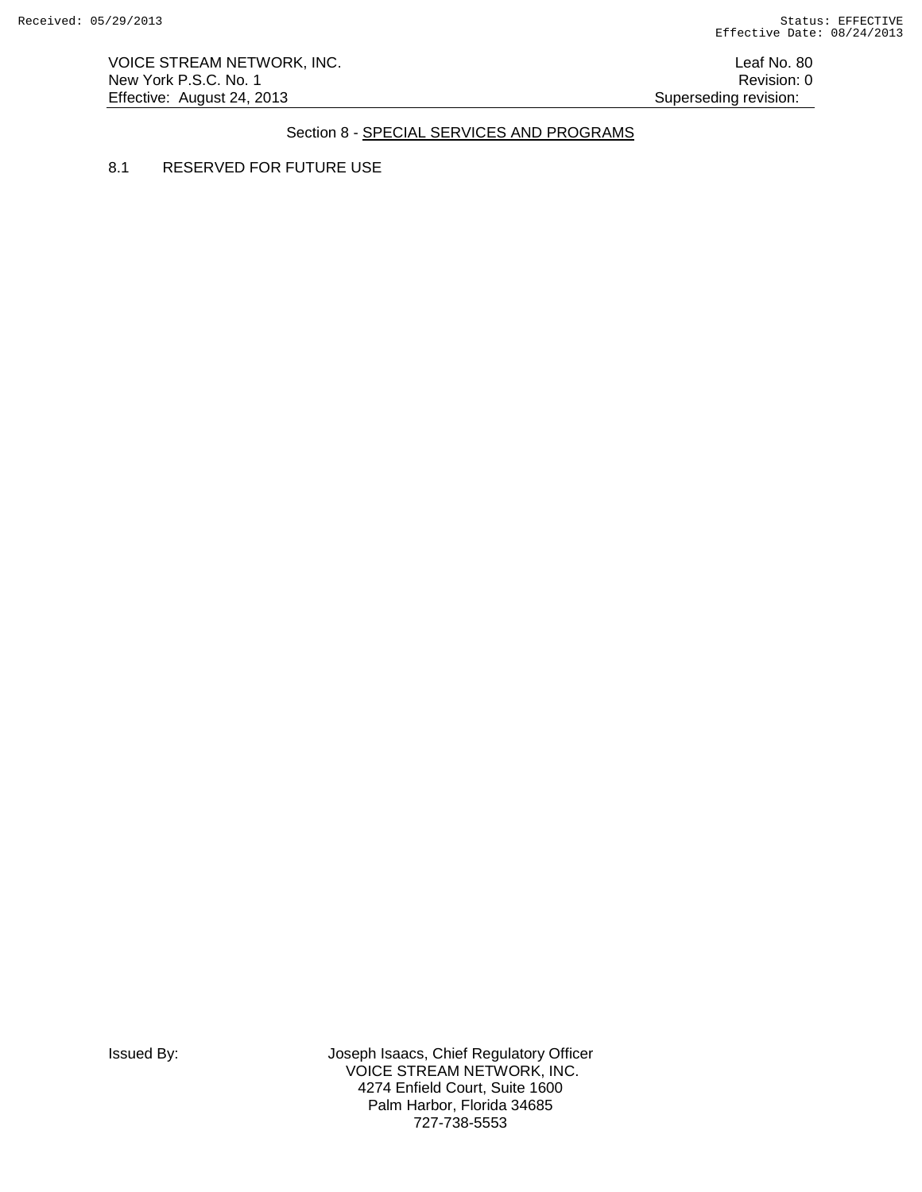VOICE STREAM NETWORK, INC. **Leaf No. 80** New York P.S.C. No. 1 Revision: 0 Effective: August 24, 2013 **Superseding revision:** Superseding revision:

# Section 8 - SPECIAL SERVICES AND PROGRAMS

8.1 RESERVED FOR FUTURE USE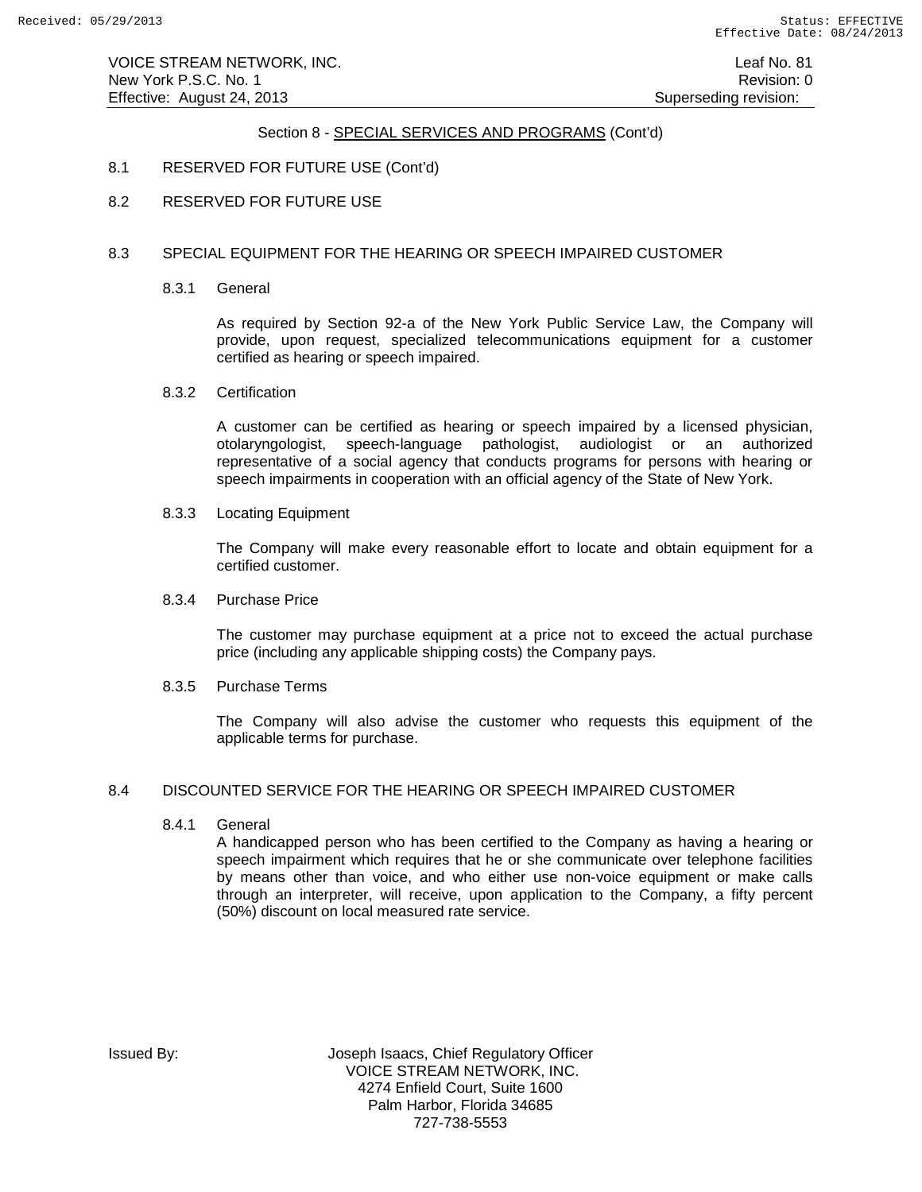# Section 8 - SPECIAL SERVICES AND PROGRAMS (Cont'd)

- 8.1 RESERVED FOR FUTURE USE (Cont'd)
- 8.2 RESERVED FOR FUTURE USE

### 8.3 SPECIAL EQUIPMENT FOR THE HEARING OR SPEECH IMPAIRED CUSTOMER

8.3.1 General

As required by Section 92-a of the New York Public Service Law, the Company will provide, upon request, specialized telecommunications equipment for a customer certified as hearing or speech impaired.

8.3.2 Certification

A customer can be certified as hearing or speech impaired by a licensed physician, otolaryngologist, speech-language pathologist, audiologist or an authorized representative of a social agency that conducts programs for persons with hearing or speech impairments in cooperation with an official agency of the State of New York.

8.3.3 Locating Equipment

The Company will make every reasonable effort to locate and obtain equipment for a certified customer.

8.3.4 Purchase Price

The customer may purchase equipment at a price not to exceed the actual purchase price (including any applicable shipping costs) the Company pays.

8.3.5 Purchase Terms

The Company will also advise the customer who requests this equipment of the applicable terms for purchase.

### 8.4 DISCOUNTED SERVICE FOR THE HEARING OR SPEECH IMPAIRED CUSTOMER

8.4.1 General

A handicapped person who has been certified to the Company as having a hearing or speech impairment which requires that he or she communicate over telephone facilities by means other than voice, and who either use non-voice equipment or make calls through an interpreter, will receive, upon application to the Company, a fifty percent (50%) discount on local measured rate service.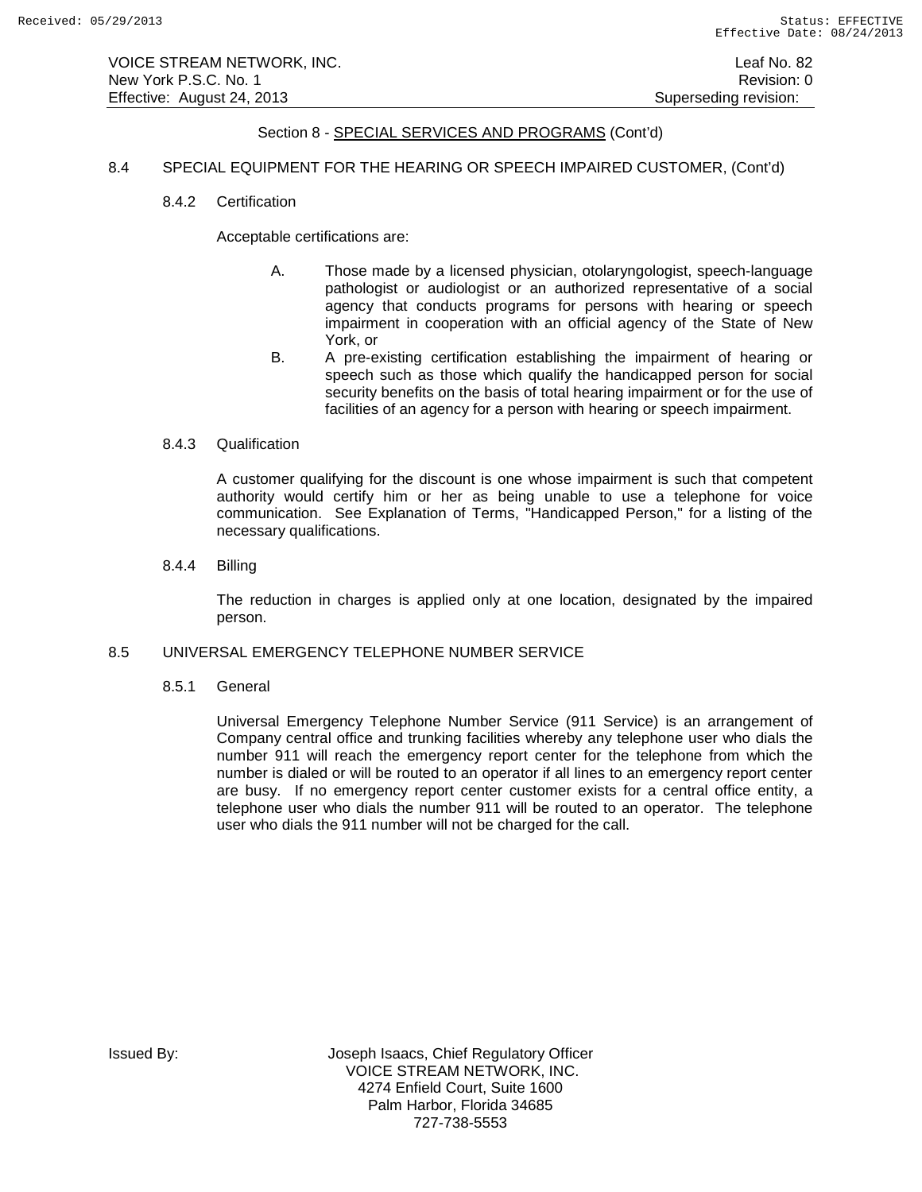VOICE STREAM NETWORK, INC. Leaf No. 82 New York P.S.C. No. 1 **New York P.S.C.** No. 1 Effective: August 24, 2013 **Superseding revision:** Superseding revision:

### Section 8 - SPECIAL SERVICES AND PROGRAMS (Cont'd)

### 8.4 SPECIAL EQUIPMENT FOR THE HEARING OR SPEECH IMPAIRED CUSTOMER, (Cont'd)

### 8.4.2 Certification

Acceptable certifications are:

- A. Those made by a licensed physician, otolaryngologist, speech-language pathologist or audiologist or an authorized representative of a social agency that conducts programs for persons with hearing or speech impairment in cooperation with an official agency of the State of New York, or
- B. A pre-existing certification establishing the impairment of hearing or speech such as those which qualify the handicapped person for social security benefits on the basis of total hearing impairment or for the use of facilities of an agency for a person with hearing or speech impairment.

### 8.4.3 Qualification

A customer qualifying for the discount is one whose impairment is such that competent authority would certify him or her as being unable to use a telephone for voice communication. See Explanation of Terms, "Handicapped Person," for a listing of the necessary qualifications.

8.4.4 Billing

The reduction in charges is applied only at one location, designated by the impaired person.

### 8.5 UNIVERSAL EMERGENCY TELEPHONE NUMBER SERVICE

8.5.1 General

Universal Emergency Telephone Number Service (911 Service) is an arrangement of Company central office and trunking facilities whereby any telephone user who dials the number 911 will reach the emergency report center for the telephone from which the number is dialed or will be routed to an operator if all lines to an emergency report center are busy. If no emergency report center customer exists for a central office entity, a telephone user who dials the number 911 will be routed to an operator. The telephone user who dials the 911 number will not be charged for the call.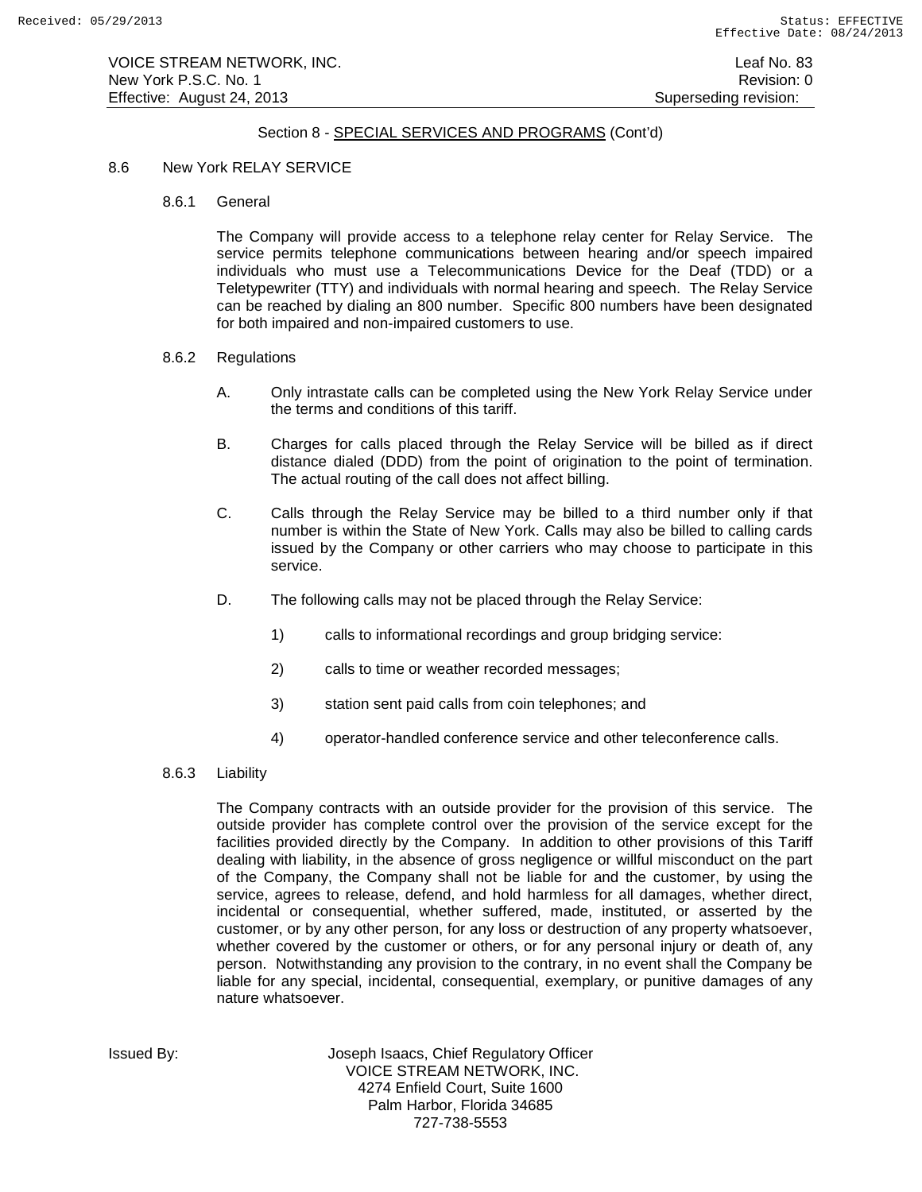VOICE STREAM NETWORK, INC. Leaf No. 83 New York P.S.C. No. 1 **New York P.S.C.** No. 1 Effective: August 24, 2013 **Superseding revision:** Superseding revision:

### Section 8 - SPECIAL SERVICES AND PROGRAMS (Cont'd)

#### 8.6 New York RELAY SERVICE

8.6.1 General

The Company will provide access to a telephone relay center for Relay Service. The service permits telephone communications between hearing and/or speech impaired individuals who must use a Telecommunications Device for the Deaf (TDD) or a Teletypewriter (TTY) and individuals with normal hearing and speech. The Relay Service can be reached by dialing an 800 number. Specific 800 numbers have been designated for both impaired and non-impaired customers to use.

- 8.6.2 Regulations
	- A. Only intrastate calls can be completed using the New York Relay Service under the terms and conditions of this tariff.
	- B. Charges for calls placed through the Relay Service will be billed as if direct distance dialed (DDD) from the point of origination to the point of termination. The actual routing of the call does not affect billing.
	- C. Calls through the Relay Service may be billed to a third number only if that number is within the State of New York. Calls may also be billed to calling cards issued by the Company or other carriers who may choose to participate in this service.
	- D. The following calls may not be placed through the Relay Service:
		- 1) calls to informational recordings and group bridging service:
		- 2) calls to time or weather recorded messages;
		- 3) station sent paid calls from coin telephones; and
		- 4) operator-handled conference service and other teleconference calls.
- 8.6.3 Liability

The Company contracts with an outside provider for the provision of this service. The outside provider has complete control over the provision of the service except for the facilities provided directly by the Company. In addition to other provisions of this Tariff dealing with liability, in the absence of gross negligence or willful misconduct on the part of the Company, the Company shall not be liable for and the customer, by using the service, agrees to release, defend, and hold harmless for all damages, whether direct, incidental or consequential, whether suffered, made, instituted, or asserted by the customer, or by any other person, for any loss or destruction of any property whatsoever, whether covered by the customer or others, or for any personal injury or death of, any person. Notwithstanding any provision to the contrary, in no event shall the Company be liable for any special, incidental, consequential, exemplary, or punitive damages of any nature whatsoever.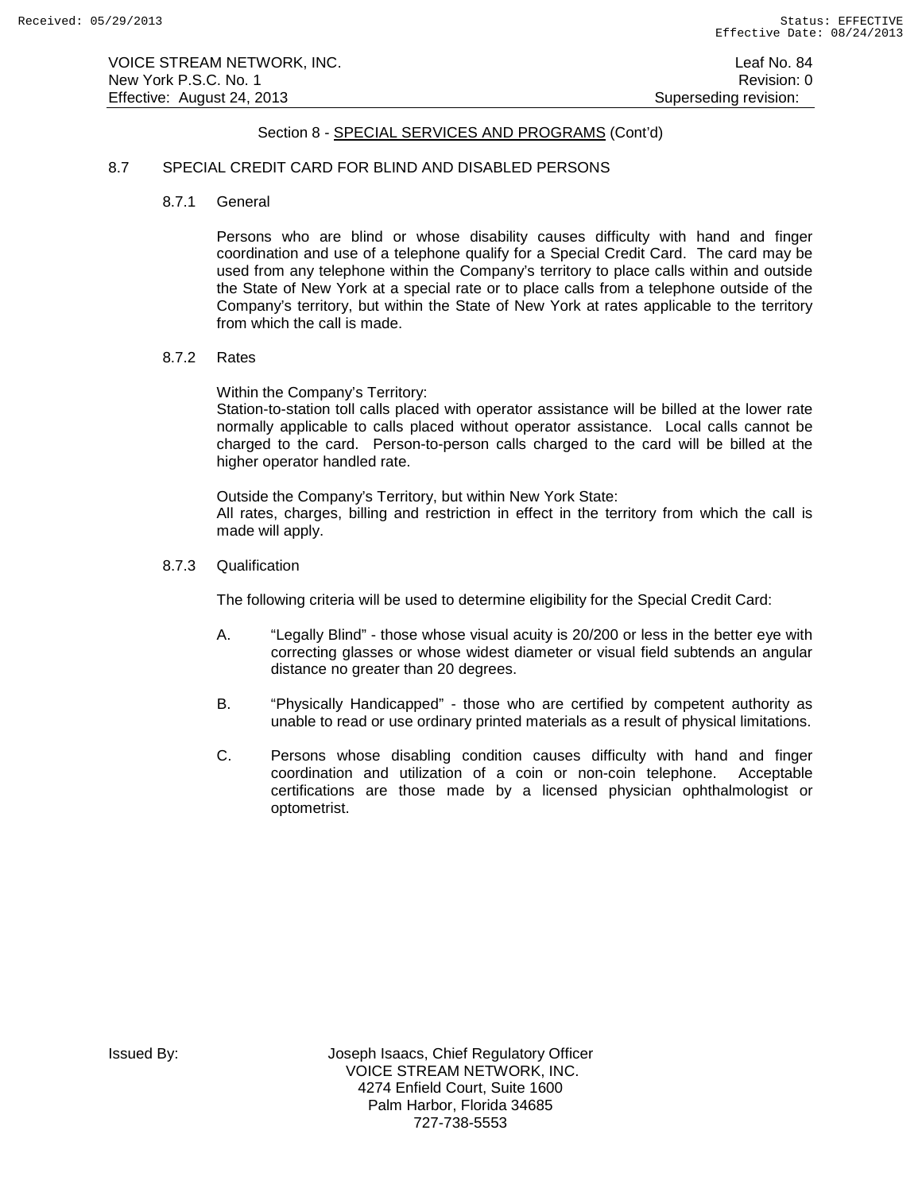### Section 8 - SPECIAL SERVICES AND PROGRAMS (Cont'd)

### 8.7 SPECIAL CREDIT CARD FOR BLIND AND DISABLED PERSONS

8.7.1 General

Persons who are blind or whose disability causes difficulty with hand and finger coordination and use of a telephone qualify for a Special Credit Card. The card may be used from any telephone within the Company's territory to place calls within and outside the State of New York at a special rate or to place calls from a telephone outside of the Company's territory, but within the State of New York at rates applicable to the territory from which the call is made.

### 8.7.2 Rates

Within the Company's Territory:

Station-to-station toll calls placed with operator assistance will be billed at the lower rate normally applicable to calls placed without operator assistance. Local calls cannot be charged to the card. Person-to-person calls charged to the card will be billed at the higher operator handled rate.

Outside the Company's Territory, but within New York State: All rates, charges, billing and restriction in effect in the territory from which the call is made will apply.

#### 8.7.3 Qualification

The following criteria will be used to determine eligibility for the Special Credit Card:

- A. "Legally Blind" those whose visual acuity is 20/200 or less in the better eye with correcting glasses or whose widest diameter or visual field subtends an angular distance no greater than 20 degrees.
- B. "Physically Handicapped" those who are certified by competent authority as unable to read or use ordinary printed materials as a result of physical limitations.
- C. Persons whose disabling condition causes difficulty with hand and finger coordination and utilization of a coin or non-coin telephone. Acceptable certifications are those made by a licensed physician ophthalmologist or optometrist.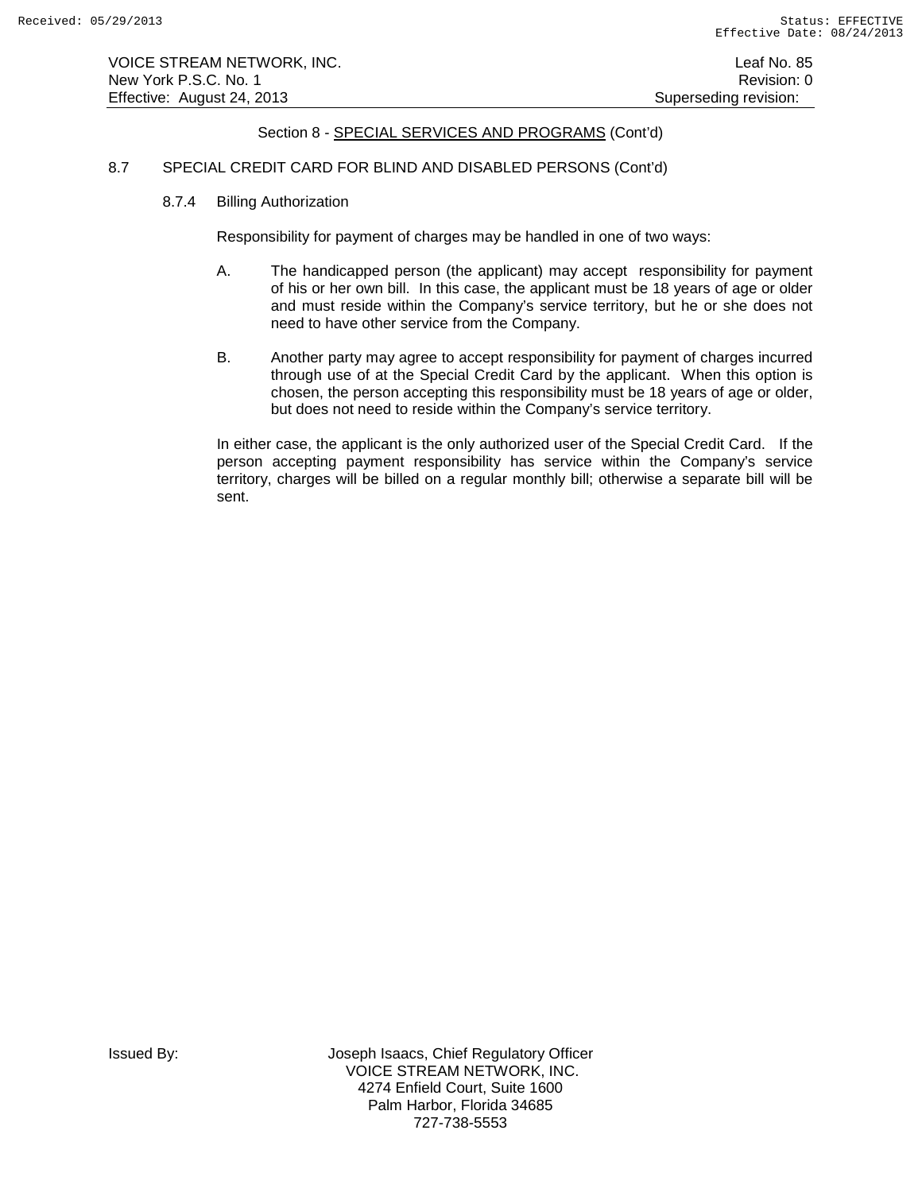# Section 8 - SPECIAL SERVICES AND PROGRAMS (Cont'd)

### 8.7 SPECIAL CREDIT CARD FOR BLIND AND DISABLED PERSONS (Cont'd)

8.7.4 Billing Authorization

Responsibility for payment of charges may be handled in one of two ways:

- A. The handicapped person (the applicant) may accept responsibility for payment of his or her own bill. In this case, the applicant must be 18 years of age or older and must reside within the Company's service territory, but he or she does not need to have other service from the Company.
- B. Another party may agree to accept responsibility for payment of charges incurred through use of at the Special Credit Card by the applicant. When this option is chosen, the person accepting this responsibility must be 18 years of age or older, but does not need to reside within the Company's service territory.

In either case, the applicant is the only authorized user of the Special Credit Card. If the person accepting payment responsibility has service within the Company's service territory, charges will be billed on a regular monthly bill; otherwise a separate bill will be sent.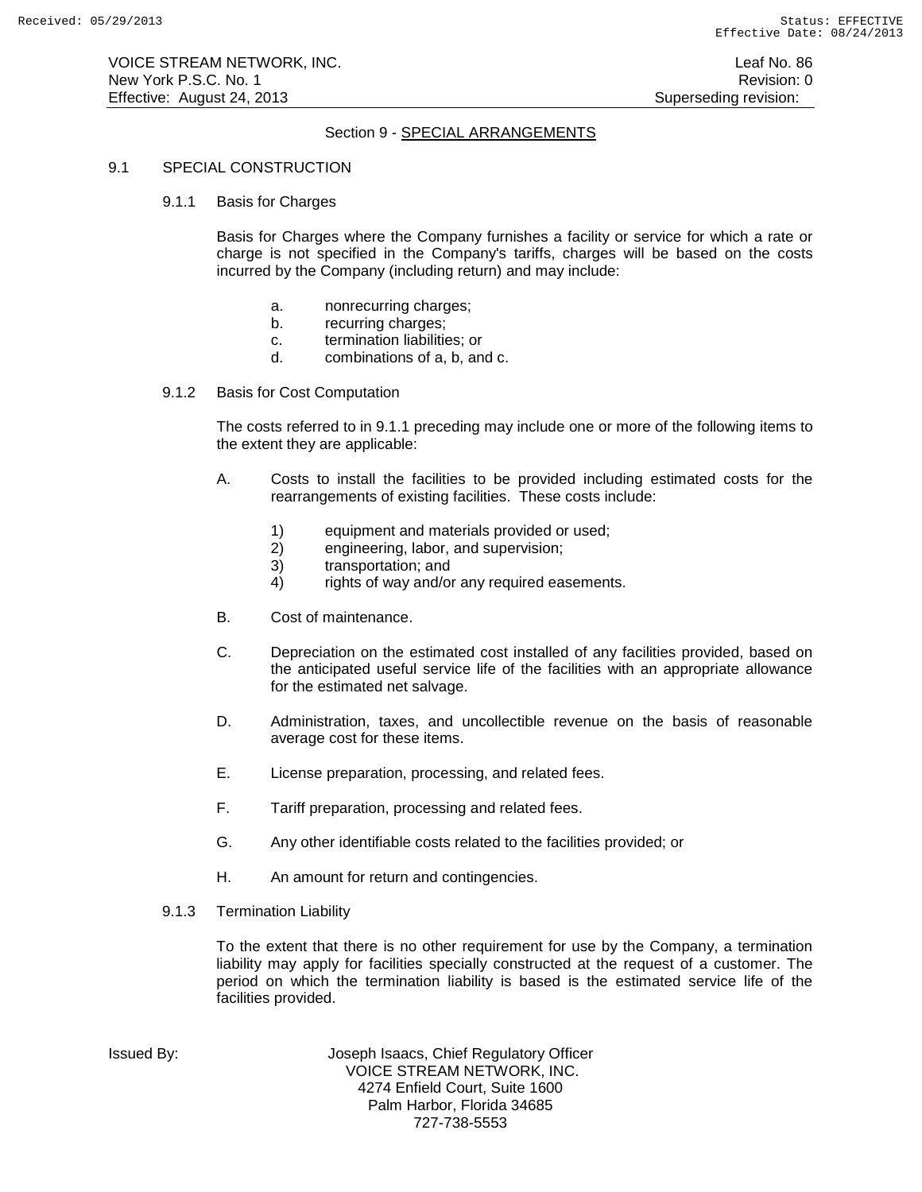# Section 9 - SPECIAL ARRANGEMENTS

### 9.1 SPECIAL CONSTRUCTION

### 9.1.1 Basis for Charges

Basis for Charges where the Company furnishes a facility or service for which a rate or charge is not specified in the Company's tariffs, charges will be based on the costs incurred by the Company (including return) and may include:

- a. nonrecurring charges;
- b. recurring charges;
- c. termination liabilities; or
- d. combinations of a, b, and c.
- 9.1.2 Basis for Cost Computation

The costs referred to in 9.1.1 preceding may include one or more of the following items to the extent they are applicable:

- A. Costs to install the facilities to be provided including estimated costs for the rearrangements of existing facilities. These costs include:
	- 1) equipment and materials provided or used;<br>2) engineering, labor, and supervision;
	- engineering, labor, and supervision;
	- 3) transportation; and
	- 4) rights of way and/or any required easements.
- B. Cost of maintenance.
- C. Depreciation on the estimated cost installed of any facilities provided, based on the anticipated useful service life of the facilities with an appropriate allowance for the estimated net salvage.
- D. Administration, taxes, and uncollectible revenue on the basis of reasonable average cost for these items.
- E. License preparation, processing, and related fees.
- F. Tariff preparation, processing and related fees.
- G. Any other identifiable costs related to the facilities provided; or
- H. An amount for return and contingencies.
- 9.1.3 Termination Liability

To the extent that there is no other requirement for use by the Company, a termination liability may apply for facilities specially constructed at the request of a customer. The period on which the termination liability is based is the estimated service life of the facilities provided.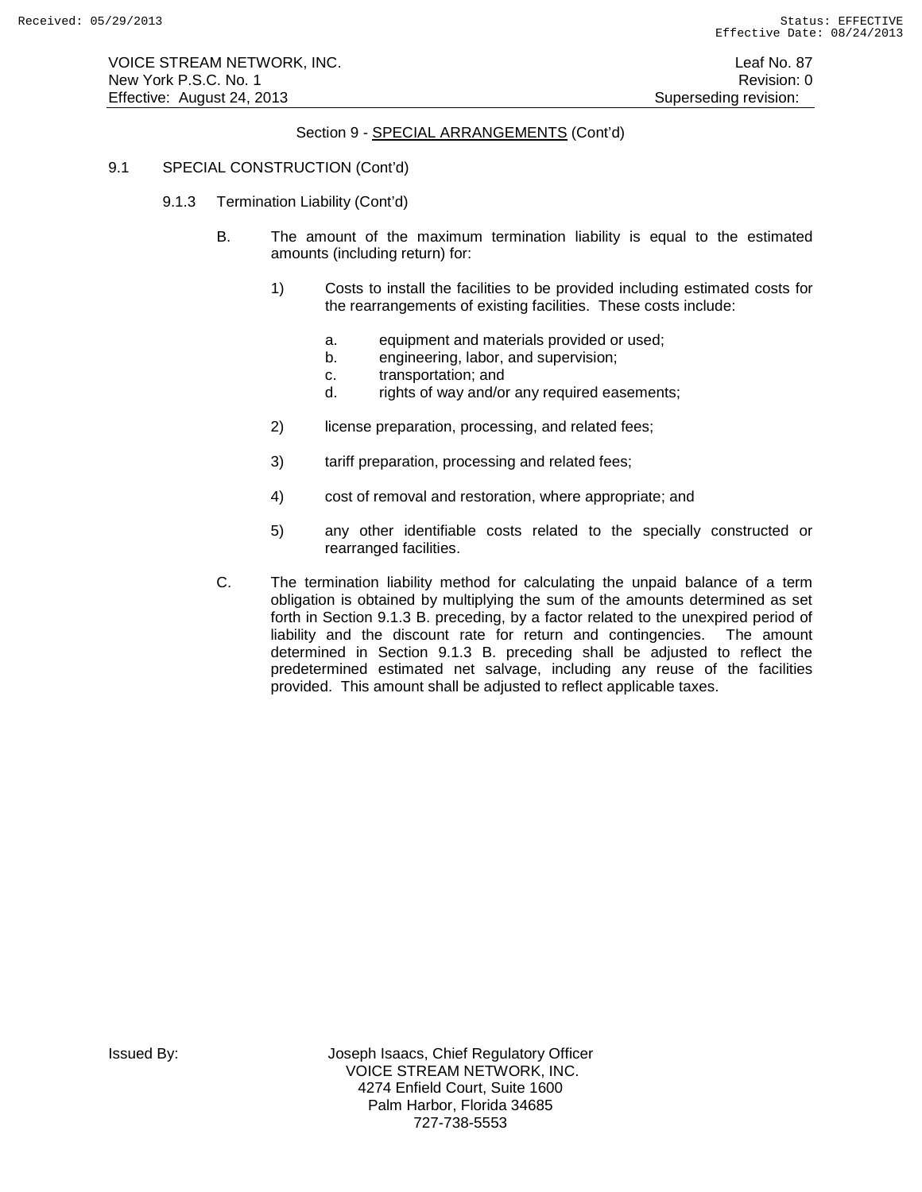# Section 9 - SPECIAL ARRANGEMENTS (Cont'd)

### 9.1 SPECIAL CONSTRUCTION (Cont'd)

- 9.1.3 Termination Liability (Cont'd)
	- B. The amount of the maximum termination liability is equal to the estimated amounts (including return) for:
		- 1) Costs to install the facilities to be provided including estimated costs for the rearrangements of existing facilities. These costs include:
			- a. equipment and materials provided or used;
			- b. engineering, labor, and supervision;
			- c. transportation; and<br>d. rights of way and/or
			- rights of way and/or any required easements;
		- 2) license preparation, processing, and related fees;
		- 3) tariff preparation, processing and related fees;
		- 4) cost of removal and restoration, where appropriate; and
		- 5) any other identifiable costs related to the specially constructed or rearranged facilities.
	- C. The termination liability method for calculating the unpaid balance of a term obligation is obtained by multiplying the sum of the amounts determined as set forth in Section 9.1.3 B. preceding, by a factor related to the unexpired period of liability and the discount rate for return and contingencies. The amount determined in Section 9.1.3 B. preceding shall be adjusted to reflect the predetermined estimated net salvage, including any reuse of the facilities provided. This amount shall be adjusted to reflect applicable taxes.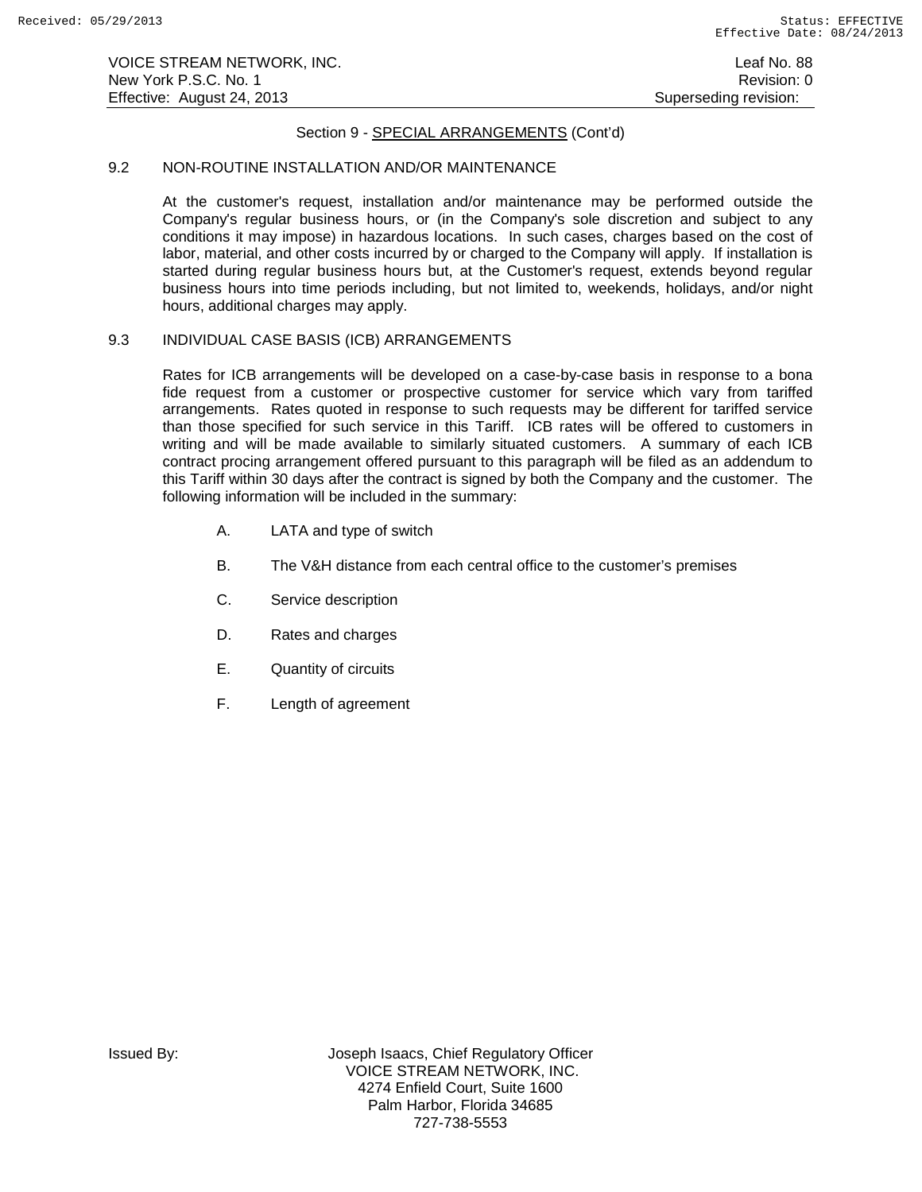# Section 9 - SPECIAL ARRANGEMENTS (Cont'd)

### 9.2 NON-ROUTINE INSTALLATION AND/OR MAINTENANCE

At the customer's request, installation and/or maintenance may be performed outside the Company's regular business hours, or (in the Company's sole discretion and subject to any conditions it may impose) in hazardous locations. In such cases, charges based on the cost of labor, material, and other costs incurred by or charged to the Company will apply. If installation is started during regular business hours but, at the Customer's request, extends beyond regular business hours into time periods including, but not limited to, weekends, holidays, and/or night hours, additional charges may apply.

# 9.3 INDIVIDUAL CASE BASIS (ICB) ARRANGEMENTS

Rates for ICB arrangements will be developed on a case-by-case basis in response to a bona fide request from a customer or prospective customer for service which vary from tariffed arrangements. Rates quoted in response to such requests may be different for tariffed service than those specified for such service in this Tariff. ICB rates will be offered to customers in writing and will be made available to similarly situated customers. A summary of each ICB contract procing arrangement offered pursuant to this paragraph will be filed as an addendum to this Tariff within 30 days after the contract is signed by both the Company and the customer. The following information will be included in the summary:

- A. LATA and type of switch
- B. The V&H distance from each central office to the customer's premises
- C. Service description
- D. Rates and charges
- E. Quantity of circuits
- F. Length of agreement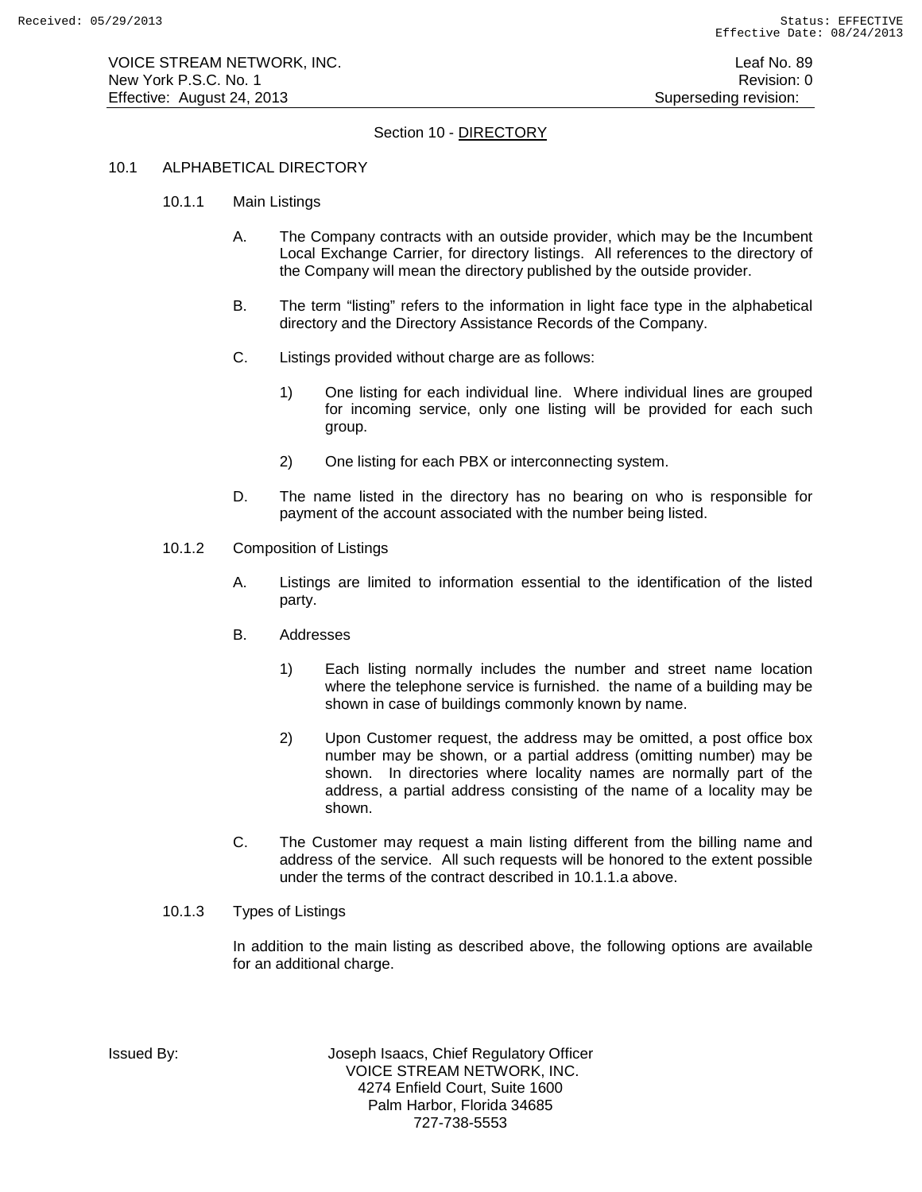# Section 10 - DIRECTORY

### 10.1 ALPHABETICAL DIRECTORY

- 10.1.1 Main Listings
	- A. The Company contracts with an outside provider, which may be the Incumbent Local Exchange Carrier, for directory listings. All references to the directory of the Company will mean the directory published by the outside provider.
	- B. The term "listing" refers to the information in light face type in the alphabetical directory and the Directory Assistance Records of the Company.
	- C. Listings provided without charge are as follows:
		- 1) One listing for each individual line. Where individual lines are grouped for incoming service, only one listing will be provided for each such group.
		- 2) One listing for each PBX or interconnecting system.
	- D. The name listed in the directory has no bearing on who is responsible for payment of the account associated with the number being listed.
- 10.1.2 Composition of Listings
	- A. Listings are limited to information essential to the identification of the listed party.
	- B. Addresses
		- 1) Each listing normally includes the number and street name location where the telephone service is furnished. the name of a building may be shown in case of buildings commonly known by name.
		- 2) Upon Customer request, the address may be omitted, a post office box number may be shown, or a partial address (omitting number) may be shown. In directories where locality names are normally part of the address, a partial address consisting of the name of a locality may be shown.
	- C. The Customer may request a main listing different from the billing name and address of the service. All such requests will be honored to the extent possible under the terms of the contract described in 10.1.1.a above.

### 10.1.3 Types of Listings

In addition to the main listing as described above, the following options are available for an additional charge.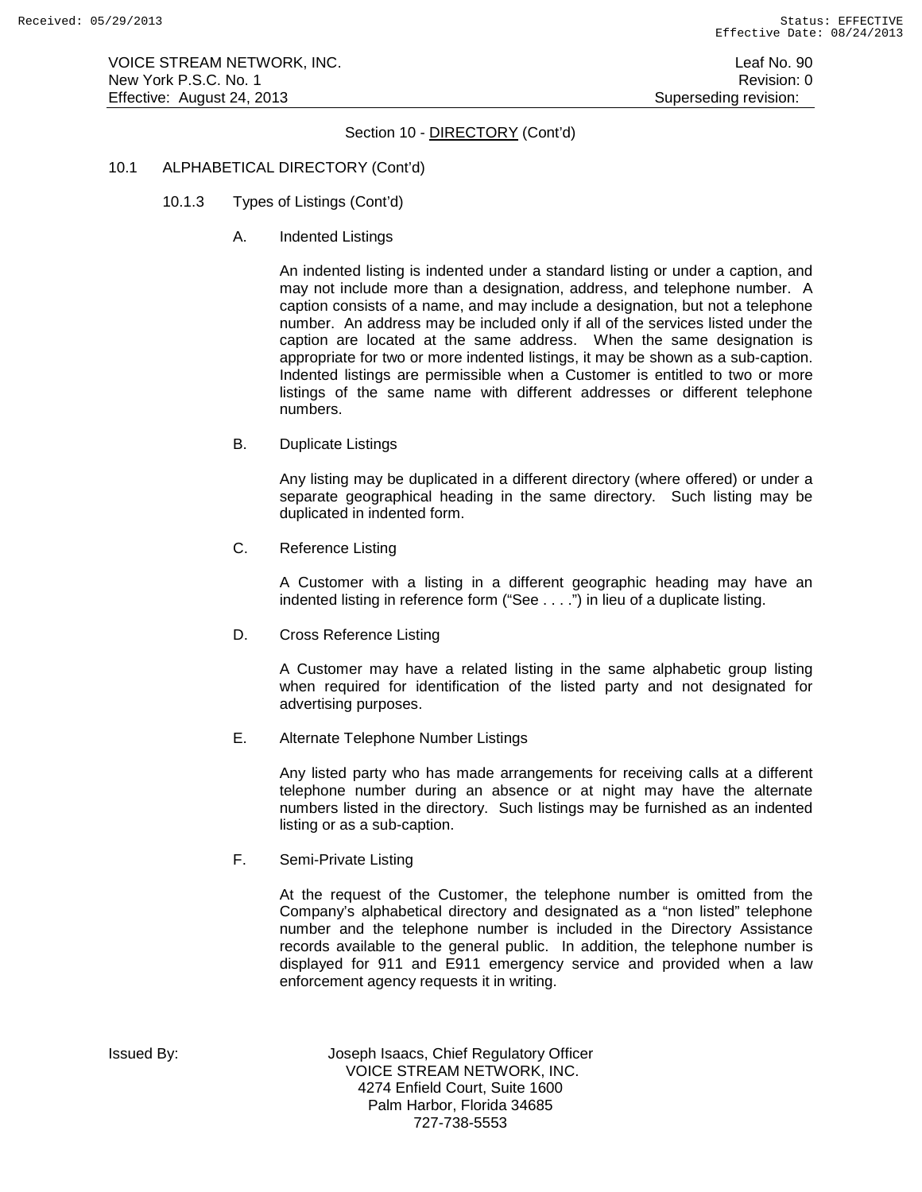# Section 10 - DIRECTORY (Cont'd)

### 10.1 ALPHABETICAL DIRECTORY (Cont'd)

- 10.1.3 Types of Listings (Cont'd)
	- A. Indented Listings

An indented listing is indented under a standard listing or under a caption, and may not include more than a designation, address, and telephone number. A caption consists of a name, and may include a designation, but not a telephone number. An address may be included only if all of the services listed under the caption are located at the same address. When the same designation is appropriate for two or more indented listings, it may be shown as a sub-caption. Indented listings are permissible when a Customer is entitled to two or more listings of the same name with different addresses or different telephone numbers.

B. Duplicate Listings

Any listing may be duplicated in a different directory (where offered) or under a separate geographical heading in the same directory. Such listing may be duplicated in indented form.

C. Reference Listing

A Customer with a listing in a different geographic heading may have an indented listing in reference form ("See . . . .") in lieu of a duplicate listing.

D. Cross Reference Listing

A Customer may have a related listing in the same alphabetic group listing when required for identification of the listed party and not designated for advertising purposes.

E. Alternate Telephone Number Listings

Any listed party who has made arrangements for receiving calls at a different telephone number during an absence or at night may have the alternate numbers listed in the directory. Such listings may be furnished as an indented listing or as a sub-caption.

F. Semi-Private Listing

At the request of the Customer, the telephone number is omitted from the Company's alphabetical directory and designated as a "non listed" telephone number and the telephone number is included in the Directory Assistance records available to the general public. In addition, the telephone number is displayed for 911 and E911 emergency service and provided when a law enforcement agency requests it in writing.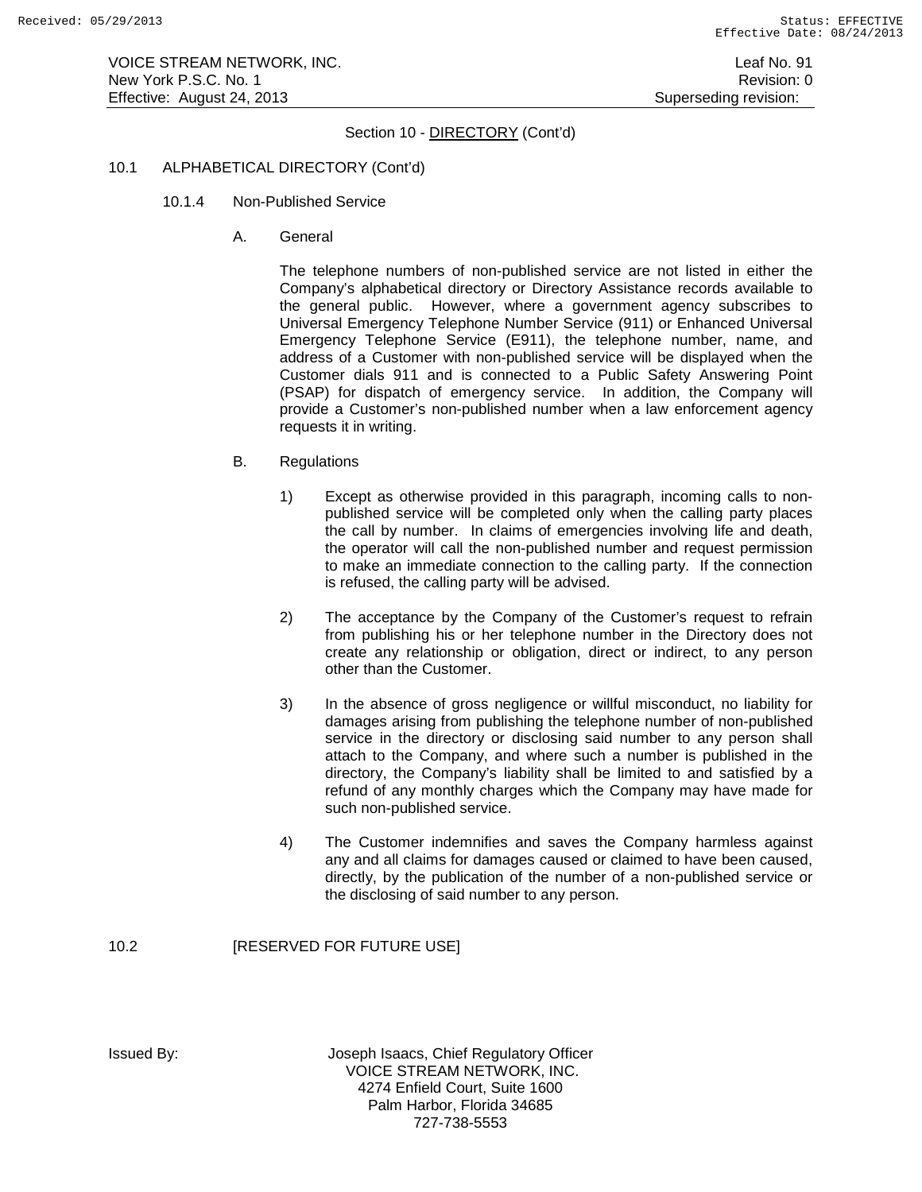# Section 10 - DIRECTORY (Cont'd)

### 10.1 ALPHABETICAL DIRECTORY (Cont'd)

- 10.1.4 Non-Published Service
	- A. General

The telephone numbers of non-published service are not listed in either the Company's alphabetical directory or Directory Assistance records available to the general public. However, where a government agency subscribes to Universal Emergency Telephone Number Service (911) or Enhanced Universal Emergency Telephone Service (E911), the telephone number, name, and address of a Customer with non-published service will be displayed when the Customer dials 911 and is connected to a Public Safety Answering Point (PSAP) for dispatch of emergency service. In addition, the Company will provide a Customer's non-published number when a law enforcement agency requests it in writing.

- B. Regulations
	- 1) Except as otherwise provided in this paragraph, incoming calls to nonpublished service will be completed only when the calling party places the call by number. In claims of emergencies involving life and death, the operator will call the non-published number and request permission to make an immediate connection to the calling party. If the connection is refused, the calling party will be advised.
	- 2) The acceptance by the Company of the Customer's request to refrain from publishing his or her telephone number in the Directory does not create any relationship or obligation, direct or indirect, to any person other than the Customer.
	- 3) In the absence of gross negligence or willful misconduct, no liability for damages arising from publishing the telephone number of non-published service in the directory or disclosing said number to any person shall attach to the Company, and where such a number is published in the directory, the Company's liability shall be limited to and satisfied by a refund of any monthly charges which the Company may have made for such non-published service.
	- 4) The Customer indemnifies and saves the Company harmless against any and all claims for damages caused or claimed to have been caused, directly, by the publication of the number of a non-published service or the disclosing of said number to any person.

# 10.2 **[RESERVED FOR FUTURE USE]**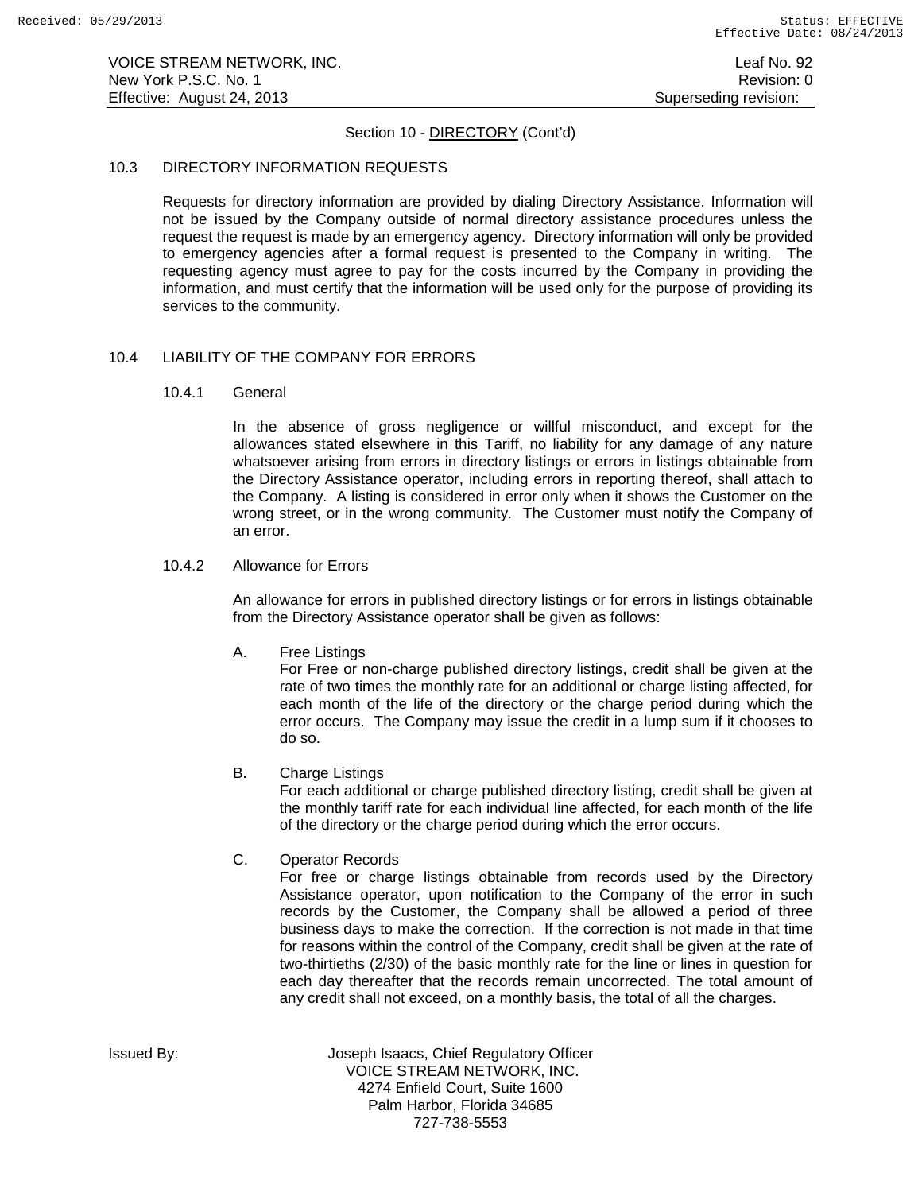# Section 10 - DIRECTORY (Cont'd)

### 10.3 DIRECTORY INFORMATION REQUESTS

Requests for directory information are provided by dialing Directory Assistance. Information will not be issued by the Company outside of normal directory assistance procedures unless the request the request is made by an emergency agency. Directory information will only be provided to emergency agencies after a formal request is presented to the Company in writing. The requesting agency must agree to pay for the costs incurred by the Company in providing the information, and must certify that the information will be used only for the purpose of providing its services to the community.

### 10.4 LIABILITY OF THE COMPANY FOR ERRORS

10.4.1 General

In the absence of gross negligence or willful misconduct, and except for the allowances stated elsewhere in this Tariff, no liability for any damage of any nature whatsoever arising from errors in directory listings or errors in listings obtainable from the Directory Assistance operator, including errors in reporting thereof, shall attach to the Company. A listing is considered in error only when it shows the Customer on the wrong street, or in the wrong community. The Customer must notify the Company of an error.

### 10.4.2 Allowance for Errors

An allowance for errors in published directory listings or for errors in listings obtainable from the Directory Assistance operator shall be given as follows:

A. Free Listings

For Free or non-charge published directory listings, credit shall be given at the rate of two times the monthly rate for an additional or charge listing affected, for each month of the life of the directory or the charge period during which the error occurs. The Company may issue the credit in a lump sum if it chooses to do so.

B. Charge Listings

For each additional or charge published directory listing, credit shall be given at the monthly tariff rate for each individual line affected, for each month of the life of the directory or the charge period during which the error occurs.

C. Operator Records

For free or charge listings obtainable from records used by the Directory Assistance operator, upon notification to the Company of the error in such records by the Customer, the Company shall be allowed a period of three business days to make the correction. If the correction is not made in that time for reasons within the control of the Company, credit shall be given at the rate of two-thirtieths (2/30) of the basic monthly rate for the line or lines in question for each day thereafter that the records remain uncorrected. The total amount of any credit shall not exceed, on a monthly basis, the total of all the charges.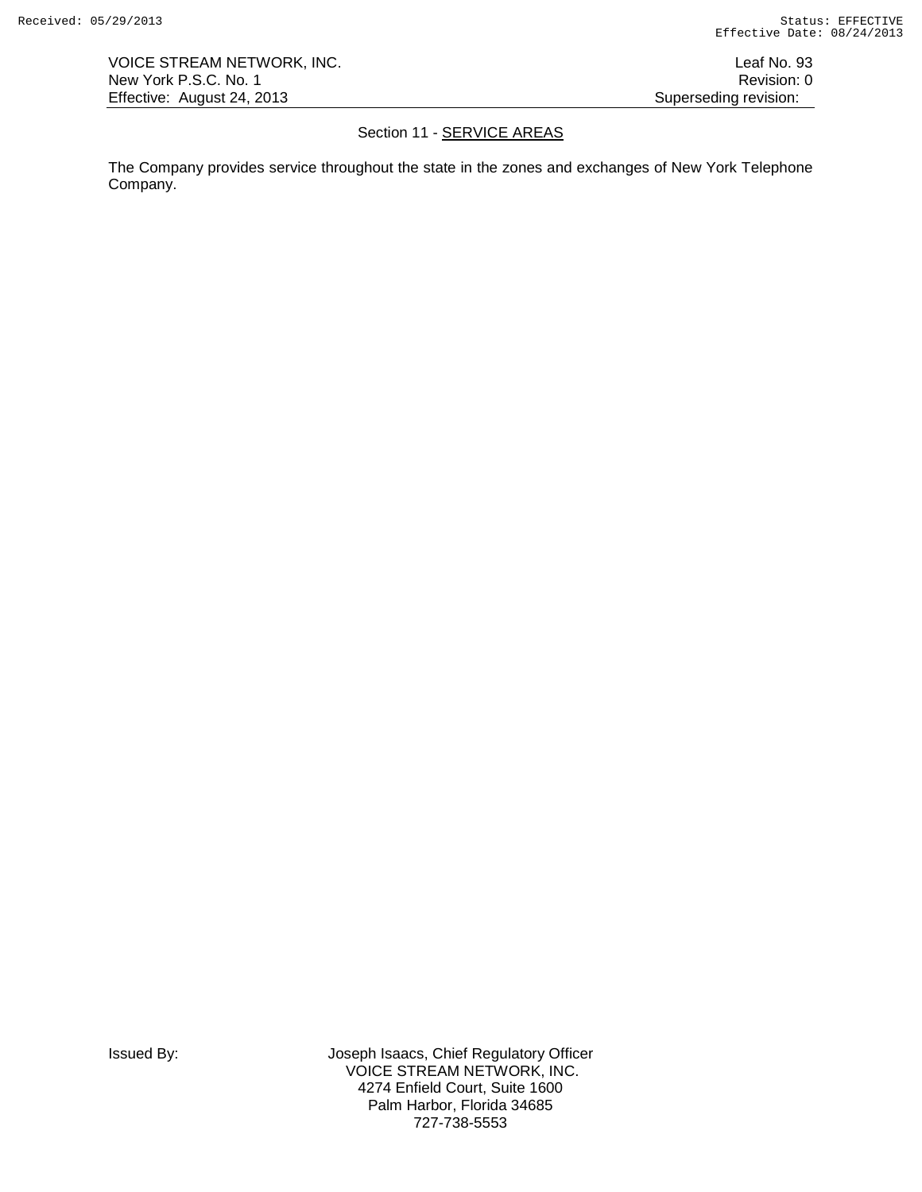VOICE STREAM NETWORK, INC. The state of the state of the state of the state of the state of the state of the state of the state of the state of the state of the state of the state of the state of the state of the state of New York P.S.C. No. 1 Revision: 0 Effective: August 24, 2013 **Superseding revision:** Superseding revision:

# Section 11 - **SERVICE AREAS**

The Company provides service throughout the state in the zones and exchanges of New York Telephone Company.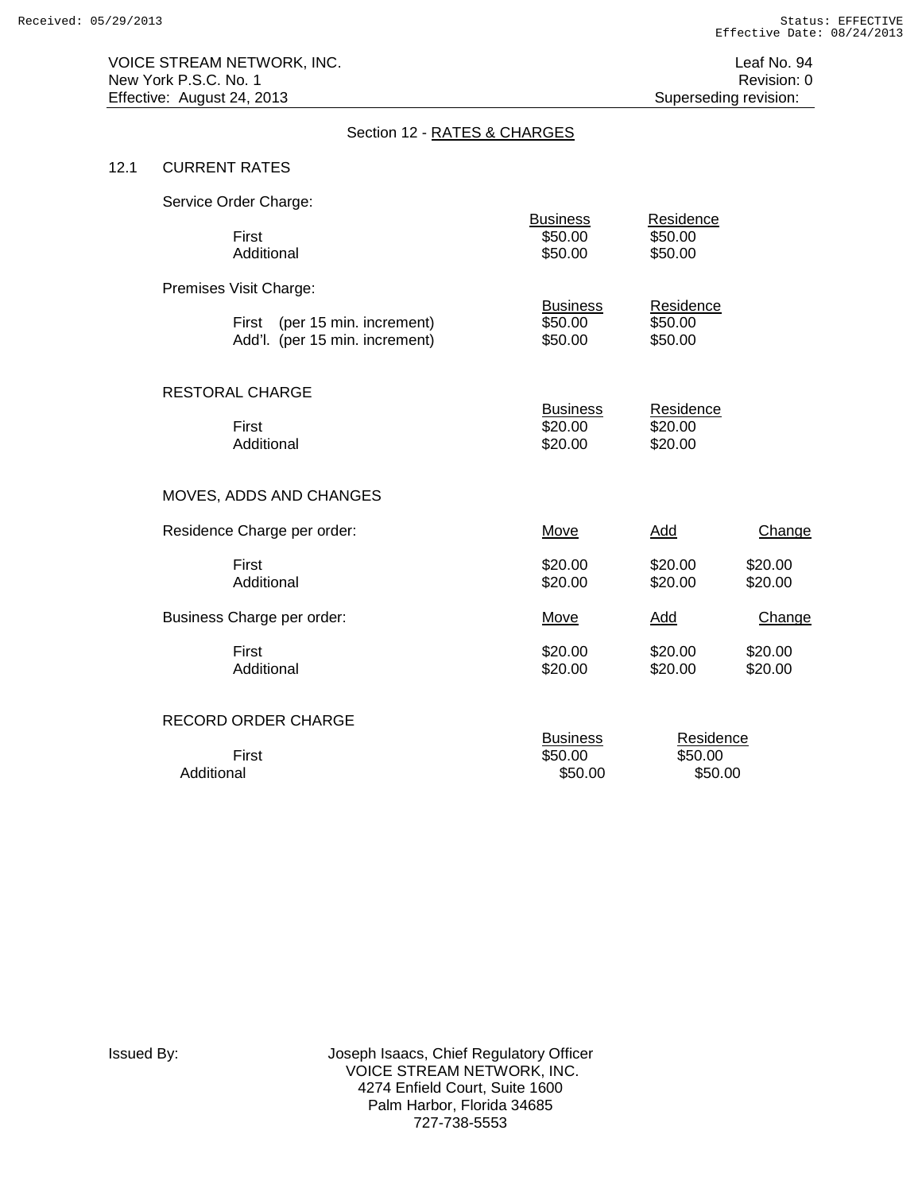# Section 12 - RATES & CHARGES

# 12.1 CURRENT RATES

|            | Service Order Charge:                                           |                                       |                                 |                    |
|------------|-----------------------------------------------------------------|---------------------------------------|---------------------------------|--------------------|
|            | First<br>Additional                                             | <b>Business</b><br>\$50.00<br>\$50.00 | Residence<br>\$50.00<br>\$50.00 |                    |
|            | Premises Visit Charge:                                          |                                       |                                 |                    |
|            | First (per 15 min. increment)<br>Add'l. (per 15 min. increment) | <b>Business</b><br>\$50.00<br>\$50.00 | Residence<br>\$50.00<br>\$50.00 |                    |
|            | RESTORAL CHARGE                                                 |                                       |                                 |                    |
|            | First<br>Additional                                             | <b>Business</b><br>\$20.00<br>\$20.00 | Residence<br>\$20.00<br>\$20.00 |                    |
|            | MOVES, ADDS AND CHANGES                                         |                                       |                                 |                    |
|            | Residence Charge per order:                                     | Move                                  | Add                             | Change             |
|            | First<br>Additional                                             | \$20.00<br>\$20.00                    | \$20.00<br>\$20.00              | \$20.00<br>\$20.00 |
|            | Business Charge per order:                                      | Move                                  | Add                             | Change             |
|            | First<br>Additional                                             | \$20.00<br>\$20.00                    | \$20.00<br>\$20.00              | \$20.00<br>\$20.00 |
|            | RECORD ORDER CHARGE                                             |                                       |                                 |                    |
| Additional | First                                                           | <b>Business</b><br>\$50.00<br>\$50.00 | Residence<br>\$50.00<br>\$50.00 |                    |
|            |                                                                 |                                       |                                 |                    |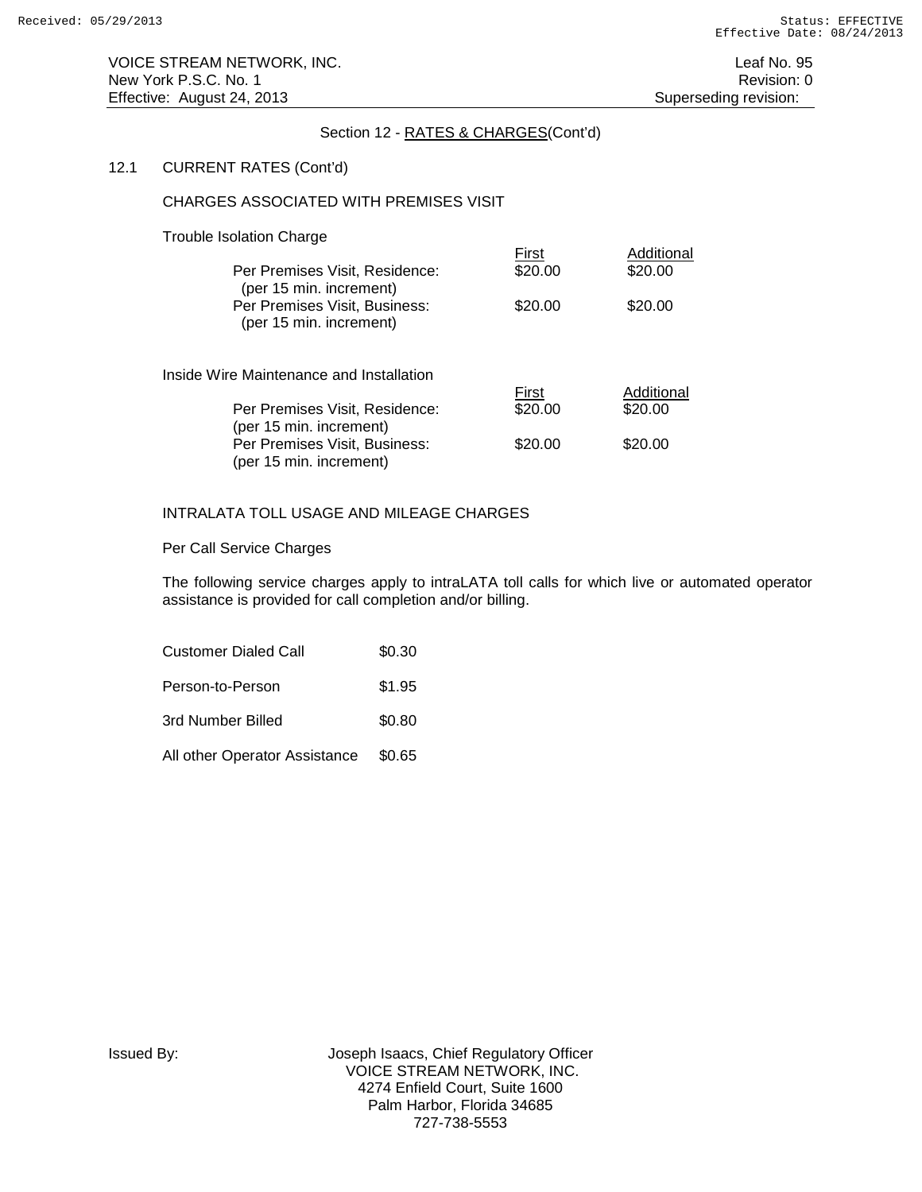### 12.1 CURRENT RATES (Cont'd)

### CHARGES ASSOCIATED WITH PREMISES VISIT

### Trouble Isolation Charge

| Per Premises Visit, Residence:<br>(per 15 min. increment) | First<br>\$20.00 | Additional<br>\$20.00 |
|-----------------------------------------------------------|------------------|-----------------------|
| Per Premises Visit, Business:<br>(per 15 min. increment)  | \$20.00          | \$20.00               |
| Inside Wire Maintenance and Installation                  | First            | Additional            |
| Per Premises Visit, Residence:<br>(per 15 min. increment) | \$20.00          | \$20.00               |
| Per Premises Visit, Business:<br>(per 15 min. increment)  | \$20.00          | \$20.00               |

# INTRALATA TOLL USAGE AND MILEAGE CHARGES

### Per Call Service Charges

The following service charges apply to intraLATA toll calls for which live or automated operator assistance is provided for call completion and/or billing.

| <b>Customer Dialed Call</b>   | \$0.30 |
|-------------------------------|--------|
| Person-to-Person              | \$1.95 |
| 3rd Number Billed             | \$0.80 |
| All other Operator Assistance | \$0.65 |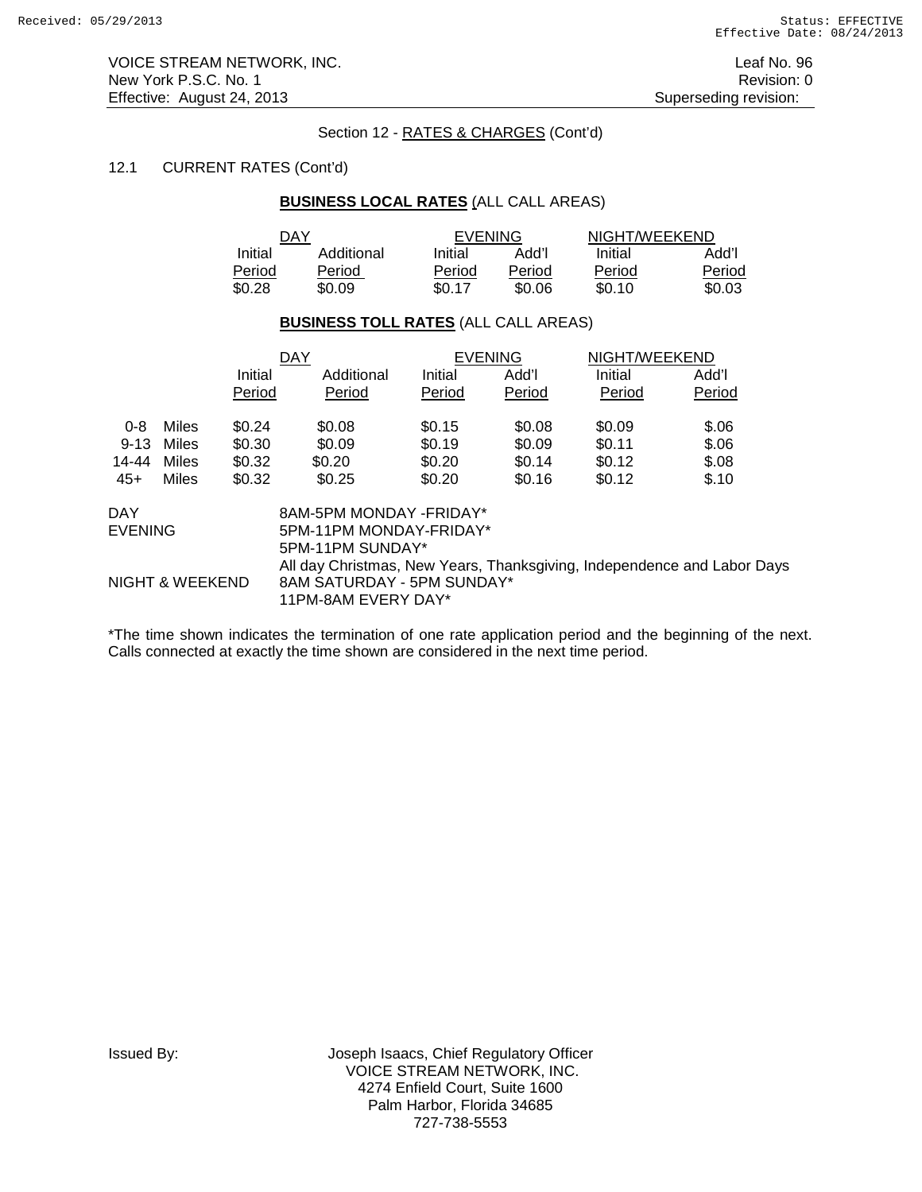VOICE STREAM NETWORK, INC. Leaf No. 96 New York P.S.C. No. 1 **Review According to the U.S. Contract Contract Contract Contract Contract Contract Contract Contract Contract Contract Contract Contract Contract Contract Contract Contract Contract Contract Contract** Effective: August 24, 2013 **Superseding revision:** Superseding revision:

# Section 12 - RATES & CHARGES (Cont'd)

# 12.1 CURRENT RATES (Cont'd)

# **BUSINESS LOCAL RATES** (ALL CALL AREAS)

| DAY     |            | <b>EVENING</b> |        | NIGHT/WEEKEND |        |
|---------|------------|----------------|--------|---------------|--------|
| Initial | Additional | Initial        | l'bbA  | Initial       | Add'l  |
| Period  | Period     | Period         | Period | Period        | Period |
| \$0.28  | \$0.09     | \$0.17         | \$0.06 | \$0.10        | \$0.03 |

### **BUSINESS TOLL RATES** (ALL CALL AREAS)

|          |                 |         | <b>DAY</b>                                                              |         | <b>EVENING</b> | NIGHT/WEEKEND |        |  |
|----------|-----------------|---------|-------------------------------------------------------------------------|---------|----------------|---------------|--------|--|
|          |                 | Initial | Additional                                                              | Initial | Add'l          | Initial       | Add'l  |  |
|          |                 | Period  | Period                                                                  | Period  | Period         | Period        | Period |  |
| $0 - 8$  | Miles           | \$0.24  | \$0.08                                                                  | \$0.15  | \$0.08         | \$0.09        | \$.06  |  |
| $9 - 13$ | Miles           | \$0.30  | \$0.09                                                                  | \$0.19  | \$0.09         | \$0.11        | \$.06  |  |
| 14-44    | Miles           | \$0.32  | \$0.20                                                                  | \$0.20  | \$0.14         | \$0.12        | \$.08  |  |
| $45+$    | Miles           | \$0.32  | \$0.25                                                                  | \$0.20  | \$0.16         | \$0.12        | \$.10  |  |
| DAY      |                 |         | 8AM-5PM MONDAY -FRIDAY*                                                 |         |                |               |        |  |
| EVENING  |                 |         | 5PM-11PM MONDAY-FRIDAY*                                                 |         |                |               |        |  |
|          |                 |         | 5PM-11PM SUNDAY*                                                        |         |                |               |        |  |
|          |                 |         | All day Christmas, New Years, Thanksgiving, Independence and Labor Days |         |                |               |        |  |
|          | NIGHT & WEEKEND |         | 8AM SATURDAY - 5PM SUNDAY*                                              |         |                |               |        |  |
|          |                 |         |                                                                         |         |                |               |        |  |

11PM-8AM EVERY DAY\*

\*The time shown indicates the termination of one rate application period and the beginning of the next. Calls connected at exactly the time shown are considered in the next time period.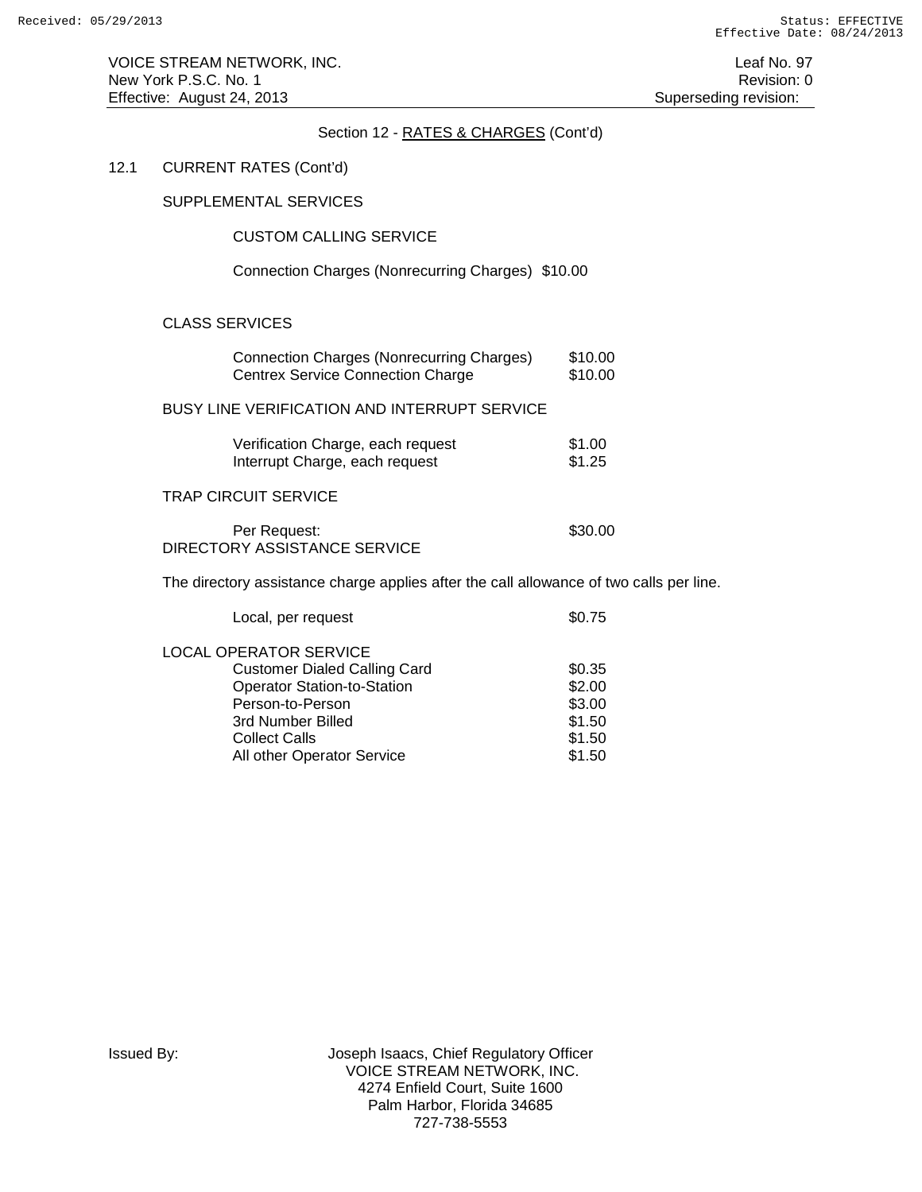VOICE STREAM NETWORK, INC. The state of the state of the state of the state of the state of the state of the state of the state of the state of the state of the state of the state of the state of the state of the state of New York P.S.C. No. 1 **Review According to the U.S. Contract Contract Contract Contract Contract Contract Contract Contract Contract Contract Contract Contract Contract Contract Contract Contract Contract Contract Contract** Effective: August 24, 2013 **Superseding revision:** Superseding revision:

# Section 12 - RATES & CHARGES (Cont'd)

# 12.1 CURRENT RATES (Cont'd)

SUPPLEMENTAL SERVICES

# CUSTOM CALLING SERVICE

Connection Charges (Nonrecurring Charges) \$10.00

# CLASS SERVICES

| <b>Connection Charges (Nonrecurring Charges)</b><br><b>Centrex Service Connection Charge</b> | \$10.00<br>\$10.00 |
|----------------------------------------------------------------------------------------------|--------------------|
| BUSY LINE VERIFICATION AND INTERRUPT SERVICE                                                 |                    |
| Verification Charge, each request<br>Interrupt Charge, each request                          | \$1.00<br>\$1.25   |
| TRAP CIRCUIT SERVICE                                                                         |                    |
| Per Request:<br>DIRECTORY ASSISTANCE SERVICE                                                 | \$30.00            |

The directory assistance charge applies after the call allowance of two calls per line.

| Local, per request                  | \$0.75 |
|-------------------------------------|--------|
| <b>LOCAL OPERATOR SERVICE</b>       |        |
| <b>Customer Dialed Calling Card</b> | \$0.35 |
| <b>Operator Station-to-Station</b>  | \$2.00 |
| Person-to-Person                    | \$3.00 |
| 3rd Number Billed                   | \$1.50 |
| <b>Collect Calls</b>                | \$1.50 |
| All other Operator Service          | \$1.50 |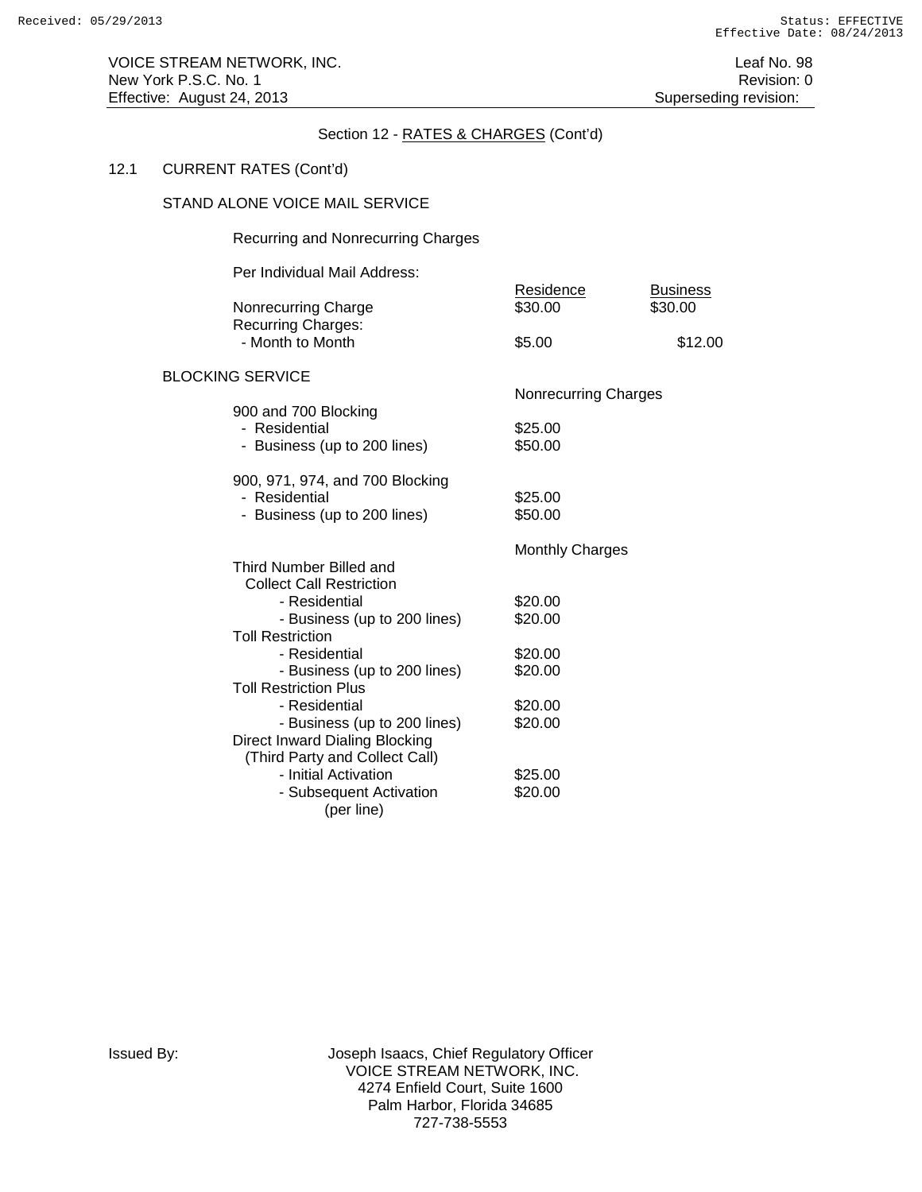# 12.1 CURRENT RATES (Cont'd)

### STAND ALONE VOICE MAIL SERVICE

### Recurring and Nonrecurring Charges

Per Individual Mail Address:

| Nonrecurring Charge<br><b>Recurring Charges:</b>               | Residence<br>\$30.00        | <b>Business</b><br>\$30.00 |
|----------------------------------------------------------------|-----------------------------|----------------------------|
| - Month to Month                                               | \$5.00                      | \$12.00                    |
| <b>BLOCKING SERVICE</b>                                        |                             |                            |
| 900 and 700 Blocking                                           | <b>Nonrecurring Charges</b> |                            |
| - Residential                                                  | \$25.00                     |                            |
| - Business (up to 200 lines)                                   | \$50.00                     |                            |
| 900, 971, 974, and 700 Blocking                                |                             |                            |
| - Residential                                                  | \$25.00                     |                            |
| - Business (up to 200 lines)                                   | \$50.00                     |                            |
|                                                                | <b>Monthly Charges</b>      |                            |
| Third Number Billed and<br><b>Collect Call Restriction</b>     |                             |                            |
| - Residential                                                  | \$20.00                     |                            |
| - Business (up to 200 lines)                                   | \$20.00                     |                            |
| <b>Toll Restriction</b>                                        |                             |                            |
| - Residential                                                  | \$20.00                     |                            |
| - Business (up to 200 lines)                                   | \$20.00                     |                            |
| <b>Toll Restriction Plus</b>                                   |                             |                            |
| - Residential                                                  | \$20.00                     |                            |
| - Business (up to 200 lines)<br>Direct Inward Dialing Blocking | \$20.00                     |                            |
| (Third Party and Collect Call)                                 |                             |                            |
| - Initial Activation                                           | \$25.00                     |                            |
| - Subsequent Activation                                        | \$20.00                     |                            |
| (per line)                                                     |                             |                            |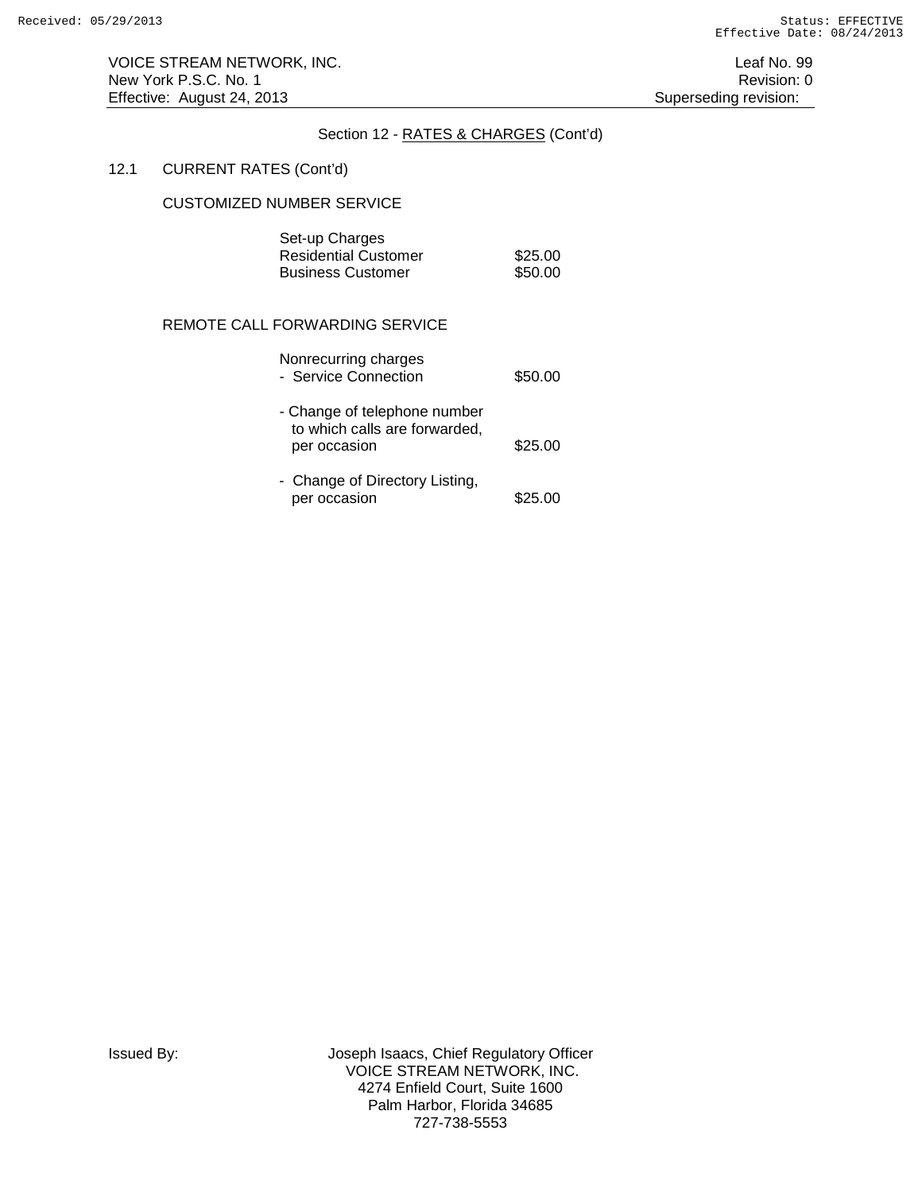VOICE STREAM NETWORK, INC. The state of the state of the state of the state of the state of the state of the state of the state of the state of the state of the state of the state of the state of the state of the state of New York P.S.C. No. 1 Revision: 0 Effective: August 24, 2013 **Superseding revision:** Superseding revision:

### Section 12 - RATES & CHARGES (Cont'd)

# 12.1 CURRENT RATES (Cont'd)

#### CUSTOMIZED NUMBER SERVICE

| Set-up Charges       |         |
|----------------------|---------|
| Residential Customer | \$25.00 |
| Business Customer    | \$50.00 |

# REMOTE CALL FORWARDING SERVICE

| Nonrecurring charges<br>- Service Connection                                  | \$50.00 |
|-------------------------------------------------------------------------------|---------|
| - Change of telephone number<br>to which calls are forwarded,<br>per occasion | \$25.00 |
| - Change of Directory Listing,<br>per occasion                                | \$25.00 |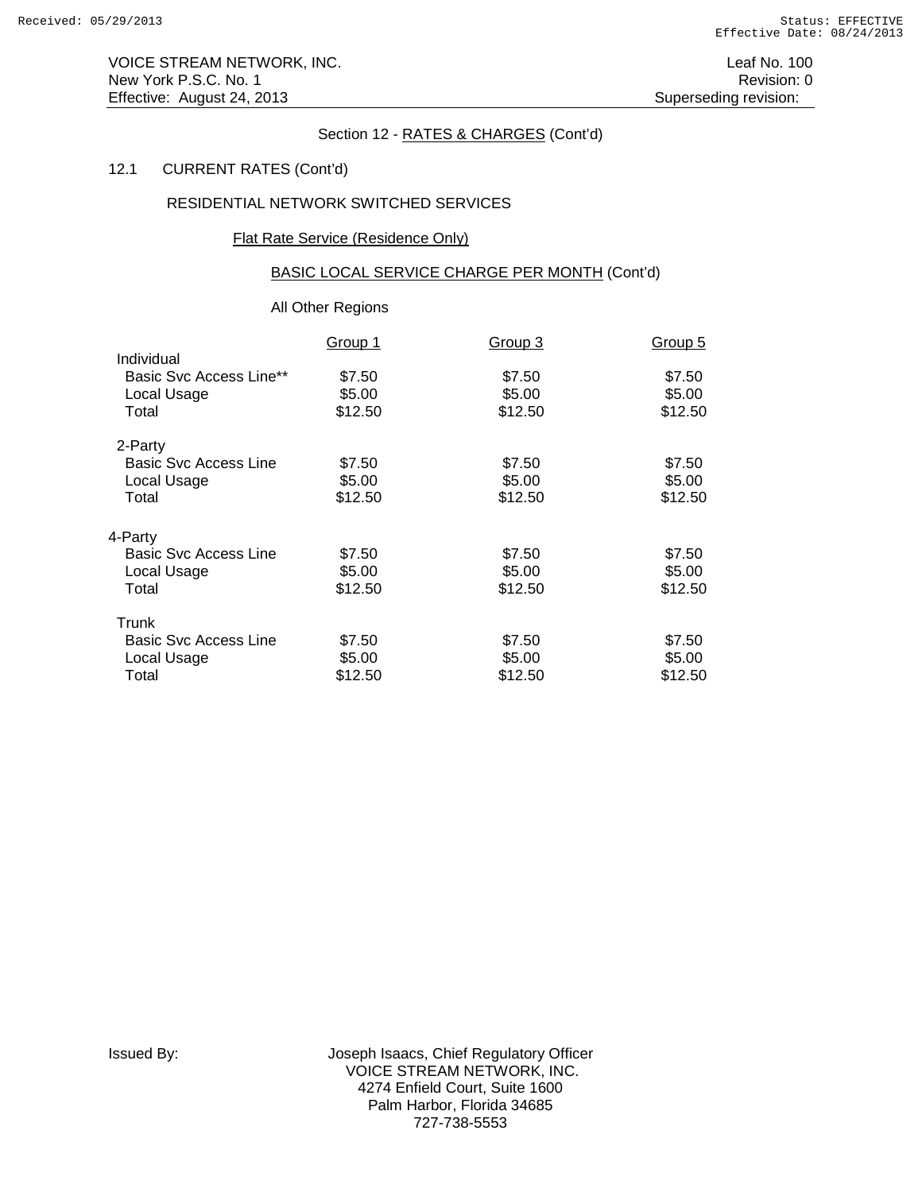VOICE STREAM NETWORK, INC. The contract of the contract of the contract of the contract of the contract of the contract of the contract of the contract of the contract of the contract of the contract of the contract of the New York P.S.C. No. 1 Revision: 0 Effective: August 24, 2013 **Superseding revision:** Superseding revision:

# Section 12 - RATES & CHARGES (Cont'd)

# 12.1 CURRENT RATES (Cont'd)

# RESIDENTIAL NETWORK SWITCHED SERVICES

### Flat Rate Service (Residence Only)

# BASIC LOCAL SERVICE CHARGE PER MONTH (Cont'd)

# All Other Regions

|                                | Group 1 | Group 3 | Group 5 |
|--------------------------------|---------|---------|---------|
| Individual                     |         |         |         |
| <b>Basic Svc Access Line**</b> | \$7.50  | \$7.50  | \$7.50  |
| Local Usage                    | \$5.00  | \$5.00  | \$5.00  |
| Total                          | \$12.50 | \$12.50 | \$12.50 |
| 2-Party                        |         |         |         |
| Basic Svc Access Line          | \$7.50  | \$7.50  | \$7.50  |
| Local Usage                    | \$5.00  | \$5.00  | \$5.00  |
| Total                          | \$12.50 | \$12.50 | \$12.50 |
| 4-Party                        |         |         |         |
| <b>Basic Svc Access Line</b>   | \$7.50  | \$7.50  | \$7.50  |
| Local Usage                    | \$5.00  | \$5.00  | \$5.00  |
| Total                          | \$12.50 | \$12.50 | \$12.50 |
| Trunk                          |         |         |         |
| <b>Basic Svc Access Line</b>   | \$7.50  | \$7.50  | \$7.50  |
| Local Usage                    | \$5.00  | \$5.00  | \$5.00  |
| Total                          | \$12.50 | \$12.50 | \$12.50 |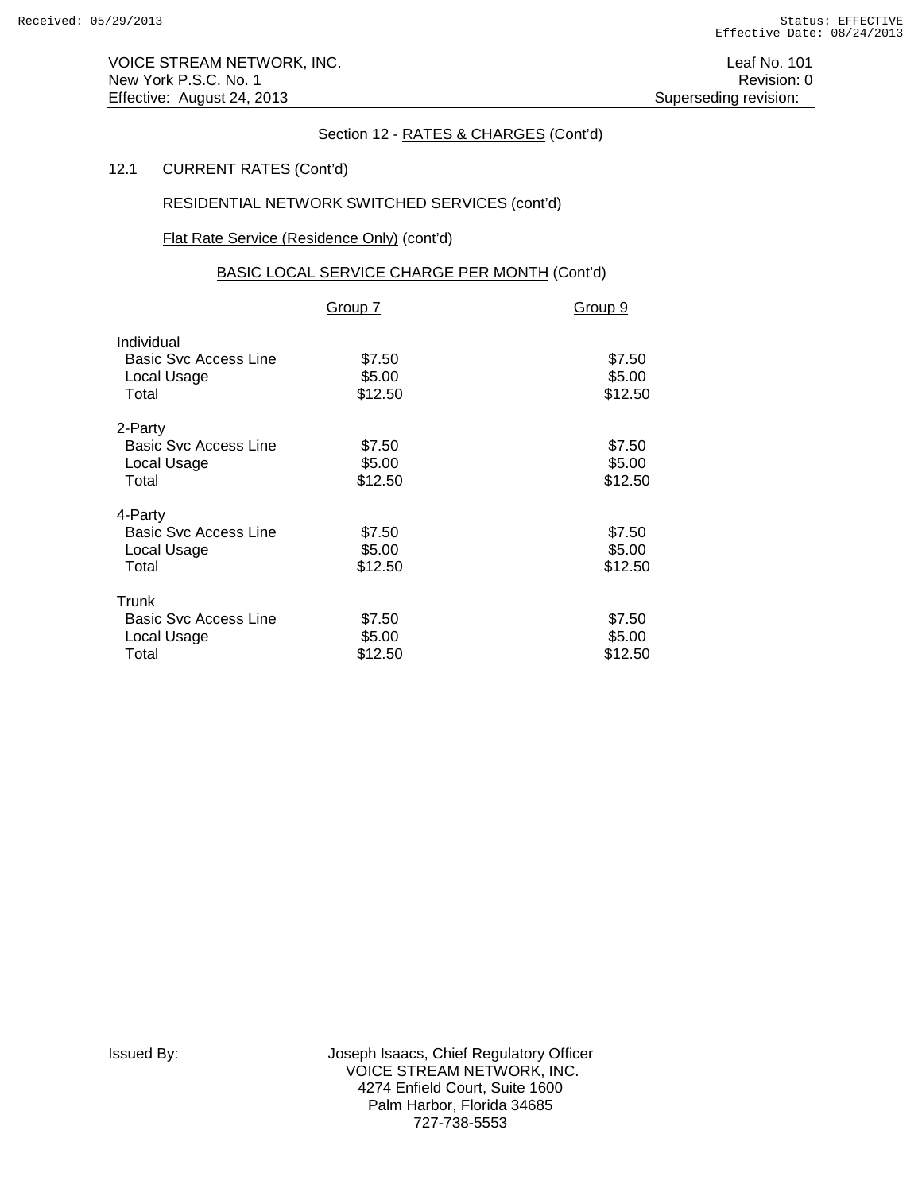# 12.1 CURRENT RATES (Cont'd)

# RESIDENTIAL NETWORK SWITCHED SERVICES (cont'd)

# Flat Rate Service (Residence Only) (cont'd)

# BASIC LOCAL SERVICE CHARGE PER MONTH (Cont'd)

|                                                                    | Group 7                     | Group 9                     |
|--------------------------------------------------------------------|-----------------------------|-----------------------------|
| Individual<br><b>Basic Svc Access Line</b><br>Local Usage<br>Total | \$7.50<br>\$5.00<br>\$12.50 | \$7.50<br>\$5.00<br>\$12.50 |
| 2-Party<br><b>Basic Svc Access Line</b><br>Local Usage<br>Total    | \$7.50<br>\$5.00<br>\$12.50 | \$7.50<br>\$5.00<br>\$12.50 |
| 4-Party<br><b>Basic Svc Access Line</b><br>Local Usage<br>Total    | \$7.50<br>\$5.00<br>\$12.50 | \$7.50<br>\$5.00<br>\$12.50 |
| Trunk<br><b>Basic Svc Access Line</b><br>Local Usage<br>Total      | \$7.50<br>\$5.00<br>\$12.50 | \$7.50<br>\$5.00<br>\$12.50 |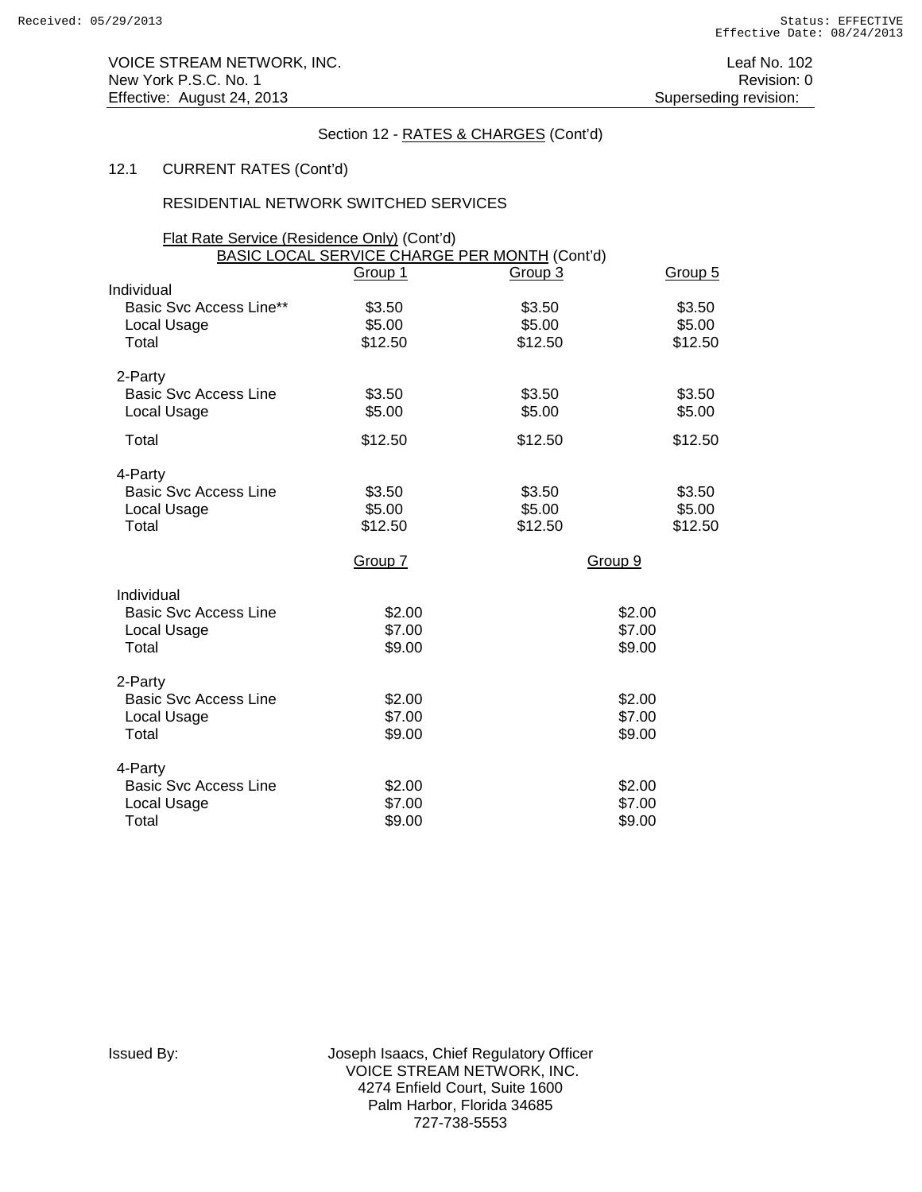# 12.1 CURRENT RATES (Cont'd)

### RESIDENTIAL NETWORK SWITCHED SERVICES

| Flat Rate Service (Residence Only) (Cont'd) |                  |                                                          |                  |
|---------------------------------------------|------------------|----------------------------------------------------------|------------------|
|                                             | Group 1          | BASIC LOCAL SERVICE CHARGE PER MONTH (Cont'd)<br>Group 3 | Group 5          |
| Individual                                  |                  |                                                          |                  |
| Basic Svc Access Line**<br>Local Usage      | \$3.50<br>\$5.00 | \$3.50<br>\$5.00                                         | \$3.50<br>\$5.00 |
| Total                                       | \$12.50          | \$12.50                                                  | \$12.50          |
| 2-Party                                     |                  |                                                          |                  |
| <b>Basic Svc Access Line</b><br>Local Usage | \$3.50<br>\$5.00 | \$3.50<br>\$5.00                                         | \$3.50<br>\$5.00 |
| Total                                       | \$12.50          | \$12.50                                                  | \$12.50          |
| 4-Party                                     |                  |                                                          |                  |
| <b>Basic Svc Access Line</b>                | \$3.50           | \$3.50                                                   | \$3.50           |
| Local Usage                                 | \$5.00           | \$5.00                                                   | \$5.00           |
| Total                                       | \$12.50          | \$12.50                                                  | \$12.50          |
|                                             | Group 7          |                                                          | Group 9          |
| Individual                                  |                  |                                                          |                  |
| <b>Basic Svc Access Line</b>                | \$2.00           |                                                          | \$2.00           |
| Local Usage                                 | \$7.00           |                                                          | \$7.00           |
| Total                                       | \$9.00           |                                                          | \$9.00           |
| 2-Party                                     |                  |                                                          |                  |
| <b>Basic Svc Access Line</b>                | \$2.00           |                                                          | \$2.00           |
| Local Usage                                 | \$7.00           |                                                          | \$7.00           |
| Total                                       | \$9.00           |                                                          | \$9.00           |
| 4-Party                                     |                  |                                                          |                  |
| <b>Basic Svc Access Line</b>                | \$2.00           |                                                          | \$2.00           |
| Local Usage                                 | \$7.00           |                                                          | \$7.00           |
| Total                                       | \$9.00           |                                                          | \$9.00           |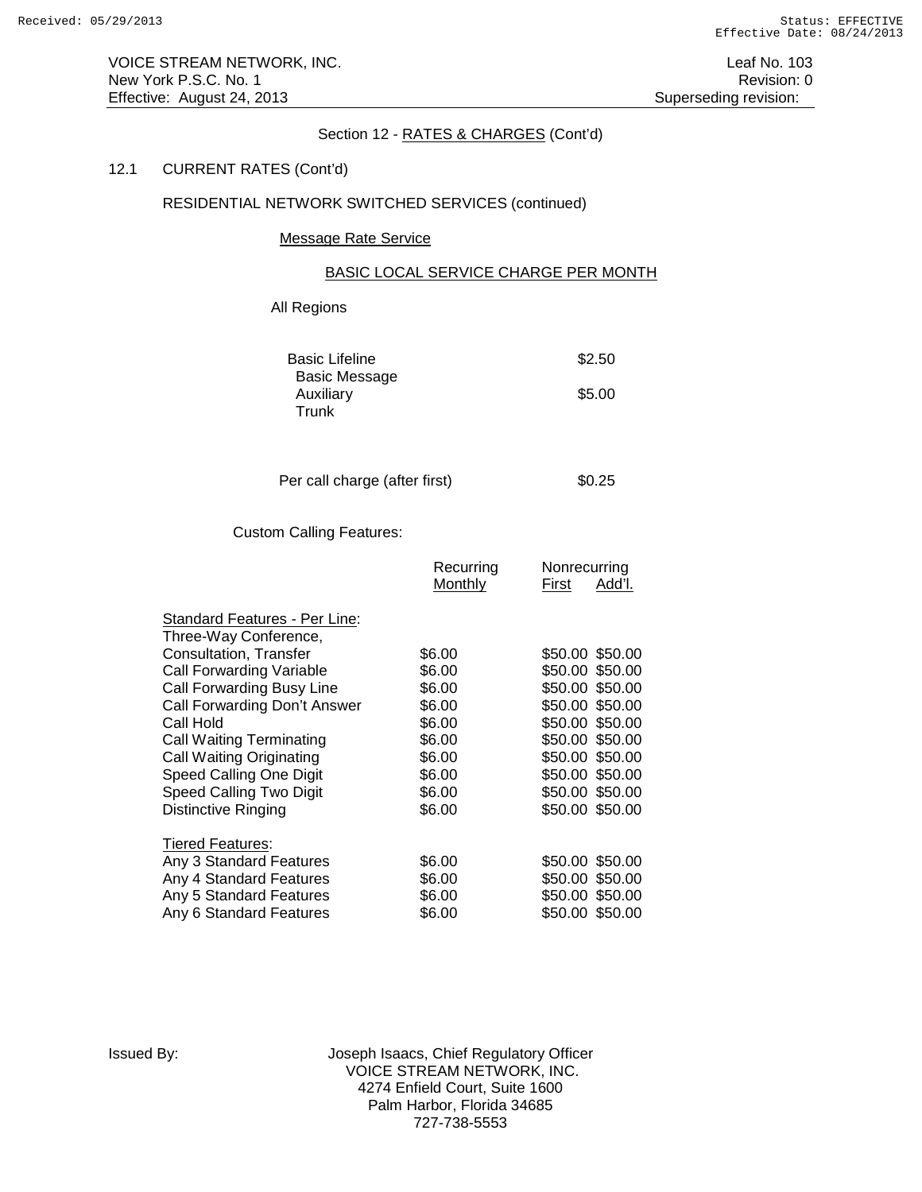VOICE STREAM NETWORK, INC. **Leaf No. 103** New York P.S.C. No. 1 Revision: 0 Effective: August 24, 2013 **Superseding revision:** Superseding revision:

### Section 12 - RATES & CHARGES (Cont'd)

# 12.1 CURRENT RATES (Cont'd)

# RESIDENTIAL NETWORK SWITCHED SERVICES (continued)

#### Message Rate Service

### BASIC LOCAL SERVICE CHARGE PER MONTH

# All Regions

| <b>Basic Lifeline</b> | \$2.50 |
|-----------------------|--------|
| Basic Message         |        |
| Auxiliary             | \$5.00 |
| Trunk                 |        |

| Per call charge (after first) |  | \$0.25 |
|-------------------------------|--|--------|
|-------------------------------|--|--------|

# Custom Calling Features:

|                                 | Recurring | Nonrecurring           |
|---------------------------------|-----------|------------------------|
|                                 | Monthly   | <u>Add'l.</u><br>First |
|                                 |           |                        |
| Standard Features - Per Line:   |           |                        |
| Three-Way Conference,           |           |                        |
| Consultation, Transfer          | \$6.00    | \$50.00 \$50.00        |
| Call Forwarding Variable        | \$6.00    | \$50.00 \$50.00        |
| Call Forwarding Busy Line       | \$6.00    | \$50.00 \$50.00        |
| Call Forwarding Don't Answer    | \$6.00    | \$50.00<br>\$50.00     |
| Call Hold                       | \$6.00    | \$50.00 \$50.00        |
| <b>Call Waiting Terminating</b> | \$6.00    | \$50.00 \$50.00        |
| Call Waiting Originating        | \$6.00    | \$50.00 \$50.00        |
| Speed Calling One Digit         | \$6.00    | \$50.00 \$50.00        |
| Speed Calling Two Digit         | \$6.00    | \$50.00 \$50.00        |
| Distinctive Ringing             | \$6.00    | \$50.00 \$50.00        |
|                                 |           |                        |
| Tiered Features:                |           |                        |
| Any 3 Standard Features         | \$6.00    | \$50.00 \$50.00        |
| Any 4 Standard Features         | \$6.00    | \$50.00 \$50.00        |
| Any 5 Standard Features         | \$6.00    | \$50.00 \$50.00        |
| Any 6 Standard Features         | \$6.00    | \$50.00 \$50.00        |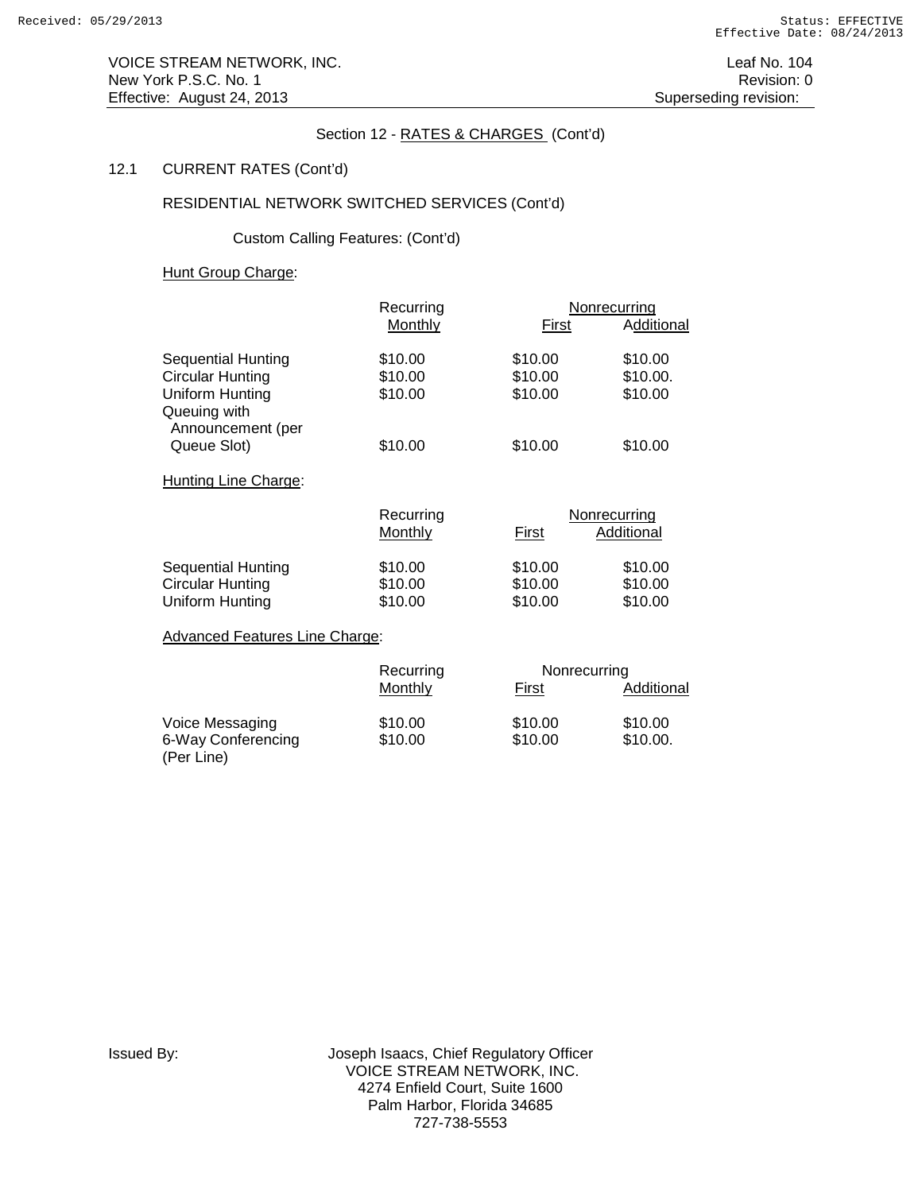VOICE STREAM NETWORK, INC. **Leaf No. 104** Leaf No. 104 New York P.S.C. No. 1 **New York P.S.C.** No. 1 Effective: August 24, 2013 **Superseding revision:** Superseding revision:

# Section 12 - RATES & CHARGES (Cont'd)

# 12.1 CURRENT RATES (Cont'd)

# RESIDENTIAL NETWORK SWITCHED SERVICES (Cont'd)

Custom Calling Features: (Cont'd)

Hunt Group Charge:

|                                   | Recurring |         | Nonrecurring |
|-----------------------------------|-----------|---------|--------------|
|                                   | Monthly   | First   | Additional   |
| Sequential Hunting                | \$10.00   | \$10.00 | \$10.00      |
| <b>Circular Hunting</b>           | \$10.00   | \$10.00 | \$10.00.     |
| Uniform Hunting                   | \$10.00   | \$10.00 | \$10.00      |
| Queuing with<br>Announcement (per |           |         |              |
| Queue Slot)                       | \$10.00   | \$10.00 | \$10.00      |
| Hunting Line Charge:              |           |         |              |
|                                   | Recurring |         | Nonrecurring |

|                    | Recurring |         | Nonrecurring |  |
|--------------------|-----------|---------|--------------|--|
|                    | Monthly   | First   | Additional   |  |
| Sequential Hunting | \$10.00   | \$10.00 | \$10.00      |  |
| Circular Hunting   | \$10.00   | \$10.00 | \$10.00      |  |
| Uniform Hunting    | \$10.00   | \$10.00 | \$10.00      |  |

Advanced Features Line Charge:

|                                  | Recurring | Nonrecurring |            |
|----------------------------------|-----------|--------------|------------|
|                                  | Monthly   | First        | Additional |
| Voice Messaging                  | \$10.00   | \$10.00      | \$10.00    |
| 6-Way Conferencing<br>(Per Line) | \$10.00   | \$10.00      | \$10.00.   |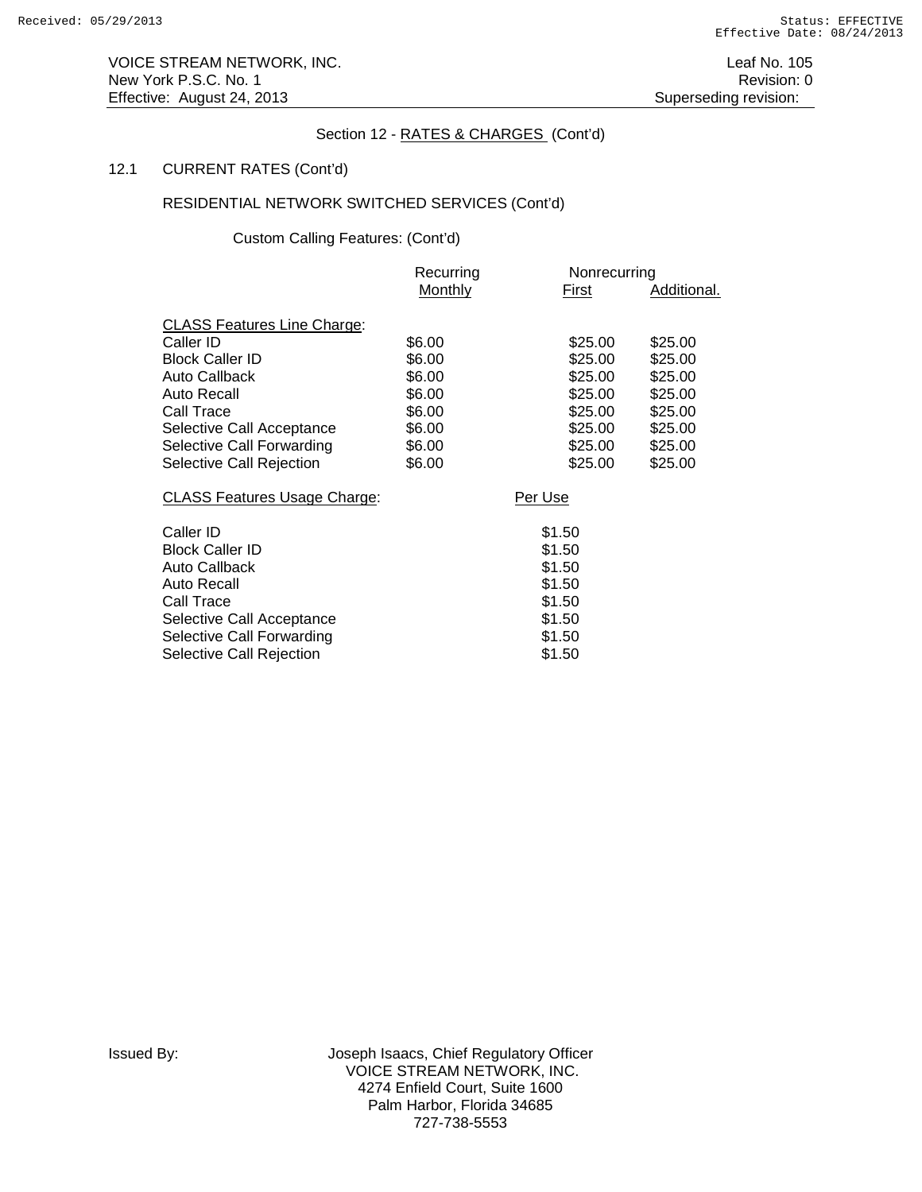VOICE STREAM NETWORK, INC. The contract of the contract of the contract of the contract of the contract of the contract of the contract of the contract of the contract of the contract of the contract of the contract of the New York P.S.C. No. 1 Revision: 0 Effective: August 24, 2013 **Superseding revision:** Superseding revision:

# Section 12 - RATES & CHARGES (Cont'd)

# 12.1 CURRENT RATES (Cont'd)

# RESIDENTIAL NETWORK SWITCHED SERVICES (Cont'd)

Custom Calling Features: (Cont'd)

|                                     | Recurring | Nonrecurring |             |
|-------------------------------------|-----------|--------------|-------------|
|                                     | Monthly   | First        | Additional. |
| <b>CLASS Features Line Charge:</b>  |           |              |             |
| Caller ID                           | \$6.00    | \$25.00      | \$25.00     |
| <b>Block Caller ID</b>              | \$6.00    | \$25.00      | \$25.00     |
| Auto Callback                       | \$6.00    | \$25.00      | \$25.00     |
| <b>Auto Recall</b>                  | \$6.00    | \$25.00      | \$25.00     |
| Call Trace                          | \$6.00    | \$25.00      | \$25.00     |
| Selective Call Acceptance           | \$6.00    | \$25.00      | \$25.00     |
| Selective Call Forwarding           | \$6.00    | \$25.00      | \$25.00     |
| Selective Call Rejection            | \$6.00    | \$25.00      | \$25.00     |
| <b>CLASS Features Usage Charge:</b> |           | Per Use      |             |
| Caller ID                           |           | \$1.50       |             |
| <b>Block Caller ID</b>              |           | \$1.50       |             |
| Auto Callback                       |           | \$1.50       |             |
| <b>Auto Recall</b>                  |           | \$1.50       |             |
| Call Trace                          |           | \$1.50       |             |
| Selective Call Acceptance           |           | \$1.50       |             |
| Selective Call Forwarding           |           | \$1.50       |             |
| Selective Call Rejection            |           | \$1.50       |             |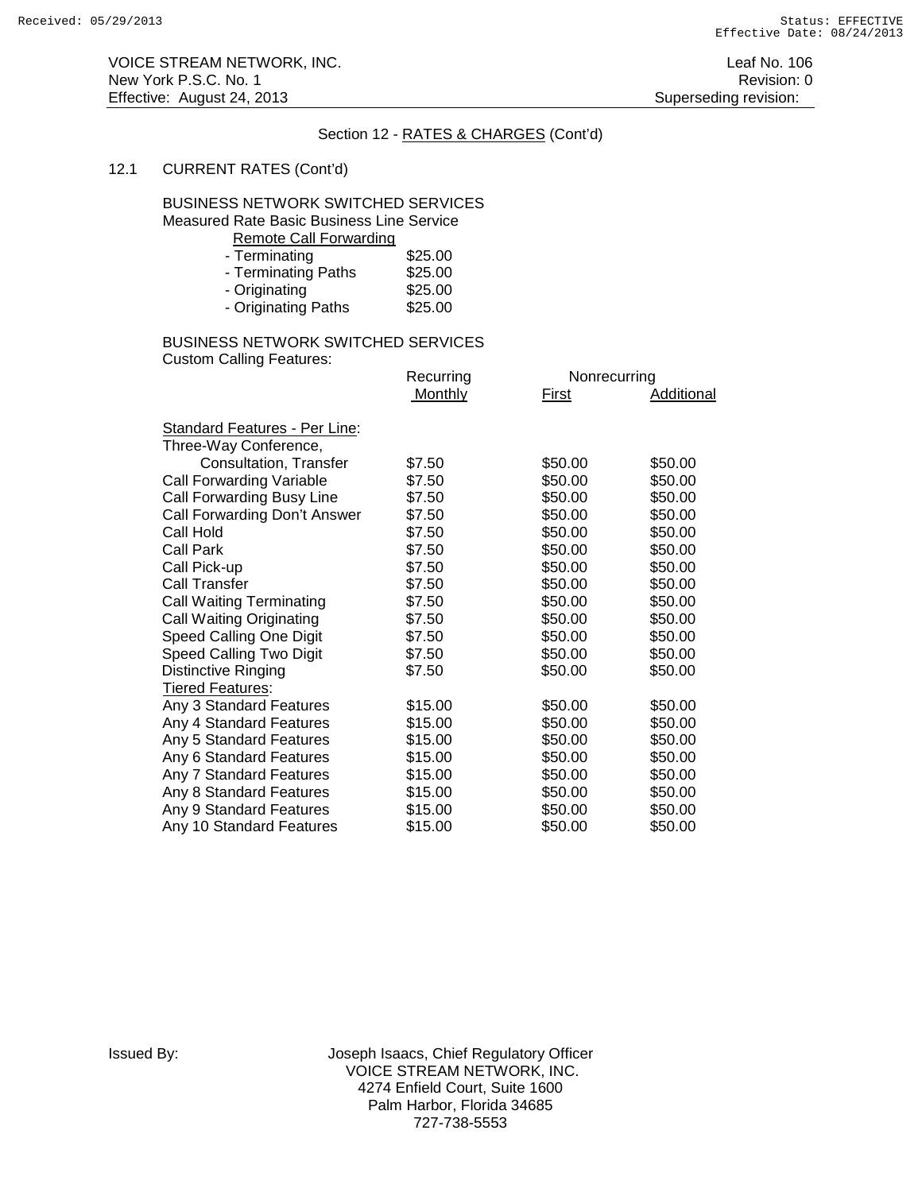# 12.1 CURRENT RATES (Cont'd)

### BUSINESS NETWORK SWITCHED SERVICES Measured Rate Basic Business Line Service

Remote Call Forwarding

| - Terminating       | \$25.00 |
|---------------------|---------|
| - Terminating Paths | \$25.00 |
| - Originating       | \$25.00 |
| - Originating Paths | \$25.00 |

#### BUSINESS NETWORK SWITCHED SERVICES Custom Calling Features:

| Recurring | Nonrecurring |            |
|-----------|--------------|------------|
| Monthly   | First        | Additional |
|           |              |            |
|           |              |            |
| \$7.50    | \$50.00      | \$50.00    |
| \$7.50    | \$50.00      | \$50.00    |
| \$7.50    | \$50.00      | \$50.00    |
| \$7.50    | \$50.00      | \$50.00    |
| \$7.50    | \$50.00      | \$50.00    |
| \$7.50    | \$50.00      | \$50.00    |
| \$7.50    | \$50.00      | \$50.00    |
| \$7.50    | \$50.00      | \$50.00    |
| \$7.50    | \$50.00      | \$50.00    |
| \$7.50    | \$50.00      | \$50.00    |
| \$7.50    | \$50.00      | \$50.00    |
| \$7.50    | \$50.00      | \$50.00    |
| \$7.50    | \$50.00      | \$50.00    |
|           |              |            |
| \$15.00   | \$50.00      | \$50.00    |
| \$15.00   | \$50.00      | \$50.00    |
| \$15.00   | \$50.00      | \$50.00    |
| \$15.00   | \$50.00      | \$50.00    |
| \$15.00   | \$50.00      | \$50.00    |
| \$15.00   | \$50.00      | \$50.00    |
| \$15.00   | \$50.00      | \$50.00    |
| \$15.00   | \$50.00      | \$50.00    |
|           |              |            |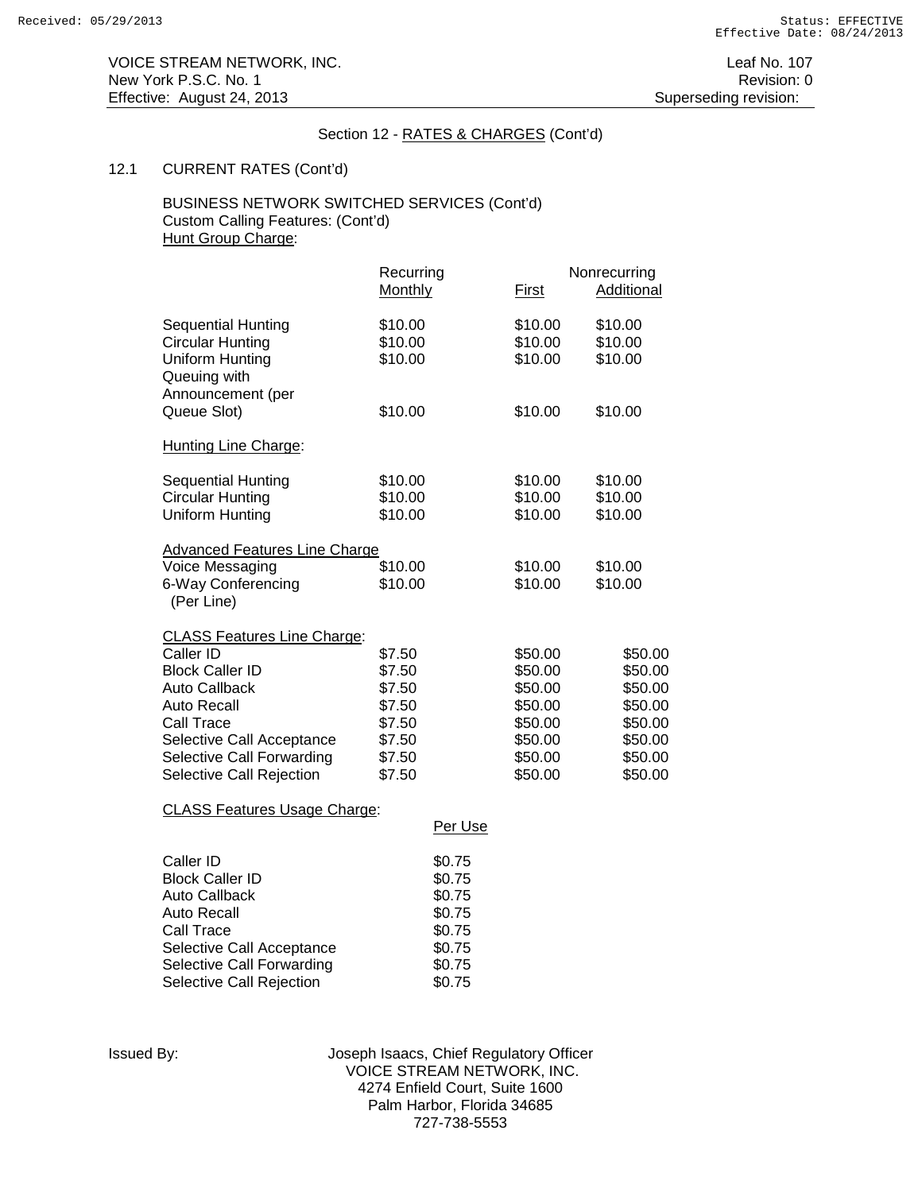# 12.1 CURRENT RATES (Cont'd)

# BUSINESS NETWORK SWITCHED SERVICES (Cont'd) Custom Calling Features: (Cont'd) Hunt Group Charge:

|                                                                                         | Recurring<br>Monthly          | First                         | Nonrecurring<br><b>Additional</b> |
|-----------------------------------------------------------------------------------------|-------------------------------|-------------------------------|-----------------------------------|
| <b>Sequential Hunting</b><br><b>Circular Hunting</b><br>Uniform Hunting<br>Queuing with | \$10.00<br>\$10.00<br>\$10.00 | \$10.00<br>\$10.00<br>\$10.00 | \$10.00<br>\$10.00<br>\$10.00     |
| Announcement (per<br>Queue Slot)                                                        | \$10.00                       | \$10.00                       | \$10.00                           |
| <b>Hunting Line Charge:</b>                                                             |                               |                               |                                   |
| <b>Sequential Hunting</b><br><b>Circular Hunting</b><br>Uniform Hunting                 | \$10.00<br>\$10.00<br>\$10.00 | \$10.00<br>\$10.00<br>\$10.00 | \$10.00<br>\$10.00<br>\$10.00     |
| <b>Advanced Features Line Charge</b>                                                    |                               |                               |                                   |
| Voice Messaging<br>6-Way Conferencing<br>(Per Line)                                     | \$10.00<br>\$10.00            | \$10.00<br>\$10.00            | \$10.00<br>\$10.00                |
| <b>CLASS Features Line Charge:</b>                                                      |                               |                               |                                   |
| Caller ID                                                                               | \$7.50                        | \$50.00                       | \$50.00                           |
| <b>Block Caller ID</b><br><b>Auto Callback</b>                                          | \$7.50<br>\$7.50              | \$50.00<br>\$50.00            | \$50.00<br>\$50.00                |
| <b>Auto Recall</b>                                                                      | \$7.50                        | \$50.00                       | \$50.00                           |
| Call Trace                                                                              | \$7.50                        | \$50.00                       | \$50.00                           |
| Selective Call Acceptance<br>Selective Call Forwarding                                  | \$7.50<br>\$7.50              | \$50.00<br>\$50.00            | \$50.00<br>\$50.00                |
| Selective Call Rejection                                                                | \$7.50                        | \$50.00                       | \$50.00                           |
|                                                                                         |                               |                               |                                   |

CLASS Features Usage Charge:

|                           | Per Use |
|---------------------------|---------|
| Caller ID                 | \$0.75  |
| <b>Block Caller ID</b>    | \$0.75  |
| Auto Callback             | \$0.75  |
| Auto Recall               | \$0.75  |
| Call Trace                | \$0.75  |
| Selective Call Acceptance | \$0.75  |
| Selective Call Forwarding | \$0.75  |
| Selective Call Rejection  | \$0.75  |
|                           |         |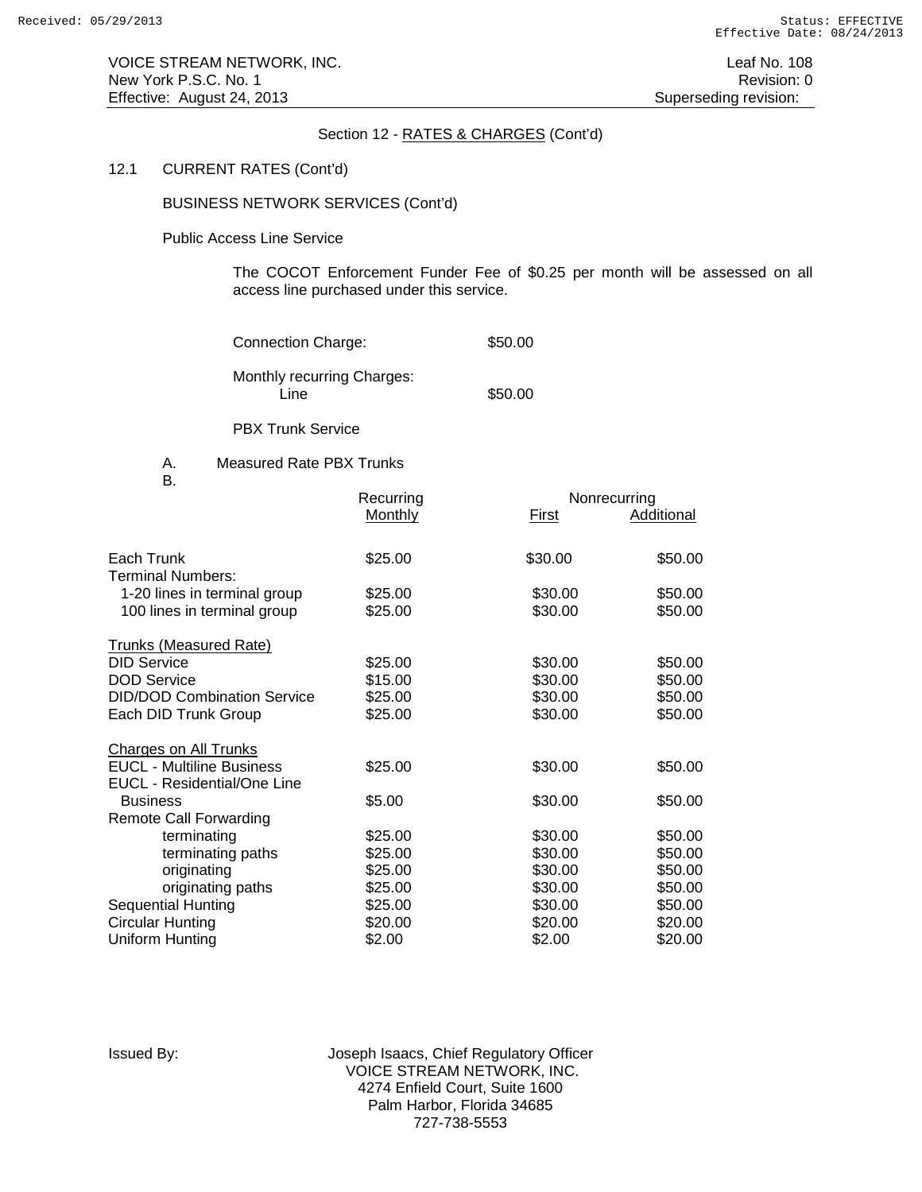#### 12.1 CURRENT RATES (Cont'd)

BUSINESS NETWORK SERVICES (Cont'd)

Public Access Line Service

The COCOT Enforcement Funder Fee of \$0.25 per month will be assessed on all access line purchased under this service.

| <b>Connection Charge:</b>  | \$50.00 |
|----------------------------|---------|
| Monthly recurring Charges: |         |
| Line                       | \$50.00 |

PBX Trunk Service

# A. Measured Rate PBX Trunks

B.

Recurring Nonrecurring Monthly **First** Additional Each Trunk  $$25.00$   $$30.00$   $$50.00$ Terminal Numbers: 1-20 lines in terminal group  $$25.00$   $$30.00$   $$50.00$ 100 lines in terminal group  $$25.00$   $$30.00$   $$50.00$ Trunks (Measured Rate) DID Service  $$25.00$   $$30.00$   $$50.00$ DOD Service \$15.00 \$30.00 \$50.00 DID/DOD Combination Service Each DID Trunk Group  $$25.00$  \$30.00 \$50.00 Charges on All Trunks EUCL - Multiline Business  $$25.00$   $$30.00$   $$50.00$ EUCL - Residential/One Line Business \$5.00 \$30.00 \$50.00 Remote Call Forwarding terminating \$25.00 \$30.00 \$50.00 terminating paths  $$25.00$   $$30.00$   $$50.00$ originating \$25.00 \$30.00 \$50.00 originating paths  $$25.00$   $$30.00$   $$50.00$   $$50.00$  \$50.00 Sequential Hunting  $$25.00$  \$30.00 Circular Hunting  $$20.00$   $$20.00$   $$20.00$   $$20.00$ Uniform Hunting  $$2.00$  \$2.00 \$20.00 \$20.00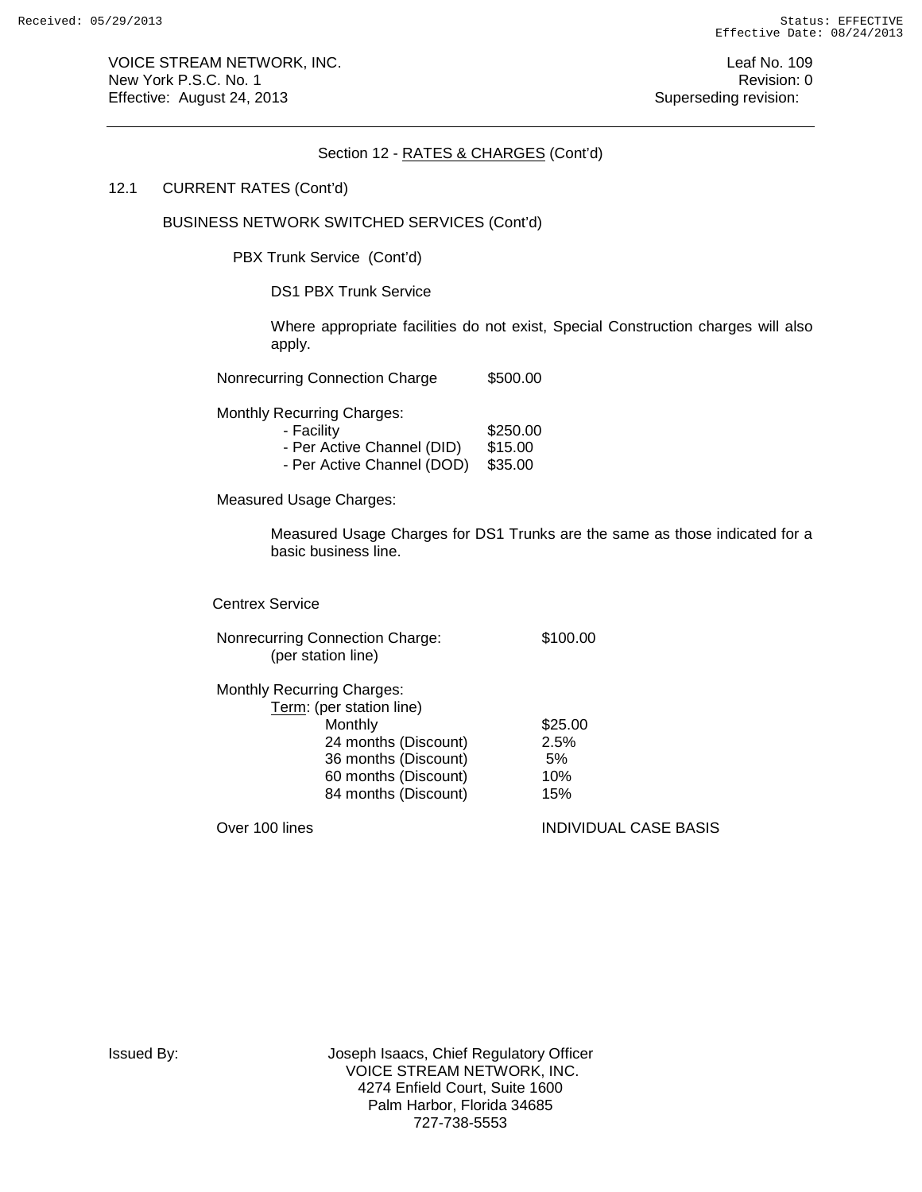VOICE STREAM NETWORK, INC. The contract of the contract of the contract of the contract of the contract of the contract of the contract of the contract of the contract of the contract of the contract of the contract of the New York P.S.C. No. 1 **New York P.S.C.** No. 1 Effective: August 24, 2013 **Superseding revision:** Superseding revision:

#### Section 12 - RATES & CHARGES (Cont'd)

#### 12.1 CURRENT RATES (Cont'd)

# BUSINESS NETWORK SWITCHED SERVICES (Cont'd)

PBX Trunk Service (Cont'd)

DS1 PBX Trunk Service

Where appropriate facilities do not exist, Special Construction charges will also apply.

Nonrecurring Connection Charge \$500.00

Monthly Recurring Charges:

5250.00 Facility \$250.00<br>- Per Active Channel (DID) \$15.00 - Per Active Channel (DID) - Per Active Channel (DOD) \$35.00

Measured Usage Charges:

Measured Usage Charges for DS1 Trunks are the same as those indicated for a basic business line.

Centrex Service

Nonrecurring Connection Charge: \$100.00 (per station line)

| <b>Monthly Recurring Charges:</b> |         |
|-----------------------------------|---------|
| Term: (per station line)          |         |
| Monthly                           | \$25.00 |
| 24 months (Discount)              | 2.5%    |
| 36 months (Discount)              | 5%      |
| 60 months (Discount)              | 10%     |
| 84 months (Discount)              | 15%     |
|                                   |         |

Over 100 lines INDIVIDUAL CASE BASIS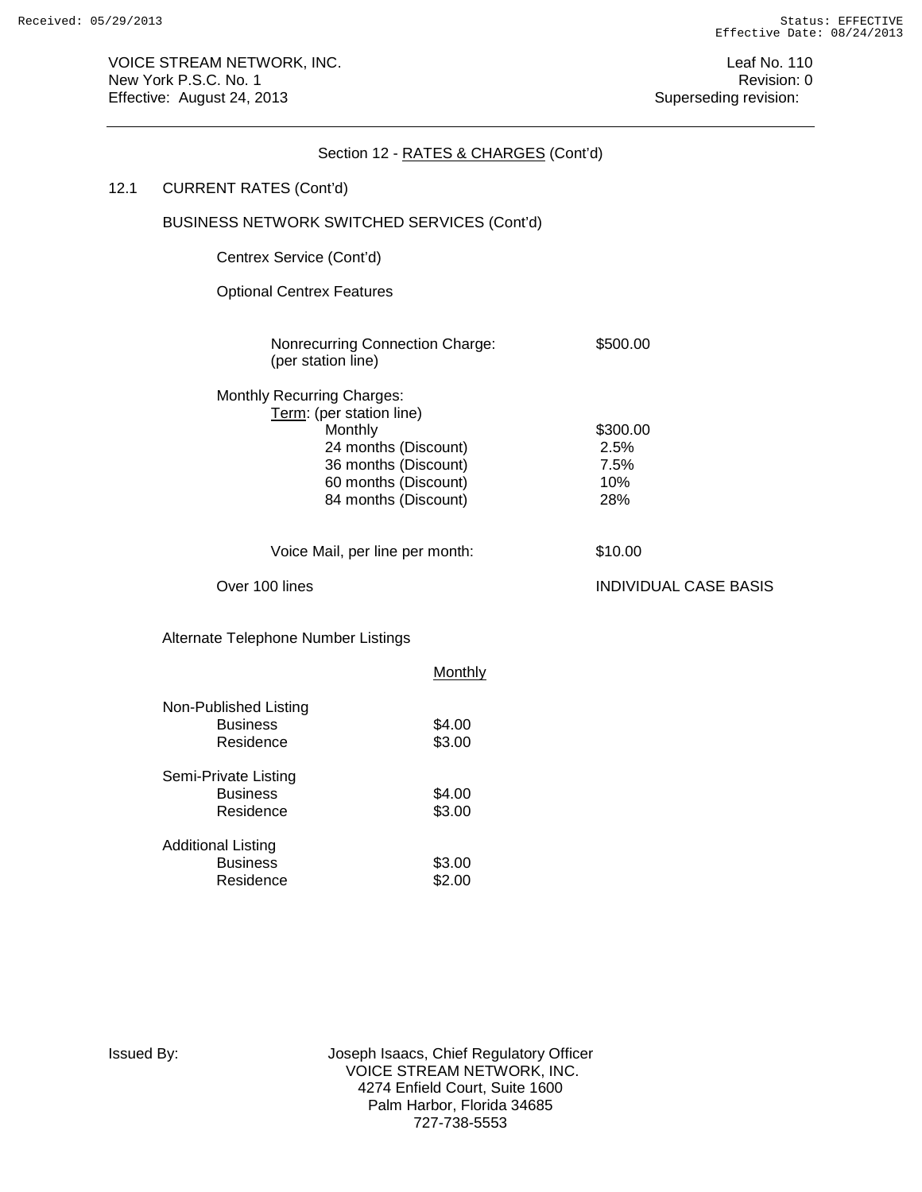|      |                                                                          | Section 12 - RATES & CHARGES (Cont'd)                                                        |                                        |
|------|--------------------------------------------------------------------------|----------------------------------------------------------------------------------------------|----------------------------------------|
| 12.1 | <b>CURRENT RATES (Cont'd)</b>                                            |                                                                                              |                                        |
|      | BUSINESS NETWORK SWITCHED SERVICES (Cont'd)                              |                                                                                              |                                        |
|      | Centrex Service (Cont'd)                                                 |                                                                                              |                                        |
|      | <b>Optional Centrex Features</b>                                         |                                                                                              |                                        |
|      | Nonrecurring Connection Charge:<br>(per station line)                    |                                                                                              | \$500.00                               |
|      | <b>Monthly Recurring Charges:</b><br>Term: (per station line)<br>Monthly | 24 months (Discount)<br>36 months (Discount)<br>60 months (Discount)<br>84 months (Discount) | \$300.00<br>2.5%<br>7.5%<br>10%<br>28% |
|      | Voice Mail, per line per month:                                          |                                                                                              | \$10.00                                |
|      | Over 100 lines                                                           |                                                                                              | <b>INDIVIDUAL CASE BASIS</b>           |
|      | Alternate Telephone Number Listings                                      |                                                                                              |                                        |
|      |                                                                          | Monthly                                                                                      |                                        |
|      | Non-Published Listing<br><b>Business</b><br>Residence                    | \$4.00<br>\$3.00                                                                             |                                        |
|      | Cami Drivate Lieting                                                     |                                                                                              |                                        |

| Semi-Private Listing      |        |
|---------------------------|--------|
| <b>Business</b>           | \$4.00 |
| Residence                 | \$3.00 |
|                           |        |
| <b>Additional Listing</b> |        |
| <b>Business</b>           | \$3.00 |
| Residence                 | \$2.00 |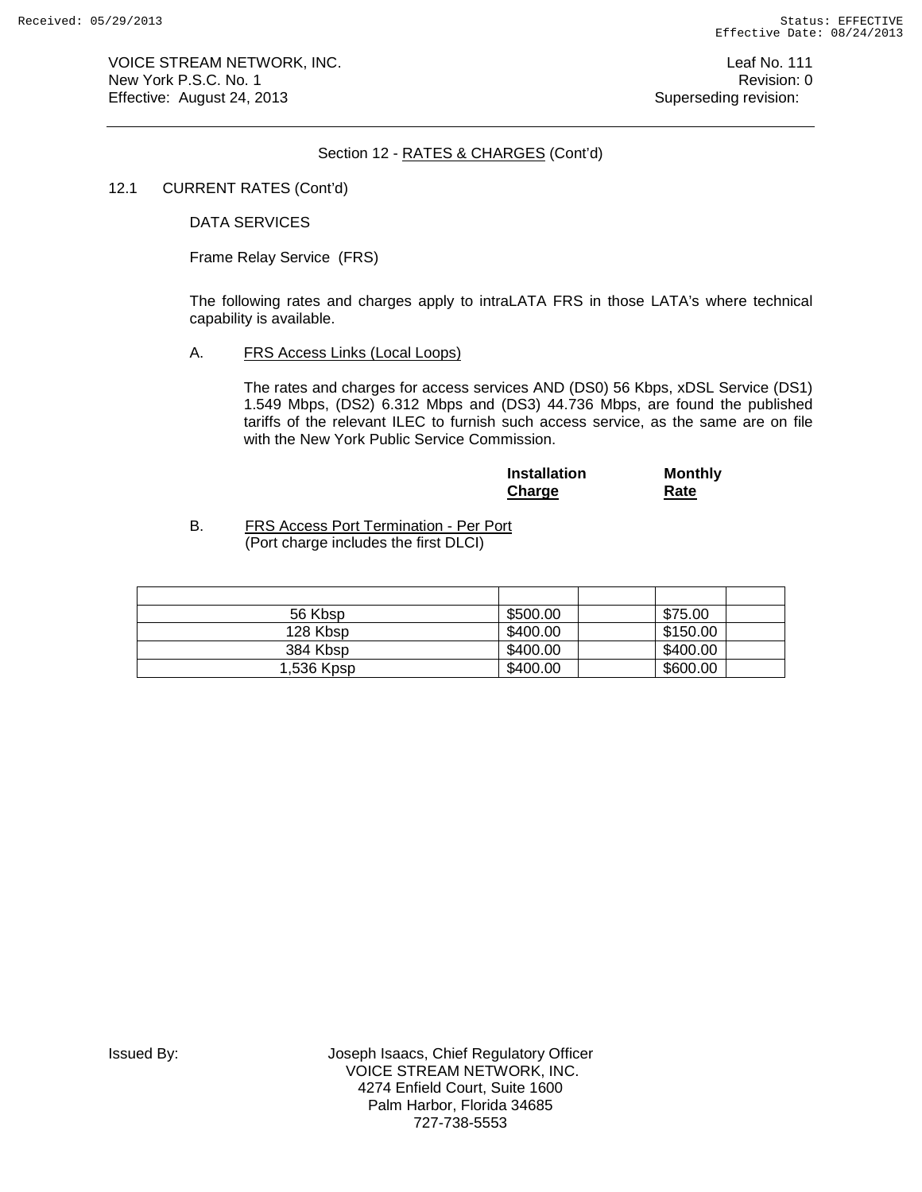VOICE STREAM NETWORK, INC. The contract of the contract of the contract of the contract of the contract of the contract of the contract of the contract of the contract of the contract of the contract of the contract of the New York P.S.C. No. 1 **New York P.S.C.** No. 1 Effective: August 24, 2013 **Superseding revision:** Superseding revision:

## Section 12 - RATES & CHARGES (Cont'd)

### 12.1 CURRENT RATES (Cont'd)

DATA SERVICES

Frame Relay Service (FRS)

The following rates and charges apply to intraLATA FRS in those LATA's where technical capability is available.

A. FRS Access Links (Local Loops)

The rates and charges for access services AND (DS0) 56 Kbps, xDSL Service (DS1) 1.549 Mbps, (DS2) 6.312 Mbps and (DS3) 44.736 Mbps, are found the published tariffs of the relevant ILEC to furnish such access service, as the same are on file with the New York Public Service Commission.

| <b>Installation</b> | <b>Monthly</b> |
|---------------------|----------------|
| Charge              | Rate           |

B. FRS Access Port Termination - Per Port (Port charge includes the first DLCI)

| 56 Kbsp    | \$500.00 | \$75.00  |  |
|------------|----------|----------|--|
| 128 Kbsp   | \$400.00 | \$150.00 |  |
| 384 Kbsp   | \$400.00 | \$400.00 |  |
| 1,536 Kpsp | \$400.00 | \$600.00 |  |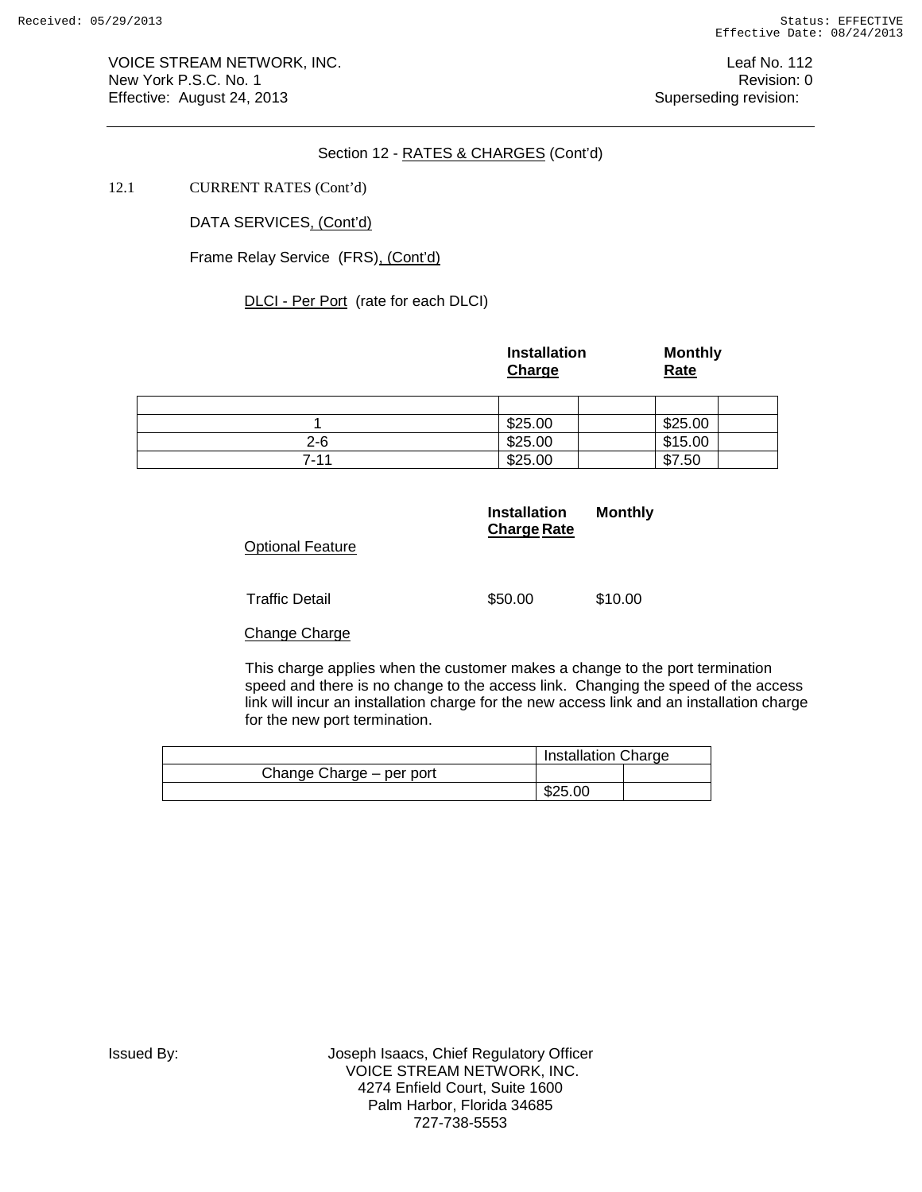VOICE STREAM NETWORK, INC. **Leaf No. 112** New York P.S.C. No. 1 **Review According to the U.S. Contract Contract Contract Contract Contract Contract Contract Contract Contract Contract Contract Contract Contract Contract Contract Contract Contract Contract Contract** Effective: August 24, 2013 **Superseding revision:** Superseding revision:

## Section 12 - RATES & CHARGES (Cont'd)

## 12.1 CURRENT RATES (Cont'd)

DATA SERVICES, (Cont'd)

Frame Relay Service (FRS), (Cont'd)

DLCI - Per Port (rate for each DLCI)

|         | <b>Installation</b><br>Charge | <b>Monthly</b><br>Rate |
|---------|-------------------------------|------------------------|
|         |                               |                        |
|         | \$25.00                       | \$25.00                |
| $2 - 6$ | \$25.00                       | \$15.00                |
| 7-11    | \$25.00                       | \$7.50                 |

| <b>Optional Feature</b> | <b>Installation</b><br><b>Charge Rate</b> | <b>Monthly</b> |
|-------------------------|-------------------------------------------|----------------|
| <b>Traffic Detail</b>   | \$50.00                                   | \$10.00        |
| <b>Change Charge</b>    |                                           |                |

This charge applies when the customer makes a change to the port termination speed and there is no change to the access link. Changing the speed of the access link will incur an installation charge for the new access link and an installation charge for the new port termination.

|                          | Installation Charge |  |
|--------------------------|---------------------|--|
| Change Charge - per port |                     |  |
|                          | \$25.00             |  |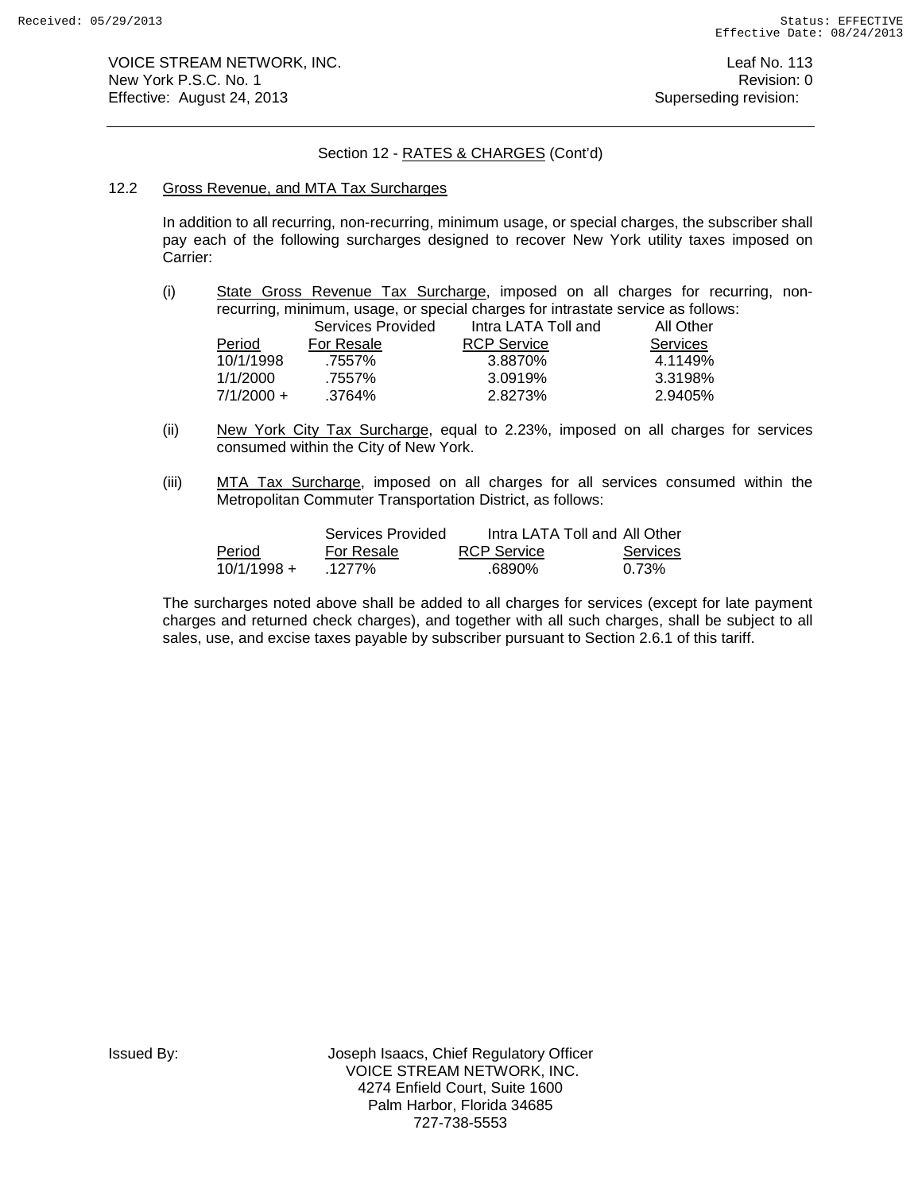# Section 12 - RATES & CHARGES (Cont'd)

#### 12.2 Gross Revenue, and MTA Tax Surcharges

In addition to all recurring, non-recurring, minimum usage, or special charges, the subscriber shall pay each of the following surcharges designed to recover New York utility taxes imposed on Carrier:

(i) State Gross Revenue Tax Surcharge, imposed on all charges for recurring, nonrecurring, minimum, usage, or special charges for intrastate service as follows:

|              | Services Provided | Intra LATA Toll and | All Other |
|--------------|-------------------|---------------------|-----------|
| Period       | For Resale        | <b>RCP Service</b>  | Services  |
| 10/1/1998    | .7557%            | 3.8870%             | 4.1149%   |
| 1/1/2000     | .7557%            | 3.0919%             | 3.3198%   |
| $7/1/2000 +$ | .3764%            | 2.8273%             | 2.9405%   |

- (ii) New York City Tax Surcharge, equal to 2.23%, imposed on all charges for services consumed within the City of New York.
- (iii) MTA Tax Surcharge, imposed on all charges for all services consumed within the Metropolitan Commuter Transportation District, as follows:

|               | Services Provided | Intra LATA Toll and All Other |          |
|---------------|-------------------|-------------------------------|----------|
| Period        | For Resale        | <b>RCP Service</b>            | Services |
| $10/1/1998 +$ | .1277%            | .6890%                        | 0.73%    |

The surcharges noted above shall be added to all charges for services (except for late payment charges and returned check charges), and together with all such charges, shall be subject to all sales, use, and excise taxes payable by subscriber pursuant to Section 2.6.1 of this tariff.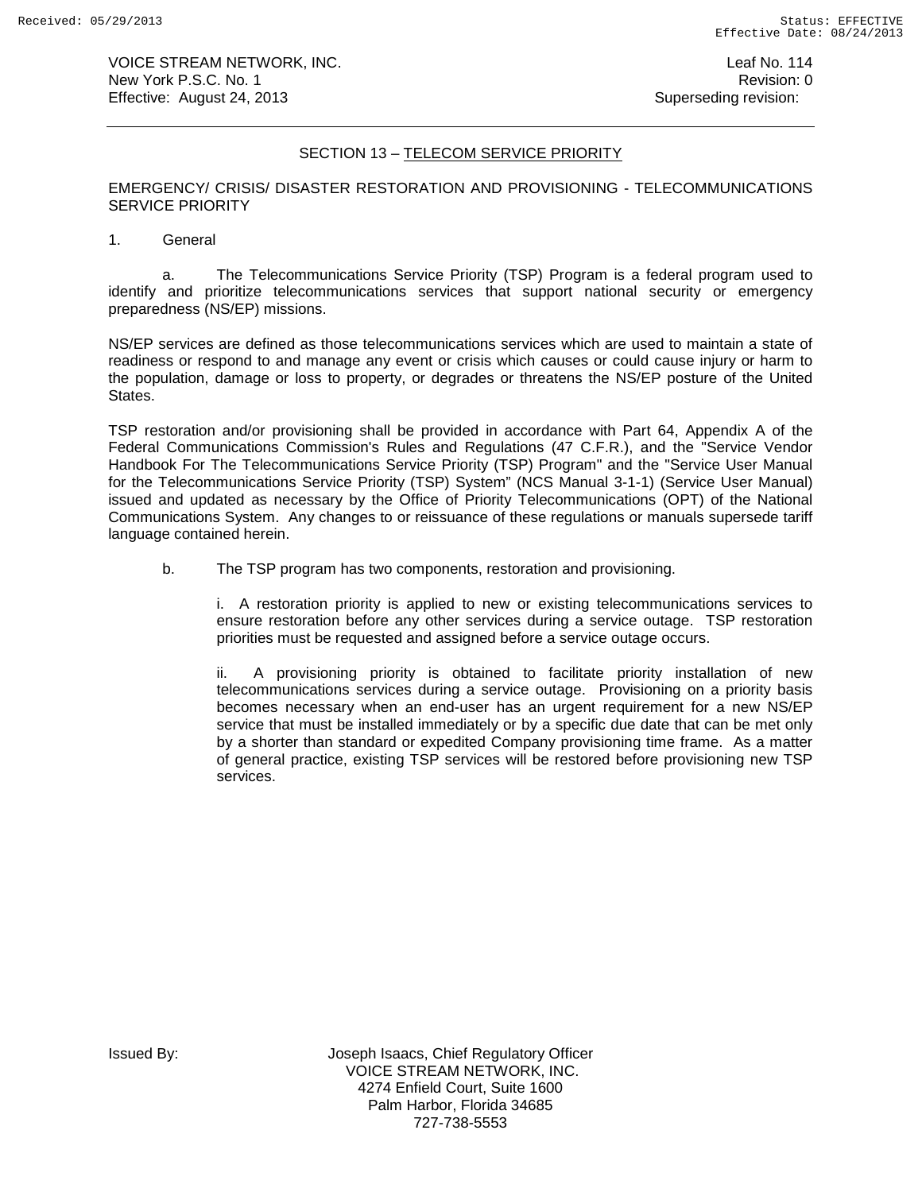VOICE STREAM NETWORK, INC. **Leaf No. 114** New York P.S.C. No. 1 **New York P.S.C.** No. 1 Effective: August 24, 2013 **Superseding revision:** Superseding revision:

# SECTION 13 – TELECOM SERVICE PRIORITY

EMERGENCY/ CRISIS/ DISASTER RESTORATION AND PROVISIONING - TELECOMMUNICATIONS SERVICE PRIORITY

1. General

a. The Telecommunications Service Priority (TSP) Program is a federal program used to identify and prioritize telecommunications services that support national security or emergency preparedness (NS/EP) missions.

NS/EP services are defined as those telecommunications services which are used to maintain a state of readiness or respond to and manage any event or crisis which causes or could cause injury or harm to the population, damage or loss to property, or degrades or threatens the NS/EP posture of the United States.

TSP restoration and/or provisioning shall be provided in accordance with Part 64, Appendix A of the Federal Communications Commission's Rules and Regulations (47 C.F.R.), and the "Service Vendor Handbook For The Telecommunications Service Priority (TSP) Program" and the "Service User Manual for the Telecommunications Service Priority (TSP) System" (NCS Manual 3-1-1) (Service User Manual) issued and updated as necessary by the Office of Priority Telecommunications (OPT) of the National Communications System. Any changes to or reissuance of these regulations or manuals supersede tariff language contained herein.

b. The TSP program has two components, restoration and provisioning.

i. A restoration priority is applied to new or existing telecommunications services to ensure restoration before any other services during a service outage. TSP restoration priorities must be requested and assigned before a service outage occurs.

ii. A provisioning priority is obtained to facilitate priority installation of new telecommunications services during a service outage. Provisioning on a priority basis becomes necessary when an end-user has an urgent requirement for a new NS/EP service that must be installed immediately or by a specific due date that can be met only by a shorter than standard or expedited Company provisioning time frame. As a matter of general practice, existing TSP services will be restored before provisioning new TSP services.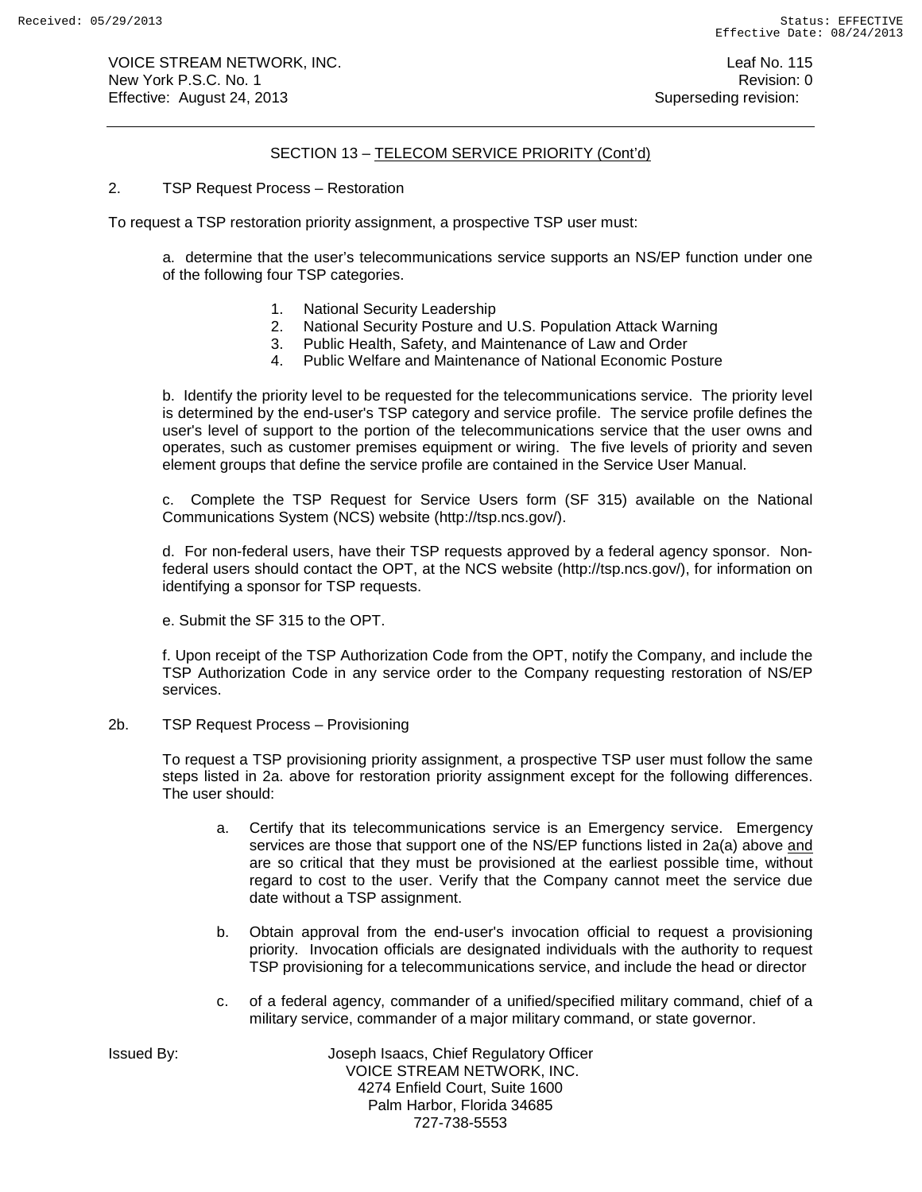VOICE STREAM NETWORK, INC. No. 115 New York P.S.C. No. 1 **New York P.S.C.** No. 1 Effective: August 24, 2013 **Superseding revision:** Superseding revision:

## SECTION 13 – TELECOM SERVICE PRIORITY (Cont'd)

2. TSP Request Process – Restoration

To request a TSP restoration priority assignment, a prospective TSP user must:

a. determine that the user's telecommunications service supports an NS/EP function under one of the following four TSP categories.

- 1. National Security Leadership
- 2. National Security Posture and U.S. Population Attack Warning
- 3. Public Health, Safety, and Maintenance of Law and Order
- 4. Public Welfare and Maintenance of National Economic Posture

b. Identify the priority level to be requested for the telecommunications service. The priority level is determined by the end-user's TSP category and service profile. The service profile defines the user's level of support to the portion of the telecommunications service that the user owns and operates, such as customer premises equipment or wiring. The five levels of priority and seven element groups that define the service profile are contained in the Service User Manual.

c. Complete the TSP Request for Service Users form (SF 315) available on the National Communications System (NCS) website (http://tsp.ncs.gov/).

d. For non-federal users, have their TSP requests approved by a federal agency sponsor. Nonfederal users should contact the OPT, at the NCS website (http://tsp.ncs.gov/), for information on identifying a sponsor for TSP requests.

e. Submit the SF 315 to the OPT.

f. Upon receipt of the TSP Authorization Code from the OPT, notify the Company, and include the TSP Authorization Code in any service order to the Company requesting restoration of NS/EP services.

2b. TSP Request Process – Provisioning

To request a TSP provisioning priority assignment, a prospective TSP user must follow the same steps listed in 2a. above for restoration priority assignment except for the following differences. The user should:

- a. Certify that its telecommunications service is an Emergency service. Emergency services are those that support one of the NS/EP functions listed in 2a(a) above and are so critical that they must be provisioned at the earliest possible time, without regard to cost to the user. Verify that the Company cannot meet the service due date without a TSP assignment.
- b. Obtain approval from the end-user's invocation official to request a provisioning priority. Invocation officials are designated individuals with the authority to request TSP provisioning for a telecommunications service, and include the head or director
- c. of a federal agency, commander of a unified/specified military command, chief of a military service, commander of a major military command, or state governor.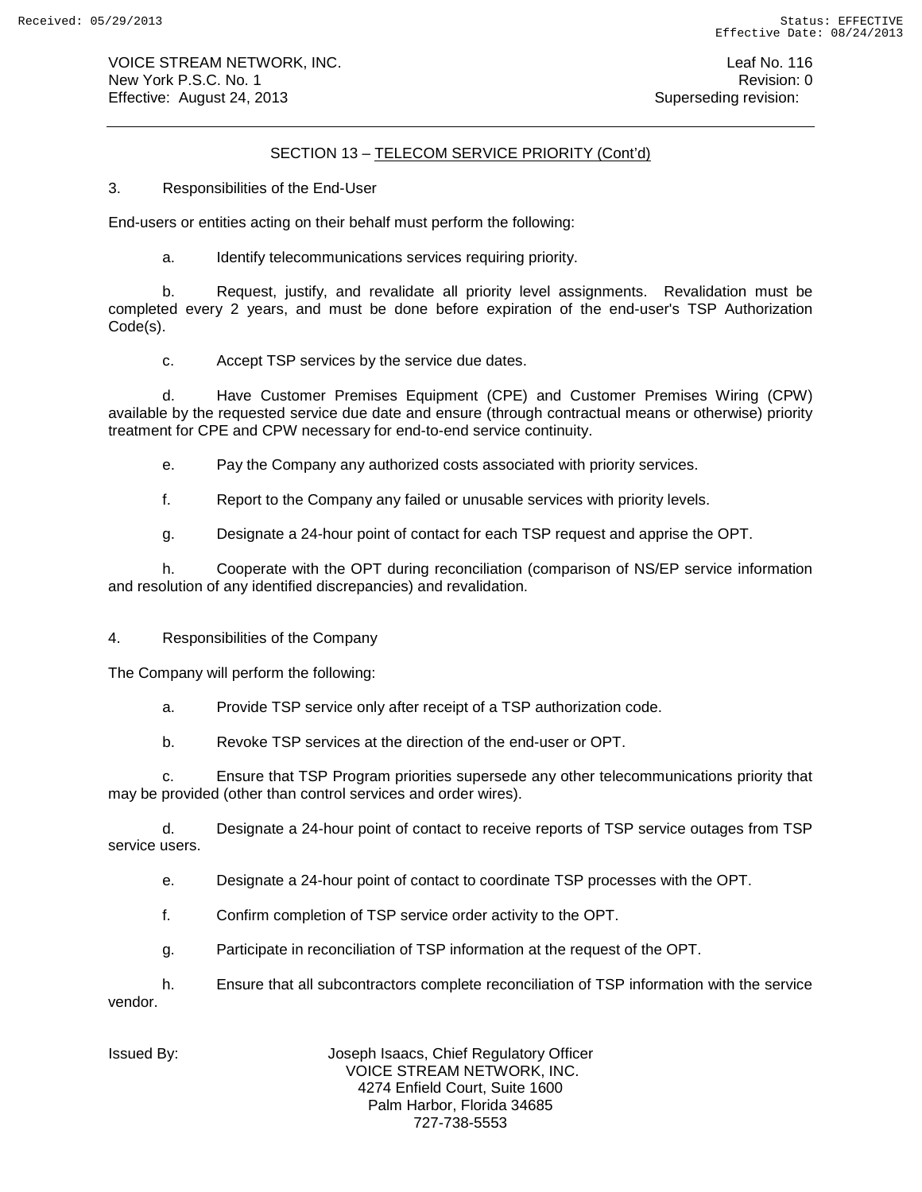VOICE STREAM NETWORK, INC. Leaf No. 116 New York P.S.C. No. 1 **New York P.S.C.** No. 1 Effective: August 24, 2013 **Superseding revision:** Superseding revision:

# SECTION 13 – TELECOM SERVICE PRIORITY (Cont'd)

3. Responsibilities of the End-User

End-users or entities acting on their behalf must perform the following:

a. Identify telecommunications services requiring priority.

b. Request, justify, and revalidate all priority level assignments. Revalidation must be completed every 2 years, and must be done before expiration of the end-user's TSP Authorization Code(s).

c. Accept TSP services by the service due dates.

d. Have Customer Premises Equipment (CPE) and Customer Premises Wiring (CPW) available by the requested service due date and ensure (through contractual means or otherwise) priority treatment for CPE and CPW necessary for end-to-end service continuity.

e. Pay the Company any authorized costs associated with priority services.

f. Report to the Company any failed or unusable services with priority levels.

g. Designate a 24-hour point of contact for each TSP request and apprise the OPT.

h. Cooperate with the OPT during reconciliation (comparison of NS/EP service information and resolution of any identified discrepancies) and revalidation.

4. Responsibilities of the Company

The Company will perform the following:

a. Provide TSP service only after receipt of a TSP authorization code.

b. Revoke TSP services at the direction of the end-user or OPT.

c. Ensure that TSP Program priorities supersede any other telecommunications priority that may be provided (other than control services and order wires).

d. Designate a 24-hour point of contact to receive reports of TSP service outages from TSP service users.

e. Designate a 24-hour point of contact to coordinate TSP processes with the OPT.

f. Confirm completion of TSP service order activity to the OPT.

g. Participate in reconciliation of TSP information at the request of the OPT.

h. Ensure that all subcontractors complete reconciliation of TSP information with the service vendor.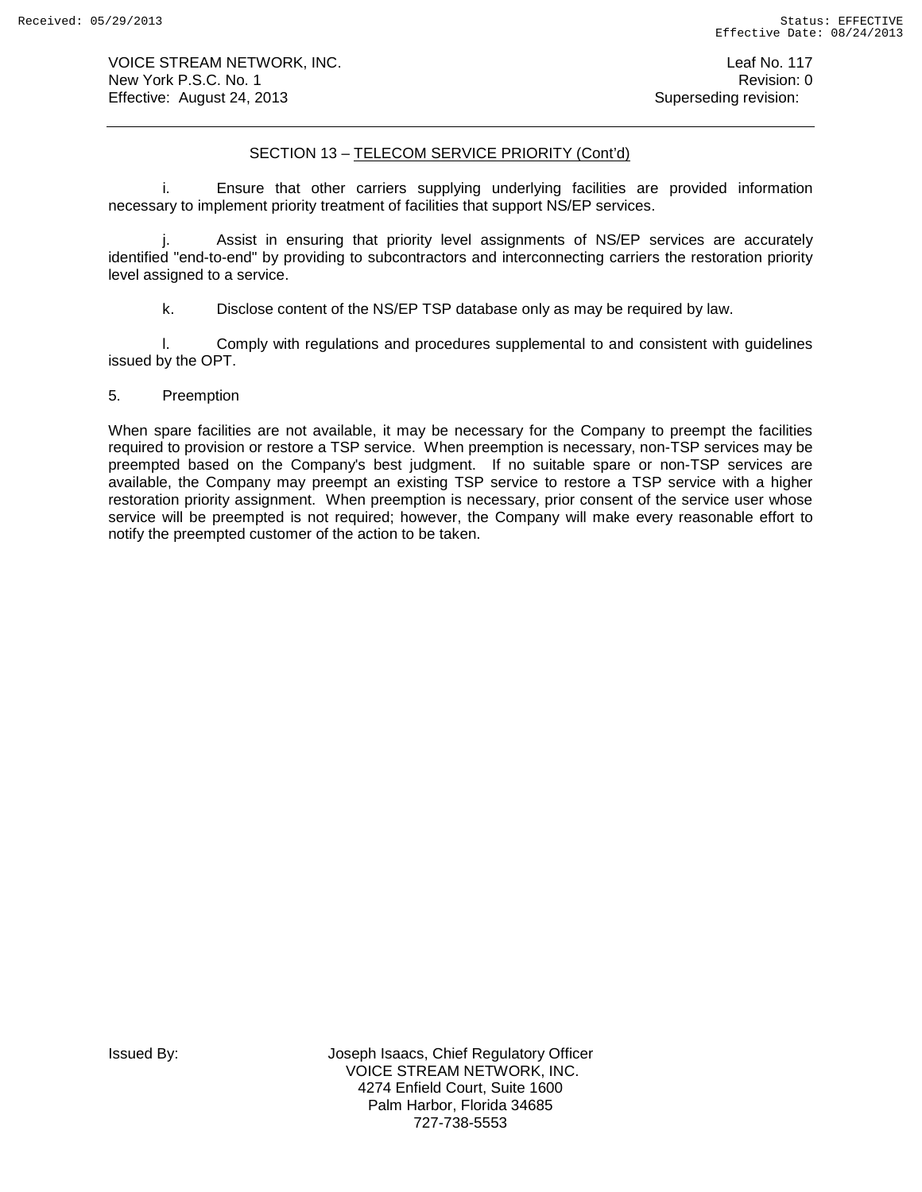VOICE STREAM NETWORK, INC. The contract of the contract of the contract of the contract of the contract of the contract of the contract of the contract of the contract of the contract of the contract of the contract of the New York P.S.C. No. 1 **New York P.S.C.** No. 1 Effective: August 24, 2013 **Superseding revision:** Superseding revision:

# SECTION 13 – TELECOM SERVICE PRIORITY (Cont'd)

i. Ensure that other carriers supplying underlying facilities are provided information necessary to implement priority treatment of facilities that support NS/EP services.

j. Assist in ensuring that priority level assignments of NS/EP services are accurately identified "end-to-end" by providing to subcontractors and interconnecting carriers the restoration priority level assigned to a service.

k. Disclose content of the NS/EP TSP database only as may be required by law.

l. Comply with regulations and procedures supplemental to and consistent with guidelines issued by the OPT.

# 5. Preemption

When spare facilities are not available, it may be necessary for the Company to preempt the facilities required to provision or restore a TSP service. When preemption is necessary, non-TSP services may be preempted based on the Company's best judgment. If no suitable spare or non-TSP services are available, the Company may preempt an existing TSP service to restore a TSP service with a higher restoration priority assignment. When preemption is necessary, prior consent of the service user whose service will be preempted is not required; however, the Company will make every reasonable effort to notify the preempted customer of the action to be taken.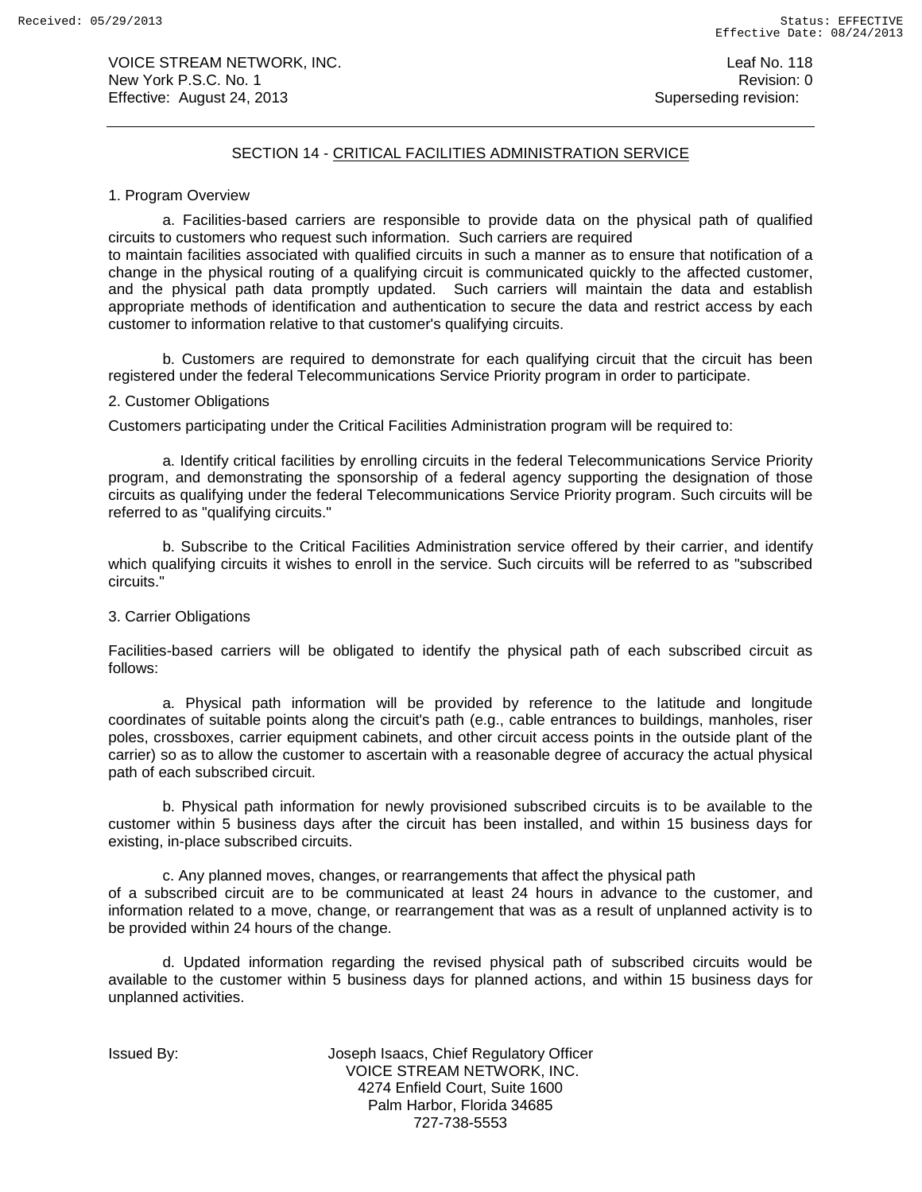VOICE STREAM NETWORK, INC. No. 118 New York P.S.C. No. 1 **Review Accounts** 2012 12:00 12:00 12:00 12:00 12:00 12:00 12:00 12:00 12:00 12:00 12:00 12:00 12:00 12:00 12:00 12:00 12:00 12:00 12:00 12:00 12:00 12:00 12:00 12:00 12:00 12:00 12:00 12:00 12:00 12: Effective: August 24, 2013 **Superseding revision:** Superseding revision:

## SECTION 14 - CRITICAL FACILITIES ADMINISTRATION SERVICE

#### 1. Program Overview

a. Facilities-based carriers are responsible to provide data on the physical path of qualified circuits to customers who request such information. Such carriers are required

to maintain facilities associated with qualified circuits in such a manner as to ensure that notification of a change in the physical routing of a qualifying circuit is communicated quickly to the affected customer, and the physical path data promptly updated. Such carriers will maintain the data and establish appropriate methods of identification and authentication to secure the data and restrict access by each customer to information relative to that customer's qualifying circuits.

b. Customers are required to demonstrate for each qualifying circuit that the circuit has been registered under the federal Telecommunications Service Priority program in order to participate.

# 2. Customer Obligations

Customers participating under the Critical Facilities Administration program will be required to:

a. Identify critical facilities by enrolling circuits in the federal Telecommunications Service Priority program, and demonstrating the sponsorship of a federal agency supporting the designation of those circuits as qualifying under the federal Telecommunications Service Priority program. Such circuits will be referred to as "qualifying circuits."

b. Subscribe to the Critical Facilities Administration service offered by their carrier, and identify which qualifying circuits it wishes to enroll in the service. Such circuits will be referred to as "subscribed circuits."

#### 3. Carrier Obligations

Facilities-based carriers will be obligated to identify the physical path of each subscribed circuit as follows:

a. Physical path information will be provided by reference to the latitude and longitude coordinates of suitable points along the circuit's path (e.g., cable entrances to buildings, manholes, riser poles, crossboxes, carrier equipment cabinets, and other circuit access points in the outside plant of the carrier) so as to allow the customer to ascertain with a reasonable degree of accuracy the actual physical path of each subscribed circuit.

b. Physical path information for newly provisioned subscribed circuits is to be available to the customer within 5 business days after the circuit has been installed, and within 15 business days for existing, in-place subscribed circuits.

c. Any planned moves, changes, or rearrangements that affect the physical path of a subscribed circuit are to be communicated at least 24 hours in advance to the customer, and information related to a move, change, or rearrangement that was as a result of unplanned activity is to be provided within 24 hours of the change.

d. Updated information regarding the revised physical path of subscribed circuits would be available to the customer within 5 business days for planned actions, and within 15 business days for unplanned activities.